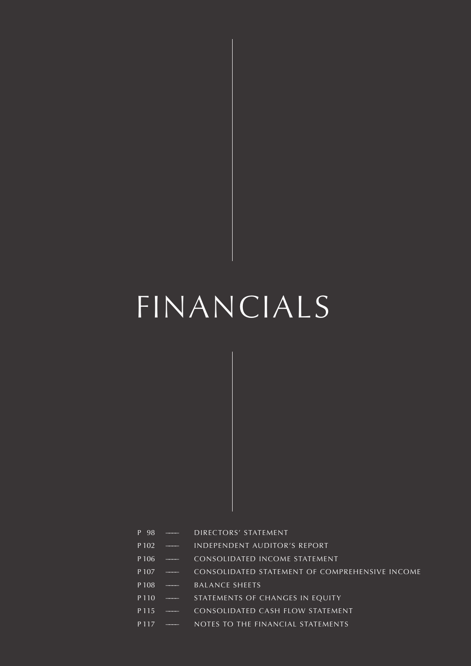# FINANCIALS

- P 98 [DIRECTORS' STATEMENT](#page-1-0)
- [P 102](#page-3-0)  [INDEPENDENT AUDITOR'S REPORT](#page-3-0)
- P 106 [CONSOLIDATED INCOME STATEMENT](#page-5-0)
- [P 107](#page-5-0)  [CONSOLIDATED STATEMENT OF COMPREHENSIVE INCOME](#page-5-0)
- [P 108](#page-6-0) —— [BALANCE SHEETS](#page-6-0)
- [P 110](#page-7-0) —— [STATEMENTS OF CHANGES IN EQUITY](#page-7-0)
- P 115 [CONSOLIDATED CASH FLOW STATEMENT](#page-9-0)
- [P 117](#page-10-0)  [NOTES TO THE FINANCIAL STATEMENTS](#page-10-0)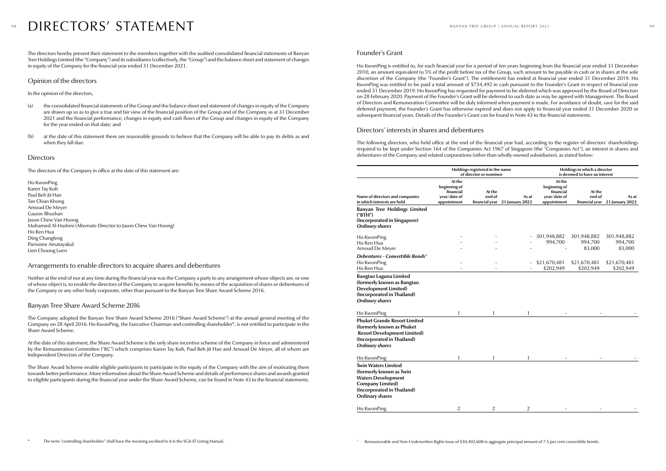<span id="page-1-0"></span>The directors hereby present their statement to the members together with the audited consolidated financial statements of Banyan Tree Holdings Limited (the "Company") and its subsidiaries (collectively, the "Group") and the balance sheet and statement of changes in equity of the Company for the financial year ended 31 December 2021.

#### Opinion of the directors

#### In the opinion of the directors,

- (a) the consolidated financial statements of the Group and the balance sheet and statement of changes in equity of the Company are drawn up so as to give a true and fair view of the financial position of the Group and of the Company as at 31 December 2021 and the financial performance, changes in equity and cash flows of the Group and changes in equity of the Company for the year ended on that date; and
- (b) at the date of this statement there are reasonable grounds to believe that the Company will be able to pay its debts as and when they fall due.

#### **Directors**

The directors of the Company in office at the date of this statement are:

Ho KwonPing Karen Tay Koh Paul Beh Jit Han Tan Chian Khong Arnoud De Meyer Gaurav Bhushan Jason Chew Van Hoong Mohamed Al-Hashmi (Alternate Director to Jason Chew Van Hoong) Ho Ren Hua Ding Changfeng Parnsiree Amatayakul Lien Choong Luen

#### Arrangements to enable directors to acquire shares and debentures

Neither at the end of nor at any time during the financial year was the Company a party to any arrangement whose objects are, or one of whose object is, to enable the directors of the Company to acquire benefits by means of the acquisition of shares or debentures of the Company or any other body corporate, other than pursuant to the Banyan Tree Share Award Scheme 2016.

#### Banyan Tree Share Award Scheme 2016

The Company adopted the Banyan Tree Share Award Scheme 2016 ("Share Award Scheme") at the annual general meeting of the Company on 28 April 2016. Ho KwonPing, the Executive Chairman and controlling shareholder\*, is not entitled to participate in the Share Award Scheme.

At the date of this statement, the Share Award Scheme is the only share incentive scheme of the Company in force and administered by the Remuneration Committee ("RC") which comprises Karen Tay Koh, Paul Beh Jit Han and Arnoud De Meyer, all of whom are Independent Directors of the Company.

The Share Award Scheme enable eligible participants to participate in the equity of the Company with the aim of motivating them towards better performance. More information about the Share Award Scheme and details of performance shares and awards granted to eligible participants during the financial year under the Share Award Scheme, can be found in Note 43 to the financial statements.

### Founder's Grant

Ho KwonPing is entitled to, for each financial year for a period of ten years beginning from the financial year ended 31 December 2010, an amount equivalent to 5% of the profit before tax of the Group, such amount to be payable in cash or in shares at the sole discretion of the Company (the "Founder's Grant"). The entitlement has ended at financial year ended 31 December 2019. Ho KwonPing was entitled to be paid a total amount of \$734,492 in cash pursuant to the Founder's Grant in respect of financial year ended 31 December 2019. Ho KwonPing has requested for payment to be deferred which was approved by the Board of Directors on 28 February 2020. Payment of the Founder's Grant will be deferred to such date as may be agreed with Management. The Board of Directors and Remuneration Committee will be duly informed when payment is made. For avoidance of doubt, save for the said deferred payment, the Founder's Grant has otherwise expired and does not apply to financial year ended 31 December 2020 or subsequent financial years. Details of the Founder's Grant can be found in Note 43 to the financial statements.

#### Directors' interests in shares and debentures

The following directors, who held office at the end of the financial year had, according to the register of directors' shareholdings required to be kept under Section 164 of the Companies Act 1967 of Singapore (the "Companies Act"), an interest in shares and debentures of the Company and related corporations (other than wholly-owned subsidiaries), as stated below:

|                                                                                                                                                                               |                                                                    | Holdings registered in the name<br>of director or nominee |                                         | Holdings in which a director<br>is deemed to have an interest      |                                  |                                         |  |  |
|-------------------------------------------------------------------------------------------------------------------------------------------------------------------------------|--------------------------------------------------------------------|-----------------------------------------------------------|-----------------------------------------|--------------------------------------------------------------------|----------------------------------|-----------------------------------------|--|--|
| Name of directors and companies<br>in which interests are held                                                                                                                | At the<br>beginning of<br>financial<br>year/date of<br>appointment | At the<br>end of                                          | As at<br>financial year 21 January 2022 | At the<br>beginning of<br>financial<br>year/date of<br>appointment | At the<br>end of                 | As at<br>financial year 21 January 2022 |  |  |
| <b>Banyan Tree Holdings Limited</b><br>("BTH")<br>(Incorporated in Singapore)<br><b>Ordinary shares</b>                                                                       |                                                                    |                                                           |                                         |                                                                    |                                  |                                         |  |  |
| Ho KwonPing<br>Ho Ren Hua<br>Arnoud De Meyer                                                                                                                                  |                                                                    |                                                           |                                         | 301,948,882<br>994,700                                             | 301,948,882<br>994,700<br>83,000 | 301,948,882<br>994,700<br>83,000        |  |  |
| Debentures - Convertible Bonds <sup>1</sup><br>Ho KwonPing<br>Ho Ren Hua                                                                                                      |                                                                    |                                                           |                                         | \$21,670,481<br>\$202,949                                          | \$21,670,481<br>\$202,949        | \$21,670,481<br>\$202,949               |  |  |
| <b>Bangtao Laguna Limited</b><br>(formerly known as Bangtao<br><b>Development Limited)</b><br>(Incorporated in Thailand)<br><b>Ordinary shares</b>                            |                                                                    |                                                           |                                         |                                                                    |                                  |                                         |  |  |
| Ho KwonPing<br><b>Phuket Grande Resort Limited</b><br>(formerly known as Phuket<br><b>Resort Development Limited)</b><br>(Incorporated in Thailand)<br><b>Ordinary shares</b> | 1                                                                  | 1                                                         | $\mathbf{1}$                            |                                                                    |                                  |                                         |  |  |
| Ho KwonPing                                                                                                                                                                   | 1                                                                  | 1                                                         | $\mathbf{1}$                            |                                                                    |                                  |                                         |  |  |
| <b>Twin Waters Limited</b><br>(formerly known as Twin<br><b>Waters Development</b><br><b>Company Limited)</b><br>(Incorporated in Thailand)<br><b>Ordinary shares</b>         |                                                                    |                                                           |                                         |                                                                    |                                  |                                         |  |  |
| Ho KwonPing                                                                                                                                                                   | $\overline{2}$                                                     | 2                                                         | 2                                       |                                                                    |                                  |                                         |  |  |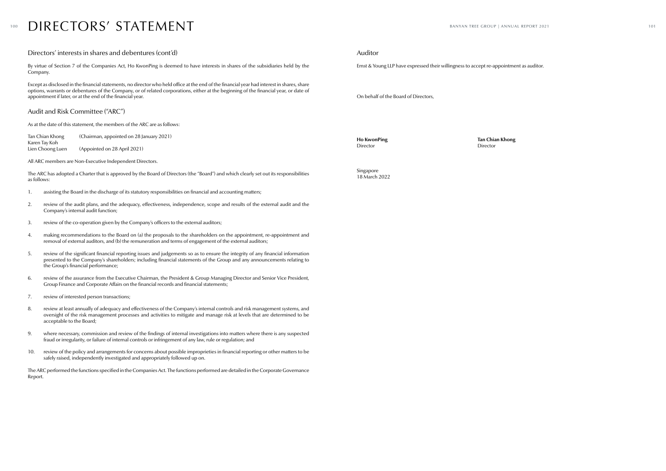### 100 DIRECTORS' STATEMENT

|     |                                  | Directors' interests in shares and debentures (cont'd)                                                                                                                                                                                                                                                                                             | Auditor                                                                   |                        |  |  |
|-----|----------------------------------|----------------------------------------------------------------------------------------------------------------------------------------------------------------------------------------------------------------------------------------------------------------------------------------------------------------------------------------------------|---------------------------------------------------------------------------|------------------------|--|--|
|     | Company.                         | By virtue of Section 7 of the Companies Act, Ho KwonPing is deemed to have interests in shares of the subsidiaries held by the                                                                                                                                                                                                                     | Ernst & Young LLP have expressed their willingness to accept re-appointme |                        |  |  |
|     |                                  | Except as disclosed in the financial statements, no director who held office at the end of the financial year had interest in shares, share<br>options, warrants or debentures of the Company, or of related corporations, either at the beginning of the financial year, or date of<br>appointment if later, or at the end of the financial year. | On behalf of the Board of Directors,                                      |                        |  |  |
|     |                                  | Audit and Risk Committee ("ARC")                                                                                                                                                                                                                                                                                                                   |                                                                           |                        |  |  |
|     |                                  | As at the date of this statement, the members of the ARC are as follows:                                                                                                                                                                                                                                                                           |                                                                           |                        |  |  |
|     | Tan Chian Khong<br>Karen Tay Koh | (Chairman, appointed on 28 January 2021)                                                                                                                                                                                                                                                                                                           | <b>Ho KwonPing</b>                                                        | <b>Tan Chian Khong</b> |  |  |
|     | Lien Choong Luen                 | (Appointed on 28 April 2021)                                                                                                                                                                                                                                                                                                                       | Director                                                                  | Director               |  |  |
|     |                                  | All ARC members are Non-Executive Independent Directors.                                                                                                                                                                                                                                                                                           |                                                                           |                        |  |  |
|     | as follows:                      | The ARC has adopted a Charter that is approved by the Board of Directors (the "Board") and which clearly set out its responsibilities                                                                                                                                                                                                              | Singapore<br>18 March 2022                                                |                        |  |  |
|     |                                  | assisting the Board in the discharge of its statutory responsibilities on financial and accounting matters;                                                                                                                                                                                                                                        |                                                                           |                        |  |  |
| 2.  |                                  | review of the audit plans, and the adequacy, effectiveness, independence, scope and results of the external audit and the<br>Company's internal audit function;                                                                                                                                                                                    |                                                                           |                        |  |  |
| 3.  |                                  | review of the co-operation given by the Company's officers to the external auditors;                                                                                                                                                                                                                                                               |                                                                           |                        |  |  |
| 4.  |                                  | making recommendations to the Board on (a) the proposals to the shareholders on the appointment, re-appointment and<br>removal of external auditors, and (b) the remuneration and terms of engagement of the external auditors;                                                                                                                    |                                                                           |                        |  |  |
| 5.  |                                  | review of the significant financial reporting issues and judgements so as to ensure the integrity of any financial information<br>presented to the Company's shareholders; including financial statements of the Group and any announcements relating to<br>the Group's financial performance;                                                     |                                                                           |                        |  |  |
| 6.  |                                  | review of the assurance from the Executive Chairman, the President & Group Managing Director and Senior Vice President,<br>Group Finance and Corporate Affairs on the financial records and financial statements;                                                                                                                                  |                                                                           |                        |  |  |
| 7.  |                                  | review of interested person transactions;                                                                                                                                                                                                                                                                                                          |                                                                           |                        |  |  |
| 8.  | acceptable to the Board;         | review at least annually of adequacy and effectiveness of the Company's internal controls and risk management systems, and<br>oversight of the risk management processes and activities to mitigate and manage risk at levels that are determined to be                                                                                            |                                                                           |                        |  |  |
| 9.  |                                  | where necessary, commission and review of the findings of internal investigations into matters where there is any suspected<br>fraud or irregularity, or failure of internal controls or infringement of any law, rule or regulation; and                                                                                                          |                                                                           |                        |  |  |
| 10. |                                  | review of the policy and arrangements for concerns about possible improprieties in financial reporting or other matters to be<br>safely raised, independently investigated and appropriately followed up on.                                                                                                                                       |                                                                           |                        |  |  |

The ARC performed the functions specified in the Companies Act. The functions performed are detailed in the Corporate Governance Report.

bintment as auditor.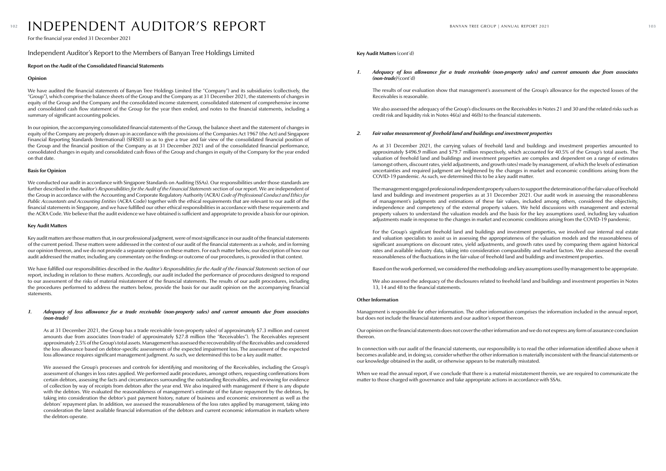### <span id="page-3-0"></span>102 INDEPENDENT AUDITOR'S REPORT

For the financial year ended 31 December 2021

#### Independent Auditor's Report to the Members of Banyan Tree Holdings Limited

#### **Report on the Audit of the Consolidated Financial Statements**

#### **Opinion**

We have audited the financial statements of Banyan Tree Holdings Limited (the "Company") and its subsidiaries (collectively, the "Group"), which comprise the balance sheets of the Group and the Company as at 31 December 2021, the statements of changes in equity of the Group and the Company and the consolidated income statement, consolidated statement of comprehensive income and consolidated cash flow statement of the Group for the year then ended, and notes to the financial statements, including a summary of significant accounting policies.

In our opinion, the accompanying consolidated financial statements of the Group, the balance sheet and the statement of changes in equity of the Company are properly drawn up in accordance with the provisions of the Companies Act 1967 (the Act) and Singapore Financial Reporting Standards (International) (SFRS(I)) so as to give a true and fair view of the consolidated financial position of the Group and the financial position of the Company as at 31 December 2021 and of the consolidated financial performance, consolidated changes in equity and consolidated cash flows of the Group and changes in equity of the Company for the year ended on that date.

#### **Basis for Opinion**

We have fulfilled our responsibilities described in the *Auditor's Responsibilities for the Audit of the Financial Statements* section of our report, including in relation to these matters. Accordingly, our audit included the performance of procedures designed to respond to our assessment of the risks of material misstatement of the financial statements. The results of our audit procedures, including the procedures performed to address the matters below, provide the basis for our audit opinion on the accompanying financial statements.

We conducted our audit in accordance with Singapore Standards on Auditing (SSAs). Our responsibilities under those standards are further described in the *Auditor's Responsibilities for the Audit of the Financial Statements* section of our report. We are independent of the Group in accordance with the Accounting and Corporate Regulatory Authority (ACRA) *Code of Professional Conduct and Ethics for Public Accountants and Accounting Entities* (ACRA Code) together with the ethical requirements that are relevant to our audit of the financial statements in Singapore, and we have fulfilled our other ethical responsibilities in accordance with these requirements and the ACRA Code. We believe that the audit evidence we have obtained is sufficient and appropriate to provide a basis for our opinion.

#### **Key Audit Matters**

Key audit matters are those matters that, in our professional judgment, were of most significance in our audit of the financial statements of the current period. These matters were addressed in the context of our audit of the financial statements as a whole, and in forming our opinion thereon, and we do not provide a separate opinion on these matters. For each matter below, our description of how our audit addressed the matter, including any commentary on the findings or outcome of our procedures, is provided in that context.

#### *1. Adequacy of loss allowance for a trade receivable (non-property sales) and current amounts due from associates (non-trade)*

As at 31 December 2021, the Group has a trade receivable (non-property sales) of approximately \$7.3 million and current amounts due from associates (non-trade) of approximately \$27.8 million (the "Receivables"). The Receivables represent approximately 2.5% of the Group's total assets. Management has assessed the recoverability of the Receivables and considered the loss allowance based on debtor-specific assessments of the expected impairment loss. The assessment of the expected loss allowance requires significant management judgment. As such, we determined this to be a key audit matter.

We assessed the Group's processes and controls for identifying and monitoring of the Receivables, including the Group's assessment of changes in loss rates applied. We performed audit procedures, amongst others, requesting confirmations from certain debtors, assessing the facts and circumstances surrounding the outstanding Receivables, and reviewing for evidence of collection by way of receipts from debtors after the year end. We also inquired with management if there is any dispute with the debtors. We evaluated the reasonableness of management's estimate of the future repayment by the debtors, by taking into consideration the debtor's past payment history, nature of business and economic environment as well as the debtors' repayment plan. In addition, we assessed the reasonableness of the loss rates applied by management, taking into consideration the latest available financial information of the debtors and current economic information in markets where the debtors operate.

#### **Key Audit Matters** (cont'd)

*1. Adequacy of loss allowance for a trade receivable (non-property sales) and current amounts due from associates (non-trade)* (cont'd)

The results of our evaluation show that management's assessment of the Group's allowance for the expected losses of the Receivables is reasonable.

We also assessed the adequacy of the Group's disclosures on the Receivables in Notes 21 and 30 and the related risks such as credit risk and liquidity risk in Notes 46(a) and 46(b) to the financial statements.

#### *2. Fair value measurement of freehold land and buildings and investment properties*

As at 31 December 2021, the carrying values of freehold land and buildings and investment properties amounted to approximately \$496.9 million and \$79.7 million respectively, which accounted for 40.5% of the Group's total assets. The valuation of freehold land and buildings and investment properties are complex and dependent on a range of estimates (amongst others, discount rates, yield adjustments, and growth rates) made by management, of which the levels of estimation uncertainties and required judgment are heightened by the changes in market and economic conditions arising from the COVID-19 pandemic. As such, we determined this to be a key audit matter.

The management engaged professional independent property valuers to support the determination of the fair value of freehold land and buildings and investment properties as at 31 December 2021. Our audit work in assessing the reasonableness of management's judgments and estimations of these fair values, included among others, considered the objectivity, independence and competency of the external property valuers. We held discussions with management and external property valuers to understand the valuation models and the basis for the key assumptions used, including key valuation adjustments made in response to the changes in market and economic conditions arising from the COVID-19 pandemic.

For the Group's significant freehold land and buildings and investment properties, we involved our internal real estate and valuation specialists to assist us in assessing the appropriateness of the valuation models and the reasonableness of significant assumptions on discount rates, yield adjustments, and growth rates used by comparing them against historical rates and available industry data, taking into consideration comparability and market factors. We also assessed the overall reasonableness of the fluctuations in the fair value of freehold land and buildings and investment properties.

Based on the work performed, we considered the methodology and key assumptions used by management to be appropriate.

We also assessed the adequacy of the disclosures related to freehold land and buildings and investment properties in Notes 13, 14 and 48 to the financial statements.

#### **Other Information**

Management is responsible for other information. The other information comprises the information included in the annual report, but does not include the financial statements and our auditor's report thereon.

Our opinion on the financial statements does not cover the other information and we do not express any form of assurance conclusion thereon.

In connection with our audit of the financial statements, our responsibility is to read the other information identified above when it becomes available and, in doing so, consider whether the other information is materially inconsistent with the financial statements or our knowledge obtained in the audit, or otherwise appears to be materially misstated.

When we read the annual report, if we conclude that there is a material misstatement therein, we are required to communicate the matter to those charged with governance and take appropriate actions in accordance with SSAs.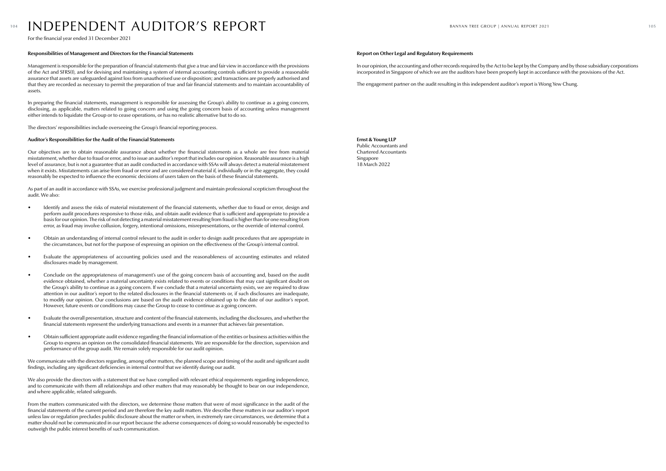### 104 INDEPENDENT AUDITOR'S REPORT

For the financial year ended 31 December 2021

#### **Responsibilities of Management and Directors for the Financial Statements**

Management is responsible for the preparation of financial statements that give a true and fair view in accordance with the provisions of the Act and SFRS(I), and for devising and maintaining a system of internal accounting controls sufficient to provide a reasonable assurance that assets are safeguarded against loss from unauthorised use or disposition; and transactions are properly authorised and that they are recorded as necessary to permit the preparation of true and fair financial statements and to maintain accountability of assets.

In preparing the financial statements, management is responsible for assessing the Group's ability to continue as a going concern, disclosing, as applicable, matters related to going concern and using the going concern basis of accounting unless management either intends to liquidate the Group or to cease operations, or has no realistic alternative but to do so.

The directors' responsibilities include overseeing the Group's financial reporting process.

#### **Auditor's Responsibilities for the Audit of the Financial Statements**

Our objectives are to obtain reasonable assurance about whether the financial statements as a whole are free from material misstatement, whether due to fraud or error, and to issue an auditor's report that includes our opinion. Reasonable assurance is a high level of assurance, but is not a guarantee that an audit conducted in accordance with SSAs will always detect a material misstatement when it exists. Misstatements can arise from fraud or error and are considered material if, individually or in the aggregate, they could reasonably be expected to influence the economic decisions of users taken on the basis of these financial statements.

As part of an audit in accordance with SSAs, we exercise professional judgment and maintain professional scepticism throughout the audit. We also:

- Identify and assess the risks of material misstatement of the financial statements, whether due to fraud or error, design and perform audit procedures responsive to those risks, and obtain audit evidence that is sufficient and appropriate to provide a basis for our opinion. The risk of not detecting a material misstatement resulting from fraud is higher than for one resulting from error, as fraud may involve collusion, forgery, intentional omissions, misrepresentations, or the override of internal control.
- Obtain an understanding of internal control relevant to the audit in order to design audit procedures that are appropriate in the circumstances, but not for the purpose of expressing an opinion on the effectiveness of the Group's internal control.
- Evaluate the appropriateness of accounting policies used and the reasonableness of accounting estimates and related disclosures made by management.
- Conclude on the appropriateness of management's use of the going concern basis of accounting and, based on the audit evidence obtained, whether a material uncertainty exists related to events or conditions that may cast significant doubt on the Group's ability to continue as a going concern. If we conclude that a material uncertainty exists, we are required to draw attention in our auditor's report to the related disclosures in the financial statements or, if such disclosures are inadequate, to modify our opinion. Our conclusions are based on the audit evidence obtained up to the date of our auditor's report. However, future events or conditions may cause the Group to cease to continue as a going concern.
- Evaluate the overall presentation, structure and content of the financial statements, including the disclosures, and whether the financial statements represent the underlying transactions and events in a manner that achieves fair presentation.
- Obtain sufficient appropriate audit evidence regarding the financial information of the entities or business activities within the Group to express an opinion on the consolidated financial statements. We are responsible for the direction, supervision and performance of the group audit. We remain solely responsible for our audit opinion.

We communicate with the directors regarding, among other matters, the planned scope and timing of the audit and significant audit findings, including any significant deficiencies in internal control that we identify during our audit.

We also provide the directors with a statement that we have complied with relevant ethical requirements regarding independence, and to communicate with them all relationships and other matters that may reasonably be thought to bear on our independence, and where applicable, related safeguards.

From the matters communicated with the directors, we determine those matters that were of most significance in the audit of the financial statements of the current period and are therefore the key audit matters. We describe these matters in our auditor's report unless law or regulation precludes public disclosure about the matter or when, in extremely rare circumstances, we determine that a matter should not be communicated in our report because the adverse consequences of doing so would reasonably be expected to outweigh the public interest benefits of such communication.

#### **Report on Other Legal and Regulatory Requirements**

In our opinion, the accounting and other records required by the Act to be kept by the Company and by those subsidiary corporations incorporated in Singapore of which we are the auditors have been properly kept in accordance with the provisions of the Act.

The engagement partner on the audit resulting in this independent auditor's report is Wong Yew Chung.

**Ernst & Young LLP**

Public Accountants and Chartered Accountants Singapore 18 March 2022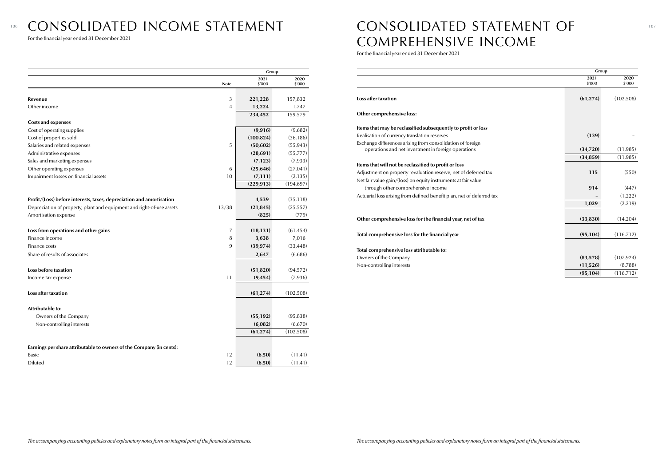## <span id="page-5-0"></span>106 CONSOLIDATED INCOME STATEMENT CONSOLIDATED STATEMENT OF 107

For the financial year ended 31 December 2021

|                                                                               |                | Group      |            |
|-------------------------------------------------------------------------------|----------------|------------|------------|
|                                                                               |                | 2021       | 2020       |
|                                                                               | <b>Note</b>    | \$'000     | \$'000     |
| Revenue                                                                       | 3              | 221,228    | 157,832    |
| Other income                                                                  | $\overline{4}$ | 13,224     | 1,747      |
|                                                                               |                | 234,452    | 159,579    |
| <b>Costs and expenses</b>                                                     |                |            |            |
| Cost of operating supplies                                                    |                | (9,916)    | (9,682)    |
| Cost of properties sold                                                       |                | (100, 824) | (36, 186)  |
| Salaries and related expenses                                                 | 5              | (50, 602)  | (55, 943)  |
| Administrative expenses                                                       |                | (28, 691)  | (55, 777)  |
| Sales and marketing expenses                                                  |                | (7, 123)   | (7, 933)   |
| Other operating expenses                                                      | 6              | (25, 646)  | (27, 041)  |
| Impairment losses on financial assets                                         | 10             | (7, 111)   | (2, 135)   |
|                                                                               |                | (229, 913) | (194, 697) |
|                                                                               |                |            |            |
| Profit/(Loss) before interests, taxes, depreciation and amortisation          |                | 4,539      | (35, 118)  |
| Depreciation of property, plant and equipment and right-of-use assets         | 13/38          | (21, 845)  | (25, 557)  |
| Amortisation expense                                                          |                | (825)      | (779)      |
|                                                                               |                |            |            |
| Loss from operations and other gains                                          | 7              | (18, 131)  | (61, 454)  |
| Finance income                                                                | 8              | 3,638      | 7,016      |
| Finance costs                                                                 | 9              | (39, 974)  | (33, 448)  |
| Share of results of associates                                                |                | 2,647      | (6,686)    |
|                                                                               |                |            |            |
| Loss before taxation                                                          |                | (51, 820)  | (94, 572)  |
| Income tax expense                                                            | 11             | (9, 454)   | (7,936)    |
|                                                                               |                |            |            |
| Loss after taxation                                                           |                | (61, 274)  | (102, 508) |
|                                                                               |                |            |            |
| Attributable to:                                                              |                |            |            |
| Owners of the Company                                                         |                | (55, 192)  | (95, 838)  |
| Non-controlling interests                                                     |                | (6,082)    | (6,670)    |
|                                                                               |                | (61, 274)  | (102, 508) |
|                                                                               |                |            |            |
| Earnings per share attributable to owners of the Company (in cents):<br>Basic | 12             | (6.50)     | (11.41)    |
| Diluted                                                                       | 12             | (6.50)     | (11.41)    |
|                                                                               |                |            |            |

| Group          |                |  |  |
|----------------|----------------|--|--|
| 2021<br>\$'000 | 2020<br>\$'000 |  |  |
| (61, 274)      | (102, 508)     |  |  |
| (139)          |                |  |  |
|                |                |  |  |
| (34, 720)      | (11, 985)      |  |  |
| (34, 859)      | (11, 985)      |  |  |
| 115            | (550)          |  |  |
| 914            | (447)          |  |  |
|                | (1, 222)       |  |  |
| 1,029          | (2, 219)       |  |  |
|                |                |  |  |
| (33, 830)      | (14, 204)      |  |  |
| (95, 104)      | (116, 712)     |  |  |
|                |                |  |  |
| (83, 578)      | (107, 924)     |  |  |
| (11, 526)      | (8,788)        |  |  |
| (95, 104)      | (116, 712)     |  |  |

|                                                                       | 2021<br>\$'000 | 2020<br>\$'000 |
|-----------------------------------------------------------------------|----------------|----------------|
| Loss after taxation                                                   | (61, 274)      | (102, 508)     |
| Other comprehensive loss:                                             |                |                |
| Items that may be reclassified subsequently to profit or loss         |                |                |
| Realisation of currency translation reserves                          | (139)          |                |
| Exchange differences arising from consolidation of foreign            |                |                |
| operations and net investment in foreign operations                   | (34,720)       | (11, 985)      |
|                                                                       | (34, 859)      | (11, 985)      |
| Items that will not be reclassified to profit or loss                 |                |                |
| Adjustment on property revaluation reserve, net of deferred tax       | 115            | (550)          |
| Net fair value gain/(loss) on equity instruments at fair value        |                |                |
| through other comprehensive income                                    | 914            | (447)          |
| Actuarial loss arising from defined benefit plan, net of deferred tax |                | (1, 222)       |
|                                                                       | 1,029          | (2, 219)       |
| Other comprehensive loss for the financial year, net of tax           | (33, 830)      | (14, 204)      |
| Total comprehensive loss for the financial year                       | (95, 104)      | (116, 712)     |
| Total comprehensive loss attributable to:                             |                |                |
| Owners of the Company                                                 | (83, 578)      | (107, 924)     |
| Non-controlling interests                                             | (11, 526)      | (8,788)        |
|                                                                       | (95, 104)      | (116, 712)     |

# COMPREHENSIVE INCOME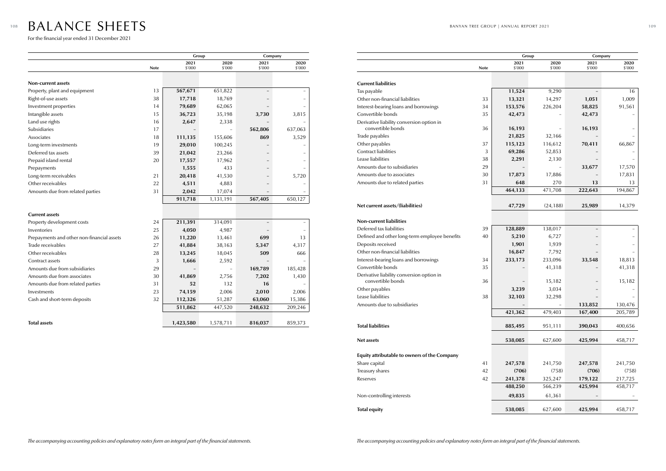### <span id="page-6-0"></span>108  $\mathsf{BALANCE}$   $\mathsf{SHEETS}$  109

|                                            |             | Group          |                | Company        |                |  |
|--------------------------------------------|-------------|----------------|----------------|----------------|----------------|--|
|                                            | <b>Note</b> | 2021<br>\$'000 | 2020<br>\$'000 | 2021<br>\$'000 | 2020<br>\$'000 |  |
|                                            |             |                |                |                |                |  |
| <b>Non-current assets</b>                  |             |                |                |                |                |  |
| Property, plant and equipment              | 13          | 567,671        | 651,822        |                |                |  |
| Right-of-use assets                        | 38          | 17,718         | 18,769         |                |                |  |
| Investment properties                      | 14          | 79,689         | 62,065         |                |                |  |
| Intangible assets                          | 15          | 36,723         | 35,198         | 3,730          | 3,815          |  |
| Land use rights                            | 16          | 2,647          | 2,338          |                |                |  |
| Subsidiaries                               | 17          |                |                | 562,806        | 637,063        |  |
| Associates                                 | 18          | 111,135        | 155,606        | 869            | 3,529          |  |
| Long-term investments                      | 19          | 29,010         | 100,245        |                |                |  |
| Deferred tax assets                        | 39          | 21,042         | 23,266         |                |                |  |
| Prepaid island rental                      | 20          | 17,557         | 17,962         |                |                |  |
| Prepayments                                |             | 1,555          | 433            |                |                |  |
| Long-term receivables                      | 21          | 20,418         | 41,530         |                | 5,720          |  |
| Other receivables                          | 22          | 4,511          | 4,883          |                |                |  |
| Amounts due from related parties           | 31          | 2,042          | 17,074         |                |                |  |
|                                            |             | 911,718        | 1,131,191      | 567,405        | 650,127        |  |
|                                            |             |                |                |                |                |  |
| <b>Current assets</b>                      |             |                |                |                |                |  |
| Property development costs                 | 24          | 211,391        | 314,091        |                |                |  |
| Inventories                                | 25          | 4,050          | 4,987          |                |                |  |
| Prepayments and other non-financial assets | 26          | 11,220         | 13,461         | 699            | 13             |  |
| Trade receivables                          | 27          | 41,884         | 38,163         | 5,347          | 4,317          |  |
| Other receivables                          | 28          | 13,245         | 18,045         | 509            | 666            |  |
| Contract assets                            | 3           | 1,666          | 2,592          |                |                |  |
| Amounts due from subsidiaries              | 29          |                |                | 169,789        | 185,428        |  |
| Amounts due from associates                | 30          | 41,869         | 2,756          | 7,202          | 1,430          |  |
| Amounts due from related parties           | 31          | 52             | 132            | 16             |                |  |
| Investments                                | 23          | 74,159         | 2,006          | 2,010          | 2,006          |  |
| Cash and short-term deposits               | 32          | 112,326        | 51,287         | 63,060         | 15,386         |  |
|                                            |             | 511,862        | 447,520        | 248,632        | 209,246        |  |
| <b>Total assets</b>                        |             | 1,423,580      | 1,578,711      | 816,037        | 859,373        |  |

|                                                                |             | Group          |                | Company           |                       |
|----------------------------------------------------------------|-------------|----------------|----------------|-------------------|-----------------------|
|                                                                | <b>Note</b> | 2021<br>\$'000 | 2020<br>\$'000 | 2021<br>\$'000    | <b>2020</b><br>\$'000 |
| <b>Current liabilities</b>                                     |             |                |                |                   |                       |
| Tax payable                                                    |             | 11,524         | 9,290          |                   | 16                    |
| Other non-financial liabilities                                | 33          | 13,321         | 14,297         | 1,051             | 1,009                 |
| Interest-bearing loans and borrowings                          | 34          | 153,576        | 226,204        | 58,825            | 91,561                |
| Convertible bonds                                              | 35          | 42,473         |                | 42,473            |                       |
| Derivative liability conversion option in<br>convertible bonds | 36          | 16,193         |                | 16,193            |                       |
| Trade payables                                                 |             | 21,825         | 32,166         |                   |                       |
| Other payables                                                 | 37          | 115,123        | 116,612        | 70,411            | 66,867                |
| <b>Contract liabilities</b>                                    | 3           | 69,286         | 52,853         |                   |                       |
| Lease liabilities                                              | 38          | 2,291          | 2,130          |                   |                       |
| Amounts due to subsidiaries                                    | 29          |                |                | 33,677            | 17,570                |
| Amounts due to associates                                      | 30          | 17,873         | 17,886         |                   | 17,831                |
| Amounts due to related parties                                 | 31          | 648            | 270            | 13                | 13                    |
|                                                                |             | 464,133        | 471,708        | 222,643           | 194,867               |
| Net current assets/(liabilities)                               |             | 47,729         | (24, 188)      | 25,989            | 14,379                |
| <b>Non-current liabilities</b>                                 |             |                |                |                   |                       |
| Deferred tax liabilities                                       | 39          | 128,889        | 138,017        | $\qquad \qquad -$ |                       |
| Defined and other long-term employee benefits                  | 40          | 5,210          | 6,727          |                   |                       |
| Deposits received                                              |             | 1,901          | 1,939          |                   |                       |
| Other non-financial liabilities                                |             | 16,847         | 7,792          |                   |                       |
| Interest-bearing loans and borrowings                          | 34          | 233,173        | 233,096        | 33,548            | 18,813                |
| Convertible bonds                                              | 35          |                | 41,318         |                   | 41,318                |
| Derivative liability conversion option in<br>convertible bonds | 36          |                | 15,182         |                   | 15,182                |
| Other payables                                                 |             | 3,239          | 3,034          |                   |                       |
| Lease liabilities                                              | 38          | 32,103         | 32,298         |                   |                       |
| Amounts due to subsidiaries                                    |             |                |                | 133,852           | 130,476               |
|                                                                |             | 421,362        | 479,403        | 167,400           | 205,789               |
| <b>Total liabilities</b>                                       |             | 885,495        | 951,111        | 390,043           | 400,656               |
| Net assets                                                     |             | 538,085        | 627,600        | 425,994           | 458,717               |
| Equity attributable to owners of the Company                   |             |                |                |                   |                       |
| Share capital                                                  | 41          | 247,578        | 241,750        | 247,578           | 241,750               |
| Treasury shares                                                | 42          | (706)          | (758)          | (706)             | (758)                 |
| Reserves                                                       | 42          | 241,378        | 325,247        | 179,122           | 217,725               |
|                                                                |             | 488,250        | 566,239        | 425,994           | 458,717               |
| Non-controlling interests                                      |             | 49,835         | 61,361         |                   |                       |
| <b>Total equity</b>                                            |             | 538,085        | 627,600        | 425,994           | 458,717               |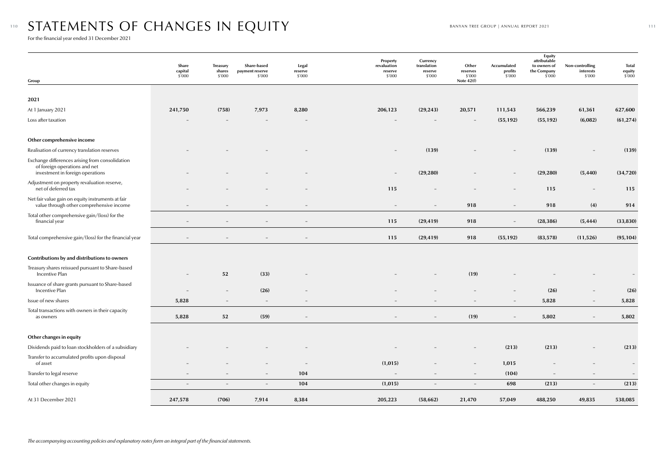## <span id="page-7-0"></span>110 STATEMENTS OF CHANGES IN EQUITY BANYAN TREE GROUP | ANNUAL REPORT 2021 111

| ulated<br>profits<br>\$'000 | <b>Equity</b><br>attributable<br>to owners of<br>the Company<br>\$'000 | Non-controlling<br>interests<br>\$'000 | <b>Total</b><br>equity<br>\$'000 |
|-----------------------------|------------------------------------------------------------------------|----------------------------------------|----------------------------------|
|                             |                                                                        |                                        |                                  |
| 1,543                       | 566,239                                                                | 61,361                                 | 627,600                          |
| 5,192)                      | (55, 192)                                                              | (6,082)                                | (61, 274)                        |
|                             |                                                                        |                                        |                                  |
|                             | (139)                                                                  |                                        | (139)                            |
|                             |                                                                        |                                        |                                  |
|                             | (29, 280)                                                              | (5, 440)                               | (34, 720)                        |
|                             | 115                                                                    |                                        | 115                              |
|                             |                                                                        |                                        |                                  |
|                             | 918                                                                    | (4)                                    | 914                              |
|                             | (28, 386)                                                              | (5, 444)                               | (33, 830)                        |
| 5,192)                      | (83,578)                                                               | (11, 526)                              | (95, 104)                        |
|                             |                                                                        |                                        |                                  |
|                             |                                                                        |                                        |                                  |
|                             |                                                                        |                                        |                                  |
|                             | (26)                                                                   |                                        | (26)                             |
|                             | 5,828                                                                  |                                        | 5,828                            |
|                             | 5,802                                                                  |                                        | 5,802                            |
|                             |                                                                        |                                        |                                  |
|                             |                                                                        |                                        |                                  |

|     | (26)  |   |
|-----|-------|---|
|     | 5,828 | Į |
|     | 5,802 | Į |
|     |       |   |
| 13) | (213) |   |
|     |       |   |

| 19  | 488,250 | 49,835 | 538,085 |
|-----|---------|--------|---------|
| 98  | (213)   |        | (213)   |
| )4) |         |        |         |
| 15  |         |        |         |
|     |         |        |         |

|                                                                                                                      | Share<br>capital<br>\$'000 | Treasury<br>shares<br>\$'000    | Share-based<br>payment reserve<br>\$'000 | Legal<br>reserve<br>\$'000      | Property<br>revaluation<br>reserve<br>\$'000 | Currency<br>translation<br>reserve<br>\$'000 | Other<br>reserves<br>\$'000 | Accumulated<br>profits<br>\$'000 | ryuny<br>attributable<br>to owners of<br>the Company<br>\$'000 | Non-controlling<br>interests<br>\$'000 | <b>Total</b><br>equity $$^{\prime}000$ |
|----------------------------------------------------------------------------------------------------------------------|----------------------------|---------------------------------|------------------------------------------|---------------------------------|----------------------------------------------|----------------------------------------------|-----------------------------|----------------------------------|----------------------------------------------------------------|----------------------------------------|----------------------------------------|
| Group                                                                                                                |                            |                                 |                                          |                                 |                                              |                                              | Note $42(f)$                |                                  |                                                                |                                        |                                        |
|                                                                                                                      |                            |                                 |                                          |                                 |                                              |                                              |                             |                                  |                                                                |                                        |                                        |
| 2021                                                                                                                 |                            |                                 |                                          |                                 |                                              |                                              |                             |                                  |                                                                |                                        |                                        |
| At 1 January 2021                                                                                                    | 241,750                    | (758)                           | 7,973                                    | 8,280                           | 206,123                                      | (29, 243)                                    | 20,571                      | 111,543                          | 566,239                                                        | 61,361                                 | 627,600                                |
| Loss after taxation                                                                                                  |                            |                                 |                                          |                                 |                                              | $\qquad \qquad -$                            |                             | (55, 192)                        | (55, 192)                                                      | (6,082)                                | (61, 274)                              |
| Other comprehensive income                                                                                           |                            |                                 |                                          |                                 |                                              |                                              |                             |                                  |                                                                |                                        |                                        |
| Realisation of currency translation reserves                                                                         |                            |                                 |                                          |                                 |                                              | (139)                                        |                             |                                  | (139)                                                          |                                        | (139)                                  |
| Exchange differences arising from consolidation<br>of foreign operations and net<br>investment in foreign operations |                            |                                 |                                          |                                 | $\overline{\phantom{0}}$                     | (29, 280)                                    |                             | $-$                              | (29, 280)                                                      | (5, 440)                               | (34, 720)                              |
| Adjustment on property revaluation reserve,<br>net of deferred tax                                                   |                            |                                 |                                          |                                 | 115                                          | $\overline{\phantom{a}}$                     |                             | $-$                              | 115                                                            | $\hspace{0.1mm}-\hspace{0.1mm}$        | 115                                    |
| Net fair value gain on equity instruments at fair<br>value through other comprehensive income                        | $\overline{\phantom{m}}$   | $\hspace{0.1mm}-\hspace{0.1mm}$ | $\overline{\phantom{m}}$                 | $\overline{a}$                  | $-$                                          | $\sim$                                       | 918                         | $\sim$                           | 918                                                            | (4)                                    | 914                                    |
| Total other comprehensive gain/(loss) for the<br>financial year                                                      |                            |                                 | $\overline{\phantom{a}}$                 | $\overline{\phantom{a}}$        | 115                                          | (29, 419)                                    | 918                         | $ \,$                            | (28, 386)                                                      | (5, 444)                               | (33, 830)                              |
| Total comprehensive gain/(loss) for the financial year                                                               |                            |                                 | $\qquad \qquad -$                        | $\hspace{0.1mm}-\hspace{0.1mm}$ | 115                                          | (29, 419)                                    | 918                         | (55, 192)                        | (83,578)                                                       | (11,526)                               | (95, 104)                              |
| Contributions by and distributions to owners                                                                         |                            |                                 |                                          |                                 |                                              |                                              |                             |                                  |                                                                |                                        |                                        |
| Treasury shares reissued pursuant to Share-based<br>Incentive Plan                                                   | $\qquad \qquad -$          | 52                              | (33)                                     |                                 |                                              |                                              | (19)                        |                                  |                                                                |                                        |                                        |
| Issuance of share grants pursuant to Share-based<br>Incentive Plan                                                   |                            |                                 | (26)                                     |                                 |                                              |                                              |                             |                                  | (26)                                                           |                                        | (26)                                   |
| Issue of new shares                                                                                                  | 5,828                      |                                 | $\overline{\phantom{a}}$                 |                                 |                                              |                                              |                             | $-$                              | 5,828                                                          |                                        | 5,828                                  |
| Total transactions with owners in their capacity<br>as owners                                                        | 5,828                      | 52                              | (59)                                     | $-$                             | $\overline{\phantom{0}}$                     | $\overline{\phantom{m}}$                     | (19)                        | $\sim$                           | 5,802                                                          | $\overline{\phantom{a}}$               | 5,802                                  |
| Other changes in equity                                                                                              |                            |                                 |                                          |                                 |                                              |                                              |                             |                                  |                                                                |                                        |                                        |
| Dividends paid to loan stockholders of a subsidiary                                                                  |                            |                                 |                                          |                                 |                                              |                                              | $-$                         | (213)                            | (213)                                                          | $\overline{\phantom{m}}$               | (213)                                  |
| Transfer to accumulated profits upon disposal                                                                        |                            |                                 |                                          |                                 |                                              |                                              |                             |                                  |                                                                |                                        |                                        |
| of asset                                                                                                             |                            |                                 | $\overline{\phantom{m}}$                 | $\hspace{0.1mm}-\hspace{0.1mm}$ | (1,015)                                      |                                              | $ \,$                       | 1,015                            |                                                                | $\overline{\phantom{a}}$               | $\overline{\phantom{a}}$               |
| Transfer to legal reserve                                                                                            |                            |                                 | $\overline{\phantom{m}}$                 | 104                             |                                              | $\qquad \qquad -$                            |                             | (104)                            |                                                                | $\overline{\phantom{a}}$               | $\overline{\phantom{a}}$               |
| Total other changes in equity                                                                                        | $\qquad \qquad -$          | $\hspace{0.1mm}-\hspace{0.1mm}$ | $\overline{\phantom{a}}$                 | 104                             | (1,015)                                      | $\overline{\phantom{m}}$                     | $\overline{\phantom{a}}$    | 698                              | (213)                                                          | $\hspace{0.1mm}-\hspace{0.1mm}$        | (213)                                  |
| At 31 December 2021                                                                                                  | 247,578                    | (706)                           | 7,914                                    | 8,384                           | 205,223                                      | (58, 662)                                    | 21,470                      | 57,049                           | 488,250                                                        | 49,835                                 | 538,085                                |
|                                                                                                                      |                            |                                 |                                          |                                 |                                              |                                              |                             |                                  |                                                                |                                        |                                        |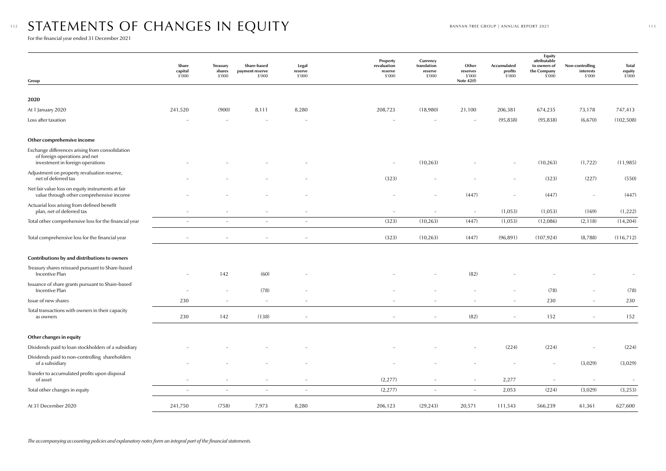## 112 STATEMENTS OF CHANGES IN EQUITY BANYAN TREE GROUP | ANNUAL REPORT 2021

For the financial year ended 31 December 2021

*The accompanying accounting policies and explanatory notes form an integral part of the financial statements.*

|  | ٧            |
|--|--------------|
|  |              |
|  | ۰.<br>×<br>٠ |

| Group                                                                                                                | Share<br>capital<br>\$7000 | Treasury<br>shares<br>\$'000 | Share-based<br>payment reserve<br>\$'000 | Legal<br>reserve<br>\$'000 | Property<br>revaluation<br>reserve<br>\$'000 | Currency<br>translation<br>reserve<br>\$'000 | Other<br>reserves<br>\$'000<br>Note $42(f)$ | Accumulated<br>profits<br>\$'000 | <b>Equity</b><br>attributable<br>to owners of<br>the Company<br>\$'000 | Non-controlling<br>interests<br>\$'000 | <b>Total</b><br>equity<br>$$'000$ |
|----------------------------------------------------------------------------------------------------------------------|----------------------------|------------------------------|------------------------------------------|----------------------------|----------------------------------------------|----------------------------------------------|---------------------------------------------|----------------------------------|------------------------------------------------------------------------|----------------------------------------|-----------------------------------|
|                                                                                                                      |                            |                              |                                          |                            |                                              |                                              |                                             |                                  |                                                                        |                                        |                                   |
| 2020                                                                                                                 |                            |                              |                                          |                            |                                              |                                              |                                             |                                  |                                                                        |                                        |                                   |
| At 1 January 2020                                                                                                    | 241,520                    | (900)                        | 8,111                                    | 8,280                      | 208,723                                      | (18,980)                                     | 21,100                                      | 206,381                          | 674,235                                                                | 73,178                                 | 747,413                           |
| Loss after taxation                                                                                                  |                            |                              |                                          |                            |                                              |                                              |                                             | (95, 838)                        | (95, 838)                                                              | (6,670)                                | (102, 508)                        |
| Other comprehensive income                                                                                           |                            |                              |                                          |                            |                                              |                                              |                                             |                                  |                                                                        |                                        |                                   |
| Exchange differences arising from consolidation<br>of foreign operations and net<br>investment in foreign operations |                            |                              |                                          |                            | $\overline{\phantom{a}}$                     | (10, 263)                                    |                                             | $\overline{\phantom{a}}$         | (10, 263)                                                              | (1,722)                                | (11, 985)                         |
| Adjustment on property revaluation reserve,<br>net of deferred tax                                                   |                            |                              |                                          | $\overline{\phantom{0}}$   | (323)                                        | $\overline{\phantom{a}}$                     |                                             | $\overline{\phantom{a}}$         | (323)                                                                  | (227)                                  | (550)                             |
| Net fair value loss on equity instruments at fair<br>value through other comprehensive income                        |                            |                              |                                          |                            | $\equiv$                                     | $\overline{\phantom{a}}$                     | (447)                                       | $\overline{\phantom{a}}$         | (447)                                                                  | $\overline{\phantom{a}}$               | (447)                             |
| Actuarial loss arising from defined benefit<br>plan, net of deferred tax                                             |                            |                              | $\overline{\phantom{a}}$                 | $\equiv$                   | $\overline{\phantom{m}}$                     |                                              | $\sim$                                      | (1,053)                          | (1,053)                                                                | (169)                                  | (1,222)                           |
| Total other comprehensive loss for the financial year                                                                |                            | $\overline{\phantom{a}}$     | $\overline{\phantom{a}}$                 | $\sim$                     | (323)                                        | (10, 263)                                    | (447)                                       | (1,053)                          | (12,086)                                                               | (2, 118)                               | (14,204)                          |
| Total comprehensive loss for the financial year                                                                      |                            |                              |                                          | $\overline{\phantom{a}}$   | (323)                                        | (10, 263)                                    | (447)                                       | (96, 891)                        | (107, 924)                                                             | (8,788)                                | (116,712)                         |
| Contributions by and distributions to owners                                                                         |                            |                              |                                          |                            |                                              |                                              |                                             |                                  |                                                                        |                                        |                                   |
| Treasury shares reissued pursuant to Share-based<br>Incentive Plan                                                   |                            | 142                          | (60)                                     |                            |                                              |                                              | (82)                                        |                                  |                                                                        |                                        |                                   |
| Issuance of share grants pursuant to Share-based<br>Incentive Plan                                                   |                            |                              | (78)                                     |                            |                                              |                                              |                                             |                                  | (78)                                                                   |                                        | (78)                              |
| Issue of new shares                                                                                                  | 230                        |                              |                                          |                            |                                              |                                              |                                             |                                  | 230                                                                    |                                        | 230                               |
| Total transactions with owners in their capacity<br>as owners                                                        | 230                        | 142                          | (138)                                    | $\overline{\phantom{m}}$   | $\overline{\phantom{m}}$                     | $\overline{\phantom{a}}$                     | (82)                                        | $\overline{\phantom{a}}$         | 152                                                                    | $\overline{\phantom{a}}$               | 152                               |
| Other changes in equity                                                                                              |                            |                              |                                          |                            |                                              |                                              |                                             |                                  |                                                                        |                                        |                                   |
| Dividends paid to loan stockholders of a subsidiary                                                                  |                            |                              |                                          |                            |                                              |                                              | $\overline{\phantom{m}}$                    | (224)                            | (224)                                                                  | $\qquad \qquad -$                      | (224)                             |
| Dividends paid to non-controlling shareholders<br>of a subsidiary                                                    |                            |                              |                                          |                            |                                              |                                              |                                             |                                  | $\hspace{0.1mm}-\hspace{0.1mm}$                                        | (3,029)                                | (3,029)                           |
| Transfer to accumulated profits upon disposal<br>of asset                                                            | $\overline{\phantom{0}}$   |                              | $\overline{\phantom{a}}$                 | $\overline{\phantom{a}}$   | (2,277)                                      | $\sim$                                       | $\overline{\phantom{a}}$                    | 2,277                            | $\overline{\phantom{a}}$                                               | $\overline{\phantom{a}}$               | $-$                               |
| Total other changes in equity                                                                                        | $\overline{\phantom{a}}$   | $\overline{\phantom{a}}$     | $\sim$                                   | $\sim$                     | (2,277)                                      | $\overline{\phantom{a}}$                     | $\sim$                                      | 2,053                            | (224)                                                                  | (3,029)                                | (3,253)                           |
| At 31 December 2020                                                                                                  | 241,750                    | (758)                        | 7,973                                    | 8,280                      | 206,123                                      | (29, 243)                                    | 20,571                                      | 111,543                          | 566,239                                                                | 61,361                                 | 627,600                           |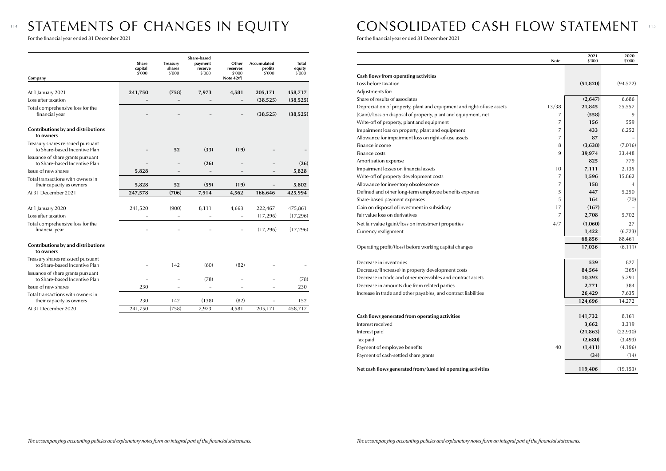## STATEMENTS OF CHANGES IN EQUITY

For the financial year ended 31 December 2021

| Company                                                            | <b>Share</b><br>capital<br>\$'000 | <b>Treasury</b><br>shares<br>\$'000 | Share-based<br>payment<br>reserve<br>\$'000 | Other<br>reserves<br>\$'000<br>Note $42(f)$ | <b>Accumulated</b><br>profits<br>\$'000 | <b>Total</b><br>equity<br>\$'000 |
|--------------------------------------------------------------------|-----------------------------------|-------------------------------------|---------------------------------------------|---------------------------------------------|-----------------------------------------|----------------------------------|
|                                                                    |                                   |                                     |                                             |                                             |                                         |                                  |
| At 1 January 2021                                                  | 241,750                           | (758)                               | 7,973                                       | 4,581                                       | 205,171                                 | 458,717                          |
| Loss after taxation                                                |                                   |                                     |                                             |                                             | (38, 525)                               | (38, 525)                        |
| Total comprehensive loss for the<br>financial year                 |                                   |                                     |                                             |                                             | (38, 525)                               | (38, 525)                        |
| Contributions by and distributions<br>to owners                    |                                   |                                     |                                             |                                             |                                         |                                  |
| Treasury shares reissued pursuant<br>to Share-based Incentive Plan |                                   | 52                                  | (33)                                        | (19)                                        |                                         |                                  |
| Issuance of share grants pursuant<br>to Share-based Incentive Plan |                                   |                                     | (26)                                        |                                             |                                         | (26)                             |
| Issue of new shares                                                | 5,828                             |                                     |                                             |                                             |                                         | 5,828                            |
| Total transactions with owners in<br>their capacity as owners      | 5,828                             | 52                                  | (59)                                        | (19)                                        |                                         | 5,802                            |
| At 31 December 2021                                                | 247,578                           | (706)                               | 7,914                                       | 4,562                                       | 166,646                                 | 425,994                          |
|                                                                    |                                   |                                     |                                             |                                             |                                         |                                  |
| At 1 January 2020                                                  | 241,520                           | (900)                               | 8,111                                       | 4,663                                       | 222,467                                 | 475,861                          |
| Loss after taxation                                                |                                   |                                     |                                             |                                             | (17, 296)                               | (17, 296)                        |
| Total comprehensive loss for the<br>financial year                 |                                   |                                     |                                             |                                             | (17, 296)                               | (17, 296)                        |
| Contributions by and distributions<br>to owners                    |                                   |                                     |                                             |                                             |                                         |                                  |
| Treasury shares reissued pursuant<br>to Share-based Incentive Plan |                                   | 142                                 | (60)                                        | (82)                                        |                                         |                                  |
| Issuance of share grants pursuant<br>to Share-based Incentive Plan |                                   |                                     | (78)                                        |                                             |                                         | (78)                             |
| Issue of new shares                                                | 230                               |                                     | $\overline{\phantom{0}}$                    |                                             |                                         | 230                              |
| Total transactions with owners in<br>their capacity as owners      | 230                               | 142                                 | (138)                                       | (82)                                        |                                         | 152                              |
| At 31 December 2020                                                | 241,750                           | (758)                               | 7,973                                       | 4,581                                       | 205,171                                 | 458,717                          |

## <span id="page-9-0"></span>114 STATEMENTS OF CHANGES IN EQUITY CONSOLIDATED CASH FLOW STATEMENT 115

|                                                                       | <b>Note</b> | 2021<br>\$'000 | 2020<br>\$'000 |
|-----------------------------------------------------------------------|-------------|----------------|----------------|
|                                                                       |             |                |                |
| Cash flows from operating activities                                  |             |                |                |
| Loss before taxation                                                  |             | (51, 820)      | (94, 572)      |
| Adjustments for:                                                      |             |                |                |
| Share of results of associates                                        |             | (2,647)        | 6,686          |
| Depreciation of property, plant and equipment and right-of-use assets | 13/38       | 21,845         | 25,557         |
| (Gain)/Loss on disposal of property, plant and equipment, net         | 7           | (558)          | 9              |
| Write-off of property, plant and equipment                            | 7           | 156            | 559            |
| Impairment loss on property, plant and equipment                      | 7           | 433            | 6,252          |
| Allowance for impairment loss on right-of-use assets                  | 7           | 87             |                |
| Finance income                                                        | 8           | (3,638)        | (7,016)        |
| Finance costs                                                         | 9           | 39,974         | 33,448         |
| Amortisation expense                                                  |             | 825            | 779            |
| Impairment losses on financial assets                                 | 10          | 7,111          | 2,135          |
| Write-off of property development costs                               | 7           | 1,596          | 15,862         |
| Allowance for inventory obsolescence                                  | 7           | 158            | 4              |
| Defined and other long-term employee benefits expense                 | 5           | 447            | 5,250          |
| Share-based payment expenses                                          | 5           | 164            | (70)           |
| Gain on disposal of investment in subsidiary                          | 17          | (167)          |                |
| Fair value loss on derivatives                                        | 7           | 2,708          | 5,702          |
| Net fair value (gain)/loss on investment properties                   | $4/7$       | (1,060)        | 27             |
| Currency realignment                                                  |             | 1,422          | (6,723)        |
|                                                                       |             | 68,856         | 88,461         |
| Operating profit/(loss) before working capital changes                |             | 17,036         | (6, 111)       |
| Decrease in inventories                                               |             | 539            | 827            |
| Decrease/(Increase) in property development costs                     |             | 84,564         | (365)          |
| Decrease in trade and other receivables and contract assets           |             | 10,393         | 5,791          |
| Decrease in amounts due from related parties                          |             | 2,771          | 384            |
| Increase in trade and other payables, and contract liabilities        |             | 26,429         | 7,635          |
|                                                                       |             | 124,696        | 14,272         |
| Cash flows generated from operating activities                        |             | 141,732        | 8,161          |
| Interest received                                                     |             | 3,662          | 3,319          |
| Interest paid                                                         |             | (21, 863)      | (22, 930)      |
| Tax paid                                                              |             | (2,680)        | (3, 493)       |
| Payment of employee benefits                                          | 40          | (1, 411)       | (4, 196)       |
| Payment of cash-settled share grants                                  |             | (34)           | (14)           |
| Net cash flows generated from/(used in) operating activities          |             | 119,406        | (19, 153)      |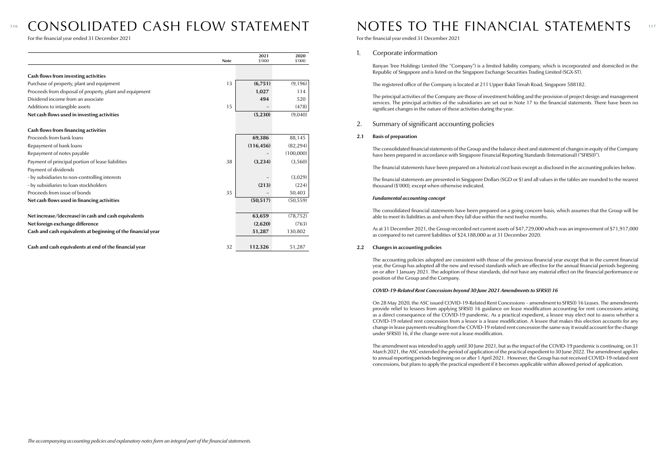## <span id="page-10-0"></span>116 CONSOLIDATED CASH FLOW STATEMENT MOTES TO THE FINANCIAL STATEMENTS 117

For the financial year ended 31 December 2021

|                                                              | <b>Note</b> | 2021<br>\$'000 | 2020<br>\$'000 |
|--------------------------------------------------------------|-------------|----------------|----------------|
| Cash flows from investing activities                         |             |                |                |
| Purchase of property, plant and equipment                    | 13          | (6,751)        | (9,196)        |
| Proceeds from disposal of property, plant and equipment      |             | 1,027          | 114            |
| Dividend income from an associate                            |             | 494            | 520            |
| Additions to intangible assets                               | 15          |                | (478)          |
| Net cash flows used in investing activities                  |             | (5, 230)       | (9,040)        |
| Cash flows from financing activities                         |             |                |                |
| Proceeds from bank loans                                     |             | 69,386         | 88,145         |
| Repayment of bank loans                                      |             | (116, 456)     | (82, 294)      |
| Repayment of notes payable                                   |             |                | (100,000)      |
| Payment of principal portion of lease liabilities            | 38          | (3,234)        | (3,560)        |
| Payment of dividends                                         |             |                |                |
| - by subsidiaries to non-controlling interests               |             |                | (3,029)        |
| - by subsidiaries to loan stockholders                       |             | (213)          | (224)          |
| Proceeds from issue of bonds                                 | 35          |                | 50,403         |
| Net cash flows used in financing activities                  |             | (50, 517)      | (50, 559)      |
| Net increase/(decrease) in cash and cash equivalents         |             | 63,659         | (78, 752)      |
| Net foreign exchange difference                              |             | (2,620)        | (763)          |
| Cash and cash equivalents at beginning of the financial year |             | 51,287         | 130,802        |
|                                                              |             |                |                |
| Cash and cash equivalents at end of the financial year       | 32          | 112,326        | 51,287         |

## NOTES TO THE FINANCIAL STATEMENTS

For the financial year ended 31 December 2021

1. Corporate information

Banyan Tree Holdings Limited (the "Company") is a limited liability company, which is incorporated and domiciled in the Republic of Singapore and is listed on the Singapore Exchange Securities Trading Limited (SGX-ST).

The registered office of the Company is located at 211 Upper Bukit Timah Road, Singapore 588182.

The principal activities of the Company are those of investment holding and the provision of project design and management services. The principal activities of the subsidiaries are set out in Note 17 to the financial statements. There have been no significant changes in the nature of these activities during the year.

- 2. Summary of significant accounting policies
- **2.1 Basis of preparation**

The consolidated financial statements of the Group and the balance sheet and statement of changes in equity of the Company have been prepared in accordance with Singapore Financial Reporting Standards (International) ("SFRS(I)").

The financial statements have been prepared on a historical cost basis except as disclosed in the accounting policies below.

The financial statements are presented in Singapore Dollars (SGD or \$) and all values in the tables are rounded to the nearest thousand (\$'000), except when otherwise indicated.

#### *Fundamental accounting concept*

The consolidated financial statements have been prepared on a going concern basis, which assumes that the Group will be able to meet its liabilities as and when they fall due within the next twelve months.

As at 31 December 2021, the Group recorded net current assets of \$47,729,000 which was an improvement of \$71,917,000 as compared to net current liabilities of \$24,188,000 as at 31 December 2020.

#### **2.2 Changes in accounting policies**

The accounting policies adopted are consistent with those of the previous financial year except that in the current financial year, the Group has adopted all the new and revised standards which are effective for the annual financial periods beginning on or after 1 January 2021. The adoption of these standards, did not have any material effect on the financial performance or position of the Group and the Company.

#### *COVID-19-Related Rent Concessions beyond 30 June 2021 Amendments to SFRS(I) 16*

On 28 May 2020, the ASC issued COVID-19-Related Rent Concessions – amendment to SFRS(I) 16 Leases. The amendments provide relief to lessees from applying SFRS(I) 16 guidance on lease modification accounting for rent concessions arising as a direct consequence of the COVID-19 pandemic. As a practical expedient, a lessee may elect not to assess whether a COVID-19 related rent concession from a lessor is a lease modification. A lessee that makes this election accounts for any change in lease payments resulting from the COVID-19 related rent concession the same way it would account for the change under SFRS(I) 16, if the change were not a lease modification.

The amendment was intended to apply until 30 June 2021, but as the impact of the COVID-19 pandemic is continuing, on 31 March 2021, the ASC extended the period of application of the practical expedient to 30 June 2022. The amendment applies to annual reporting periods beginning on or after 1 April 2021. However, the Group has not received COVID-19-related rent concessions, but plans to apply the practical expedient if it becomes applicable within allowed period of application.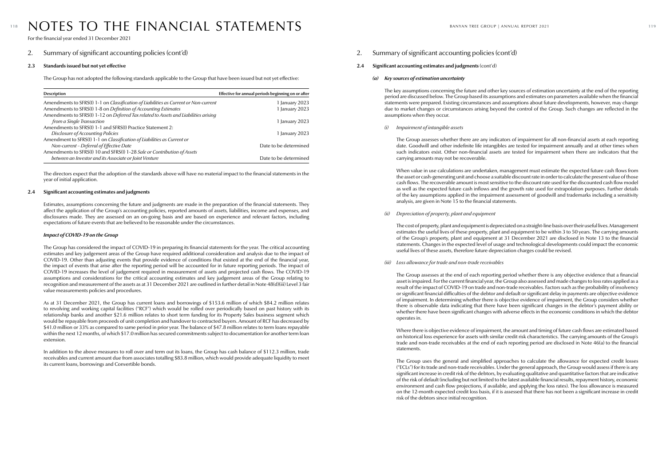For the financial year ended 31 December 2021

#### 2. Summary of significant accounting policies (cont'd)

#### **2.3 Standards issued but not yet effective**

The Group has not adopted the following standards applicable to the Group that have been issued but not yet effective:

| <b>Description</b>                                                                   | Effective for annual periods beginning on or after |
|--------------------------------------------------------------------------------------|----------------------------------------------------|
| Amendments to SFRS(I) 1-1 on Classification of Liabilities as Current or Non-current | 1 January 2023                                     |
| Amendments to SFRS(I) 1-8 on Definition of Accounting Estimates                      | 1 January 2023                                     |
| Amendments to SFRS(I) 1-12 on Deferred Tax related to Assets and Liabilities arising |                                                    |
| from a Single Transaction                                                            | 1 January 2023                                     |
| Amendments to SFRS(I) 1-1 and SFRS(I) Practice Statement 2:                          |                                                    |
| Disclosure of Accounting Policies                                                    | 1 January 2023                                     |
| Amendment to SFRS(I) 1-1 on Classification of Liabilities as Current or              |                                                    |
| Non-current - Deferral of Effective Date                                             | Date to be determined                              |
| Amendments to SFRS(I) 10 and SFRS(I) 1-28 Sale or Contribution of Assets             |                                                    |
| between an Investor and its Associate or Joint Venture                               | Date to be determined                              |

The directors expect that the adoption of the standards above will have no material impact to the financial statements in the year of initial application.

#### **2.4 Significant accounting estimates and judgments**

Estimates, assumptions concerning the future and judgments are made in the preparation of the financial statements. They affect the application of the Group's accounting policies, reported amounts of assets, liabilities, income and expenses, and disclosures made. They are assessed on an on-going basis and are based on experience and relevant factors, including expectations of future events that are believed to be reasonable under the circumstances.

#### *Impact of COVID-19 on the Group*

The Group has considered the impact of COVID-19 in preparing its financial statements for the year. The critical accounting estimates and key judgement areas of the Group have required additional consideration and analysis due to the impact of COVID-19. Other than adjusting events that provide evidence of conditions that existed at the end of the financial year, the impact of events that arise after the reporting period will be accounted for in future reporting periods. The impact of COVID-19 increases the level of judgement required in measurement of assets and projected cash flows. The COVID-19 assumptions and considerations for the critical accounting estimates and key judgement areas of the Group relating to recognition and measurement of the assets as at 31 December 2021 are outlined in further detail in Note 48(d)(iii) Level 3 fair value measurements policies and procedures.

As at 31 December 2021, the Group has current loans and borrowings of \$153.6 million of which \$84.2 million relates to revolving and working capital facilities ("RCF") which would be rolled over periodically based on past history with its relationship banks and another \$21.6 million relates to short term funding for its Property Sales business segment which would be repayable from proceeds of unit completion and handover to contracted buyers. Amount of RCF has decreased by \$41.0 million or 33% as compared to same period in prior year. The balance of \$47.8 million relates to term loans repayable within the next 12 months, of which \$17.0 million has secured commitments subject to documentation for another term loan extension.

In addition to the above measures to roll over and term out its loans, the Group has cash balance of \$112.3 million, trade receivables and current amount due from associates totalling \$83.8 million, which would provide adequate liquidity to meet its current loans, borrowings and Convertible bonds.

#### 2. Summary of significant accounting policies (cont'd)

#### **2.4 Significant accounting estimates and judgments** (cont'd)

#### *(a) Key sources of estimation uncertainty*

The key assumptions concerning the future and other key sources of estimation uncertainty at the end of the reporting period are discussed below. The Group based its assumptions and estimates on parameters available when the financial statements were prepared. Existing circumstances and assumptions about future developments, however, may change due to market changes or circumstances arising beyond the control of the Group. Such changes are reflected in the assumptions when they occur.

*(i) Impairment of intangible assets*

The Group assesses whether there are any indicators of impairment for all non-financial assets at each reporting date. Goodwill and other indefinite life intangibles are tested for impairment annually and at other times when such indicators exist. Other non-financial assets are tested for impairment when there are indicators that the carrying amounts may not be recoverable.

When value in use calculations are undertaken, management must estimate the expected future cash flows from the asset or cash-generating unit and choose a suitable discount rate in order to calculate the present value of those cash flows. The recoverable amount is most sensitive to the discount rate used for the discounted cash flow model as well as the expected future cash inflows and the growth rate used for extrapolation purposes. Further details of the key assumptions applied in the impairment assessment of goodwill and trademarks including a sensitivity analysis, are given in Note 15 to the financial statements.

*(ii) Depreciation of property, plant and equipment*

The cost of property, plant and equipment is depreciated on a straight-line basis over their useful lives. Management estimates the useful lives of these property, plant and equipment to be within 3 to 50 years. The carrying amounts of the Group's property, plant and equipment at 31 December 2021 are disclosed in Note 13 to the financial statements. Changes in the expected level of usage and technological developments could impact the economic useful lives of these assets, therefore future depreciation charges could be revised.

*(iii) Loss allowance for trade and non-trade receivables*

The Group assesses at the end of each reporting period whether there is any objective evidence that a financial asset is impaired. For the current financial year, the Group also assessed and made changes to loss rates applied as a result of the impact of COVID-19 on trade and non-trade receivables. Factors such as the probability of insolvency or significant financial difficulties of the debtor and default or significant delay in payments are objective evidence of impairment. In determining whether there is objective evidence of impairment, the Group considers whether there is observable data indicating that there have been significant changes in the debtor's payment ability or whether there have been significant changes with adverse effects in the economic conditions in which the debtor operates in.

Where there is objective evidence of impairment, the amount and timing of future cash flows are estimated based on historical loss experience for assets with similar credit risk characteristics. The carrying amounts of the Group's trade and non-trade receivables at the end of each reporting period are disclosed in Note 46(a) to the financial statements.

The Group uses the general and simplified approaches to calculate the allowance for expected credit losses ("ECLs") for its trade and non-trade receivables. Under the general approach, the Group would assess if there is any significant increase in credit risk of the debtors, by evaluating qualitative and quantitative factors that are indicative of the risk of default (including but not limited to the latest available financial results, repayment history, economic environment and cash flow projections, if available, and applying the loss rates). The loss allowance is measured on the 12-month expected credit loss basis, if it is assessed that there has not been a significant increase in credit risk of the debtors since initial recognition.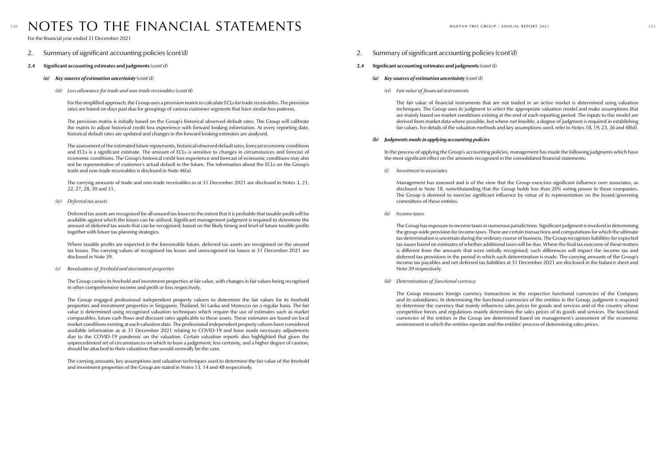For the financial year ended 31 December 2021

#### 2. Summary of significant accounting policies (cont'd)

#### **2.4 Significant accounting estimates and judgments** (cont'd)

#### *(a) Key sources of estimation uncertainty* (cont'd)

#### *(iii) Loss allowance for trade and non-trade receivables* (cont'd)

For the simplified approach, the Group uses a provision matrix to calculate ECLs for trade receivables. The provision rates are based on days past due for groupings of various customer segments that have similar loss patterns.

The provision matrix is initially based on the Group's historical observed default rates. The Group will calibrate the matrix to adjust historical credit loss experience with forward looking information. At every reporting date, historical default rates are updated and changes in the forward looking estimates are analysed.

The assessment of the estimated future repayments, historical observed default rates, forecast economic conditions and ECLs is a significant estimate. The amount of ECLs is sensitive to changes in circumstances and forecast of economic conditions. The Group's historical credit loss experience and forecast of economic conditions may also not be representative of customer's actual default in the future. The information about the ECLs on the Group's trade and non-trade receivables is disclosed in Note 46(a).

The carrying amounts of trade and non-trade receivables as at 31 December 2021 are disclosed in Notes 3, 21, 22, 27, 28, 30 and 31.

#### *(iv) Deferred tax assets*

Deferred tax assets are recognised for all unused tax losses to the extent that it is probable that taxable profit will be available against which the losses can be utilised. Significant management judgment is required to determine the amount of deferred tax assets that can be recognised, based on the likely timing and level of future taxable profits together with future tax planning strategies.

The fair value of financial instruments that are not traded in an active market is determined using valuation techniques. The Group uses its judgment to select the appropriate valuation model and make assumptions that are mainly based on market conditions existing at the end of each reporting period. The inputs to this model are derived from market data where possible, but where not feasible, a degree of judgment is required in establishing fair values. For details of the valuation methods and key assumptions used, refer to Notes 18, 19, 23, 36 and 48(d).

Where taxable profits are expected in the foreseeable future, deferred tax assets are recognised on the unused tax losses. The carrying values of recognised tax losses and unrecognised tax losses at 31 December 2021 are disclosed in Note 39.

#### *(v) Revaluation of freehold and investment properties*

The Group carries its freehold and investment properties at fair value, with changes in fair values being recognised in other comprehensive income and profit or loss respectively.

The Group engaged professional independent property valuers to determine the fair values for its freehold properties and investment properties in Singapore, Thailand, Sri Lanka and Morocco on a regular basis. The fair value is determined using recognised valuation techniques which require the use of estimates such as market comparables, future cash flows and discount rates applicable to these assets. These estimates are based on local market conditions existing at each valuation date. The professional independent property valuers have considered available information as at 31 December 2021 relating to COVID-19 and have made necessary adjustments due to the COVID-19 pandemic on the valuation. Certain valuation reports also highlighted that given the unprecedented set of circumstances on which to base a judgement, less certainty, and a higher degree of caution, should be attached to their valuations than would normally be the case.

The carrying amounts, key assumptions and valuation techniques used to determine the fair value of the freehold and investment properties of the Group are stated in Notes 13, 14 and 48 respectively.

- 2. Summary of significant accounting policies (cont'd)
- **2.4 Significant accounting estimates and judgments** (cont'd)
	- *(a) Key sources of estimation uncertainty* (cont'd)

#### *(vi) Fair value of financial instruments*

#### *(b) Judgments made in applying accounting policies*

In the process of applying the Group's accounting policies, management has made the following judgments which have the most significant effect on the amounts recognised in the consolidated financial statements:

*(i) Investment in associates*

Management has assessed and is of the view that the Group exercises significant influence over associates, as disclosed in Note 18, notwithstanding that the Group holds less than 20% voting power in these companies. The Group is deemed to exercise significant influence by virtue of its representation on the board/governing committees of these entities.

*(ii) Income taxes*

The Group has exposure to income taxes in numerous jurisdictions. Significant judgment is involved in determining the group-wide provision for income taxes. There are certain transactions and computations for which the ultimate tax determination is uncertain during the ordinary course of business. The Group recognises liabilities for expected tax issues based on estimates of whether additional taxes will be due. Where the final tax outcome of these matters is different from the amounts that were initially recognised, such differences will impact the income tax and deferred tax provisions in the period in which such determination is made. The carrying amounts of the Group's income tax payables and net deferred tax liabilities at 31 December 2021 are disclosed in the balance sheet and Note 39 respectively.

*(iii) Determination of functional currency*

The Group measures foreign currency transactions in the respective functional currencies of the Company and its subsidiaries. In determining the functional currencies of the entities in the Group, judgment is required to determine the currency that mainly influences sales prices for goods and services and of the country whose competitive forces and regulations mainly determines the sales prices of its goods and services. The functional currencies of the entities in the Group are determined based on management's assessment of the economic environment in which the entities operate and the entities' process of determining sales prices.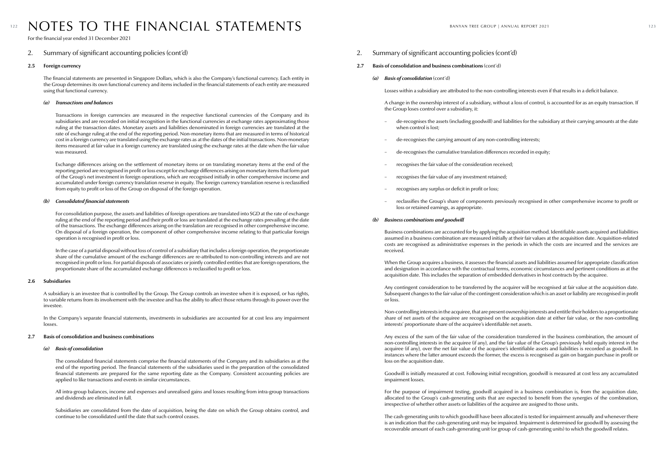For the financial year ended 31 December 2021

#### 2. Summary of significant accounting policies (cont'd)

#### **2.5 Foreign currency**

The financial statements are presented in Singapore Dollars, which is also the Company's functional currency. Each entity in the Group determines its own functional currency and items included in the financial statements of each entity are measured using that functional currency.

#### *(a) Transactions and balances*

Transactions in foreign currencies are measured in the respective functional currencies of the Company and its subsidiaries and are recorded on initial recognition in the functional currencies at exchange rates approximating those ruling at the transaction dates. Monetary assets and liabilities denominated in foreign currencies are translated at the rate of exchange ruling at the end of the reporting period. Non-monetary items that are measured in terms of historical cost in a foreign currency are translated using the exchange rates as at the dates of the initial transactions. Non-monetary items measured at fair value in a foreign currency are translated using the exchange rates at the date when the fair value was measured.

Exchange differences arising on the settlement of monetary items or on translating monetary items at the end of the reporting period are recognised in profit or loss except for exchange differences arising on monetary items that form part of the Group's net investment in foreign operations, which are recognised initially in other comprehensive income and accumulated under foreign currency translation reserve in equity. The foreign currency translation reserve is reclassified from equity to profit or loss of the Group on disposal of the foreign operation.

#### *(b) Consolidated financial statements*

For consolidation purpose, the assets and liabilities of foreign operations are translated into SGD at the rate of exchange ruling at the end of the reporting period and their profit or loss are translated at the exchange rates prevailing at the date of the transactions. The exchange differences arising on the translation are recognised in other comprehensive income. On disposal of a foreign operation, the component of other comprehensive income relating to that particular foreign operation is recognised in profit or loss.

In the case of a partial disposal without loss of control of a subsidiary that includes a foreign operation, the proportionate share of the cumulative amount of the exchange differences are re-attributed to non-controlling interests and are not recognised in profit or loss. For partial disposals of associates or jointly controlled entities that are foreign operations, the proportionate share of the accumulated exchange differences is reclassified to profit or loss.

#### **2.6 Subsidiaries**

A subsidiary is an investee that is controlled by the Group. The Group controls an investee when it is exposed, or has rights, to variable returns from its involvement with the investee and has the ability to affect those returns through its power over the investee.

In the Company's separate financial statements, investments in subsidiaries are accounted for at cost less any impairment losses.

#### **2.7 Basis of consolidation and business combinations**

#### *(a) Basis of consolidation*

The consolidated financial statements comprise the financial statements of the Company and its subsidiaries as at the end of the reporting period. The financial statements of the subsidiaries used in the preparation of the consolidated financial statements are prepared for the same reporting date as the Company. Consistent accounting policies are applied to like transactions and events in similar circumstances.

All intra-group balances, income and expenses and unrealised gains and losses resulting from intra-group transactions and dividends are eliminated in full.

Subsidiaries are consolidated from the date of acquisition, being the date on which the Group obtains control, and continue to be consolidated until the date that such control ceases.

- 2. Summary of significant accounting policies (cont'd)
- **2.7 Basis of consolidation and business combinations** (cont'd)
	- *(a) Basis of consolidation* (cont'd)

Losses within a subsidiary are attributed to the non-controlling interests even if that results in a deficit balance.

- 
- A change in the ownership interest of a subsidiary, without a loss of control, is accounted for as an equity transaction. If

- 
- 

the Group loses control over a subsidiary, it:

- de-recognises the assets (including goodwill) and liabilities for the subsidiary at their carrying amounts at the date when control is lost;
- de-recognises the carrying amount of any non-controlling interests;
- de-recognises the cumulative translation differences recorded in equity;
- recognises the fair value of the consideration received;
- recognises the fair value of any investment retained;
- recognises any surplus or deficit in profit or loss;
- loss or retained earnings, as appropriate.

– reclassifies the Group's share of components previously recognised in other comprehensive income to profit or

#### *(b) Business combinations and goodwill*

Business combinations are accounted for by applying the acquisition method. Identifiable assets acquired and liabilities assumed in a business combination are measured initially at their fair values at the acquisition date. Acquisition-related costs are recognised as administrative expenses in the periods in which the costs are incurred and the services are received.

When the Group acquires a business, it assesses the financial assets and liabilities assumed for appropriate classification and designation in accordance with the contractual terms, economic circumstances and pertinent conditions as at the acquisition date. This includes the separation of embedded derivatives in host contracts by the acquiree.

Any contingent consideration to be transferred by the acquirer will be recognised at fair value at the acquisition date. Subsequent changes to the fair value of the contingent consideration which is an asset or liability are recognised in profit or loss.

Non-controlling interests in the acquiree, that are present ownership interests and entitle their holders to a proportionate share of net assets of the acquiree are recognised on the acquisition date at either fair value, or the non-controlling interests' proportionate share of the acquiree's identifiable net assets.

Any excess of the sum of the fair value of the consideration transferred in the business combination, the amount of non-controlling interests in the acquiree (if any), and the fair value of the Group's previously held equity interest in the acquiree (if any), over the net fair value of the acquiree's identifiable assets and liabilities is recorded as goodwill. In instances where the latter amount exceeds the former, the excess is recognised as gain on bargain purchase in profit or loss on the acquisition date.

Goodwill is initially measured at cost. Following initial recognition, goodwill is measured at cost less any accumulated impairment losses.

For the purpose of impairment testing, goodwill acquired in a business combination is, from the acquisition date, allocated to the Group's cash-generating units that are expected to benefit from the synergies of the combination, irrespective of whether other assets or liabilities of the acquiree are assigned to those units.

The cash-generating units to which goodwill have been allocated is tested for impairment annually and whenever there is an indication that the cash-generating unit may be impaired. Impairment is determined for goodwill by assessing the recoverable amount of each cash-generating unit (or group of cash-generating units) to which the goodwill relates.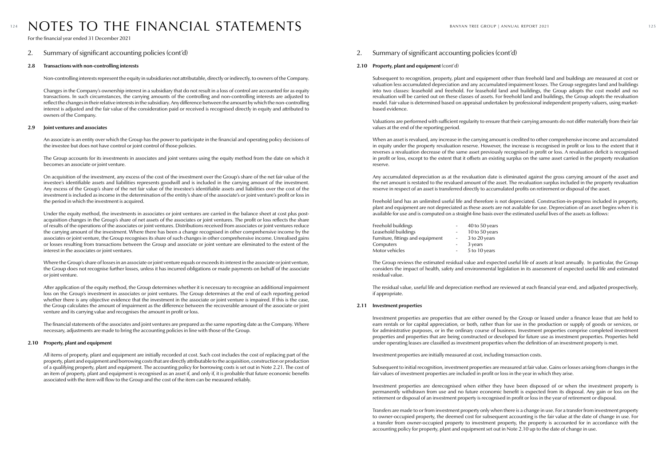For the financial year ended 31 December 2021

#### 2. Summary of significant accounting policies (cont'd)

#### **2.8 Transactions with non-controlling interests**

Non-controlling interests represent the equity in subsidiaries not attributable, directly or indirectly, to owners of the Company.

Changes in the Company's ownership interest in a subsidiary that do not result in a loss of control are accounted for as equity transactions. In such circumstances, the carrying amounts of the controlling and non-controlling interests are adjusted to reflect the changes in their relative interests in the subsidiary. Any difference between the amount by which the non-controlling interest is adjusted and the fair value of the consideration paid or received is recognised directly in equity and attributed to owners of the Company.

#### **2.9 Joint ventures and associates**

An associate is an entity over which the Group has the power to participate in the financial and operating policy decisions of the investee but does not have control or joint control of those policies.

The Group accounts for its investments in associates and joint ventures using the equity method from the date on which it becomes an associate or joint venture.

On acquisition of the investment, any excess of the cost of the investment over the Group's share of the net fair value of the investee's identifiable assets and liabilities represents goodwill and is included in the carrying amount of the investment. Any excess of the Group's share of the net fair value of the investee's identifiable assets and liabilities over the cost of the investment is included as income in the determination of the entity's share of the associate's or joint venture's profit or loss in the period in which the investment is acquired.

Under the equity method, the investments in associates or joint ventures are carried in the balance sheet at cost plus postacquisition changes in the Group's share of net assets of the associates or joint ventures. The profit or loss reflects the share of results of the operations of the associates or joint ventures. Distributions received from associates or joint ventures reduce the carrying amount of the investment. Where there has been a change recognised in other comprehensive income by the associates or joint venture, the Group recognises its share of such changes in other comprehensive income. Unrealised gains or losses resulting from transactions between the Group and associate or joint venture are eliminated to the extent of the interest in the associates or joint ventures.

Where the Group's share of losses in an associate or joint venture equals or exceeds its interest in the associate or joint venture, the Group does not recognise further losses, unless it has incurred obligations or made payments on behalf of the associate or joint venture.

After application of the equity method, the Group determines whether it is necessary to recognise an additional impairment loss on the Group's investment in associates or joint ventures. The Group determines at the end of each reporting period whether there is any objective evidence that the investment in the associate or joint venture is impaired. If this is the case, the Group calculates the amount of impairment as the difference between the recoverable amount of the associate or joint venture and its carrying value and recognises the amount in profit or loss.

The financial statements of the associates and joint ventures are prepared as the same reporting date as the Company. Where necessary, adjustments are made to bring the accounting policies in line with those of the Group.

#### **2.10 Property, plant and equipment**

All items of property, plant and equipment are initially recorded at cost. Such cost includes the cost of replacing part of the property, plant and equipment and borrowing costs that are directly attributable to the acquisition, construction or production of a qualifying property, plant and equipment. The accounting policy for borrowing costs is set out in Note 2.21. The cost of an item of property, plant and equipment is recognised as an asset if, and only if, it is probable that future economic benefits associated with the item will flow to the Group and the cost of the item can be measured reliably.

#### 2. Summary of significant accounting policies (cont'd)

#### **2.10 Property, plant and equipment** (cont'd)

Subsequent to recognition, property, plant and equipment other than freehold land and buildings are measured at cost or valuation less accumulated depreciation and any accumulated impairment losses. The Group segregates land and buildings into two classes: leasehold and freehold. For leasehold land and buildings, the Group adopts the cost model and no revaluation will be carried out on these classes of assets. For freehold land and buildings, the Group adopts the revaluation model. Fair value is determined based on appraisal undertaken by professional independent property valuers, using marketbased evidence.

Valuations are performed with sufficient regularity to ensure that their carrying amounts do not differ materially from their fair values at the end of the reporting period.

When an asset is revalued, any increase in the carrying amount is credited to other comprehensive income and accumulated in equity under the property revaluation reserve. However, the increase is recognised in profit or loss to the extent that it reverses a revaluation decrease of the same asset previously recognised in profit or loss. A revaluation deficit is recognised in profit or loss, except to the extent that it offsets an existing surplus on the same asset carried in the property revaluation reserve.

Any accumulated depreciation as at the revaluation date is eliminated against the gross carrying amount of the asset and the net amount is restated to the revalued amount of the asset. The revaluation surplus included in the property revaluation reserve in respect of an asset is transferred directly to accumulated profits on retirement or disposal of the asset.

Freehold land has an unlimited useful life and therefore is not depreciated. Construction-in-progress included in property, plant and equipment are not depreciated as these assets are not available for use. Depreciation of an asset begins when it is available for use and is computed on a straight-line basis over the estimated useful lives of the assets as follows:

| Freehold buildings                |        | 40 to 50 years |
|-----------------------------------|--------|----------------|
| Leasehold buildings               | $\sim$ | 10 to 50 years |
| Furniture, fittings and equipment | $\sim$ | 3 to 20 years  |
| Computers                         | $\sim$ | 3 years        |
| Motor vehicles                    |        | 5 to 10 years  |

The Group reviews the estimated residual value and expected useful life of assets at least annually. In particular, the Group considers the impact of health, safety and environmental legislation in its assessment of expected useful life and estimated residual value.

The residual value, useful life and depreciation method are reviewed at each financial year-end, and adjusted prospectively, if appropriate.

#### **2.11 Investment properties**

Investment properties are properties that are either owned by the Group or leased under a finance lease that are held to earn rentals or for capital appreciation, or both, rather than for use in the production or supply of goods or services, or for administrative purposes, or in the ordinary course of business. Investment properties comprise completed investment properties and properties that are being constructed or developed for future use as investment properties. Properties held under operating leases are classified as investment properties when the definition of an investment property is met.

Investment properties are initially measured at cost, including transaction costs.

Subsequent to initial recognition, investment properties are measured at fair value. Gains or losses arising from changes in the fair values of investment properties are included in profit or loss in the year in which they arise.

Investment properties are derecognised when either they have been disposed of or when the investment property is permanently withdrawn from use and no future economic benefit is expected from its disposal. Any gain or loss on the retirement or disposal of an investment property is recognised in profit or loss in the year of retirement or disposal.

Transfers are made to or from investment property only when there is a change in use. For a transfer from investment property to owner-occupied property, the deemed cost for subsequent accounting is the fair value at the date of change in use. For a transfer from owner-occupied property to investment property, the property is accounted for in accordance with the accounting policy for property, plant and equipment set out in Note 2.10 up to the date of change in use.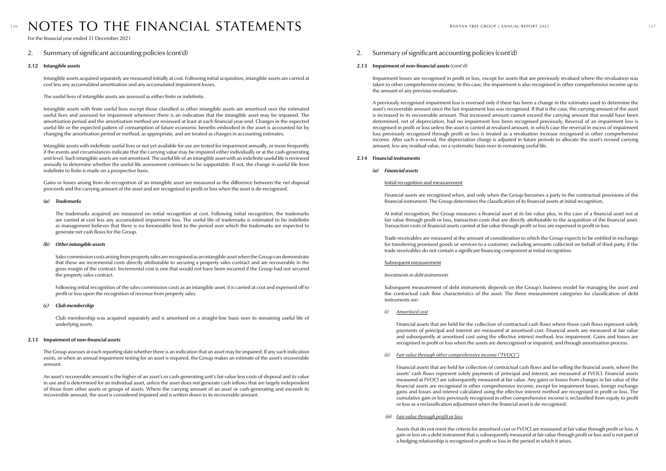For the financial year ended 31 December 2021

### 2. Summary of significant accounting policies (cont'd)

#### **2.12 Intangible assets**

Intangible assets acquired separately are measured initially at cost. Following initial acquisition, intangible assets are carried at cost less any accumulated amortisation and any accumulated impairment losses.

The useful lives of intangible assets are assessed as either finite or indefinite.

Intangible assets with finite useful lives except those classified as other intangible assets are amortised over the estimated useful lives and assessed for impairment whenever there is an indication that the intangible asset may be impaired. The amortisation period and the amortisation method are reviewed at least at each financial year-end. Changes in the expected useful life or the expected pattern of consumption of future economic benefits embodied in the asset is accounted for by changing the amortisation period or method, as appropriate, and are treated as changes in accounting estimates.

Intangible assets with indefinite useful lives or not yet available for use are tested for impairment annually, or more frequently if the events and circumstances indicate that the carrying value may be impaired either individually or at the cash-generating unit level. Such intangible assets are not amortised. The useful life of an intangible asset with an indefinite useful life is reviewed annually to determine whether the useful life assessment continues to be supportable. If not, the change in useful life from indefinite to finite is made on a prospective basis.

Gains or losses arising from de-recognition of an intangible asset are measured as the difference between the net disposal proceeds and the carrying amount of the asset and are recognised in profit or loss when the asset is de-recognised.

#### *(a) Trademarks*

The trademarks acquired are measured on initial recognition at cost. Following initial recognition, the trademarks are carried at cost less any accumulated impairment loss. The useful life of trademarks is estimated to be indefinite as management believes that there is no foreseeable limit to the period over which the trademarks are expected to generate net cash flows for the Group.

#### *(b) Other intangible assets*

Sales commission costs arising from property sales are recognised as an intangible asset when the Group can demonstrate that these are incremental costs directly attributable to securing a property sales contract and are recoverable in the gross margin of the contract. Incremental cost is one that would not have been incurred if the Group had not secured the property sales contract.

Following initial recognition of the sales commission costs as an intangible asset, it is carried at cost and expensed off to profit or loss upon the recognition of revenue from property sales.

#### *(c) Club membership*

Club membership was acquired separately and is amortised on a straight-line basis over its remaining useful life of underlying assets.

#### **2.13 Impairment of non-financial assets**

The Group assesses at each reporting date whether there is an indication that an asset may be impaired. If any such indication exists, or when an annual impairment testing for an asset is required, the Group makes an estimate of the asset's recoverable amount.

An asset's recoverable amount is the higher of an asset's or cash-generating unit's fair value less costs of disposal and its value in use and is determined for an individual asset, unless the asset does not generate cash inflows that are largely independent of those from other assets or groups of assets. Where the carrying amount of an asset or cash-generating unit exceeds its recoverable amount, the asset is considered impaired and is written down to its recoverable amount.

#### 2. Summary of significant accounting policies (cont'd)

#### **2.13 Impairment of non-financial assets** (cont'd)

Impairment losses are recognised in profit or loss, except for assets that are previously revalued where the revaluation was taken to other comprehensive income. In this case, the impairment is also recognised in other comprehensive income up to the amount of any previous revaluation.

A previously recognised impairment loss is reversed only if there has been a change in the estimates used to determine the asset's recoverable amount since the last impairment loss was recognised. If that is the case, the carrying amount of the asset is increased to its recoverable amount. That increased amount cannot exceed the carrying amount that would have been determined, net of depreciation, had no impairment loss been recognised previously. Reversal of an impairment loss is recognised in profit or loss unless the asset is carried at revalued amount, in which case the reversal in excess of impairment loss previously recognised through profit or loss is treated as a revaluation increase recognised in other comprehensive income. After such a reversal, the depreciation charge is adjusted in future periods to allocate the asset's revised carrying amount, less any residual value, on a systematic basis over its remaining useful life.

### **2.14 Financial instruments**

#### *(a) Financial assets*

#### Initial recognition and measurement

Financial assets are recognised when, and only when the Group becomes a party to the contractual provisions of the financial instrument. The Group determines the classification of its financial assets at initial recognition.

At initial recognition, the Group measures a financial asset at its fair value plus, in the case of a financial asset not at fair value through profit or loss, transaction costs that are directly attributable to the acquisition of the financial asset. Transaction costs of financial assets carried at fair value through profit or loss are expensed in profit or loss.

Trade receivables are measured at the amount of consideration to which the Group expects to be entitled in exchange for transferring promised goods or services to a customer, excluding amounts collected on behalf of third party, if the trade receivables do not contain a significant financing component at initial recognition.

#### Subsequent measurement

#### *Investments in debt instruments*

Subsequent measurement of debt instruments depends on the Group's business model for managing the asset and the contractual cash flow characteristics of the asset. The three measurement categories for classification of debt instruments are:

*(i) Amortised cost*

Financial assets that are held for the collection of contractual cash flows where those cash flows represent solely payments of principal and interest are measured at amortised cost. Financial assets are measured at fair value and subsequently at amortised cost using the effective interest method, less impairment. Gains and losses are recognised in profit or loss when the assets are derecognised or impaired, and through amortisation process.

*(ii) Fair value through other comprehensive income ("FVOCI")*

Financial assets that are held for collection of contractual cash flows and for selling the financial assets, where the assets' cash flows represent solely payments of principal and interest, are measured at FVOCI. Financial assets measured at FVOCI are subsequently measured at fair value. Any gains or losses from changes in fair value of the financial assets are recognised in other comprehensive income, except for impairment losses, foreign exchange gains and losses and interest calculated using the effective interest method are recognised in profit or loss. The cumulative gain or loss previously recognised in other comprehensive income is reclassified from equity to profit or loss as a reclassification adjustment when the financial asset is de-recognised.

 *(iii) Fair value through profit or loss*

Assets that do not meet the criteria for amortised cost or FVOCI are measured at fair value through profit or loss. A gain or loss on a debt instrument that is subsequently measured at fair value through profit or loss and is not part of a hedging relationship is recognised in profit or loss in the period in which it arises.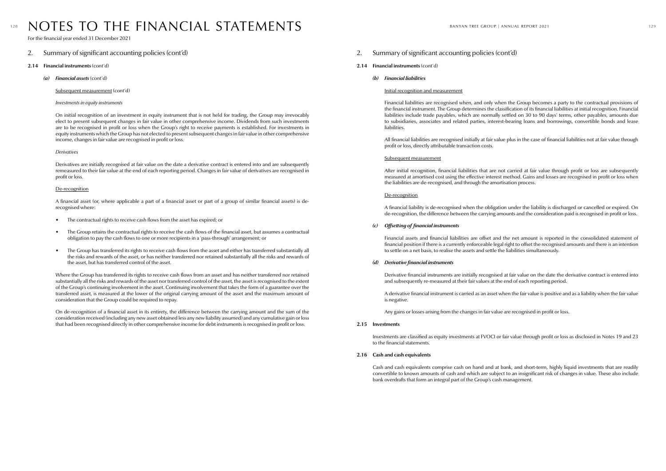For the financial year ended 31 December 2021

#### 2. Summary of significant accounting policies (cont'd)

- **2.14 Financial instruments** (cont'd)
	- *(a) Financial assets* (cont'd)

Subsequent measurement (cont'd)

*Investments in equity instruments*

On initial recognition of an investment in equity instrument that is not held for trading, the Group may irrevocably elect to present subsequent changes in fair value in other comprehensive income. Dividends from such investments are to be recognised in profit or loss when the Group's right to receive payments is established. For investments in equity instruments which the Group has not elected to present subsequent changes in fair value in other comprehensive income, changes in fair value are recognised in profit or loss.

#### *Derivatives*

Derivatives are initially recognised at fair value on the date a derivative contract is entered into and are subsequently remeasured to their fair value at the end of each reporting period. Changes in fair value of derivatives are recognised in profit or loss.

#### De-recognition

A financial asset (or, where applicable a part of a financial asset or part of a group of similar financial assets) is derecognised where:

- The contractual rights to receive cash flows from the asset has expired; or
- The Group retains the contractual rights to receive the cash flows of the financial asset, but assumes a contractual obligation to pay the cash flows to one or more recipients in a 'pass-through' arrangement; or
- The Group has transferred its rights to receive cash flows from the asset and either has transferred substantially all the risks and rewards of the asset, or has neither transferred nor retained substantially all the risks and rewards of the asset, but has transferred control of the asset.

Where the Group has transferred its rights to receive cash flows from an asset and has neither transferred nor retained substantially all the risks and rewards of the asset nor transferred control of the asset, the asset is recognised to the extent of the Group's continuing involvement in the asset. Continuing involvement that takes the form of a guarantee over the transferred asset, is measured at the lower of the original carrying amount of the asset and the maximum amount of consideration that the Group could be required to repay.

On de-recognition of a financial asset in its entirety, the difference between the carrying amount and the sum of the consideration received (including any new asset obtained less any new liability assumed) and any cumulative gain or loss that had been recognised directly in other comprehensive income for debt instruments is recognised in profit or loss.

#### 2. Summary of significant accounting policies (cont'd)

- **2.14 Financial instruments** (cont'd)
	- *(b) Financial liabilities*

#### Initial recognition and measurement

Financial liabilities are recognised when, and only when the Group becomes a party to the contractual provisions of the financial instrument. The Group determines the classification of its financial liabilities at initial recognition. Financial liabilities include trade payables, which are normally settled on 30 to 90 days' terms, other payables, amounts due to subsidiaries, associates and related parties, interest-bearing loans and borrowings, convertible bonds and lease liabilities.

All financial liabilities are recognised initially at fair value plus in the case of financial liabilities not at fair value through profit or loss, directly attributable transaction costs.

#### Subsequent measurement

After initial recognition, financial liabilities that are not carried at fair value through profit or loss are subsequently measured at amortised cost using the effective interest method. Gains and losses are recognised in profit or loss when the liabilities are de-recognised, and through the amortisation process.

#### De-recognition

A financial liability is de-recognised when the obligation under the liability is discharged or cancelled or expired. On de-recognition, the difference between the carrying amounts and the consideration paid is recognised in profit or loss.

#### *(c) Offsetting of financial instruments*

Financial assets and financial liabilities are offset and the net amount is reported in the consolidated statement of financial position if there is a currently enforceable legal right to offset the recognised amounts and there is an intention to settle on a net basis, to realise the assets and settle the liabilities simultaneously.

#### *(d) Derivative financial instruments*

Derivative financial instruments are initially recognised at fair value on the date the derivative contract is entered into and subsequently re-measured at their fair values at the end of each reporting period.

A derivative financial instrument is carried as an asset when the fair value is positive and as a liability when the fair value is negative.

Any gains or losses arising from the changes in fair value are recognised in profit or loss.

#### **2.15 Investments**

Investments are classified as equity investments at FVOCI or fair value through profit or loss as disclosed in Notes 19 and 23 to the financial statements.

#### **2.16 Cash and cash equivalents**

Cash and cash equivalents comprise cash on hand and at bank, and short-term, highly liquid investments that are readily convertible to known amounts of cash and which are subject to an insignificant risk of changes in value. These also include bank overdrafts that form an integral part of the Group's cash management.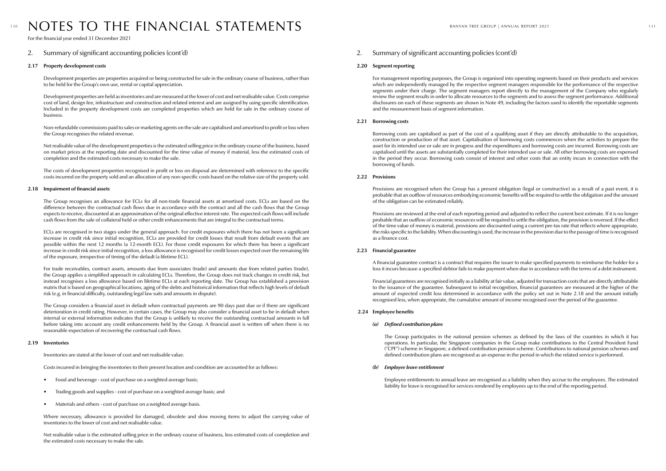For the financial year ended 31 December 2021

#### 2. Summary of significant accounting policies (cont'd)

#### **2.17 Property development costs**

Development properties are properties acquired or being constructed for sale in the ordinary course of business, rather than to be held for the Group's own use, rental or capital appreciation.

Development properties are held as inventories and are measured at the lower of cost and net realisable value. Costs comprise cost of land, design fee, infrastructure and construction and related interest and are assigned by using specific identification. Included in the property development costs are completed properties which are held for sale in the ordinary course of business.

Non-refundable commissions paid to sales or marketing agents on the sale are capitalised and amortised to profit or loss when the Group recognises the related revenue.

Net realisable value of the development properties is the estimated selling price in the ordinary course of the business, based on market prices at the reporting date and discounted for the time value of money if material, less the estimated costs of completion and the estimated costs necessary to make the sale.

The costs of development properties recognised in profit or loss on disposal are determined with reference to the specific costs incurred on the property sold and an allocation of any non-specific costs based on the relative size of the property sold.

#### **2.18 Impairment of financial assets**

The Group recognises an allowance for ECLs for all non-trade financial assets at amortised costs. ECLs are based on the difference between the contractual cash flows due in accordance with the contract and all the cash flows that the Group expects to receive, discounted at an approximation of the original effective interest rate. The expected cash flows will include cash flows from the sale of collateral held or other credit enhancements that are integral to the contractual terms.

ECLs are recognised in two stages under the general approach. For credit exposures which there has not been a significant increase in credit risk since initial recognition, ECLs are provided for credit losses that result from default events that are possible within the next 12 months (a 12-month ECL). For those credit exposures for which there has been a significant increase in credit risk since initial recognition, a loss allowance is recognised for credit losses expected over the remaining life of the exposure, irrespective of timing of the default (a lifetime ECL).

For trade receivables, contract assets, amounts due from associates (trade) and amounts due from related parties (trade), the Group applies a simplified approach in calculating ECLs. Therefore, the Group does not track changes in credit risk, but instead recognises a loss allowance based on lifetime ECLs at each reporting date. The Group has established a provision matrix that is based on geographical locations, aging of the debts and historical information that reflects high levels of default risk (e.g. in financial difficulty, outstanding legal law suits and amounts in dispute).

The Group considers a financial asset in default when contractual payments are 90 days past due or if there are significant deterioration in credit rating. However, in certain cases, the Group may also consider a financial asset to be in default when internal or external information indicates that the Group is unlikely to receive the outstanding contractual amounts in full before taking into account any credit enhancements held by the Group. A financial asset is written off when there is no reasonable expectation of recovering the contractual cash flows.

#### **2.19 Inventories**

Inventories are stated at the lower of cost and net realisable value.

Costs incurred in bringing the inventories to their present location and condition are accounted for as follows:

- Food and beverage cost of purchase on a weighted average basis;
- Trading goods and supplies cost of purchase on a weighted average basis; and
- Materials and others cost of purchase on a weighted average basis.

Where necessary, allowance is provided for damaged, obsolete and slow moving items to adjust the carrying value of inventories to the lower of cost and net realisable value.

Net realisable value is the estimated selling price in the ordinary course of business, less estimated costs of completion and the estimated costs necessary to make the sale.

#### **2.20 Segment reporting**

For management reporting purposes, the Group is organised into operating segments based on their products and services which are independently managed by the respective segment managers responsible for the performance of the respective segments under their charge. The segment managers report directly to the management of the Company who regularly review the segment results in order to allocate resources to the segments and to assess the segment performance. Additional disclosures on each of these segments are shown in Note 49, including the factors used to identify the reportable segments and the measurement basis of segment information.

#### **2.21 Borrowing costs**

Borrowing costs are capitalised as part of the cost of a qualifying asset if they are directly attributable to the acquisition, construction or production of that asset. Capitalisation of borrowing costs commences when the activities to prepare the asset for its intended use or sale are in progress and the expenditures and borrowing costs are incurred. Borrowing costs are capitalised until the assets are substantially completed for their intended use or sale. All other borrowing costs are expensed in the period they occur. Borrowing costs consist of interest and other costs that an entity incurs in connection with the borrowing of funds.

#### **2.22 Provisions**

Provisions are recognised when the Group has a present obligation (legal or constructive) as a result of a past event, it is probable that an outflow of resources embodying economic benefits will be required to settle the obligation and the amount of the obligation can be estimated reliably.

Provisions are reviewed at the end of each reporting period and adjusted to reflect the current best estimate. If it is no longer probable that an outflow of economic resources will be required to settle the obligation, the provision is reversed. If the effect of the time value of money is material, provisions are discounted using a current pre-tax rate that reflects where appropriate, the risks specific to the liability. When discounting is used, the increase in the provision due to the passage of time is recognised as a finance cost.

#### **2.23 Financial guarantee**

A financial guarantee contract is a contract that requires the issuer to make specified payments to reimburse the holder for a loss it incurs because a specified debtor fails to make payment when due in accordance with the terms of a debt instrument.

Financial guarantees are recognised initially as a liability at fair value, adjusted for transaction costs that are directly attributable to the issuance of the guarantee. Subsequent to initial recognition, financial guarantees are measured at the higher of the amount of expected credit loss determined in accordance with the policy set out in Note 2.18 and the amount initially recognised less, when appropriate, the cumulative amount of income recognised over the period of the guarantee.

#### **2.24 Employee benefits**

#### *(a) Defined contribution plans*

The Group participates in the national pension schemes as defined by the laws of the countries in which it has operations. In particular, the Singapore companies in the Group make contributions to the Central Provident Fund ("CPF") scheme in Singapore, a defined contribution pension scheme. Contributions to national pension schemes and defined contribution plans are recognised as an expense in the period in which the related service is performed.

#### *(b) Employee leave entitlement*

Employee entitlements to annual leave are recognised as a liability when they accrue to the employees. The estimated liability for leave is recognised for services rendered by employees up to the end of the reporting period.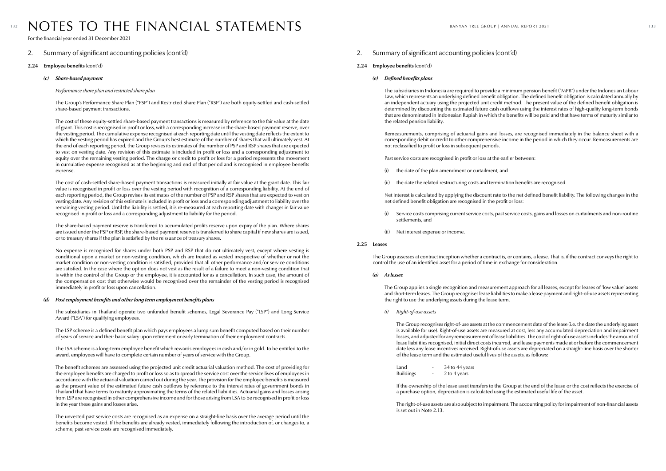For the financial year ended 31 December 2021

#### 2. Summary of significant accounting policies (cont'd)

#### **2.24 Employee benefits** (cont'd)

#### *(c) Share-based payment*

#### *Performance share plan and restricted share plan*

The Group's Performance Share Plan ("PSP") and Restricted Share Plan ("RSP") are both equity-settled and cash-settled share-based payment transactions.

The cost of these equity-settled share-based payment transactions is measured by reference to the fair value at the date of grant. This cost is recognised in profit or loss, with a corresponding increase in the share-based payment reserve, over the vesting period. The cumulative expense recognised at each reporting date until the vesting date reflects the extent to which the vesting period has expired and the Group's best estimate of the number of shares that will ultimately vest. At the end of each reporting period, the Group revises its estimates of the number of PSP and RSP shares that are expected to vest on vesting date. Any revision of this estimate is included in profit or loss and a corresponding adjustment to equity over the remaining vesting period. The charge or credit to profit or loss for a period represents the movement in cumulative expense recognised as at the beginning and end of that period and is recognised in employee benefits expense.

The cost of cash-settled share-based payment transactions is measured initially at fair value at the grant date. This fair value is recognised in profit or loss over the vesting period with recognition of a corresponding liability. At the end of each reporting period, the Group revises its estimates of the number of PSP and RSP shares that are expected to vest on vesting date. Any revision of this estimate is included in profit or loss and a corresponding adjustment to liability over the remaining vesting period. Until the liability is settled, it is re-measured at each reporting date with changes in fair value recognised in profit or loss and a corresponding adjustment to liability for the period.

The share-based payment reserve is transferred to accumulated profits reserve upon expiry of the plan. Where shares are issued under the PSP or RSP, the share-based payment reserve is transferred to share capital if new shares are issued, or to treasury shares if the plan is satisfied by the reissuance of treasury shares.

No expense is recognised for shares under both PSP and RSP that do not ultimately vest, except where vesting is conditional upon a market or non-vesting condition, which are treated as vested irrespective of whether or not the market condition or non-vesting condition is satisfied, provided that all other performance and/or service conditions are satisfied. In the case where the option does not vest as the result of a failure to meet a non-vesting condition that is within the control of the Group or the employee, it is accounted for as a cancellation. In such case, the amount of the compensation cost that otherwise would be recognised over the remainder of the vesting period is recognised immediately in profit or loss upon cancellation.

#### *(d) Post employment benefits and other long term employment benefits plans*

The subsidiaries in Thailand operate two unfunded benefit schemes, Legal Severance Pay ("LSP") and Long Service Award ("LSA") for qualifying employees.

The LSP scheme is a defined benefit plan which pays employees a lump sum benefit computed based on their number of years of service and their basic salary upon retirement or early termination of their employment contracts.

The LSA scheme is a long-term employee benefit which rewards employees in cash and/or in gold. To be entitled to the award, employees will have to complete certain number of years of service with the Group.

The benefit schemes are assessed using the projected unit credit actuarial valuation method. The cost of providing for the employee benefits are charged to profit or loss so as to spread the service cost over the service lives of employees in accordance with the actuarial valuation carried out during the year. The provision for the employee benefits is measured as the present value of the estimated future cash outflows by reference to the interest rates of government bonds in Thailand that have terms to maturity approximating the terms of the related liabilities. Actuarial gains and losses arising from LSP are recognised in other comprehensive income and for those arising from LSA to be recognised in profit or loss in the year these gains and losses arise.

The unvested past service costs are recognised as an expense on a straight-line basis over the average period until the benefits become vested. If the benefits are already vested, immediately following the introduction of, or changes to, a scheme, past service costs are recognised immediately.

#### 2. Summary of significant accounting policies (cont'd)

#### **2.24 Employee benefits** (cont'd)

#### *(e) Defined benefits plans*

The subsidiaries in Indonesia are required to provide a minimum pension benefit ("MPB") under the Indonesian Labour Law, which represents an underlying defined benefit obligation. The defined benefit obligation is calculated annually by an independent actuary using the projected unit credit method. The present value of the defined benefit obligation is determined by discounting the estimated future cash outflows using the interest rates of high-quality long-term bonds that are denominated in Indonesian Rupiah in which the benefits will be paid and that have terms of maturity similar to the related pension liability.

Remeasurements, comprising of actuarial gains and losses, are recognised immediately in the balance sheet with a corresponding debit or credit to other comprehensive income in the period in which they occur. Remeasurements are not reclassified to profit or loss in subsequent periods.

Past service costs are recognised in profit or loss at the earlier between:

- (i) the date of the plan amendment or curtailment, and
- (ii) the date the related restructuring costs and termination benefits are recognised.

Net interest is calculated by applying the discount rate to the net defined benefit liability. The following changes in the net defined benefit obligation are recognised in the profit or loss:

(i) Service costs comprising current service costs, past service costs, gains and losses on curtailments and non-routine

- settlements, and
- (ii) Net interest expense or income.

#### **2.25 Leases**

The Group assesses at contract inception whether a contract is, or contains, a lease. That is, if the contract conveys the right to control the use of an identified asset for a period of time in exchange for consideration.

#### *(a) As lessee*

The Group applies a single recognition and measurement approach for all leases, except for leases of 'low value' assets and short-term leases. The Group recognises lease liabilities to make a lease payment and right-of-use assets representing the right to use the underlying assets during the lease term.

*(i) Right-of-use assets*

The Group recognises right-of-use assets at the commencement date of the lease (i.e. the date the underlying asset is available for use). Right-of-use assets are measured at cost, less any accumulated depreciation and impairment losses, and adjusted for any remeasurement of lease liabilities. The cost of right-of-use assets includes the amount of lease liabilities recognised, initial direct costs incurred, and lease payments made at or before the commencement date less any lease incentives received. Right-of-use assets are depreciated on a straight-line basis over the shorter of the lease term and the estimated useful lives of the assets, as follows:

| Land             |   | 34 to 44 years |
|------------------|---|----------------|
| <b>Buildings</b> | - | 2 to 4 years   |

If the ownership of the lease asset transfers to the Group at the end of the lease or the cost reflects the exercise of a purchase option, depreciation is calculated using the estimated useful life of the asset.

The right-of-use assets are also subject to impairment. The accounting policy for impairment of non-financial assets is set out in Note 2.13.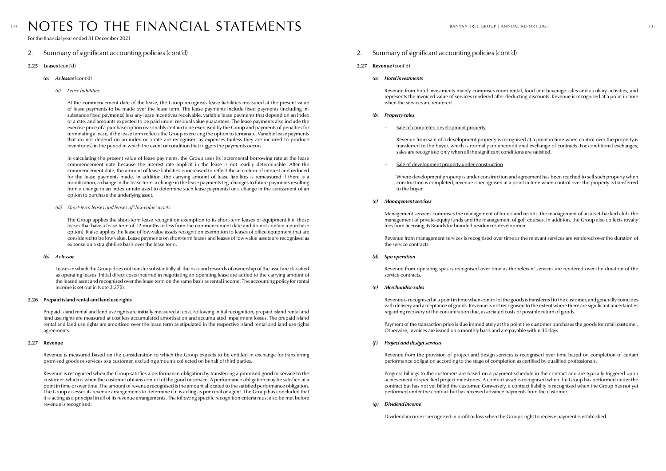For the financial year ended 31 December 2021

#### 2. Summary of significant accounting policies (cont'd)

- **2.25 Leases** (cont'd)
	- *(a) As lessee* (cont'd)
		- *(ii) Lease liabilities*

At the commencement date of the lease, the Group recognises lease liabilities measured at the present value of lease payments to be made over the lease term. The lease payments include fixed payments (including insubstance fixed payments) less any lease incentives receivable, variable lease payments that depend on an index or a rate, and amounts expected to be paid under residual value guarantees. The lease payments also include the exercise price of a purchase option reasonably certain to be exercised by the Group and payments of penalties for terminating a lease, if the lease term reflects the Group exercising the option to terminate. Variable lease payments that do not depend on an index or a rate are recognised as expenses (unless they are incurred to produce inventories) in the period in which the event or condition that triggers the payments occurs.

In calculating the present value of lease payments, the Group uses its incremental borrowing rate at the lease commencement date because the interest rate implicit in the lease is not readily determinable. After the commencement date, the amount of lease liabilities is increased to reflect the accretion of interest and reduced for the lease payments made. In addition, the carrying amount of lease liabilites is remeasured if there is a modification, a change in the lease term, a change in the lease payments (eg. changes to future payments resulting from a change in an index or rate used to determine such lease payments) or a change in the assessment of an option to purchase the underlying asset.

*(iii) Short-term leases and leases of ' low value' assets*

The Group applies the short-term lease recognition exemption to its short-term leases of equipment (i.e. those leases that have a lease term of 12 months or less from the commencement date and do not contain a purchase option). It also applies the lease of low-value assets recognition exemption to leases of office equipment that are considered to be low value. Lease payments on short-term leases and leases of low-value assets are recognised as expense on a straight-line basis over the lease term.

#### *(b) As lessor*

Leases in which the Group does not transfer substantially all the risks and rewards of ownership of the asset are classified as operating leases. Initial direct costs incurred in negotiating an operating lease are added to the carrying amount of the leased asset and recognised over the lease term on the same basis as rental income. The accounting policy for rental income is set out in Note 2.27(i).

#### **2.26 Prepaid island rental and land use rights**

Prepaid island rental and land use rights are initially measured at cost. Following initial recognition, prepaid island rental and land use rights are measured at cost less accumulated amortisation and accumulated impairment losses. The prepaid island rental and land use rights are amortised over the lease term as stipulated in the respective island rental and land use rights agreements.

#### **2.27 Revenue**

Revenue is measured based on the consideration to which the Group expects to be entitled in exchange for transferring promised goods or services to a customer, excluding amounts collected on behalf of third parties.

Revenue is recognised when the Group satisfies a performance obligation by transferring a promised good or service to the customer, which is when the customer obtains control of the good or service. A performance obligation may be satisfied at a point in time or over time. The amount of revenue recognised is the amount allocated to the satisfied performance obligation. The Group assesses its revenue arrangements to determine if it is acting as principal or agent. The Group has concluded that it is acting as a principal in all of its revenue arrangements. The following specific recognition criteria must also be met before revenue is recognised:

- 2. Summary of significant accounting policies (cont'd)
- **2.27 Revenue** (cont'd)

#### *(a) Hotel investments*

Revenue from hotel investments mainly comprises room rental, food and beverage sales and auxiliary activities, and represents the invoiced value of services rendered after deducting discounts. Revenue is recognised at a point in time when the services are rendered.

*(b) Property sales*

#### – Sale of completed development property

Revenue from sale of a development property is recognised at a point in time when control over the property is transferred to the buyer, which is normally on unconditional exchange of contracts. For conditional exchanges, sales are recognised only when all the significant conditions are satisfied.

Sale of development property under construction

Where development property is under construction and agreement has been reached to sell such property when construction is completed, revenue is recognised at a point in time when control over the property is transferred to the buyer.

#### *(c) Management services*

Management services comprises the management of hotels and resorts, the management of an asset-backed club, the management of private-equity funds and the management of golf courses. In addition, the Group also collects royalty fees from licensing its Brands for branded residences development.

Revenue from management services is recognised over time as the relevant services are rendered over the duration of the service contracts.

#### *(d) Spa operation*

Revenue from operating spas is recognised over time as the relevant services are rendered over the duration of the service contracts.

#### *(e) Merchandise sales*

Revenue is recognised at a point in time when control of the goods is transferred to the customer, and generally coincides with delivery and acceptance of goods. Revenue is not recognised to the extent where there are significant uncertainties regarding recovery of the consideration due, associated costs or possible return of goods.

Payment of the transaction price is due immediately at the point the customer purchases the goods for retail customer. Otherwise, invoices are issued on a monthly basis and are payable within 30 days.

#### *(f) Project and design services*

Revenue from the provision of project and design services is recognised over time based on completion of certain performance obligation according to the stage of completion as certified by qualified professionals.

Progress billings to the customers are based on a payment schedule in the contract and are typically triggered upon achievement of specified project milestones. A contract asset is recognised when the Group has performed under the contract but has not yet billed the customer. Conversely, a contract liability is recognised when the Group has not yet performed under the contract but has received advance payments from the customer.

#### *(g) Dividend income*

Dividend income is recognised in profit or loss when the Group's right to receive payment is established.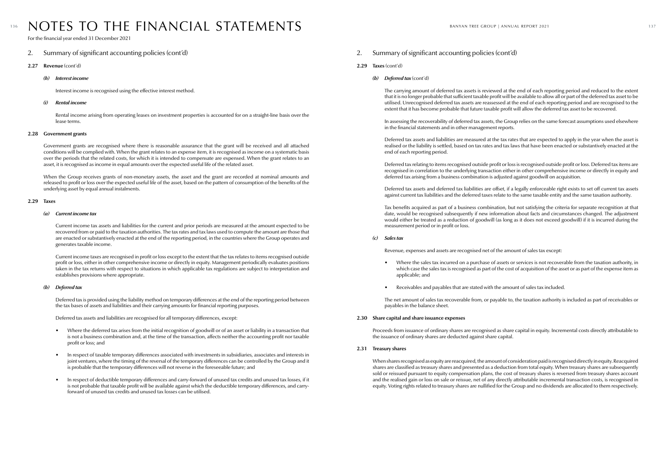For the financial year ended 31 December 2021

#### 2. Summary of significant accounting policies (cont'd)

- **2.27 Revenue** (cont'd)
	- *(h) Interest income*

Interest income is recognised using the effective interest method.

#### *(i) Rental income*

Rental income arising from operating leases on investment properties is accounted for on a straight-line basis over the lease terms.

#### **2.28 Government grants**

Government grants are recognised where there is reasonable assurance that the grant will be received and all attached conditions will be complied with. When the grant relates to an expense item, it is recognised as income on a systematic basis over the periods that the related costs, for which it is intended to compensate are expensed. When the grant relates to an asset, it is recognised as income in equal amounts over the expected useful life of the related asset.

When the Group receives grants of non-monetary assets, the asset and the grant are recorded at nominal amounts and released to profit or loss over the expected useful life of the asset, based on the pattern of consumption of the benefits of the underlying asset by equal annual instalments.

#### **2.29 Taxes**

#### *(a) Current income tax*

Current income tax assets and liabilities for the current and prior periods are measured at the amount expected to be recovered from or paid to the taxation authorities. The tax rates and tax laws used to compute the amount are those that are enacted or substantively enacted at the end of the reporting period, in the countries where the Group operates and generates taxable income.

Current income taxes are recognised in profit or loss except to the extent that the tax relates to items recognised outside profit or loss, either in other comprehensive income or directly in equity. Management periodically evaluates positions taken in the tax returns with respect to situations in which applicable tax regulations are subject to interpretation and establishes provisions where appropriate.

#### *(b) Deferred tax*

Deferred tax is provided using the liability method on temporary differences at the end of the reporting period between the tax bases of assets and liabilities and their carrying amounts for financial reporting purposes.

Deferred tax assets and liabilities are recognised for all temporary differences, except:

- Where the deferred tax arises from the initial recognition of goodwill or of an asset or liability in a transaction that is not a business combination and, at the time of the transaction, affects neither the accounting profit nor taxable profit or loss; and
- In respect of taxable temporary differences associated with investments in subsidiaries, associates and interests in joint ventures, where the timing of the reversal of the temporary differences can be controlled by the Group and it is probable that the temporary differences will not reverse in the foreseeable future; and
- In respect of deductible temporary differences and carry-forward of unused tax credits and unused tax losses, if it is not probable that taxable profit will be available against which the deductible temporary differences, and carryforward of unused tax credits and unused tax losses can be utilised.

### 2. Summary of significant accounting policies (cont'd)

- **2.29 Taxes** (cont'd)
	- *(b) Deferred tax* (cont'd)

The carrying amount of deferred tax assets is reviewed at the end of each reporting period and reduced to the extent that it is no longer probable that sufficient taxable profit will be available to allow all or part of the deferred tax asset to be utilised. Unrecognised deferred tax assets are reassessed at the end of each reporting period and are recognised to the extent that it has become probable that future taxable profit will allow the deferred tax asset to be recovered.

In assessing the recoverability of deferred tax assets, the Group relies on the same forecast assumptions used elsewhere in the financial statements and in other management reports.

Deferred tax assets and liabilities are measured at the tax rates that are expected to apply in the year when the asset is realised or the liability is settled, based on tax rates and tax laws that have been enacted or substantively enacted at the end of each reporting period.

Deferred tax relating to items recognised outside profit or loss is recognised outside profit or loss. Deferred tax items are recognised in correlation to the underlying transaction either in other comprehensive income or directly in equity and deferred tax arising from a business combination is adjusted against goodwill on acquisition.

Deferred tax assets and deferred tax liabilities are offset, if a legally enforceable right exists to set off current tax assets against current tax liabilities and the deferred taxes relate to the same taxable entity and the same taxation authority.

Tax benefits acquired as part of a business combination, but not satisfying the criteria for separate recognition at that date, would be recognised subsequently if new information about facts and circumstances changed. The adjustment would either be treated as a reduction of goodwill (as long as it does not exceed goodwill) if it is incurred during the measurement period or in profit or loss.

#### *(c) Sales tax*

Revenue, expenses and assets are recognised net of the amount of sales tax except:

• Where the sales tax incurred on a purchase of assets or services is not recoverable from the taxation authority, in which case the sales tax is recognised as part of the cost of acquisition of the asset or as part of the expense item as

- applicable; and
- Receivables and payables that are stated with the amount of sales tax included.

The net amount of sales tax recoverable from, or payable to, the taxation authority is included as part of receivables or payables in the balance sheet.

#### **2.30 Share capital and share issuance expenses**

Proceeds from issuance of ordinary shares are recognised as share capital in equity. Incremental costs directly attributable to the issuance of ordinary shares are deducted against share capital.

#### **2.31 Treasury shares**

When shares recognised as equity are reacquired, the amount of consideration paid is recognised directly in equity. Reacquired shares are classified as treasury shares and presented as a deduction from total equity. When treasury shares are subsequently sold or reissued pursuant to equity compensation plans, the cost of treasury shares is reversed from treasury shares account and the realised gain or loss on sale or reissue, net of any directly attributable incremental transaction costs, is recognised in equity. Voting rights related to treasury shares are nullified for the Group and no dividends are allocated to them respectively.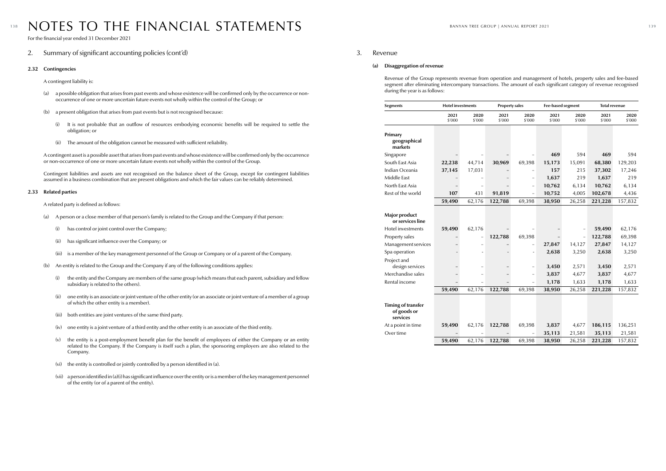For the financial year ended 31 December 2021

### 2. Summary of significant accounting policies (cont'd)

#### **2.32 Contingencies**

A contingent liability is:

- (a) a possible obligation that arises from past events and whose existence will be confirmed only by the occurrence or nonoccurrence of one or more uncertain future events not wholly within the control of the Group; or
- (b) a present obligation that arises from past events but is not recognised because:
	- (i) It is not probable that an outflow of resources embodying economic benefits will be required to settle the obligation; or
	- (ii) The amount of the obligation cannot be measured with sufficient reliability.

A contingent asset is a possible asset that arises from past events and whose existence will be confirmed only by the occurrence or non-occurrence of one or more uncertain future events not wholly within the control of the Group.

Contingent liabilities and assets are not recognised on the balance sheet of the Group, except for contingent liabilities assumed in a business combination that are present obligations and which the fair values can be reliably determined.

#### **2.33 Related parties**

A related party is defined as follows:

- (a) A person or a close member of that person's family is related to the Group and the Company if that person:
	- (i) has control or joint control over the Company;
	- (ii) has significant influence over the Company; or
	- (iii) is a member of the key management personnel of the Group or Company or of a parent of the Company.
- (b) An entity is related to the Group and the Company if any of the following conditions applies:
	- (i) the entity and the Company are members of the same group (which means that each parent, subsidiary and fellow subsidiary is related to the others).
	- (ii) one entity is an associate or joint venture of the other entity (or an associate or joint venture of a member of a group of which the other entity is a member).
	- (iii) both entities are joint ventures of the same third party.
	- (iv) one entity is a joint venture of a third entity and the other entity is an associate of the third entity.
	- (v) the entity is a post-employment benefit plan for the benefit of employees of either the Company or an entity related to the Company. If the Company is itself such a plan, the sponsoring employers are also related to the Company.
	- (vi) the entity is controlled or jointly controlled by a person identified in (a).
	- (vii) a person identified in (a)(i) has significant influence over the entity or is a member of the key management personnel of the entity (or of a parent of the entity).

#### 3. Revenue

#### **(a) Disaggregation of revenue**

Revenue of the Group represents revenue from operation and management of hotels, property sales and fee-based segment after eliminating intercompany transactions. The amount of each significant category of revenue recognised during the year is as follows:

| Segments                                             | <b>Hotel investments</b> |                | <b>Property sales</b> |                          | Fee-based segment |                | <b>Total revenue</b> |                |  |
|------------------------------------------------------|--------------------------|----------------|-----------------------|--------------------------|-------------------|----------------|----------------------|----------------|--|
|                                                      | 2021<br>\$'000           | 2020<br>\$'000 | 2021<br>\$'000        | 2020<br>\$'000           | 2021<br>\$'000    | 2020<br>\$'000 | 2021<br>\$'000       | 2020<br>\$'000 |  |
| Primary<br>geographical<br>markets                   |                          |                |                       |                          |                   |                |                      |                |  |
| Singapore                                            |                          |                |                       |                          | 469               | 594            | 469                  | 594            |  |
| South East Asia                                      | 22,238                   | 44,714         | 30,969                | 69,398                   | 15,173            | 15,091         | 68,380               | 129,203        |  |
| Indian Oceania                                       | 37,145                   | 17,031         |                       |                          | 157               | 215            | 37,302               | 17,246         |  |
| Middle East                                          |                          |                |                       | $\overline{\phantom{0}}$ | 1,637             | 219            | 1,637                | 219            |  |
| North East Asia                                      |                          |                |                       | -                        | 10,762            | 6,134          | 10,762               | 6,134          |  |
| Rest of the world                                    | 107                      | 431            | 91,819                | $\qquad \qquad -$        | 10,752            | 4,005          | 102,678              | 4,436          |  |
|                                                      | 59,490                   | 62,176         | 122,788               | 69,398                   | 38,950            | 26,258         | 221,228              | 157,832        |  |
| Major product<br>or services line                    |                          |                |                       |                          |                   |                |                      |                |  |
| Hotel investments                                    | 59,490                   | 62,176         |                       |                          |                   |                | 59,490               | 62,176         |  |
| Property sales                                       |                          |                | 122,788               | 69,398                   |                   |                | 122,788              | 69,398         |  |
| Management services                                  |                          |                |                       | -                        | 27,847            | 14,127         | 27,847               | 14,127         |  |
| Spa operation                                        |                          |                |                       | $\overline{\phantom{a}}$ | 2,638             | 3,250          | 2,638                | 3,250          |  |
| Project and<br>design services                       |                          |                |                       | $\overline{\phantom{0}}$ | 3,450             | 2,571          | 3,450                | 2,571          |  |
| Merchandise sales                                    |                          |                |                       | $\overline{\phantom{0}}$ | 3,837             | 4,677          | 3,837                | 4,677          |  |
| Rental income                                        |                          |                |                       | $\overline{\phantom{0}}$ | 1,178             | 1,633          | 1,178                | 1,633          |  |
|                                                      | 59,490                   | 62,176         | 122,788               | 69,398                   | 38,950            | 26,258         | 221,228              | 157,832        |  |
| <b>Timing of transfer</b><br>of goods or<br>services |                          |                |                       |                          |                   |                |                      |                |  |
| At a point in time                                   | 59,490                   | 62,176         | 122,788               | 69,398                   | 3,837             | 4,677          | 186,115              | 136,251        |  |
| Over time                                            |                          |                |                       |                          | 35,113            | 21,581         | 35,113               | 21,581         |  |
|                                                      | 59,490                   | 62,176         | 122,788               | 69,398                   | 38,950            | 26,258         | 221,228              | 157,832        |  |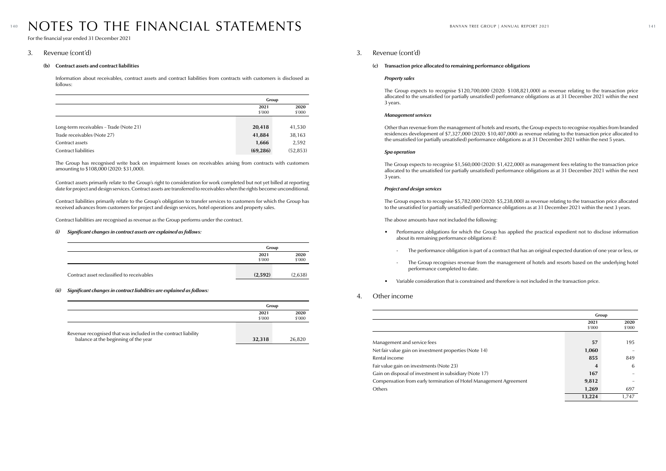For the financial year ended 31 December 2021

#### 3. Revenue (cont'd)

#### **(b) Contract assets and contract liabilities**

Information about receivables, contract assets and contract liabilities from contracts with customers is disclosed as follows:

|                                         | Group                   |                         |  |
|-----------------------------------------|-------------------------|-------------------------|--|
|                                         | 2021<br>$$^{\prime}000$ | 2020<br>$$^{\prime}000$ |  |
|                                         |                         |                         |  |
| Long-term receivables - Trade (Note 21) | 20,418                  | 41,530                  |  |
| Trade receivables (Note 27)             | 41,884                  | 38,163                  |  |
| Contract assets                         | 1,666                   | 2,592                   |  |
| <b>Contract liabilities</b>             | (69, 286)               | (52, 853)               |  |

The Group has recognised write back on impairment losses on receivables arising from contracts with customers amounting to \$108,000 (2020: \$31,000).

Contract assets primarily relate to the Group's right to consideration for work completed but not yet billed at reporting date for project and design services. Contract assets are transferred to receivables when the rights become unconditional.

Contract liabilities primarily relate to the Group's obligation to transfer services to customers for which the Group has received advances from customers for project and design services, hotel operations and property sales.

Contract liabilities are recognised as revenue as the Group performs under the contract.

#### *(i) Significant changes in contract assets are explained as follows:*

|                                            | Group          |                |  |
|--------------------------------------------|----------------|----------------|--|
|                                            | 2021<br>\$'000 | 2020<br>\$'000 |  |
| Contract asset reclassified to receivables | (2,592)        | (2,638)        |  |

#### *(ii) Significant changes in contract liabilities are explained as follows:*

|                                                                |                | Group                   |
|----------------------------------------------------------------|----------------|-------------------------|
|                                                                | 2021<br>\$'000 | 2020<br>$$^{\prime}000$ |
| Revenue recognised that was included in the contract liability |                |                         |
| balance at the beginning of the year                           | 32,318         | 26,820                  |

#### 3. Revenue (cont'd)

#### **(c) Transaction price allocated to remaining performance obligations**

#### *Property sales*

The Group expects to recognise \$120,700,000 (2020: \$108,821,000) as revenue relating to the transaction price allocated to the unsatisfied (or partially unsatisfied) performance obligations as at 31 December 2021 within the next 3 years.

#### *Management services*

Other than revenue from the management of hotels and resorts, the Group expects to recognise royalties from branded residences development of \$7,327,000 (2020: \$10,407,000) as revenue relating to the transaction price allocated to the unsatisfied (or partially unsatisfied) performance obligations as at 31 December 2021 within the next 5 years.

#### *Spa operation*

The Group expects to recognise \$1,560,000 (2020: \$1,422,000) as management fees relating to the transaction price allocated to the unsatisfied (or partially unsatisfied) performance obligations as at 31 December 2021 within the next 3 years.

#### *Project and design services*

The Group expects to recognise \$5,782,000 (2020: \$5,238,000) as revenue relating to the transaction price allocated to the unsatisfied (or partially unsatisfied) performance obligations as at 31 December 2021 within the next 3 years.

The above amounts have not included the following:

• Performance obligations for which the Group has applied the practical expedient not to disclose information

The performance obligation is part of a contract that has an original expected duration of one year or less, or

The Group recognises revenue from the management of hotels and resorts based on the underlying hotel

- about its remaining performance obligations if:
	-
	- performance completed to date.
- Variable consideration that is constrained and therefore is not included in the transaction price.
- 4. Other income

|                                                                   | Group          |                |  |
|-------------------------------------------------------------------|----------------|----------------|--|
|                                                                   | 2021<br>\$'000 | 2020<br>\$'000 |  |
|                                                                   |                |                |  |
| Management and service fees                                       | 57             | 195            |  |
| Net fair value gain on investment properties (Note 14)            | 1,060          |                |  |
| Rental income                                                     | 855            | 849            |  |
| Fair value gain on investments (Note 23)                          | 4              | 6              |  |
| Gain on disposal of investment in subsidiary (Note 17)            | 167            |                |  |
| Compensation from early termination of Hotel Management Agreement | 9,812          |                |  |
| Others                                                            | 1,269          | 697            |  |
|                                                                   | 13,224         | 1.747          |  |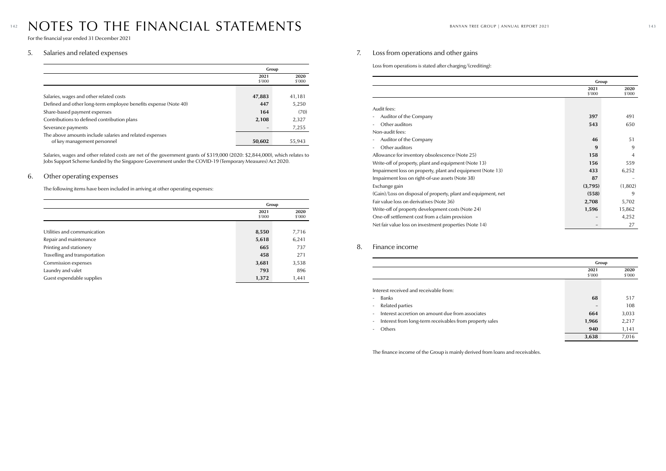For the financial year ended 31 December 2021

### 5. Salaries and related expenses

|                                                                 | Group          |                |
|-----------------------------------------------------------------|----------------|----------------|
|                                                                 | 2021<br>\$'000 | 2020<br>\$'000 |
|                                                                 |                |                |
| Salaries, wages and other related costs                         | 47,883         | 41,181         |
| Defined and other long-term employee benefits expense (Note 40) | 447            | 5,250          |
| Share-based payment expenses                                    | 164            | (70)           |
| Contributions to defined contribution plans                     | 2,108          | 2,327          |
| Severance payments                                              |                | 7,255          |
| The above amounts include salaries and related expenses         |                |                |
| of key management personnel                                     | 50,602         | 55,943         |

Salaries, wages and other related costs are net of the government grants of \$319,000 (2020: \$2,844,000), which relates to Jobs Support Scheme funded by the Singapore Government under the COVID-19 (Temporary Measures) Act 2020.

#### 6. Other operating expenses

The following items have been included in arriving at other operating expenses:

|                               | Group                   |                |
|-------------------------------|-------------------------|----------------|
|                               | 2021<br>$$^{\prime}000$ | 2020<br>\$'000 |
|                               |                         |                |
| Utilities and communication   | 8,550                   | 7,716          |
| Repair and maintenance        | 5,618                   | 6,241          |
| Printing and stationery       | 665                     | 737            |
| Travelling and transportation | 458                     | 271            |
| Commission expenses           | 3,681                   | 3,538          |
| Laundry and valet             | 793                     | 896            |
| Guest expendable supplies     | 1,372                   | 1,441          |

### 7. Loss from operations and other gains

Loss from operations is stated after charging/(crediting):

|                                                               | Group          |                |
|---------------------------------------------------------------|----------------|----------------|
|                                                               | 2021<br>\$'000 | 2020<br>\$'000 |
|                                                               |                |                |
| Audit fees:                                                   |                |                |
| Auditor of the Company                                        | 397            | 491            |
| Other auditors                                                | 543            | 650            |
| Non-audit fees:                                               |                |                |
| Auditor of the Company                                        | 46             | 51             |
| Other auditors                                                | 9              | 9              |
| Allowance for inventory obsolescence (Note 25)                | 158            | 4              |
| Write-off of property, plant and equipment (Note 13)          | 156            | 559            |
| Impairment loss on property, plant and equipment (Note 13)    | 433            | 6,252          |
| Impairment loss on right-of-use assets (Note 38)              | 87             |                |
| Exchange gain                                                 | (3,795)        | (1,802)        |
| (Gain)/Loss on disposal of property, plant and equipment, net | (558)          | 9              |
| Fair value loss on derivatives (Note 36)                      | 2,708          | 5,702          |
| Write-off of property development costs (Note 24)             | 1,596          | 15,862         |
| One-off settlement cost from a claim provision                |                | 4,252          |
| Net fair value loss on investment properties (Note 14)        |                | 27             |

#### 8. Finance income

- 
- Related parties
- Interest accretion on amount due from associates
- Interest from long-term receivables from property sales
- 

|                                                                                     | Group          |                         |
|-------------------------------------------------------------------------------------|----------------|-------------------------|
|                                                                                     | 2021<br>\$'000 | 2020<br>$$^{\prime}000$ |
|                                                                                     |                |                         |
| Interest received and receivable from:                                              |                |                         |
| Banks<br>$\overline{\phantom{0}}$                                                   | 68             | 517                     |
| - Related parties                                                                   |                | 108                     |
| Interest accretion on amount due from associates<br>÷.                              | 664            | 3,033                   |
| Interest from long-term receivables from property sales<br>$\overline{\phantom{0}}$ | 1,966          | 2,217                   |
| Others                                                                              | 940            | 1,141                   |
|                                                                                     | 3,638          | 7,016                   |

The finance income of the Group is mainly derived from loans and receivables.

|   | ٧<br>۰. |
|---|---------|
| × | ×<br>٠  |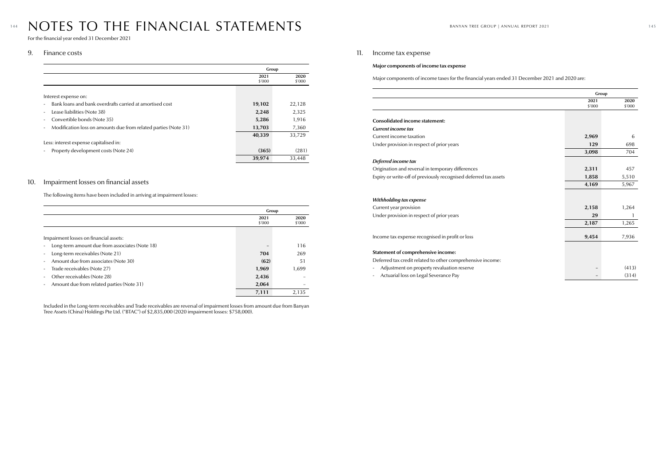For the financial year ended 31 December 2021

#### 9. Finance costs

|                                                                 | Group                   |                |
|-----------------------------------------------------------------|-------------------------|----------------|
|                                                                 | 2021<br>$$^{\prime}000$ | 2020<br>\$'000 |
|                                                                 |                         |                |
| Interest expense on:                                            |                         |                |
| Bank loans and bank overdrafts carried at amortised cost        | 19,102                  | 22,128         |
| Lease liabilities (Note 38)                                     | 2,248                   | 2,325          |
| Convertible bonds (Note 35)                                     | 5,286                   | 1,916          |
| Modification loss on amounts due from related parties (Note 31) | 13,703                  | 7,360          |
|                                                                 | 40,339                  | 33,729         |
| Less: interest expense capitalised in:                          |                         |                |
| Property development costs (Note 24)                            | (365)                   | (281)          |
|                                                                 | 39,974                  | 33.448         |

#### 10. Impairment losses on financial assets

The following items have been included in arriving at impairment losses:

### **Consolidated income statement:** *Current income tax* **Current income taxation** Under provision in respect of prior years

Origination and reversal in temporary differences **2,311** 457 Expiry or write-off of previously recognised deferred tax assets

|                                                | Group                   |                         |
|------------------------------------------------|-------------------------|-------------------------|
|                                                | 2021<br>$$^{\prime}000$ | 2020<br>$$^{\prime}000$ |
| Impairment losses on financial assets:         |                         |                         |
| Long-term amount due from associates (Note 18) |                         | 116                     |
| Long-term receivables (Note 21)                | 704                     | 269                     |
| Amount due from associates (Note 30)           | (62)                    | 51                      |
| Trade receivables (Note 27)                    | 1,969                   | 1,699                   |
| Other receivables (Note 28)                    | 2,436                   |                         |
| Amount due from related parties (Note 31)      | 2,064                   |                         |
|                                                | 7,111                   | 2,135                   |

Included in the Long-term receivables and Trade receivables are reversal of impairment losses from amount due from Banyan Tree Assets (China) Holdings Pte Ltd. ("BTAC") of \$2,835,000 (2020 impairment losses: \$758,000).

#### 11. Income tax expense

#### **Major components of income tax expense**

Major components of income taxes for the financial years ended 31 December 2021 and 2020 are:

#### *Deferred income tax*

|   | Group          |                |
|---|----------------|----------------|
|   | 2021<br>\$'000 | 2020<br>\$'000 |
|   |                |                |
|   |                |                |
|   | 2,969          | 6              |
|   | 129            | 698            |
|   | 3,098          | 704            |
|   |                |                |
|   | 2,311          | 457            |
| S | 1,858          | 5,510          |
|   | 4,169          | 5,967          |
|   |                |                |
|   |                |                |
|   | 2,158          | 1,264          |
|   | 29             | $\mathbf{1}$   |
|   | 2,187          | 1,265          |
|   |                |                |
|   | 9,454          | 7,936          |
|   |                |                |
|   |                |                |
|   |                | (413)          |
|   |                | (314)          |
|   |                |                |

### *Withholding tax expense*

**Current year provision** Under provision in respect of prior years

Income tax expense recognised in profit or loss **9,454** 7,936

#### **Statement of comprehensive income:**

Deferred tax credit related to other comprehensive income:

- Adjustment on property revaluation reserve
- **-** Actuarial loss on Legal Severance Pay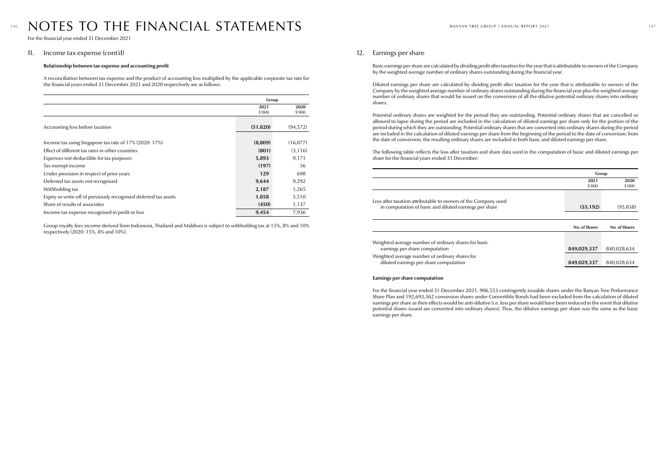For the financial year ended 31 December 2021

#### 11. Income tax expense (cont'd)

#### **Relationship between tax expense and accounting profit**

A reconciliation between tax expense and the product of accounting loss multiplied by the applicable corporate tax rate for the financial years ended 31 December 2021 and 2020 respectively are as follows:

|                                                                  | Group          |                |
|------------------------------------------------------------------|----------------|----------------|
|                                                                  | 2021<br>\$'000 | 2020<br>\$'000 |
| Accounting loss before taxation                                  | (51, 820)      | (94, 572)      |
|                                                                  |                |                |
| Income tax using Singapore tax rate of 17% (2020: 17%)           | (8,809)        | (16,077)       |
| Effect of different tax rates in other countries                 | (801)          | (3, 116)       |
| Expenses not deductible for tax purposes                         | 5,893          | 9,171          |
| Tax exempt income                                                | (197)          | 56             |
| Under provision in respect of prior years                        | 129            | 698            |
| Deferred tax assets not recognised                               | 9,644          | 9,292          |
| Withholding tax                                                  | 2,187          | 1,265          |
| Expiry or write-off of previously recognised deferred tax assets | 1,858          | 5,510          |
| Share of results of associates                                   | (450)          | 1,137          |
| Income tax expense recognised in profit or loss                  | 9,454          | 7,936          |

Group royalty fees income derived from Indonesia, Thailand and Maldives is subject to withholding tax at 15%, 8% and 10% respectively (2020: 15%, 8% and 10%).

### 12. Earnings per share

Basic earnings per share are calculated by dividing profit after taxation for the year that is attributable to owners of the Company by the weighted average number of ordinary shares outstanding during the financial year.

Weighted average number of ordinary shares for basic  $64$  earnings per share computation

Diluted earnings per share are calculated by dividing profit after taxation for the year that is attributable to owners of the Company by the weighted average number of ordinary shares outstanding during the financial year plus the weighted average number of ordinary shares that would be issued on the conversion of all the dilutive potential ordinary shares into ordinary shares.

Potential ordinary shares are weighted for the period they are outstanding. Potential ordinary shares that are cancelled or allowed to lapse during the period are included in the calculation of diluted earnings per share only for the portion of the period during which they are outstanding. Potential ordinary shares that are converted into ordinary shares during the period are included in the calculation of diluted earnings per share from the beginning of the period to the date of conversion; from the date of conversion, the resulting ordinary shares are included in both basic and diluted earnings per share.

The following table reflects the loss after taxation and share data used in the computation of basic and diluted earnings per share for the financial years ended 31 December:

Loss after taxation attributable to owners of the Company use in computation of basic and diluted earnings per share

|   | Group                |                      |
|---|----------------------|----------------------|
|   | 2021<br>\$'000       | 2020<br>\$'000       |
| d |                      |                      |
|   | (55, 192)            | (95, 838)            |
|   |                      |                      |
|   | <b>No. of Shares</b> | <b>No. of Shares</b> |
|   |                      |                      |
|   | 849,029,337          | 840,028,634          |
|   | 849,029,337          | 840,028,634          |

Weighted average number of ordinary shares for diluted earnings per share computation **849,029,337** 840,028,634

#### **Earnings per share computation**

For the financial year ended 31 December 2021, 906,553 contingently issuable shares under the Banyan Tree Performance Share Plan and 192,693,362 conversion shares under Convertible Bonds had been excluded from the calculation of diluted earnings per share as their effects would be anti-dilutive (i.e. loss per share would have been reduced in the event that dilutive potential shares issued are converted into ordinary shares). Thus, the dilutive earnings per share was the same as the basic earnings per share.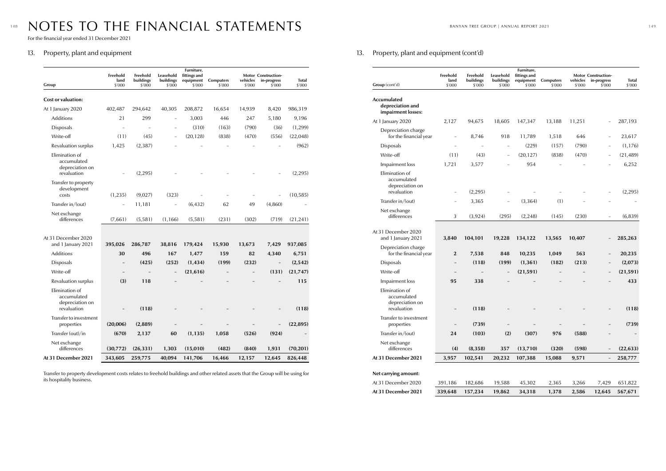For the financial year ended 31 December 2021

### 13. Property, plant and equipment

| Group                                                           | Freehold<br>land<br>\$'000 | Freehold<br>buildings<br>\$'000 | Leasehold<br>buildings<br>\$'000 | Furniture,<br>fittings and<br>equipment<br>\$'000 | Computers<br>\$'000 | vehicles<br>\$'000       | <b>Motor Construction-</b><br>in-progress<br>\$'000 | Total<br>\$'000      |
|-----------------------------------------------------------------|----------------------------|---------------------------------|----------------------------------|---------------------------------------------------|---------------------|--------------------------|-----------------------------------------------------|----------------------|
| <b>Cost or valuation:</b>                                       |                            |                                 |                                  |                                                   |                     |                          |                                                     |                      |
| At 1 January 2020                                               | 402,487                    | 294,642                         | 40,305                           | 208,872                                           | 16,654              | 14,939                   | 8,420                                               | 986,319              |
| Additions                                                       | 21                         | 299                             | $\overline{\phantom{m}}$         | 3,003                                             | 446                 | 247                      | 5,180                                               | 9,196                |
| Disposals                                                       |                            |                                 | $\overline{\phantom{m}}$         | (310)                                             | (163)               | (790)                    | (36)                                                | (1, 299)             |
| Write-off                                                       | (11)                       | (45)                            | $\overline{\phantom{m}}$         | (20, 128)                                         | (838)               | (470)                    | (556)                                               | (22,048)             |
| Revaluation surplus                                             | 1,425                      | (2, 387)                        |                                  |                                                   |                     |                          |                                                     | (962)                |
| Elimination of<br>accumulated<br>depreciation on<br>revaluation |                            | (2,295)                         |                                  |                                                   |                     |                          |                                                     | (2, 295)             |
| Transfer to property<br>development<br>costs                    | (1, 235)                   | (9,027)                         | (323)                            |                                                   |                     |                          |                                                     | (10, 585)            |
| Transfer in/(out)                                               | -                          | 11,181                          | $\qquad \qquad -$                | (6, 432)                                          | 62                  | 49                       | (4,860)                                             |                      |
| Net exchange<br>differences                                     | (7,661)                    | (5,581)                         | (1, 166)                         | (5, 581)                                          | (231)               | (302)                    | (719)                                               | (21, 241)            |
| At 31 December 2020<br>and 1 January 2021                       | 395,026                    | 286,787                         | 38,816                           | 179,424                                           | 15,930              | 13,673                   | 7,429                                               | 937,085              |
| Additions                                                       | 30                         | 496                             | 167                              | 1,477                                             | 159                 | 82                       | 4,340                                               | 6,751                |
| Disposals                                                       | $\qquad \qquad -$          | (425)                           | (252)                            | (1, 434)                                          | (199)               | (232)                    | $\overline{\phantom{a}}$                            | (2, 542)             |
| Write-off                                                       |                            |                                 | -                                | (21, 616)                                         | $\qquad \qquad -$   | $\overline{\phantom{0}}$ | (131)                                               | (21, 747)            |
| Revaluation surplus                                             | (3)                        | 118                             |                                  |                                                   |                     |                          |                                                     | 115                  |
| Elimination of<br>accumulated<br>depreciation on<br>revaluation |                            | (118)                           |                                  |                                                   |                     |                          |                                                     | (118)                |
| Transfer to investment<br>properties                            | (20,006)                   | (2,889)                         |                                  |                                                   |                     |                          |                                                     | (22, 895)            |
| Transfer (out)/in                                               | (670)                      | 2,137                           | 60                               | (1, 135)                                          | 1,058               | (526)                    | (924)                                               |                      |
| Net exchange<br>differences<br>At 31 December 2021              | (30,772)<br>343,605        | (26, 331)<br>259,775            | 1,303<br>40,094                  | (15,010)<br>141,706                               | (482)<br>16,466     | (840)<br>12,157          | 1,931<br>12,645                                     | (70, 201)<br>826,448 |

Transfer to property development costs relates to freehold buildings and other related assets that the Group will be using for its hospitality business.

### 13. Property, plant and equipment (cont'd)

|                                                                 |                            |                                 |                                  | Furniture,                          |                     |                    |                                                     |                        |
|-----------------------------------------------------------------|----------------------------|---------------------------------|----------------------------------|-------------------------------------|---------------------|--------------------|-----------------------------------------------------|------------------------|
| Group (cont'd)                                                  | Freehold<br>land<br>\$'000 | Freehold<br>buildings<br>\$'000 | Leasehold<br>buildings<br>\$'000 | fittings and<br>equipment<br>\$'000 | Computers<br>\$'000 | vehicles<br>\$'000 | <b>Motor Construction-</b><br>in-progress<br>\$'000 | <b>Total</b><br>\$'000 |
| <b>Accumulated</b><br>depreciation and<br>impairment losses:    |                            |                                 |                                  |                                     |                     |                    |                                                     |                        |
| At 1 January 2020                                               | 2,127                      | 94,675                          | 18,605                           | 147,347                             | 13,188              | 11,251             |                                                     | 287,193                |
| Depreciation charge<br>for the financial year                   | $\qquad \qquad -$          | 8,746                           | 918                              | 11,789                              | 1,518               | 646                |                                                     | 23,617                 |
| <b>Disposals</b>                                                |                            | $\overline{\phantom{m}}$        | $\overline{\phantom{a}}$         | (229)                               | (157)               | (790)              | $\overline{\phantom{0}}$                            | (1, 176)               |
| Write-off                                                       | (11)                       | (43)                            | $\overline{\phantom{0}}$         | (20, 127)                           | (838)               | (470)              |                                                     | (21, 489)              |
| Impairment loss                                                 | 1,721                      | 3,577                           |                                  | 954                                 |                     |                    |                                                     | 6,252                  |
| Elimination of<br>accumulated<br>depreciation on<br>revaluation |                            | (2, 295)                        |                                  |                                     |                     |                    |                                                     | (2, 295)               |
| Transfer in/(out)                                               |                            | 3,365                           |                                  | (3, 364)                            | (1)                 |                    |                                                     |                        |
| Net exchange<br>differences                                     | 3                          | (3, 924)                        | (295)                            | (2, 248)                            | (145)               | (230)              |                                                     | (6,839)                |
| At 31 December 2020<br>and 1 January 2021                       | 3,840                      | 104,101                         | 19,228                           | 134,122                             | 13,565              | 10,407             |                                                     | 285,263                |
| Depreciation charge<br>for the financial year                   | $\boldsymbol{2}$           | 7,538                           | 848                              | 10,235                              | 1,049               | 563                | $\qquad \qquad -$                                   | 20,235                 |
| Disposals                                                       |                            | (118)                           | (199)                            | (1, 361)                            | (182)               | (213)              |                                                     | (2,073)                |
| Write-off                                                       |                            |                                 | $\overline{\phantom{a}}$         | (21, 591)                           |                     |                    |                                                     | (21, 591)              |
| Impairment loss                                                 | 95                         | 338                             |                                  |                                     |                     |                    |                                                     | 433                    |
| Elimination of<br>accumulated<br>depreciation on<br>revaluation |                            | (118)                           |                                  |                                     |                     |                    |                                                     | (118)                  |
| Transfer to investment<br>properties                            |                            | (739)                           |                                  |                                     |                     |                    |                                                     | (739)                  |
| Transfer in/(out)                                               | 24                         | (103)                           | (2)                              | (307)                               | 976                 | (588)              |                                                     |                        |
| Net exchange<br>differences                                     | (4)                        | (8, 358)                        | 357                              | (13,710)                            | (320)               | (598)              | $\overline{a}$                                      | (22, 633)              |
| At 31 December 2021                                             | 3,957                      | 102,541                         | 20,232                           | 107,388                             | 15,088              | 9,571              | $\overline{\phantom{a}}$                            | 258,777                |
|                                                                 |                            |                                 |                                  |                                     |                     |                    |                                                     |                        |
| Net carrying amount:                                            |                            |                                 |                                  |                                     |                     |                    |                                                     |                        |
| At 31 December 2020                                             | 391,186                    | 182,686                         | 19,588                           | 45,302                              | 2,365               | 3,266              | 7,429                                               | 651,822                |
| At 31 December 2021                                             | 339,648                    | 157,234                         | 19,862                           | 34,318                              | 1,378               | 2,586              | 12,645                                              | 567,671                |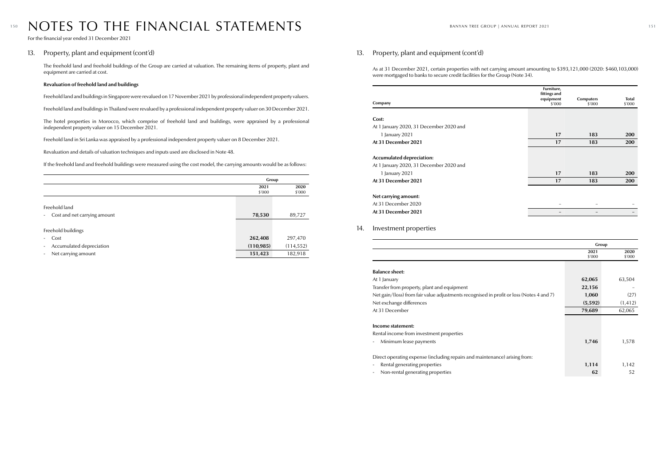For the financial year ended 31 December 2021

#### 13. Property, plant and equipment (cont'd)

The freehold land and freehold buildings of the Group are carried at valuation. The remaining items of property, plant and equipment are carried at cost.

#### **Revaluation of freehold land and buildings**

Freehold land and buildings in Singapore were revalued on 17 November 2021 by professional independent property valuers.

Freehold land and buildings in Thailand were revalued by a professional independent property valuer on 30 December 2021.

The hotel properties in Morocco, which comprise of freehold land and buildings, were appraised by a professional independent property valuer on 15 December 2021.

Freehold land in Sri Lanka was appraised by a professional independent property valuer on 8 December 2021.

Revaluation and details of valuation techniques and inputs used are disclosed in Note 48.

If the freehold land and freehold buildings were measured using the cost model, the carrying amounts would be as follows:

|                                                      | Group          |                         |  |
|------------------------------------------------------|----------------|-------------------------|--|
|                                                      | 2021<br>\$'000 | 2020<br>$$^{\prime}000$ |  |
| Freehold land                                        |                |                         |  |
| Cost and net carrying amount<br>$\blacksquare$       | 78,530         | 89,727                  |  |
| Freehold buildings                                   |                |                         |  |
| Cost<br>$\sim 100$                                   | 262,408        | 297,470                 |  |
| Accumulated depreciation<br>$\overline{\phantom{a}}$ | (110, 985)     | (114, 552)              |  |
| Net carrying amount<br>$\overline{\phantom{a}}$      | 151,423        | 182,918                 |  |

### 13. Property, plant and equipment (cont'd)

As at 31 December 2021, certain properties with net carrying amount amounting to \$393,121,000 (2020: \$460,103,000) were mortgaged to banks to secure credit facilities for the Group (Note 34).

#### **Company**

| Furniture,<br>fittings and<br>equipment<br>\$'000 | Computers<br>\$'000 | <b>Total</b><br>\$'000 |
|---------------------------------------------------|---------------------|------------------------|
|                                                   |                     |                        |
| 17                                                | 183                 | 200                    |
| 17                                                | 183                 | 200                    |
|                                                   |                     |                        |
| 17                                                | 183                 | 200                    |
| 17                                                | 183                 | 200                    |
|                                                   |                     |                        |

#### **Cost:**

At 1 January 2020, 31 December 2020 and 1 January 2021 **17 183 200**

**At 31 December 2021 17 183 200**

#### **Accumulated depreciation:**

At 1 January 2020, 31 December 2020 and 1 January 2021 **17 183 200 At 31 December 2021 17 183 200**

**Net carrying amount:** At 31 December 2020 **At 31 December 2021 – – –**

#### 14. Investment properties

|                                                                                          | Group          |                |
|------------------------------------------------------------------------------------------|----------------|----------------|
|                                                                                          | 2021<br>\$'000 | 2020<br>\$'000 |
|                                                                                          |                |                |
| <b>Balance sheet:</b>                                                                    |                |                |
| At 1 January                                                                             | 62,065         | 63,504         |
| Transfer from property, plant and equipment                                              | 22,156         |                |
| Net gain/(loss) from fair value adjustments recognised in profit or loss (Notes 4 and 7) | 1,060          | (27)           |
| Net exchange differences                                                                 | (5,592)        | (1, 412)       |
| At 31 December                                                                           | 79,689         | 62,065         |
| Income statement:                                                                        |                |                |
| Rental income from investment properties                                                 |                |                |
| Minimum lease payments<br>4                                                              | 1,746          | 1,578          |
| Direct operating expense (including repairs and maintenance) arising from:               |                |                |
| Rental generating properties<br>-                                                        | 1,114          | 1,142          |
| Non-rental generating properties                                                         | 62             | 52             |

#### **Balance sheet:**

#### **Income statement:**

- Rental generating properties
- Non-rental generating properties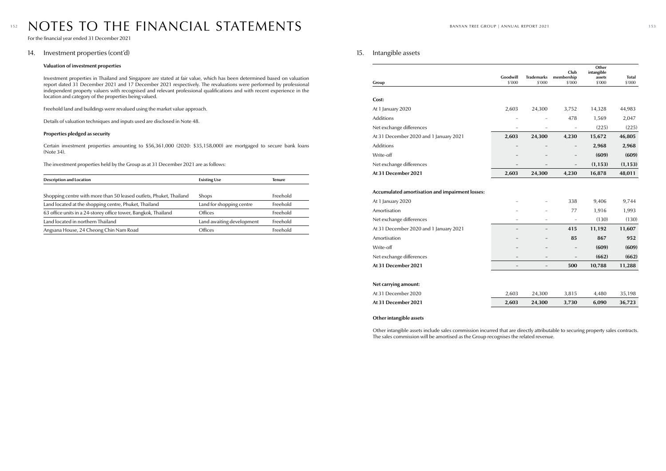For the financial year ended 31 December 2021

#### 14. Investment properties (cont'd)

#### **Valuation of investment properties**

Investment properties in Thailand and Singapore are stated at fair value, which has been determined based on valuation report dated 31 December 2021 and 17 December 2021 respectively. The revaluations were performed by professional independent property valuers with recognised and relevant professional qualifications and with recent experience in the location and category of the properties being valued.

Freehold land and buildings were revalued using the market value approach.

Details of valuation techniques and inputs used are disclosed in Note 48.

#### **Properties pledged as security**

Certain investment properties amounting to \$56,361,000 (2020: \$35,158,000) are mortgaged to secure bank loans (Note 34).

The investment properties held by the Group as at 31 December 2021 are as follows:

| <b>Description and Location</b>                                    | <b>Existing Use</b>       | <b>Tenure</b> |
|--------------------------------------------------------------------|---------------------------|---------------|
|                                                                    |                           |               |
| Shopping centre with more than 50 leased outlets, Phuket, Thailand | Shops                     | Freehold      |
| Land located at the shopping centre, Phuket, Thailand              | Land for shopping centre  | Freehold      |
| 63 office units in a 24-storey office tower, Bangkok, Thailand     | Offices                   | Freehold      |
| Land located in northern Thailand                                  | Land awaiting development | Freehold      |
| Angsana House, 24 Cheong Chin Nam Road                             | Offices                   | Freehold      |

### 15. Intangible assets

| Goodwill | <b>Trademarks</b> | Club<br>membership       | Other<br>intangible<br>assets | <b>Total</b><br>\$'000 |
|----------|-------------------|--------------------------|-------------------------------|------------------------|
|          |                   |                          |                               |                        |
|          |                   |                          |                               |                        |
| 2,603    | 24,300            | 3,752                    | 14,328                        | 44,983                 |
|          |                   | 478                      | 1,569                         | 2,047                  |
|          |                   | $\overline{\phantom{m}}$ | (225)                         | (225)                  |
| 2,603    | 24,300            | 4,230                    | 15,672                        | 46,805                 |
|          |                   |                          | 2,968                         | 2,968                  |
|          |                   |                          | (609)                         | (609)                  |
|          |                   | $\qquad \qquad -$        | (1, 153)                      | (1, 153)               |
| 2,603    | 24,300            | 4,230                    | 16,878                        | 48,011                 |
|          |                   |                          |                               |                        |
|          |                   |                          |                               |                        |
|          |                   | 338                      | 9,406                         | 9,744                  |
|          |                   | 77                       | 1,916                         | 1,993                  |
|          |                   | $\overline{\phantom{a}}$ | (130)                         | (130)                  |
|          |                   | 415                      | 11,192                        | 11,607                 |
|          |                   | 85                       | 867                           | 952                    |
|          |                   |                          | (609)                         | (609)                  |
|          |                   |                          | (662)                         | (662)                  |
|          |                   | 500                      | 10,788                        | 11,288                 |
|          |                   |                          |                               |                        |
|          |                   |                          |                               |                        |
| 2,603    | 24,300            | 3,815                    | 4,480                         | 35,198                 |
| 2,603    | 24,300            | 3,730                    | 6,090                         | 36,723                 |
|          | \$'000            | \$'000                   | \$'000                        | \$'000                 |

#### **Other intangible assets**

Other intangible assets include sales commission incurred that are directly attributable to securing property sales contracts. The sales commission will be amortised as the Group recognises the related revenue.

| ٦      | ٧<br>۰. |
|--------|---------|
| ٧<br>× | ×<br>٠  |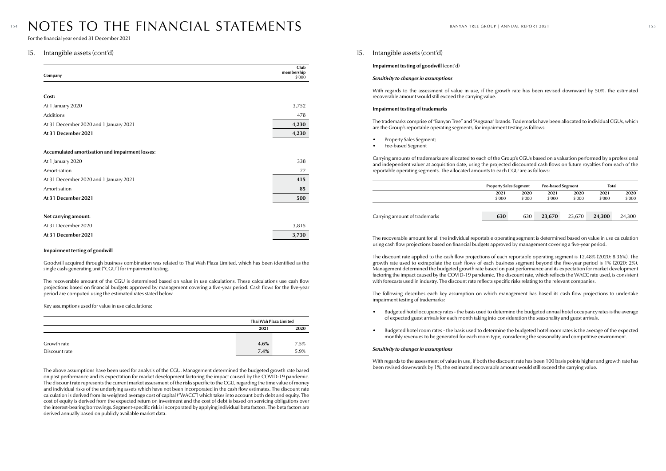For the financial year ended 31 December 2021

### 15. Intangible assets (cont'd)

| Company                                         | Club<br>membership<br>\$'000 |
|-------------------------------------------------|------------------------------|
|                                                 |                              |
| Cost:                                           |                              |
| At 1 January 2020                               | 3,752                        |
| Additions                                       | 478                          |
| At 31 December 2020 and 1 January 2021          | 4,230                        |
| At 31 December 2021                             | 4,230                        |
| Accumulated amortisation and impairment losses: |                              |
| At 1 January 2020                               | 338                          |
| Amortisation                                    | 77                           |
| At 31 December 2020 and 1 January 2021          | 415                          |
| Amortisation                                    | 85                           |
| At 31 December 2021                             | 500                          |
|                                                 |                              |
| Net carrying amount:                            |                              |
| At 31 December 2020                             | 3,815                        |

## **At 31 December 2021 3,730**

#### **Impairment testing of goodwill**

Goodwill acquired through business combination was related to Thai Wah Plaza Limited, which has been identified as the single cash-generating unit ("CGU") for impairment testing.

The recoverable amount of the CGU is determined based on value in use calculations. These calculations use cash flow projections based on financial budgets approved by management covering a five-year period. Cash flows for the five-year period are computed using the estimated rates stated below.

#### Key assumptions used for value in use calculations:

|               | Thai Wah Plaza Limited |      |  |
|---------------|------------------------|------|--|
|               | 2021                   | 2020 |  |
|               |                        |      |  |
| Growth rate   | 4.6%                   | 7.5% |  |
| Discount rate | 7.4%                   | 5.9% |  |

With regards to the assessment of value in use, if the growth rate has been revised downward by 50%, the estimated recoverable amount would still exceed the carrying value.

The above assumptions have been used for analysis of the CGU. Management determined the budgeted growth rate based on past performance and its expectation for market development factoring the impact caused by the COVID-19 pandemic. The discount rate represents the current market assessment of the risks specific to the CGU, regarding the time value of money and individual risks of the underlying assets which have not been incorporated in the cash flow estimates. The discount rate calculation is derived from its weighted average cost of capital ("WACC") which takes into account both debt and equity. The cost of equity is derived from the expected return on investment and the cost of debt is based on servicing obligations over the interest-bearing borrowings. Segment-specific risk is incorporated by applying individual beta factors. The beta factors are derived annually based on publicly available market data.

#### 15. Intangible assets (cont'd)

#### **Impairment testing of goodwill** (cont'd)

#### *Sensitivity to changes in assumptions*

#### **Impairment testing of trademarks**

The trademarks comprise of "Banyan Tree" and "Angsana" brands. Trademarks have been allocated to individual CGUs, which are the Group's reportable operating segments, for impairment testing as follows:

- Property Sales Segment;
- Fee-based Segment

Carrying amounts of trademarks are allocated to each of the Group's CGUs based on a valuation performed by a professional and independent valuer at acquisition date, using the projected discounted cash flows on future royalties from each of the reportable operating segments. The allocated amounts to each CGU are as follows:

|                               |                | <b>Property Sales Segment</b> |                | <b>Fee-based Segment</b> |                         | Total                   |  |
|-------------------------------|----------------|-------------------------------|----------------|--------------------------|-------------------------|-------------------------|--|
|                               | 2021<br>\$'000 | 2020<br>\$'000                | 2021<br>\$'000 | 2020<br>\$'000           | 2021<br>$$^{\prime}000$ | 2020<br>$$^{\prime}000$ |  |
|                               |                |                               |                |                          |                         |                         |  |
| Carrying amount of trademarks | 630            | 630                           | 23,670         | 23,670                   | 24,300                  | 24,300                  |  |

The recoverable amount for all the individual reportable operating segment is determined based on value in use calculation using cash flow projections based on financial budgets approved by management covering a five-year period.

The discount rate applied to the cash flow projections of each reportable operating segment is 12.48% (2020: 8.36%). The growth rate used to extrapolate the cash flows of each business segment beyond the five-year period is 1% (2020: 2%). Management determined the budgeted growth rate based on past performance and its expectation for market development factoring the impact caused by the COVID-19 pandemic. The discount rate, which reflects the WACC rate used, is consistent with forecasts used in industry. The discount rate reflects specific risks relating to the relevant companies.

The following describes each key assumption on which management has based its cash flow projections to undertake impairment testing of trademarks:

- Budgeted hotel occupancy rates the basis used to determine the budgeted annual hotel occupancy rates is the average of expected guest arrivals for each month taking into consideration the seasonality and guest arrivals.
- Budgeted hotel room rates the basis used to determine the budgeted hotel room rates is the average of the expected

monthly revenues to be generated for each room type, considering the seasonality and competitive environment.

#### *Sensitivity to changes in assumptions*

With regards to the assessment of value in use, if both the discount rate has been 100 basis points higher and growth rate has been revised downwards by 1%, the estimated recoverable amount would still exceed the carrying value.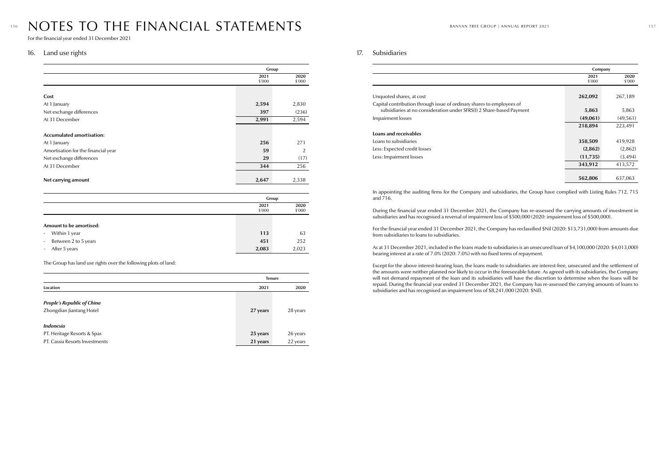For the financial year ended 31 December 2021

#### 16. Land use rights

|                                     |                | Group          |
|-------------------------------------|----------------|----------------|
|                                     | 2021<br>\$'000 | 2020<br>\$'000 |
| Cost                                |                |                |
| At 1 January                        | 2,594          | 2,830          |
| Net exchange differences            | 397            | (236)          |
| At 31 December                      | 2,991          | 2,594          |
| <b>Accumulated amortisation:</b>    |                |                |
| At 1 January                        | 256            | 271            |
| Amortisation for the financial year | 59             | $\overline{2}$ |
| Net exchange differences            | 29             | (17)           |
| At 31 December                      | 344            | 256            |
| Net carrying amount                 | 2,647          | 2,338          |
|                                     |                |                |

|                                      | Group          |                         |
|--------------------------------------|----------------|-------------------------|
|                                      | 2021<br>\$'000 | 2020<br>$$^{\prime}000$ |
| Amount to be amortised:              |                |                         |
| Within 1 year<br>$\omega_{\rm{max}}$ | 113            | 63                      |
| Between 2 to 5 years<br>$\sim 100$   | 451            | 252                     |
| After 5 years<br>$\omega_{\rm{max}}$ | 2,083          | 2,023                   |

The Group has land use rights over the following plots of land:

|                                                        | <b>Tenure</b> |          |  |
|--------------------------------------------------------|---------------|----------|--|
| Location                                               | 2021          | 2020     |  |
| People's Republic of China<br>Zhongdian Jiantang Hotel | 27 years      | 28 years |  |
| <b>Indonesia</b>                                       |               |          |  |
| PT. Heritage Resorts & Spas                            | 25 years      | 26 years |  |
| PT. Cassia Resorts Investments                         | 21 years      | 22 years |  |

### 17. Subsidiaries

#### Unquoted shares, at cost

Capital contribution through issue of ordinary shares to emplo subsidiaries at no consideration under SFRS(I) 2 Share-bas **Impairment losses** 

|            | Company        |                |
|------------|----------------|----------------|
|            | 2021<br>\$'000 | 2020<br>\$'000 |
| oyees of   | 262,092        | 267,189        |
| ed Payment | 5,863          | 5,863          |
|            | (49,061)       | (49, 561)      |
|            | 218,894        | 223,491        |
|            | 358,509        | 419,928        |
|            | (2,862)        | (2,862)        |
|            | (11, 735)      | (3,494)        |
|            | 343,912        | 413,572        |
|            | 562,806        | 637,063        |

#### **Loans and receivables**

Loans to subsidiaries Less: Expected credit losses Less: Impairment losses

In appointing the auditing firms for the Company and subsidiaries, the Group have complied with Listing Rules 712, 715 and 716.

During the financial year ended 31 December 2021, the Company has re-assessed the carrying amounts of investment in subsidiaries and has recognised a reversal of impairment loss of \$500,000 (2020: impairment loss of \$500,000).

For the financial year ended 31 December 2021, the Company has reclassified \$Nil (2020: \$13,731,000) from amounts due from subsidiaries to loans to subsidiaries.

As at 31 December 2021, included in the loans made to subsidiaries is an unsecured loan of \$4,100,000 (2020: \$4,013,000) bearing interest at a rate of 7.0% (2020: 7.0%) with no fixed terms of repayment.

Except for the above interest-bearing loan, the loans made to subsidiaries are interest-free, unsecured and the settlement of the amounts were neither planned nor likely to occur in the foreseeable future. As agreed with its subsidiaries, the Company will not demand repayment of the loan and its subsidiaries will have the discretion to determine when the loans will be repaid. During the financial year ended 31 December 2021, the Company has re-assessed the carrying amounts of loans to subsidiaries and has recognised an impairment loss of \$8,241,000 (2020: \$Nil).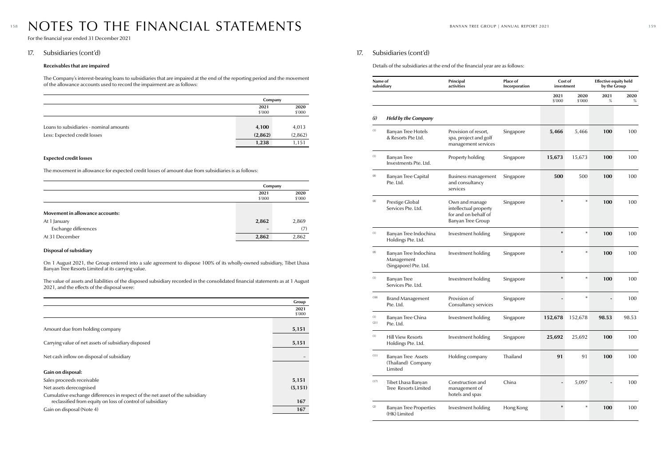For the financial year ended 31 December 2021

### 17. Subsidiaries (cont'd)

#### **Receivables that are impaired**

The Company's interest-bearing loans to subsidiaries that are impaired at the end of the reporting period and the movement of the allowance accounts used to record the impairment are as follows:

|                                         |                         | Company        |
|-----------------------------------------|-------------------------|----------------|
|                                         | 2021<br>$$^{\prime}000$ | 2020<br>\$'000 |
|                                         |                         |                |
| Loans to subsidiaries - nominal amounts | 4,100                   | 4,013          |
| Less: Expected credit losses            | (2,862)                 | (2,862)        |
|                                         | 1,238                   | 1,151          |

#### **Expected credit losses**

The movement in allowance for expected credit losses of amount due from subsidiaries is as follows:

|                                        |                          | Company        |
|----------------------------------------|--------------------------|----------------|
|                                        | 2021<br>$$^{\prime}000$  | 2020<br>\$′000 |
| <b>Movement in allowance accounts:</b> |                          |                |
| At 1 January                           | 2,862                    | 2,869          |
| Exchange differences                   | $\overline{\phantom{0}}$ | (7)            |
| At 31 December                         | 2,862                    | 2,862          |

#### **Disposal of subsidiary**

On 1 August 2021, the Group entered into a sale agreement to dispose 100% of its wholly-owned subsidiary, Tibet Lhasa Banyan Tree Resorts Limited at its carrying value.

The value of assets and liabilities of the disposed subsidiary recorded in the consolidated financial statements as at 1 August 2021, and the effects of the disposal were:

|                                                                                                                                            | Group          |
|--------------------------------------------------------------------------------------------------------------------------------------------|----------------|
|                                                                                                                                            | 2021<br>\$'000 |
|                                                                                                                                            |                |
| Amount due from holding company                                                                                                            | 5,151          |
| Carrying value of net assets of subsidiary disposed                                                                                        | 5,151          |
|                                                                                                                                            |                |
| Net cash inflow on disposal of subsidiary                                                                                                  |                |
|                                                                                                                                            |                |
| Gain on disposal:                                                                                                                          |                |
| Sales proceeds receivable                                                                                                                  | 5,151          |
| Net assets derecognised                                                                                                                    | (5, 151)       |
| Cumulative exchange differences in respect of the net asset of the subsidiary<br>reclassified from equity on loss of control of subsidiary | 167            |
| Gain on disposal (Note 4)                                                                                                                  | 167            |

### 17. Subsidiaries (cont'd)

Details of the subsidiaries at the end of the financial year are as follows:

| Name of     | subsidiary                                                   | Principal<br>activities                                                                     | Place of<br>Incorporation |                | Cost of<br>investment |           | <b>Effective equity held</b><br>by the Group |  |
|-------------|--------------------------------------------------------------|---------------------------------------------------------------------------------------------|---------------------------|----------------|-----------------------|-----------|----------------------------------------------|--|
|             |                                                              |                                                                                             |                           | 2021<br>\$'000 | 2020<br>\$'000        | 2021<br>% | 2020<br>%                                    |  |
| (i)         | <b>Held by the Company</b>                                   |                                                                                             |                           |                |                       |           |                                              |  |
| (1)         | <b>Banyan Tree Hotels</b><br>& Resorts Pte Ltd.              | Provision of resort,<br>spa, project and golf<br>management services                        | Singapore                 | 5,466          | 5,466                 | 100       | 100                                          |  |
| (1)         | <b>Banyan Tree</b><br>Investments Pte. Ltd.                  | Property holding                                                                            | Singapore                 | 15,673         | 15,673                | 100       | 100                                          |  |
| (8)         | <b>Banyan Tree Capital</b><br>Pte. Ltd.                      | Business management<br>and consultancy<br>services                                          | Singapore                 | 500            | 500                   | 100       | 100                                          |  |
| (8)         | Prestige Global<br>Services Pte. Ltd.                        | Own and manage<br>intellectual property<br>for and on behalf of<br><b>Banyan Tree Group</b> | Singapore                 | *              | $\ast$                | 100       | 100                                          |  |
| (1)         | Banyan Tree Indochina<br>Holdings Pte. Ltd.                  | Investment holding                                                                          | Singapore                 | $\ast$         | $\ast$                | 100       | 100                                          |  |
| (8)         | Banyan Tree Indochina<br>Management<br>(Singapore) Pte. Ltd. | Investment holding                                                                          | Singapore                 | $\ast$         | $\ast$                | 100       | 100                                          |  |
| (1)         | <b>Banyan Tree</b><br>Services Pte. Ltd.                     | Investment holding                                                                          | Singapore                 | $\ast$         | $\ast$                | 100       | 100                                          |  |
| (18)        | <b>Brand Management</b><br>Pte. Ltd.                         | Provision of<br>Consultancy services                                                        | Singapore                 |                | $\ast$                |           | 100                                          |  |
| (1)<br>(21) | Banyan Tree China<br>Pte. Ltd.                               | Investment holding                                                                          | Singapore                 | 152,678        | 152,678               | 98.53     | 98.53                                        |  |
| (1)         | <b>Hill View Resorts</b><br>Holdings Pte. Ltd.               | Investment holding                                                                          | Singapore                 | 25,692         | 25,692                | 100       | 100                                          |  |
| (11)        | <b>Banyan Tree Assets</b><br>(Thailand) Company<br>Limited   | Holding company                                                                             | Thailand                  | 91             | 91                    | 100       | 100                                          |  |
| (17)        | Tibet Lhasa Banyan<br>Tree Resorts Limited                   | Construction and<br>management of<br>hotels and spas                                        | China                     |                | 5,097                 |           | 100                                          |  |
| (2)         | <b>Banyan Tree Properties</b><br>(HK) Limited                | Investment holding                                                                          | Hong Kong                 | $\ast$         | $\ast$                | 100       | 100                                          |  |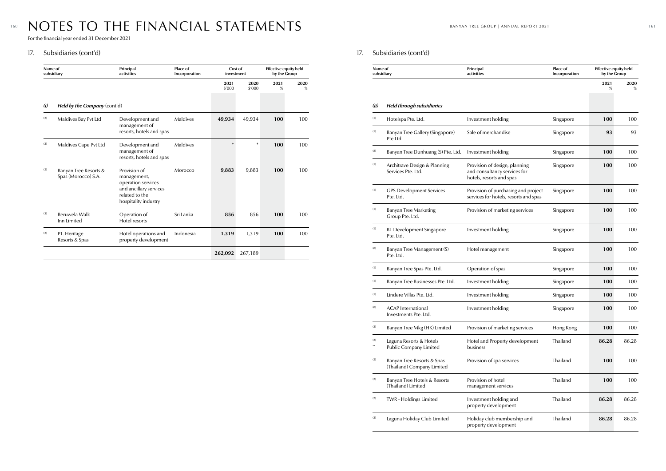For the financial year ended 31 December 2021

### 17. Subsidiaries (cont'd)

| Name of | subsidiary                                   | Principal<br>activities                                                                                               | Place of<br>Incorporation |                | Cost of<br>investment |           | <b>Effective equity held</b><br>by the Group |  |
|---------|----------------------------------------------|-----------------------------------------------------------------------------------------------------------------------|---------------------------|----------------|-----------------------|-----------|----------------------------------------------|--|
|         |                                              |                                                                                                                       |                           | 2021<br>\$'000 | 2020<br>\$'000        | 2021<br>% | 2020<br>%                                    |  |
| (i)     | Held by the Company (cont'd)                 |                                                                                                                       |                           |                |                       |           |                                              |  |
| (2)     | Maldives Bay Pvt Ltd                         | Development and<br>management of<br>resorts, hotels and spas                                                          | Maldives                  | 49,934         | 49,934                | 100       | 100                                          |  |
| (2)     | Maldives Cape Pvt Ltd                        | Development and<br>management of<br>resorts, hotels and spas                                                          | Maldives                  | $\ast$         | $\ast$                | 100       | 100                                          |  |
| (2)     | Banyan Tree Resorts &<br>Spas (Morocco) S.A. | Provision of<br>management,<br>operation services<br>and ancillary services<br>related to the<br>hospitality industry | Morocco                   | 9,883          | 9,883                 | 100       | 100                                          |  |
| (3)     | Beruwela Walk<br>Inn Limited                 | Operation of<br>Hotel resorts                                                                                         | Sri Lanka                 | 856            | 856                   | 100       | 100                                          |  |
| (2)     | PT. Heritage<br>Resorts & Spas               | Hotel operations and<br>property development                                                                          | Indonesia                 | 1,319          | 1,319                 | 100       | 100                                          |  |
|         |                                              |                                                                                                                       |                           | 262,092        | 267,189               |           |                                              |  |

### 17. Subsidiaries (cont'd)

| Name of | subsidiary                                               | Principal<br>activities                                                                   | Place of<br>Incorporation | <b>Effective equity held</b><br>by the Group |           |
|---------|----------------------------------------------------------|-------------------------------------------------------------------------------------------|---------------------------|----------------------------------------------|-----------|
|         |                                                          |                                                                                           |                           | 2021<br>%                                    | 2020<br>% |
| (ii)    | <b>Held through subsidiaries</b>                         |                                                                                           |                           |                                              |           |
| (1)     | Hotelspa Pte. Ltd.                                       | Investment holding                                                                        | Singapore                 | 100                                          | 100       |
| (1)     | Banyan Tree Gallery (Singapore)<br>Pte Ltd               | Sale of merchandise                                                                       | Singapore                 | 93                                           | 93        |
| (8)     | Banyan Tree Dunhuang (S) Pte. Ltd.                       | Investment holding                                                                        | Singapore                 | 100                                          | 100       |
| (1)     | Architrave Design & Planning<br>Services Pte. Ltd.       | Provision of design, planning<br>and consultancy services for<br>hotels, resorts and spas | Singapore                 | 100                                          | 100       |
| (1)     | <b>GPS Development Services</b><br>Pte. Ltd.             | Provision of purchasing and project<br>services for hotels, resorts and spas              | Singapore                 | 100                                          | 100       |
| (1)     | <b>Banyan Tree Marketing</b><br>Group Pte. Ltd.          | Provision of marketing services                                                           | Singapore                 | 100                                          | 100       |
| (1)     | <b>BT Development Singapore</b><br>Pte. Ltd.             | Investment holding                                                                        | Singapore                 | 100                                          | 100       |
| (8)     | Banyan Tree Management (S)<br>Pte. Ltd.                  | Hotel management                                                                          | Singapore                 | 100                                          | 100       |
| (1)     | Banyan Tree Spas Pte. Ltd.                               | Operation of spas                                                                         | Singapore                 | 100                                          | 100       |
| (1)     | Banyan Tree Businesses Pte. Ltd.                         | Investment holding                                                                        | Singapore                 | 100                                          | 100       |
| (1)     | Lindere Villas Pte. Ltd.                                 | Investment holding                                                                        | Singapore                 | 100                                          | 100       |
| (8)     | <b>ACAP</b> International<br>Investments Pte. Ltd.       | Investment holding                                                                        | Singapore                 | 100                                          | 100       |
| (2)     | Banyan Tree Mkg (HK) Limited                             | Provision of marketing services                                                           | Hong Kong                 | 100                                          | 100       |
| (2)     | Laguna Resorts & Hotels<br>Public Company Limited        | Hotel and Property development<br>business                                                | Thailand                  | 86.28                                        | 86.28     |
| (2)     | Banyan Tree Resorts & Spas<br>(Thailand) Company Limited | Provision of spa services                                                                 | Thailand                  | 100                                          | 100       |
| (2)     | Banyan Tree Hotels & Resorts<br>(Thailand) Limited       | Provision of hotel<br>management services                                                 | Thailand                  | 100                                          | 100       |
| (2)     | TWR - Holdings Limited                                   | Investment holding and<br>property development                                            | Thailand                  | 86.28                                        | 86.28     |
| (2)     | Laguna Holiday Club Limited                              | Holiday club membership and<br>property development                                       | Thailand                  | 86.28                                        | 86.28     |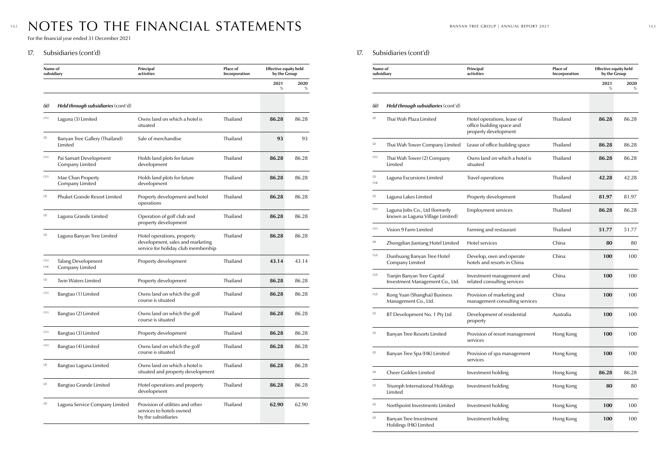For the financial year ended 31 December 2021

### 17. Subsidiaries (cont'd)

| Name of<br>subsidiary |                                              | Principal<br>activities                                                                               |          | <b>Effective equity held</b><br>by the Group |           |
|-----------------------|----------------------------------------------|-------------------------------------------------------------------------------------------------------|----------|----------------------------------------------|-----------|
|                       |                                              |                                                                                                       |          | 2021<br>%                                    | 2020<br>% |
| (ii)                  | Held through subsidiaries (cont'd)           |                                                                                                       |          |                                              |           |
| (11)                  | Laguna (3) Limited                           | Owns land on which a hotel is<br>situated                                                             | Thailand | 86.28                                        | 86.28     |
| (2)                   | Banyan Tree Gallery (Thailand)<br>Limited    | Sale of merchandise                                                                                   | Thailand | 93                                           | 93        |
| (11)                  | Pai Samart Development<br>Company Limited    | Holds land plots for future<br>development                                                            | Thailand | 86.28                                        | 86.28     |
| (11)                  | Mae Chan Property<br>Company Limited         | Holds land plots for future<br>development                                                            | Thailand | 86.28                                        | 86.28     |
| (2)                   | Phuket Grande Resort Limited                 | Property development and hotel<br>operations                                                          | Thailand | 86.28                                        | 86.28     |
| (2)                   | Laguna Grande Limited                        | Operation of golf club and<br>property development                                                    | Thailand | 86.28                                        | 86.28     |
| (2)                   | Laguna Banyan Tree Limited                   | Hotel operations, property<br>development, sales and marketing<br>service for holiday club membership | Thailand | 86.28                                        | 86.28     |
| (11)<br>(14)          | <b>Talang Development</b><br>Company Limited | Property development                                                                                  | Thailand | 43.14                                        | 43.14     |
| (2)                   | <b>Twin Waters Limited</b>                   | Property development                                                                                  | Thailand | 86.28                                        | 86.28     |
| (11)                  | Bangtao (1) Limited                          | Owns land on which the golf<br>course is situated                                                     | Thailand | 86.28                                        | 86.28     |
| (11)                  | Bangtao (2) Limited                          | Owns land on which the golf<br>course is situated                                                     | Thailand | 86.28                                        | 86.28     |
| (11)                  | Bangtao (3) Limited                          | Property development                                                                                  | Thailand | 86.28                                        | 86.28     |
| (11)                  | Bangtao (4) Limited                          | Owns land on which the golf<br>course is situated                                                     | Thailand | 86.28                                        | 86.28     |
| (2)                   | Bangtao Laguna Limited                       | Owns land on which a hotel is<br>situated and property development                                    | Thailand | 86.28                                        | 86.28     |
| (2)                   | <b>Bangtao Grande Limited</b>                | Hotel operations and property<br>development                                                          | Thailand | 86.28                                        | 86.28     |
| (2)                   | Laguna Service Company Limited               | Provision of utilities and other<br>services to hotels owned<br>by the subsidiaries                   | Thailand | 62.90                                        | 62.90     |

### 17. Subsidiaries (cont'd)

| Name of     | subsidiary                                                         | Principal<br>activities                                                         | Place of<br>Incorporation | <b>Effective equity held</b><br>by the Group |           |
|-------------|--------------------------------------------------------------------|---------------------------------------------------------------------------------|---------------------------|----------------------------------------------|-----------|
|             |                                                                    |                                                                                 |                           | 2021<br>%                                    | 2020<br>% |
| (ii)        | Held through subsidiaries (cont'd)                                 |                                                                                 |                           |                                              |           |
| (2)         | Thai Wah Plaza Limited                                             | Hotel operations, lease of<br>office building space and<br>property development | Thailand                  | 86.28                                        | 86.28     |
| (2)         | Thai Wah Tower Company Limited                                     | Lease of office building space                                                  | Thailand                  | 86.28                                        | 86.28     |
| (11)        | Thai Wah Tower (2) Company<br>Limited                              | Owns land on which a hotel is<br>situated                                       | Thailand                  | 86.28                                        | 86.28     |
| (2)<br>(14) | Laguna Excursions Limited                                          | Travel operations                                                               | Thailand                  | 42.28                                        | 42.28     |
| (2)         | Laguna Lakes Limited                                               | Property development                                                            | Thailand                  | 81.97                                        | 81.97     |
| (11)        | Laguna Jobs Co., Ltd (formerly<br>known as Laguna Village Limited) | <b>Employment services</b>                                                      | Thailand                  | 86.28                                        | 86.28     |
| (11)        | Vision 9 Farm Limited                                              | Farming and restaurant                                                          | Thailand                  | 51.77                                        | 51.77     |
| (9)         | Zhongdian Jiantang Hotel Limited                                   | Hotel services                                                                  | China                     | 80                                           | 80        |
| (12)        | Dunhuang Banyan Tree Hotel<br>Company Limited                      | Develop, own and operate<br>hotels and resorts in China                         | China                     | 100                                          | 100       |
| (12)        | Tianjin Banyan Tree Capital<br>Investment Management Co., Ltd.     | Investment management and<br>related consulting services                        | China                     | 100                                          | 100       |
| (12)        | Rong Yuan (Shanghai) Business<br>Management Co., Ltd.              | Provision of marketing and<br>management consulting services                    | China                     | 100                                          | 100       |
| (5)         | BT Development No. 1 Pty Ltd                                       | Development of residential<br>property                                          | Australia                 | 100                                          | 100       |
| (2)         | Banyan Tree Resorts Limited                                        | Provision of resort management<br>services                                      | Hong Kong                 | 100                                          | 100       |
| (2)         | Banyan Tree Spa (HK) Limited                                       | Provision of spa management<br>services                                         | Hong Kong                 | 100                                          | 100       |
| (4)         | <b>Cheer Golden Limited</b>                                        | Investment holding                                                              | Hong Kong                 | 86.28                                        | 86.28     |
| (2)         | Triumph International Holdings<br>Limited                          | Investment holding                                                              | Hong Kong                 | 80                                           | 80        |
| (2)         | Northpoint Investments Limited                                     | Investment holding                                                              | Hong Kong                 | 100                                          | 100       |
| (2)         | Banyan Tree Investment<br>Holdings (HK) Limited                    | Investment holding                                                              | Hong Kong                 | 100                                          | 100       |

| I            | ٧            |
|--------------|--------------|
| ٧            |              |
| ۰.<br>×<br>v | ۰.<br>×<br>٠ |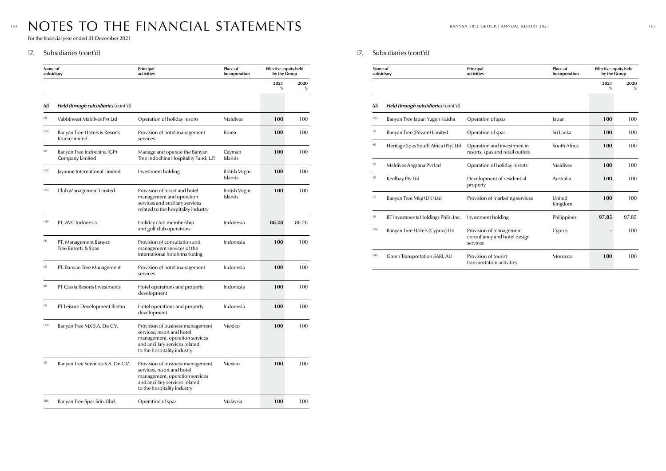For the financial year ended 31 December 2021

### 17. Subsidiaries (cont'd)

|                                               |                                                                                                                                                                   |                                  | 2021<br>% | 2020<br>% |
|-----------------------------------------------|-------------------------------------------------------------------------------------------------------------------------------------------------------------------|----------------------------------|-----------|-----------|
| Held through subsidiaries (cont'd)            |                                                                                                                                                                   |                                  |           |           |
| Vabbinvest Maldives Pvt Ltd                   | Operation of holiday resorts                                                                                                                                      | Maldives                         | 100       | 100       |
| Banyan Tree Hotels & Resorts<br>Korea Limited | Provision of hotel management<br>services                                                                                                                         | Korea                            | 100       | 100       |
| Banyan Tree Indochina (GP)<br>Company Limited | Manage and operate the Banyan<br>Tree Indochina Hospitality Fund, L.P.                                                                                            | Cayman<br>Islands                | 100       | 100       |
| Jayanne International Limited                 | Investment holding                                                                                                                                                | <b>British Virgin</b><br>Islands | 100       | 100       |
| Club Management Limited                       | Provision of resort and hotel<br>management and operation<br>services and ancillary services<br>related to the hospitality industry                               | <b>British Virgin</b><br>Islands | 100       | 100       |
| PT. AVC Indonesia                             | Holiday club membership<br>and golf club operations                                                                                                               | Indonesia                        | 86.28     | 86.28     |
| PT. Management Banyan<br>Tree Resorts & Spas  | Provision of consultation and<br>management services of the<br>international hotels marketing                                                                     | Indonesia                        | 100       | 100       |
| PT. Banyan Tree Management                    | Provision of hotel management<br>services                                                                                                                         | Indonesia                        | 100       | 100       |
| PT Cassia Resorts Investments                 | Hotel operations and property<br>development                                                                                                                      | Indonesia                        | 100       | 100       |
| PT Leisure Development Bintan                 | Hotel operations and property<br>development                                                                                                                      | Indonesia                        | 100       | 100       |
| Banyan Tree MX S.A. De C.V.                   | Provision of business management<br>services, resort and hotel<br>management, operation services<br>and ancillary services related<br>to the hospitality industry | Mexico                           | 100       | 100       |
| Banyan Tree Servicios S.A. De C.V.            | Provision of business management<br>services, resort and hotel<br>management, operation services<br>and ancillary services related<br>to the hospitality industry | Mexico                           | 100       | 100       |
| Banyan Tree Spas Sdn. Bhd.                    | Operation of spas                                                                                                                                                 | Malaysia                         | 100       | 100       |
|                                               |                                                                                                                                                                   |                                  |           |           |

### 17. Subsidiaries (cont'd)

| Name of<br>subsidiary |                                      | Principal<br>activities                                             | Place of<br>Incorporation | <b>Effective equity held</b><br>by the Group |           |
|-----------------------|--------------------------------------|---------------------------------------------------------------------|---------------------------|----------------------------------------------|-----------|
|                       |                                      |                                                                     |                           | 2021<br>%                                    | 2020<br>% |
| (ii)                  | Held through subsidiaries (cont'd)   |                                                                     |                           |                                              |           |
| (15)                  | Banyan Tree Japan Yugen Kaisha       | Operation of spas                                                   | Japan                     | 100                                          | 100       |
| (2)                   | Banyan Tree (Private) Limited        | Operation of spas                                                   | Sri Lanka                 | 100                                          | 100       |
| (6)                   | Heritage Spas South Africa (Pty) Ltd | Operation and investment in<br>resorts, spas and retail outlets     | South Africa              | 100                                          | 100       |
| (2)                   | Maldives Angsana Pvt Ltd             | Operation of holiday resorts                                        | Maldives                  | 100                                          | 100       |
| (5)                   | Keelbay Pty Ltd                      | Development of residential<br>property                              | Australia                 | 100                                          | 100       |
| (7)                   | Banyan Tree Mkg (UK) Ltd             | Provision of marketing services                                     | United<br>Kingdom         | 100                                          | 100       |
| (2)                   | BT Investments Holdings Phils. Inc.  | Investment holding                                                  | Philippines               | 97.85                                        | 97.85     |
| (19)                  | Banyan Tree Hotels (Cyprus) Ltd      | Provision of management<br>consultancy and hotel design<br>services | Cyprus                    |                                              | 100       |
| (16)                  | Green Transportation SARL AU         | Provision of tourist<br>transportation activities                   | Morocco                   | 100                                          | 100       |

| I<br>٧<br>۰. | I        |
|--------------|----------|
| $\sim$       | M.<br>۰. |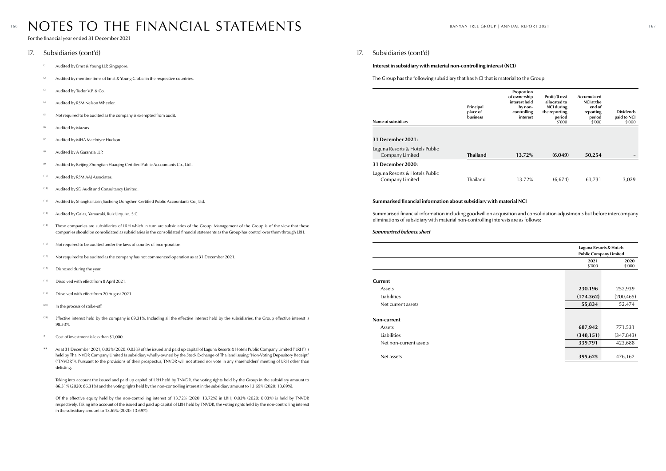For the financial year ended 31 December 2021

| 17. |        | Subsidiaries (cont'd)                                                                                                                                                                                                                                                                                                                                                                                                                           | 17. | Subsidiaries (cont'd)                                                                                                                                                                                                                                                         |                      |                                          |  |
|-----|--------|-------------------------------------------------------------------------------------------------------------------------------------------------------------------------------------------------------------------------------------------------------------------------------------------------------------------------------------------------------------------------------------------------------------------------------------------------|-----|-------------------------------------------------------------------------------------------------------------------------------------------------------------------------------------------------------------------------------------------------------------------------------|----------------------|------------------------------------------|--|
|     | (1)    | Audited by Ernst & Young LLP, Singapore.                                                                                                                                                                                                                                                                                                                                                                                                        |     | Interest in subsidiary with material non-controlling interest (NCI)                                                                                                                                                                                                           |                      |                                          |  |
|     | (2)    | Audited by member firms of Ernst & Young Global in the respective countries.                                                                                                                                                                                                                                                                                                                                                                    |     | The Group has the following subsidiary that has NCI that is material to the Grou                                                                                                                                                                                              |                      |                                          |  |
|     | (3)    | Audited by Tudor V.P. & Co.                                                                                                                                                                                                                                                                                                                                                                                                                     |     |                                                                                                                                                                                                                                                                               | Proportion           |                                          |  |
|     | (4)    | Audited by RSM Nelson Wheeler.                                                                                                                                                                                                                                                                                                                                                                                                                  |     |                                                                                                                                                                                                                                                                               | Principal            | of ownership<br>interest held<br>by non- |  |
|     | (5)    | Not required to be audited as the company is exempted from audit.                                                                                                                                                                                                                                                                                                                                                                               |     |                                                                                                                                                                                                                                                                               | place of<br>business | controlling<br>interest                  |  |
|     | (6)    | Audited by Mazars.                                                                                                                                                                                                                                                                                                                                                                                                                              |     | Name of subsidiary                                                                                                                                                                                                                                                            |                      |                                          |  |
|     | (7)    | Audited by MHA MacIntyre Hudson.                                                                                                                                                                                                                                                                                                                                                                                                                |     | 31 December 2021:                                                                                                                                                                                                                                                             |                      |                                          |  |
|     | (8)    | Audited by A Garanzia LLP.                                                                                                                                                                                                                                                                                                                                                                                                                      |     | Laguna Resorts & Hotels Public<br>Company Limited                                                                                                                                                                                                                             | Thailand             | 13.72%                                   |  |
|     | (9)    | Audited by Beijing Zhongtian Huaqing Certified Public Accountants Co., Ltd                                                                                                                                                                                                                                                                                                                                                                      |     | 31 December 2020:                                                                                                                                                                                                                                                             |                      |                                          |  |
|     | (10)   | Audited by RSM AAJ Associates.                                                                                                                                                                                                                                                                                                                                                                                                                  |     | Laguna Resorts & Hotels Public<br>Company Limited                                                                                                                                                                                                                             | Thailand             | 13.72%                                   |  |
|     | (11)   | Audited by SD Audit and Consultancy Limited.                                                                                                                                                                                                                                                                                                                                                                                                    |     |                                                                                                                                                                                                                                                                               |                      |                                          |  |
|     | (12)   | Audited by Shanghai Lixin Jiacheng Dongshen Certified Public Accountants Co., Ltd.                                                                                                                                                                                                                                                                                                                                                              |     | Summarised financial information about subsidiary with material NCI<br>Summarised financial information including goodwill on acquisition and consol<br>eliminations of subsidiary with material non-controlling interests are as follows:<br><b>Summarised balance sheet</b> |                      |                                          |  |
|     | (13)   | Audited by Galaz, Yamazaki, Ruiz Urquiza, S.C.                                                                                                                                                                                                                                                                                                                                                                                                  |     |                                                                                                                                                                                                                                                                               |                      |                                          |  |
|     | (14)   | These companies are subsidiaries of LRH which in turn are subsidiaries of the Group. Management of the Group is of the view that these<br>companies should be consolidated as subsidiaries in the consolidated financial statements as the Group has control over them through LRH.                                                                                                                                                             |     |                                                                                                                                                                                                                                                                               |                      |                                          |  |
|     | (15)   | Not required to be audited under the laws of country of incorporation.                                                                                                                                                                                                                                                                                                                                                                          |     |                                                                                                                                                                                                                                                                               |                      |                                          |  |
|     | (16)   | Not required to be audited as the company has not commenced operation as at 31 December 2021.                                                                                                                                                                                                                                                                                                                                                   |     |                                                                                                                                                                                                                                                                               |                      |                                          |  |
|     | (17)   | Disposed during the year.                                                                                                                                                                                                                                                                                                                                                                                                                       |     |                                                                                                                                                                                                                                                                               |                      |                                          |  |
|     | (18)   | Dissolved with effect from 8 April 2021.                                                                                                                                                                                                                                                                                                                                                                                                        |     | <b>Current</b>                                                                                                                                                                                                                                                                |                      |                                          |  |
|     | (19)   | Dissolved with effect from 20 August 2021.                                                                                                                                                                                                                                                                                                                                                                                                      |     | Assets<br>Liabilities                                                                                                                                                                                                                                                         |                      |                                          |  |
|     | (20)   | In the process of strike-off.                                                                                                                                                                                                                                                                                                                                                                                                                   |     | Net current assets                                                                                                                                                                                                                                                            |                      |                                          |  |
|     | (21)   | Effective interest held by the company is 89.31%. Including all the effective interest held by the subsidiaries, the Group effective interest is<br>98.53%.                                                                                                                                                                                                                                                                                     |     | Non-current                                                                                                                                                                                                                                                                   |                      |                                          |  |
|     | $\ast$ | Cost of investment is less than \$1,000.                                                                                                                                                                                                                                                                                                                                                                                                        |     | Assets<br>Liabilities                                                                                                                                                                                                                                                         |                      |                                          |  |
|     | **     | As at 31 December 2021, 0.03% (2020: 0.03%) of the issued and paid up capital of Laguna Resorts & Hotels Public Company Limited ("LRH") is<br>held by Thai NVDR Company Limited (a subsidiary wholly-owned by the Stock Exchange of Thailand issuing "Non-Voting Depository Receipt"<br>("TNVDR")). Pursuant to the provisions of their prospectus, TNVDR will not attend nor vote in any shareholders' meeting of LRH other than<br>delisting. |     | Net non-current assets<br>Net assets                                                                                                                                                                                                                                          |                      |                                          |  |
|     |        | Taking into account the issued and paid up capital of LRH held by TNVDR, the voting rights held by the Group in the subsidiary amount to<br>86.31% (2020: 86.31%) and the voting rights held by the non-controlling interest in the subsidiary amount to 13.69% (2020: 13.69%).                                                                                                                                                                 |     |                                                                                                                                                                                                                                                                               |                      |                                          |  |
|     |        | Of the effective equity held by the non-controlling interest of 13.72% (2020: 13.72%) in LRH, 0.03% (2020: 0.03%) is held by TNVDR<br>respectively. Taking into account of the issued and paid up capital of LRH held by TNVDR, the voting rights held by the non-controlling interest<br>in the subsidiary amount to 13.69% (2020: 13.69%).                                                                                                    |     |                                                                                                                                                                                                                                                                               |                      |                                          |  |

### **Illing interest (NCI)**

 $\kappa$  NCI that is material to the Group.

| e of subsidiary                                | Principal<br>place of<br>business | Proportion<br>of ownership<br>interest held<br>by non-<br>controlling<br>interest | Profit/(Loss)<br>allocated to<br><b>NCI</b> during<br>the reporting<br>period<br>\$'000 | Accumulated<br>NCI at the<br>end of<br>reporting<br>period<br>\$'000 | <b>Dividends</b><br>paid to NCI<br>\$'000 |
|------------------------------------------------|-----------------------------------|-----------------------------------------------------------------------------------|-----------------------------------------------------------------------------------------|----------------------------------------------------------------------|-------------------------------------------|
|                                                |                                   |                                                                                   |                                                                                         |                                                                      |                                           |
| <b>December 2021:</b>                          |                                   |                                                                                   |                                                                                         |                                                                      |                                           |
| una Resorts & Hotels Public                    |                                   |                                                                                   |                                                                                         |                                                                      |                                           |
| Company Limited                                | <b>Thailand</b>                   | 13.72%                                                                            | (6,049)                                                                                 | 50,254                                                               |                                           |
| <b>December 2020:</b>                          |                                   |                                                                                   |                                                                                         |                                                                      |                                           |
| una Resorts & Hotels Public<br>Company Limited | Thailand                          | 13.72%                                                                            | (6.674)                                                                                 | 61.731                                                               | 3.029                                     |

### **idiary with material NCI**

Summarised financial information including goodwill on acquisition and consolidation adjustments but before intercompany

|                        |                | Laguna Resorts & Hotels<br><b>Public Company Limited</b> |  |  |
|------------------------|----------------|----------------------------------------------------------|--|--|
|                        | 2021<br>\$'000 | 2020<br>\$'000                                           |  |  |
|                        |                |                                                          |  |  |
| rent                   |                |                                                          |  |  |
| Assets                 | 230,196        | 252,939                                                  |  |  |
| Liabilities            | (174, 362)     | (200, 465)                                               |  |  |
| Net current assets     | 55,834         | 52,474                                                   |  |  |
|                        |                |                                                          |  |  |
| า-current              |                |                                                          |  |  |
| Assets                 | 687,942        | 771,531                                                  |  |  |
| Liabilities            | (348, 151)     | (347, 843)                                               |  |  |
| Net non-current assets | 339,791        | 423,688                                                  |  |  |
|                        |                |                                                          |  |  |
| Net assets             | 395,625        | 476,162                                                  |  |  |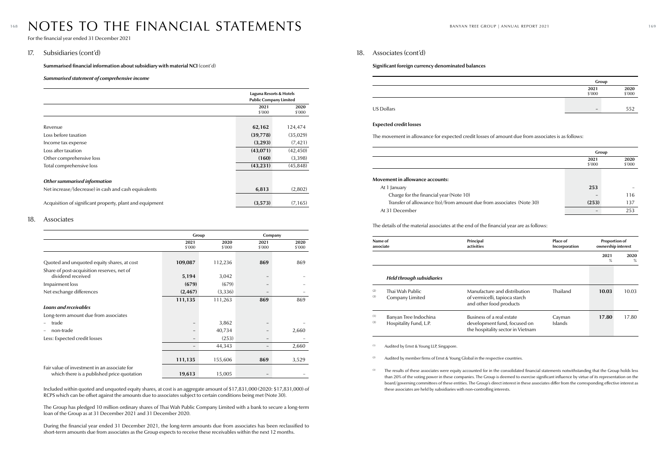For the financial year ended 31 December 2021

# 17. Subsidiaries (cont'd)

**Summarised financial information about subsidiary with material NCI** (cont'd)

## *Summarised statement of comprehensive income*

|                                                          |                | Laguna Resorts & Hotels<br><b>Public Company Limited</b> |  |  |
|----------------------------------------------------------|----------------|----------------------------------------------------------|--|--|
|                                                          | 2021<br>\$'000 | 2020<br>\$'000                                           |  |  |
|                                                          |                |                                                          |  |  |
| Revenue                                                  | 62,162         | 124,474                                                  |  |  |
| Loss before taxation                                     | (39,778)       | (35,029)                                                 |  |  |
| Income tax expense                                       | (3,293)        | (7, 421)                                                 |  |  |
| Loss after taxation                                      | (43,071)       | (42, 450)                                                |  |  |
| Other comprehensive loss                                 | (160)          | (3,398)                                                  |  |  |
| Total comprehensive loss                                 | (43, 231)      | (45, 848)                                                |  |  |
| Other summarised information                             |                |                                                          |  |  |
| Net increase/(decrease) in cash and cash equivalents     | 6,813          | (2,802)                                                  |  |  |
| Acquisition of significant property, plant and equipment | (3,573)        | (7, 165)                                                 |  |  |

# 18. Associates

|                                                                                            | Group             |                | Company        |                |
|--------------------------------------------------------------------------------------------|-------------------|----------------|----------------|----------------|
|                                                                                            | 2021<br>\$'000    | 2020<br>\$'000 | 2021<br>\$'000 | 2020<br>\$'000 |
|                                                                                            |                   |                |                |                |
| Quoted and unquoted equity shares, at cost                                                 | 109,087           | 112,236        | 869            | 869            |
| Share of post-acquisition reserves, net of<br>dividend received                            | 5,194             | 3,042          |                |                |
| Impairment loss                                                                            | (679)             | (679)          |                |                |
| Net exchange differences                                                                   | (2, 467)          | (3,336)        |                |                |
|                                                                                            | 111,135           | 111,263        | 869            | 869            |
| Loans and receivables                                                                      |                   |                |                |                |
| Long-term amount due from associates                                                       |                   |                |                |                |
| trade                                                                                      |                   | 3,862          |                |                |
| non-trade                                                                                  |                   | 40,734         |                | 2,660          |
| Less: Expected credit losses                                                               | $\qquad \qquad -$ | (253)          |                |                |
|                                                                                            |                   | 44,343         |                | 2,660          |
|                                                                                            |                   |                |                |                |
|                                                                                            | 111,135           | 155,606        | 869            | 3,529          |
| Fair value of investment in an associate for<br>which there is a published price quotation | 19,613            | 15,005         |                |                |

Included within quoted and unquoted equity shares, at cost is an aggregate amount of \$17,831,000 (2020: \$17,831,000) of RCPS which can be offset against the amounts due to associates subject to certain conditions being met (Note 30).

The Group has pledged 10 million ordinary shares of Thai Wah Public Company Limited with a bank to secure a long-term loan of the Group as at 31 December 2021 and 31 December 2020.

<sup>(3)</sup> The results of these associates were equity accounted for in the consolidated financial statements notwithstanding that the Group holds less than 20% of the voting power in these companies. The Group is deemed to exercise significant influence by virtue of its representation on the board/governing committees of these entities. The Group's direct interest in these associates differ from the corresponding effective interest as these associates are held by subsidiaries with non-controlling interests.

During the financial year ended 31 December 2021, the long-term amounts due from associates has been reclassified to short-term amounts due from associates as the Group expects to receive these receivables within the next 12 months.

# 18. Associates (cont'd)

### **Significant foreign currency denominated balances**

|                      |                                                 |                                                                                                   |                   |               | Group<br>2021  |              | 2020                                |
|----------------------|-------------------------------------------------|---------------------------------------------------------------------------------------------------|-------------------|---------------|----------------|--------------|-------------------------------------|
|                      |                                                 |                                                                                                   |                   |               | \$'000         |              | \$'000                              |
|                      | US Dollars                                      |                                                                                                   |                   |               |                |              | 552                                 |
|                      | <b>Expected credit losses</b>                   |                                                                                                   |                   |               |                |              |                                     |
|                      |                                                 | The movement in allowance for expected credit losses of amount due from associates is as follows: |                   |               |                |              |                                     |
|                      |                                                 |                                                                                                   |                   |               | Group          |              |                                     |
|                      |                                                 |                                                                                                   |                   |               | 2021<br>\$'000 |              | 2020<br>\$'000                      |
|                      | Movement in allowance accounts:                 |                                                                                                   |                   |               |                |              |                                     |
|                      | At 1 January                                    |                                                                                                   |                   |               | 253            |              |                                     |
|                      | Charge for the financial year (Note 10)         |                                                                                                   |                   |               |                |              | 116                                 |
|                      |                                                 | Transfer of allowance (to)/from amount due from associates (Note 30)                              |                   |               | (253)          |              | 137                                 |
|                      | At 31 December                                  |                                                                                                   |                   |               |                |              | 253                                 |
|                      |                                                 | The details of the material associates at the end of the financial year are as follows:           |                   |               |                |              |                                     |
| Name of<br>associate |                                                 | Principal<br>activities                                                                           | Place of          | Incorporation |                |              | Proportion of<br>ownership interest |
|                      |                                                 |                                                                                                   |                   |               |                | 2021<br>$\%$ | 2020<br>$\%$                        |
|                      | <b>Held through subsidiaries</b>                |                                                                                                   |                   |               |                |              |                                     |
| (2)<br>(3)           | Thai Wah Public<br>Company Limited              | Manufacture and distribution<br>of vermicelli, tapioca starch<br>and other food products          | Thailand          |               |                | 10.03        | 10.03                               |
| (1)<br>(3)           | Banyan Tree Indochina<br>Hospitality Fund, L.P. | Business of a real estate<br>development fund, focused on<br>the hospitality sector in Vietnam    | Cayman<br>Islands |               |                | 17.80        | 17.80                               |

| Name of<br>associate |                                                 | Principal<br>activities                                                                        | Place of<br>Incorporation | Proportion of<br>ownership interest |           |
|----------------------|-------------------------------------------------|------------------------------------------------------------------------------------------------|---------------------------|-------------------------------------|-----------|
|                      |                                                 |                                                                                                |                           | 2021<br>$\%$                        | 2020<br>% |
|                      | <b>Held through subsidiaries</b>                |                                                                                                |                           |                                     |           |
| (2)<br>(3)           | Thai Wah Public<br>Company Limited              | Manufacture and distribution<br>of vermicelli, tapioca starch<br>and other food products       | Thailand                  | 10.03                               | 10.03     |
| (1)<br>(3)           | Banyan Tree Indochina<br>Hospitality Fund, L.P. | Business of a real estate<br>development fund, focused on<br>the hospitality sector in Vietnam | Cayman<br><b>Islands</b>  | 17.80                               | 17.80     |

(1) Audited by Ernst & Young LLP, Singapore.

Audited by member firms of Ernst & Young Global in the respective countries.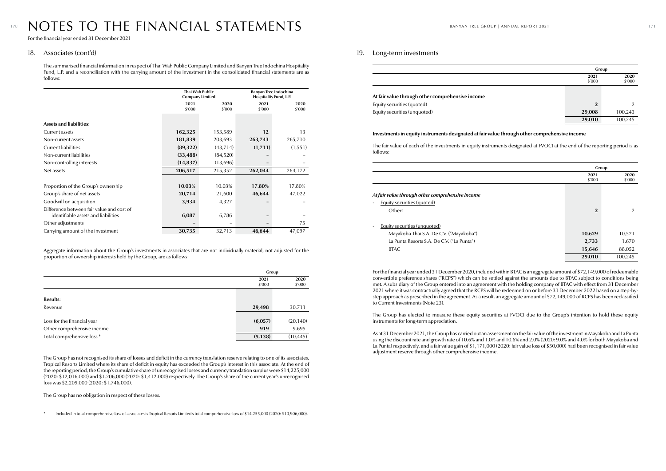For the financial year ended 31 December 2021

# 18. Associates (cont'd)

The summarised financial information in respect of Thai Wah Public Company Limited and Banyan Tree Indochina Hospitality Fund, L.P. and a reconciliation with the carrying amount of the investment in the consolidated financial statements are as follows:

|                                                                                  |                | Thai Wah Public<br><b>Company Limited</b> |                | <b>Banyan Tree Indochina</b><br>Hospitality Fund, L.P. |
|----------------------------------------------------------------------------------|----------------|-------------------------------------------|----------------|--------------------------------------------------------|
|                                                                                  | 2021<br>\$'000 | 2020<br>\$'000                            | 2021<br>\$'000 | 2020<br>\$'000                                         |
|                                                                                  |                |                                           |                |                                                        |
| <b>Assets and liabilities:</b>                                                   |                |                                           |                |                                                        |
| Current assets                                                                   | 162,325        | 153,589                                   | 12             | 13                                                     |
| Non-current assets                                                               | 181,839        | 203,693                                   | 263,743        | 265,710                                                |
| <b>Current liabilities</b>                                                       | (89, 322)      | (43,714)                                  | (1,711)        | (1, 551)                                               |
| Non-current liabilities                                                          | (33, 488)      | (84, 520)                                 |                |                                                        |
| Non-controlling interests                                                        | (14, 837)      | (13,696)                                  |                |                                                        |
| Net assets                                                                       | 206,517        | 215,352                                   | 262,044        | 264,172                                                |
|                                                                                  |                |                                           |                |                                                        |
| Proportion of the Group's ownership                                              | 10.03%         | 10.03%                                    | 17.80%         | 17.80%                                                 |
| Group's share of net assets                                                      | 20,714         | 21,600                                    | 46,644         | 47,022                                                 |
| Goodwill on acquisition                                                          | 3,934          | 4,327                                     |                |                                                        |
| Difference between fair value and cost of<br>identifiable assets and liabilities | 6,087          | 6,786                                     |                |                                                        |
| Other adjustments                                                                |                |                                           |                | 75                                                     |
| Carrying amount of the investment                                                | 30,735         | 32,713                                    | 46,644         | 47,097                                                 |

Aggregate information about the Group's investments in associates that are not individually material, not adjusted for the proportion of ownership interests held by the Group, are as follows:

|                             | Group                   |                         |  |
|-----------------------------|-------------------------|-------------------------|--|
|                             | 2021<br>$$^{\prime}000$ | 2020<br>$$^{\prime}000$ |  |
|                             |                         |                         |  |
| <b>Results:</b>             |                         |                         |  |
| Revenue                     | 29,498                  | 30,711                  |  |
|                             |                         |                         |  |
| Loss for the financial year | (6,057)                 | (20, 140)               |  |
| Other comprehensive income  | 919                     | 9,695                   |  |
| Total comprehensive loss *  | (5, 138)                | (10, 445)               |  |

The Group has not recognised its share of losses and deficit in the currency translation reserve relating to one of its associates, Tropical Resorts Limited where its share of deficit in equity has exceeded the Group's interest in this associate. At the end of the reporting period, the Group's cumulative share of unrecognised losses and currency translation surplus were \$14,225,000 (2020: \$12,016,000) and \$1,206,000 (2020: \$1,412,000) respectively. The Group's share of the current year's unrecognised loss was \$2,209,000 (2020: \$1,746,000).

The Group has no obligation in respect of these losses.

# 19. Long-term investments

|                                                                                                                                          | Group          |                |
|------------------------------------------------------------------------------------------------------------------------------------------|----------------|----------------|
|                                                                                                                                          | 2021<br>\$'000 | 2020<br>\$'000 |
| At fair value through other comprehensive income                                                                                         |                |                |
| Equity securities (quoted)                                                                                                               | $\mathbf{2}$   |                |
| Equity securities (unquoted)                                                                                                             | 29,008         | 100,243        |
|                                                                                                                                          | 29,010         | 100,245        |
| Investments in equity instruments designated at fair value through other comprehensive income                                            |                |                |
| The fair value of each of the investments in equity instruments designated at FVOCI at the end of the reporting period is as<br>follows: |                |                |

## *At fair value through other comprehensive income*

## **Equity securities (unquoted)**

|                                                  | Group                   |                |
|--------------------------------------------------|-------------------------|----------------|
|                                                  | 2021<br>$$^{\prime}000$ | 2020<br>\$'000 |
| At fair value through other comprehensive income |                         |                |
| Equity securities (quoted)                       |                         |                |
| Others                                           | $\overline{2}$          | 2              |
|                                                  |                         |                |
| Equity securities (unquoted)                     |                         |                |
| Mayakoba Thai S.A. De C.V. ("Mayakoba")          | 10,629                  | 10,521         |
| La Punta Resorts S.A. De C.V. ("La Punta")       | 2,733                   | 1,670          |
| <b>BTAC</b>                                      | 15,646                  | 88,052         |
|                                                  | 29,010                  | 100,245        |

For the financial year ended 31 December 2020, included within BTAC is an aggregate amount of \$72,149,000 of redeemable convertible preference shares ("RCPS") which can be settled against the amounts due to BTAC subject to conditions being met. A subsidiary of the Group entered into an agreement with the holding company of BTAC with effect from 31 December 2021 where it was contractually agreed that the RCPS will be redeemed on or before 31 December 2022 based on a step-bystep approach as prescribed in the agreement. As a result, an aggregate amount of \$72,149,000 of RCPS has been reclassified to Current Investments (Note 23).

The Group has elected to measure these equity securities at FVOCI due to the Group's intention to hold these equity instruments for long-term appreciation.

As at 31 December 2021, the Group has carried out an assessment on the fair value of the investment in Mayakoba and La Punta using the discount rate and growth rate of 10.6% and 1.0% and 10.6% and 2.0% (2020: 9.0% and 4.0% for both Mayakoba and La Punta) respectively, and a fair value gain of \$1,171,000 (2020: fair value loss of \$50,000) had been recognised in fair value adjustment reserve through other comprehensive income.

Included in total comprehensive loss of associates is Tropical Resorts Limited's total comprehensive loss of \$14,255,000 (2020: \$10,906,000).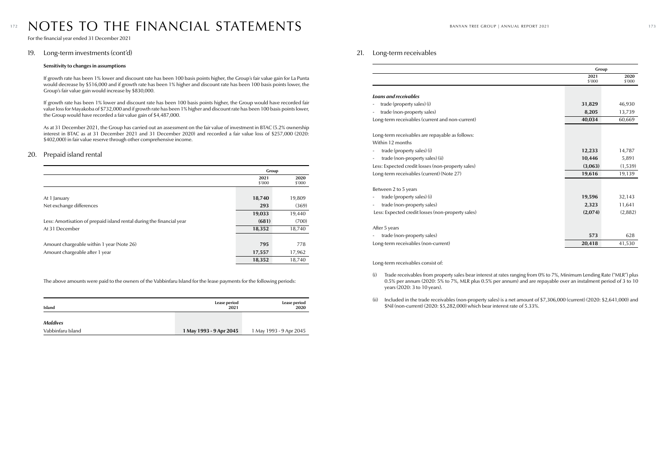For the financial year ended 31 December 2021

# 19. Long-term investments (cont'd)

### **Sensitivity to changes in assumptions**

If growth rate has been 1% lower and discount rate has been 100 basis points higher, the Group's fair value gain for La Punta would decrease by \$516,000 and if growth rate has been 1% higher and discount rate has been 100 basis points lower, the Group's fair value gain would increase by \$830,000.

As at 31 December 2021, the Group has carried out an assessment on the fair value of investment in BTAC (5.2% ownership interest in BTAC as at 31 December 2021 and 31 December 2020) and recorded a fair value loss of \$257,000 (2020: \$402,000) in fair value reserve through other comprehensive income.

If growth rate has been 1% lower and discount rate has been 100 basis points higher, the Group would have recorded fair value loss for Mayakoba of \$732,000 and if growth rate has been 1% higher and discount rate has been 100 basis points lower, the Group would have recorded a fair value gain of \$4,487,000.

# 20. Prepaid island rental

|                                                                       |                | Group                   |
|-----------------------------------------------------------------------|----------------|-------------------------|
|                                                                       | 2021<br>\$'000 | 2020<br>$$^{\prime}000$ |
|                                                                       |                |                         |
| At 1 January                                                          | 18,740         | 19,809                  |
| Net exchange differences                                              | 293            | (369)                   |
|                                                                       | 19,033         | 19,440                  |
| Less: Amortisation of prepaid island rental during the financial year | (681)          | (700)                   |
| At 31 December                                                        | 18,352         | 18,740                  |
|                                                                       |                |                         |
| Amount chargeable within 1 year (Note 26)                             | 795            | 778                     |
| Amount chargeable after 1 year                                        | 17,557         | 17,962                  |
|                                                                       | 18,352         | 18,740                  |

The above amounts were paid to the owners of the Vabbinfaru Island for the lease payments for the following periods:

| Island            | Lease period<br>2021    | Lease period<br>2020    |
|-------------------|-------------------------|-------------------------|
| <b>Maldives</b>   |                         |                         |
| Vabbinfaru Island | 1 May 1993 - 9 Apr 2045 | 1 May 1993 - 9 Apr 2045 |

# 21. Long-term receivables

| Group          |                |
|----------------|----------------|
| 2021<br>\$'000 | 2020<br>\$'000 |
|                |                |
|                |                |
| 31,829         | 46,930         |
| 8,205          | 13,739         |
| 40,034         | 60,669         |
|                |                |
|                |                |
|                |                |
| 12,233         | 14,787         |
| 10,446         | 5,891          |
| (3,063)        | (1, 539)       |
| 19,616         | 19,139         |
|                |                |
|                |                |
| 19,596         | 32,143         |
| 2,323          | 11,641         |
| (2,074)        | (2,882)        |
|                |                |
|                |                |
| 573            | 628            |
| 20,418         | 41,530         |

# *Loans and receivables*

- trade (property sales) (i)

- trade (non-property sales)

Long-term receivables (current and non-current)

Long-term receivables are repayable as follows: Within 12 months

- trade (property sales) (i)
- trade (non-property sales) (ii)

Less: Expected credit losses (non-property sales) Long-term receivables (current) (Note 27)

### Between 2 to 5 years

- trade (property sales) (i)
- trade (non-property sales)
- Less: Expected credit losses (non-property sales)

### After 5 years

- trade (non-property sales)

Long-term receivables (non-current)

### Long-term receivables consist of:

(i) Trade receivables from property sales bear interest at rates ranging from 0% to 7%, Minimum Lending Rate ("MLR") plus 0.5% per annum (2020: 5% to 7%, MLR plus 0.5% per annum) and are repayable over an instalment period of 3 to 10

- years (2020: 3 to 10 years).
- (ii) Included in the trade receivables (non-property sales) is a net amount of \$7,306,000 (current) (2020: \$2,641,000) and \$Nil (non-current) (2020: \$5,282,000) which bear interest rate of 5.33%.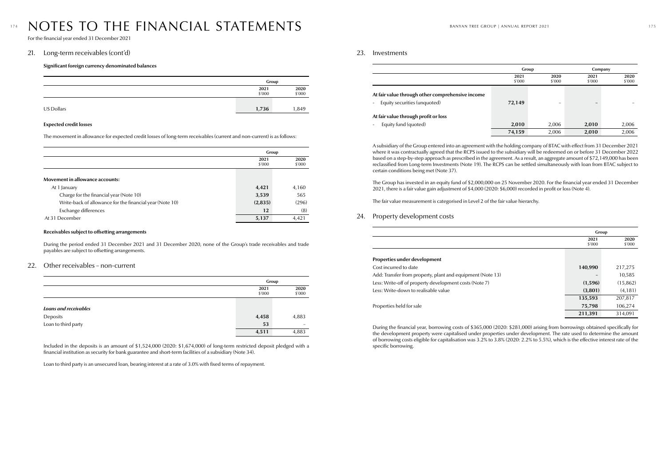For the financial year ended 31 December 2021

# 21. Long-term receivables (cont'd)

## **Significant foreign currency denominated balances**

|            |                | Group          |
|------------|----------------|----------------|
|            | 2021<br>\$'000 | 2020<br>\$'000 |
| US Dollars | 1,736          | 1,849          |

## **Expected credit losses**

The movement in allowance for expected credit losses of long-term receivables (current and non-current) is as follows:

|                                                          | Group                   |                |
|----------------------------------------------------------|-------------------------|----------------|
|                                                          | 2021<br>$$^{\prime}000$ | 2020<br>\$'000 |
| <b>Movement in allowance accounts:</b>                   |                         |                |
| At 1 January                                             | 4,421                   | 4,160          |
| Charge for the financial year (Note 10)                  | 3,539                   | 565            |
| Write-back of allowance for the financial year (Note 10) | (2,835)                 | (296)          |
| Exchange differences                                     | 12                      | (8)            |
| At 31 December                                           | 5,137                   | 4,421          |

## **Receivables subject to offsetting arrangements**

During the period ended 31 December 2021 and 31 December 2020, none of the Group's trade receivables and trade payables are subject to offsetting arrangements.

# 22. Other receivables – non-current

|                                 |                         | Group                   |  |
|---------------------------------|-------------------------|-------------------------|--|
|                                 | 2021<br>$$^{\prime}000$ | 2020<br>$$^{\prime}000$ |  |
| Loans and receivables           |                         |                         |  |
|                                 | 4,458                   | 4,883                   |  |
| Deposits<br>Loan to third party | 53                      | -                       |  |
|                                 | 4,511                   | 4,883                   |  |

Included in the deposits is an amount of \$1,524,000 (2020: \$1,674,000) of long-term restricted deposit pledged with a financial institution as security for bank guarantee and short-term facilities of a subsidiary (Note 34).

Loan to third party is an unsecured loan, bearing interest at a rate of 3.0% with fixed terms of repayment.

# 23. Investments

| Group           |                | Company        |                |  |  |
|-----------------|----------------|----------------|----------------|--|--|
| 2021<br>\$'000  | 2020<br>\$'000 | 2021<br>\$'000 | 2020<br>\$'000 |  |  |
| 72,149<br>2,010 | 2,006          | -<br>2,010     | 2,006          |  |  |
|                 |                |                |                |  |  |
| 74,159          | 2,006          | 2,010          | 2,006          |  |  |

# **At fair value through other comprehensive income** - Equity securities (unquoted) **72,149** – **–** – **At fair value through profit or loss** - Equity fund (quoted) **2,010** 2,006 **2,010** 2,006

A subsidiary of the Group entered into an agreement with the holding company of BTAC with effect from 31 December 2021 where it was contractually agreed that the RCPS issued to the subsidiary will be redeemed on or before 31 December 2022 based on a step-by-step approach as prescribed in the agreement. As a result, an aggregate amount of \$72,149,000 has been reclassified from Long-term Investments (Note 19). The RCPS can be settled simultaneously with loan from BTAC subject to certain conditions being met (Note 37).

The Group has invested in an equity fund of \$2,000,000 on 25 November 2020. For the financial year ended 31 December 2021, there is a fair value gain adjustment of \$4,000 (2020: \$6,000) recorded in profit or loss (Note 4).

The fair value measurement is categorised in Level 2 of the fair value hierarchy.

# 24. Property development costs

# **Properties under development**

Cost incurred to date

Add: Transfer from property, plant and equipment (Note 13) Less: Write-off of property development costs (Note 7) Less: Write-down to realisable value

**Properties held for sale** 

| Group          |                |
|----------------|----------------|
| 2021<br>\$'000 | 2020<br>\$'000 |
|                |                |
| 140,990        | 217,275        |
|                | 10,585         |
| (1, 596)       | (15, 862)      |
| (3,801)        | (4, 181)       |
| 135,593        | 207,817        |
| 75,798         | 106,274        |
| 211,391        | 314,091        |
|                |                |

During the financial year, borrowing costs of \$365,000 (2020: \$281,000) arising from borrowings obtained specifically for the development property were capitalised under properties under development. The rate used to determine the amount of borrowing costs eligible for capitalisation was 3.2% to 3.8% (2020: 2.2% to 5.5%), which is the effective interest rate of the specific borrowing.

|  | ۰.<br>$\sim$ |
|--|--------------|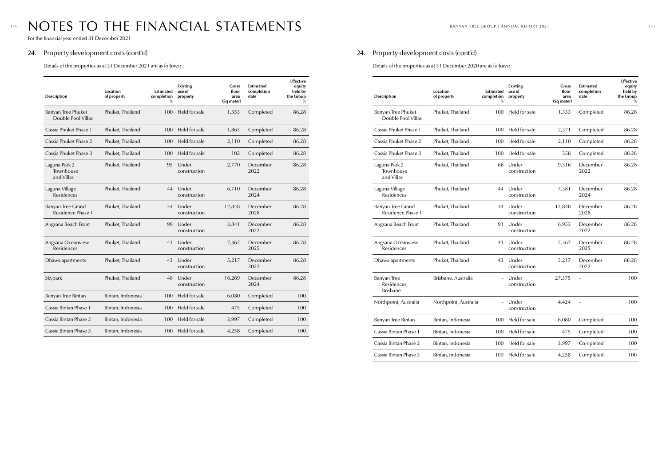For the financial year ended 31 December 2021

# 24. Property development costs (cont'd)

Details of the properties as at 31 December 2021 are as follows:

| <b>Description</b>                            | Location<br>of property | <b>Estimated</b><br>completion<br>% | Existing<br>use of<br>property | <b>Gross</b><br>floor<br>area<br>(Sq meter) | <b>Estimated</b><br>completion<br>date | <b>Effective</b><br>equity<br>held by<br>the Group<br>% |
|-----------------------------------------------|-------------------------|-------------------------------------|--------------------------------|---------------------------------------------|----------------------------------------|---------------------------------------------------------|
| Banyan Tree Phuket<br>Double Pool Villas      | Phuket, Thailand        | 100                                 | Held for sale                  | 1,353                                       | Completed                              | 86.28                                                   |
| Cassia Phuket Phase 1                         | Phuket, Thailand        | 100                                 | Held for sale                  | 1,865                                       | Completed                              | 86.28                                                   |
| Cassia Phuket Phase 2                         | Phuket, Thailand        | 100                                 | Held for sale                  | 2,110                                       | Completed                              | 86.28                                                   |
| Cassia Phuket Phase 3                         | Phuket, Thailand        | 100                                 | Held for sale                  | 102                                         | Completed                              | 86.28                                                   |
| Laguna Park 2<br>Townhouse<br>and Villas      | Phuket, Thailand        | 95                                  | Under<br>construction          | 2,770                                       | December<br>2022                       | 86.28                                                   |
| Laguna Village<br>Residences                  | Phuket, Thailand        | 44                                  | Under<br>construction          | 6,710                                       | December<br>2024                       | 86.28                                                   |
| <b>Banyan Tree Grand</b><br>Residence Phase 1 | Phuket, Thailand        | 34                                  | Under<br>construction          | 12,848                                      | December<br>2028                       | 86.28                                                   |
| Angsana Beach Front                           | Phuket, Thailand        | 99                                  | Under<br>construction          | 3,841                                       | December<br>2022                       | 86.28                                                   |
| Angsana Oceanview<br>Residences               | Phuket, Thailand        | 43                                  | Under<br>construction          | 7,367                                       | December<br>2025                       | 86.28                                                   |
| Dhawa apartments                              | Phuket, Thailand        | 43                                  | Under<br>construction          | 5,217                                       | December<br>2022                       | 86.28                                                   |
| Skypark                                       | Phuket, Thailand        | 48                                  | Under<br>construction          | 16,269                                      | December<br>2024                       | 86.28                                                   |
| Banyan Tree Bintan                            | Bintan, Indonesia       | 100                                 | Held for sale                  | 6,080                                       | Completed                              | 100                                                     |
| Cassia Bintan Phase 1                         | Bintan, Indonesia       | 100                                 | Held for sale                  | 475                                         | Completed                              | 100                                                     |
| Cassia Bintan Phase 2                         | Bintan, Indonesia       | 100                                 | Held for sale                  | 3,997                                       | Completed                              | 100                                                     |
| Cassia Bintan Phase 3                         | Bintan, Indonesia       | 100                                 | Held for sale                  | 4,258                                       | Completed                              | 100                                                     |

# 24. Property development costs (cont'd)

Details of the properties as at 31 December 2020 are as follows:

| <b>Description</b>                                   | Location<br>of property | <b>Estimated</b><br>completion<br>$\%$ | Existing<br>use of<br>property | <b>Gross</b><br>floor<br>area<br>(Sq meter) | Estimated<br>completion<br>date | <b>Effective</b><br>equity<br>held by<br>the Group<br>% |
|------------------------------------------------------|-------------------------|----------------------------------------|--------------------------------|---------------------------------------------|---------------------------------|---------------------------------------------------------|
| Banyan Tree Phuket<br>Double Pool Villas             | Phuket, Thailand        | 100                                    | Held for sale                  | 1,353                                       | Completed                       | 86.28                                                   |
| Cassia Phuket Phase 1                                | Phuket, Thailand        | 100                                    | Held for sale                  | 2,371                                       | Completed                       | 86.28                                                   |
| Cassia Phuket Phase 2                                | Phuket, Thailand        | 100                                    | Held for sale                  | 2,110                                       | Completed                       | 86.28                                                   |
| Cassia Phuket Phase 3                                | Phuket, Thailand        | 100                                    | Held for sale                  | 358                                         | Completed                       | 86.28                                                   |
| Laguna Park 2<br>Townhouse<br>and Villas             | Phuket, Thailand        | 66                                     | Under<br>construction          | 9,316                                       | December<br>2022                | 86.28                                                   |
| Laguna Village<br>Residences                         | Phuket, Thailand        | 44                                     | Under<br>construction          | 7,381                                       | December<br>2024                | 86.28                                                   |
| <b>Banyan Tree Grand</b><br>Residence Phase 1        | Phuket, Thailand        | 34                                     | Under<br>construction          | 12,848                                      | December<br>2028                | 86.28                                                   |
| Angsana Beach Front                                  | Phuket, Thailand        | 91                                     | Under<br>construction          | 6,953                                       | December<br>2022                | 86.28                                                   |
| Angsana Oceanview<br>Residences                      | Phuket, Thailand        | 43                                     | Under<br>construction          | 7,367                                       | December<br>2025                | 86.28                                                   |
| Dhawa apartments                                     | Phuket, Thailand        | 43                                     | Under<br>construction          | 5,217                                       | December<br>2022                | 86.28                                                   |
| <b>Banyan Tree</b><br>Residences,<br><b>Brisbane</b> | Brisbane, Australia     | $\overline{\phantom{0}}$               | Under<br>construction          | 27,375                                      |                                 | 100                                                     |
| Northpoint, Australia                                | Northpoint, Australia   |                                        | Under<br>construction          | 4,424                                       | $\overline{a}$                  | 100                                                     |
| Banyan Tree Bintan                                   | Bintan, Indonesia       | 100                                    | Held for sale                  | 6,080                                       | Completed                       | 100                                                     |
| Cassia Bintan Phase 1                                | Bintan, Indonesia       | 100                                    | Held for sale                  | 475                                         | Completed                       | 100                                                     |
| Cassia Bintan Phase 2                                | Bintan, Indonesia       | 100                                    | Held for sale                  | 3,997                                       | Completed                       | 100                                                     |
| Cassia Bintan Phase 3                                | Bintan, Indonesia       | 100                                    | Held for sale                  | 4,258                                       | Completed                       | 100                                                     |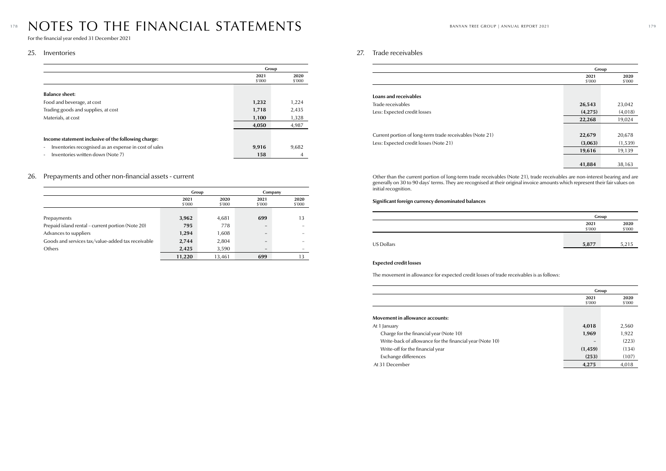For the financial year ended 31 December 2021

# 25. Inventories

|                                                                                   | Group                   |                |  |
|-----------------------------------------------------------------------------------|-------------------------|----------------|--|
|                                                                                   | 2021<br>$$^{\prime}000$ | 2020<br>\$'000 |  |
| <b>Balance sheet:</b>                                                             |                         |                |  |
| Food and beverage, at cost                                                        | 1,232                   | 1,224          |  |
| Trading goods and supplies, at cost                                               | 1,718                   | 2,435          |  |
| Materials, at cost                                                                | 1,100                   | 1,328          |  |
|                                                                                   | 4,050                   | 4,987          |  |
| Income statement inclusive of the following charge:                               |                         |                |  |
| Inventories recognised as an expense in cost of sales<br>$\overline{\phantom{a}}$ | 9,916                   | 9,682          |  |
| Inventories written down (Note 7)                                                 | 158                     | 4              |  |

# **Loans and receivables Trade receivables** Less: Expected credit losses

Current portion of long-term trade receivables (Note 21) Less: Expected credit losses (Note 21)

# 26. Prepayments and other non-financial assets - current

|                                                   | Group          |                | Company                  |                         |
|---------------------------------------------------|----------------|----------------|--------------------------|-------------------------|
|                                                   | 2021<br>\$'000 | 2020<br>\$'000 | 2021<br>$$^{\prime}000$  | 2020<br>$$^{\prime}000$ |
|                                                   |                |                |                          |                         |
| Prepayments                                       | 3,962          | 4,681          | 699                      | 13                      |
| Prepaid island rental - current portion (Note 20) | 795            | 778            | $\overline{\phantom{m}}$ |                         |
| Advances to suppliers                             | 1,294          | 1,608          | $\overline{\phantom{0}}$ |                         |
| Goods and services tax/value-added tax receivable | 2,744          | 2,804          | $\qquad \qquad$          |                         |
| Others                                            | 2,425          | 3,590          | $\qquad \qquad -$        |                         |
|                                                   | 11,220         | 13,461         | 699                      | 13                      |

# 27. Trade receivables

| Group                            |          |  |  |
|----------------------------------|----------|--|--|
| 2020<br>2021<br>\$'000<br>\$'000 |          |  |  |
|                                  |          |  |  |
| 26,543                           | 23,042   |  |  |
| (4, 275)                         | (4,018)  |  |  |
| 22,268                           | 19,024   |  |  |
|                                  |          |  |  |
| 22,679                           | 20,678   |  |  |
| (3,063)                          | (1, 539) |  |  |
| 19,616                           | 19,139   |  |  |
|                                  |          |  |  |
| 41,884                           | 38,163   |  |  |

Other than the current portion of long-term trade receivables (Note 21), trade receivables are non-interest bearing and are generally on 30 to 90 days' terms. They are recognised at their original invoice amounts which represent their fair values on initial recognition.

# **Significant foreign currency denominated balances**

|            | Group          |                                                                 |
|------------|----------------|-----------------------------------------------------------------|
|            | 2021<br>\$'000 | $\begin{array}{l} \textbf{2020} \\ \textbf{\$'}000 \end{array}$ |
|            |                |                                                                 |
| US Dollars | 5,877          | 5,215                                                           |

# **Expected credit losses**

The movement in allowance for expected credit losses of trade receivables is as follows:

| Group          |                |
|----------------|----------------|
| 2021<br>\$'000 | 2020<br>\$'000 |
|                |                |
|                |                |
| 4,018          | 2,560          |
| 1,969          | 1,922          |
|                | (223)          |
| (1, 459)       | (134)          |
| (253)          | (107)          |
| 4,275          | 4,018          |

# **Movement in allowance accounts:**

At 1 January

Charge for the financial year (Note 10)

Write-back of allowance for the financial year (Note 10)

**Write-off for the financial year** 

**Exchange differences** 

At 31 December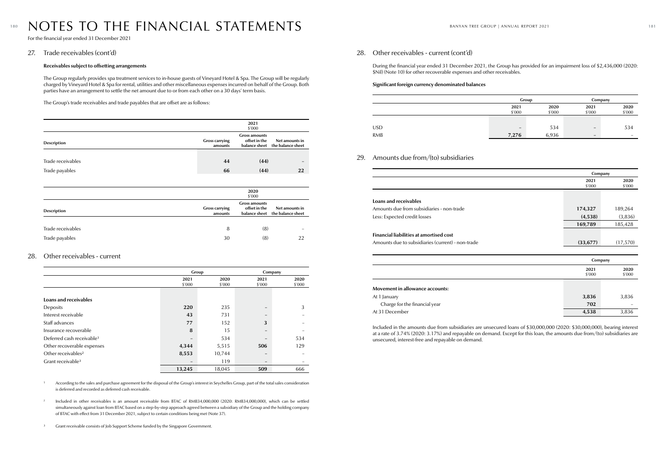For the financial year ended 31 December 2021

# 27. Trade receivables (cont'd)

## **Receivables subject to offsetting arrangements**

The Group regularly provides spa treatment services to in-house guests of Vineyard Hotel & Spa. The Group will be regularly charged by Vineyard Hotel & Spa for rental, utilities and other miscellaneous expenses incurred on behalf of the Group. Both parties have an arrangement to settle the net amount due to or from each other on a 30 days' term basis.

The Group's trade receivables and trade payables that are offset are as follows:

|                   |    | 2021<br>\$'000                                                                                                                 |    |  |  |
|-------------------|----|--------------------------------------------------------------------------------------------------------------------------------|----|--|--|
| Description       |    | <b>Gross amounts</b><br>offset in the<br><b>Gross carrying</b><br>Net amounts in<br>balance sheet the balance sheet<br>amounts |    |  |  |
| Trade receivables | 44 | (44)                                                                                                                           | -  |  |  |
| Trade payables    | 66 | (44)                                                                                                                           | 22 |  |  |

According to the sales and purchase agreement for the disposal of the Group's interest in Seychelles Group, part of the total sales consideration is deferred and recorded as deferred cash receivable.

|                    |                                  | 2020<br>\$'000                        |                                                   |  |  |
|--------------------|----------------------------------|---------------------------------------|---------------------------------------------------|--|--|
| <b>Description</b> | <b>Gross carrying</b><br>amounts | <b>Gross amounts</b><br>offset in the | Net amounts in<br>balance sheet the balance sheet |  |  |
| Trade receivables  | 8                                | (8)                                   |                                                   |  |  |
| Trade payables     | 30                               | (8)                                   | 22                                                |  |  |

# 28. Other receivables - current

During the financial year ended 31 December 2021, the Group has provided for an impairment loss of \$2,436,000 (2020: \$Nil) (Note 10) for other recoverable expenses and other rece

|                                       |                          | Group          |                         | Company        |
|---------------------------------------|--------------------------|----------------|-------------------------|----------------|
|                                       | 2021<br>\$'000           | 2020<br>\$'000 | 2021<br>$$^{\prime}000$ | 2020<br>\$'000 |
|                                       |                          |                |                         |                |
| Loans and receivables                 |                          |                |                         |                |
| Deposits                              | 220                      | 235            | -                       | 3              |
| Interest receivable                   | 43                       | 731            | -                       |                |
| Staff advances                        | 77                       | 152            | 3                       |                |
| Insurance recoverable                 | 8                        | 15             | -                       |                |
| Deferred cash receivable <sup>1</sup> |                          | 534            | -                       | 534            |
| Other recoverable expenses            | 4,344                    | 5,515          | 506                     | 129            |
| Other receivables <sup>2</sup>        | 8,553                    | 10,744         | -                       |                |
| Grant receivable <sup>3</sup>         | $\overline{\phantom{m}}$ | 119            | $\qquad \qquad$         |                |
|                                       | 13,245                   | 18,045         | 509                     | 666            |

2 Included in other receivables is an amount receivable from BTAC of RMB34,000,000 (2020: RMB34,000,000), which can be settled simultaneously against loan from BTAC based on a step-by-step approach agreed between a subsidiary of the Group and the holding company of BTAC with effect from 31 December 2021, subject to certain conditions being met (Note 37).

<sup>3</sup> Grant receivable consists of Job Support Scheme funded by the Singapore Government.

# 28. Other receivables - current (cont'd)

### **Significant foreign currency denominated balances**

|            |                              | Group          |                          | Company                  |
|------------|------------------------------|----------------|--------------------------|--------------------------|
|            | 2021<br>\$'000               | 2020<br>\$'000 | 2021<br>\$'000           | 2020<br>\$'000           |
|            |                              |                |                          |                          |
| <b>USD</b> | $\qquad \qquad \blacksquare$ | 534            | $\overline{\phantom{0}}$ | 534                      |
| <b>RMB</b> | 7,276                        | 6,936          | $\overline{\phantom{0}}$ | $\overline{\phantom{0}}$ |
|            |                              |                |                          |                          |

# 29. Amounts due from/(to) subsidiaries

### **Loans and receivables**

Amounts due from subsidiaries - non-trade Less: Expected credit losses

| Company        |                |
|----------------|----------------|
| 2021<br>\$'000 | 2020<br>\$'000 |
|                |                |
| 174,327        | 189,264        |
| (4, 538)       | (3,836)        |
| 169,789        | 185,428        |
|                |                |
| (33, 677)      | (17, 570)      |
|                |                |
| Company        |                |
| 2021<br>\$'000 | 2020<br>\$'000 |
|                |                |
|                |                |

| \$'000 | \$'000 |
|--------|--------|
|        |        |
|        |        |
| 3,836  | 3,836  |
| 702    |        |
| 4,538  | 3,836  |
|        |        |

## **Financial liabilities at amortised cost**

Amounts due to subsidiaries (current) - non-trade

### **Movement in allowance accounts:**

At 1 January

Charge for the financial year

At 31 December

Included in the amounts due from subsidiaries are unsecured loans of \$30,000,000 (2020: \$30,000,000), bearing interest at a rate of 3.74% (2020: 3.17%) and repayable on demand. Except for this loan, the amounts due from/(to) subsidiaries are unsecured, interest-free and repayable on demand.

| eivables. |  |  |  |
|-----------|--|--|--|
|           |  |  |  |
|           |  |  |  |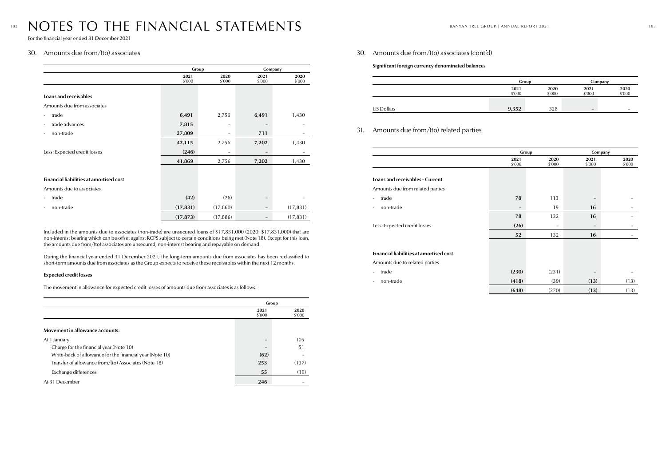For the financial year ended 31 December 2021

# 30. Amounts due from/(to) associates

|                                                | Group          |                          | Company           |                |
|------------------------------------------------|----------------|--------------------------|-------------------|----------------|
|                                                | 2021<br>\$'000 | 2020<br>\$'000           | 2021<br>\$'000    | 2020<br>\$'000 |
|                                                |                |                          |                   |                |
| Loans and receivables                          |                |                          |                   |                |
| Amounts due from associates                    |                |                          |                   |                |
| trade<br>$\overline{\phantom{a}}$              | 6,491          | 2,756                    | 6,491             | 1,430          |
| trade advances                                 | 7,815          | -                        |                   |                |
| non-trade                                      | 27,809         | $\qquad \qquad -$        | 711               |                |
|                                                | 42,115         | 2,756                    | 7,202             | 1,430          |
| Less: Expected credit losses                   | (246)          | $\overline{\phantom{m}}$ | $\qquad \qquad -$ |                |
|                                                | 41,869         | 2,756                    | 7,202             | 1,430          |
|                                                |                |                          |                   |                |
| <b>Financial liabilities at amortised cost</b> |                |                          |                   |                |
| Amounts due to associates                      |                |                          |                   |                |
| trade<br>$\overline{\phantom{a}}$              | (42)           | (26)                     |                   |                |
| non-trade                                      | (17, 831)      | (17, 860)                |                   | (17, 831)      |
|                                                | (17, 873)      | (17, 886)                |                   | (17, 831)      |

Included in the amounts due to associates (non-trade) are unsecured loans of \$17,831,000 (2020: \$17,831,000) that are non-interest bearing which can be offset against RCPS subject to certain conditions being met (Note 18). Except for this loan, the amounts due from/(to) associates are unsecured, non-interest bearing and repayable on demand.

During the financial year ended 31 December 2021, the long-term amounts due from associates has been reclassified to short-term amounts due from associates as the Group expects to receive these receivables within the next 12 months.

## **Expected credit losses**

The movement in allowance for expected credit losses of amounts due from associates is as follows:

|                                                          | Group                   |                |
|----------------------------------------------------------|-------------------------|----------------|
|                                                          | 2021<br>$$^{\prime}000$ | 2020<br>\$'000 |
| <b>Movement in allowance accounts:</b>                   |                         |                |
| At 1 January                                             |                         | 105            |
| Charge for the financial year (Note 10)                  |                         | 51             |
| Write-back of allowance for the financial year (Note 10) | (62)                    |                |
| Transfer of allowance from/(to) Associates (Note 18)     | 253                     | (137)          |
| Exchange differences                                     | 55                      | (19)           |
| At 31 December                                           | 246                     |                |

| BANYAN TREE GROUP   A |
|-----------------------|
|-----------------------|

| Amounts due from/(to) associates (cont'd)<br>30.  |                         |                |                   |                |
|---------------------------------------------------|-------------------------|----------------|-------------------|----------------|
| Significant foreign currency denominated balances |                         |                |                   |                |
|                                                   | Group                   |                | Company           |                |
|                                                   | 2021<br>$$^{\prime}000$ | 2020<br>\$'000 | 2021<br>\$'000    | 2020<br>\$'000 |
| <b>US Dollars</b>                                 | 9,352                   | 328            | $\qquad \qquad -$ | ٠              |
| Amounts due from/(to) related parties<br>31.      |                         |                |                   |                |
|                                                   | Group                   |                | Company           |                |
|                                                   | 2021                    | 2020           | 2021              | 202            |

| Group  |        |        | Company |
|--------|--------|--------|---------|
| 2021   | 2020   | 2021   | 2020    |
| \$'000 | \$'000 | \$'000 | \$'000  |
|        |        |        |         |
| 9,352  | 328    | -      | -       |

# **Loans and receivables - Current**

## Less: Expected credit losses

|                                         | Group             |                   |                          | Company        |  |  |
|-----------------------------------------|-------------------|-------------------|--------------------------|----------------|--|--|
|                                         | 2021<br>\$'000    | 2020<br>\$'000    | 2021<br>\$'000           | 2020<br>\$'000 |  |  |
|                                         |                   |                   |                          |                |  |  |
| <b>Loans and receivables - Current</b>  |                   |                   |                          |                |  |  |
| Amounts due from related parties        |                   |                   |                          |                |  |  |
| trade<br>-                              | 78                | 113               |                          |                |  |  |
| non-trade<br>-                          | $\qquad \qquad -$ | 19                | 16                       |                |  |  |
|                                         | 78                | 132               | 16                       |                |  |  |
| Less: Expected credit losses            | (26)              | $\qquad \qquad -$ | $\overline{\phantom{m}}$ | -              |  |  |
|                                         | 52                | 132               | 16                       |                |  |  |
|                                         |                   |                   |                          |                |  |  |
| Financial liabilities at amortised cost |                   |                   |                          |                |  |  |
| Amounts due to related parties          |                   |                   |                          |                |  |  |
| trade<br>-                              | (230)             | (231)             |                          |                |  |  |
| non-trade<br>-                          | (418)             | (39)              | (13)                     | (13)           |  |  |
|                                         | (648)             | (270)             | (13)                     | (13)           |  |  |

# **Financial liabilities at amortised cost**

- 
-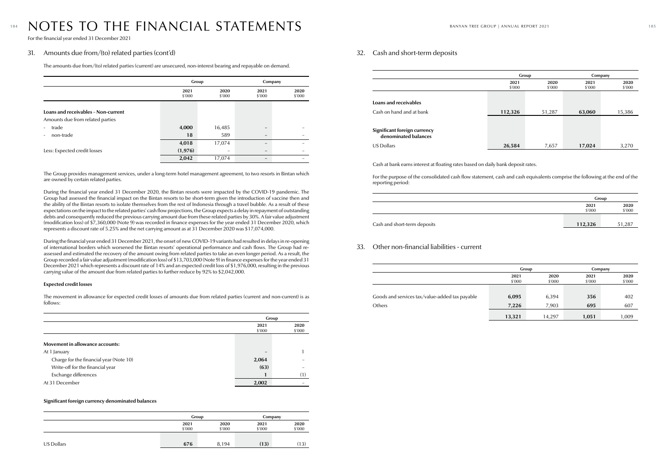For the financial year ended 31 December 2021

# 31. Amounts due from/(to) related parties (cont'd)

The amounts due from/(to) related parties (current) are unsecured, non-interest bearing and repayable on demand.

The Group provides management services, under a long-term hotel management agreement, to two resorts in Bintan which are owned by certain related parties.

|                                                        | Group            |                             | Company                                         |                |  |
|--------------------------------------------------------|------------------|-----------------------------|-------------------------------------------------|----------------|--|
|                                                        | 2021<br>\$'000   | 2020<br>\$'000              | 2021<br>$$^{\prime}000$                         | 2020<br>\$'000 |  |
| Loans and receivables - Non-current                    |                  |                             |                                                 |                |  |
| Amounts due from related parties<br>trade<br>non-trade | 4,000<br>18      | 16,485<br>589               | $\qquad \qquad \blacksquare$<br>$\qquad \qquad$ |                |  |
|                                                        | 4,018            | 17,074                      | $\qquad \qquad \blacksquare$                    |                |  |
| Less: Expected credit losses                           | (1,976)<br>2,042 | $\qquad \qquad -$<br>17,074 | $\qquad \qquad -$<br>$\qquad \qquad$            |                |  |

During the financial year ended 31 December 2021, the onset of new COVID-19 variants had resulted in delays in re-opening of international borders which worsened the Bintan resorts' operational performance and cash flows. The Group had reassessed and estimated the recovery of the amount owing from related parties to take an even longer period. As a result, the Group recorded a fair value adjustment (modification loss) of \$13,703,000 (Note 9) in finance expenses for the year ended 31 December 2021 which represents a discount rate of 14% and an expected credit loss of \$1,976,000, resulting in the previous carrying value of the amount due from related parties to further reduce by 92% to \$2,042,000.

During the financial year ended 31 December 2020, the Bintan resorts were impacted by the COVID-19 pandemic. The Group had assessed the financial impact on the Bintan resorts to be short-term given the introduction of vaccine then and the ability of the Bintan resorts to isolate themselves from the rest of Indonesia through a travel bubble. As a result of these expectations on the impact to the related parties' cash flow projections, the Group expects a delay in repayment of outstanding debts and consequently reduced the previous carrying amount due from these related parties by 30%. A fair value adjustment (modification loss) of \$7,360,000 (Note 9) was recorded in finance expenses for the year ended 31 December 2020, which represents a discount rate of 5.25% and the net carrying amount as at 31 December 2020 was \$17,074,000.

## **Expected credit losses**

The movement in allowance for expected credit losses of amounts due from related parties (current and non-current) is as follows:

|                                         |                | Group          |
|-----------------------------------------|----------------|----------------|
|                                         | 2021<br>\$'000 | 2020<br>\$'000 |
| <b>Movement in allowance accounts:</b>  |                |                |
| At 1 January                            |                |                |
| Charge for the financial year (Note 10) | 2,064          |                |
| Write-off for the financial year        | (63)           |                |
| Exchange differences                    |                | (1)            |
| At 31 December                          | 2,002          |                |

### **Significant foreign currency denominated balances**

|            | Group          |                |                | Company        |  |  |
|------------|----------------|----------------|----------------|----------------|--|--|
|            | 2021<br>\$'000 | 2020<br>\$'000 | 2021<br>\$'000 | 2020<br>\$'000 |  |  |
|            |                |                |                |                |  |  |
| US Dollars | 676            | 8,194          | (13)           | (13)           |  |  |

# 32. Cash and short-term deposits

|                                                                                                                                                                                                                                      |                | Group          | Company        |                |  |  |  |  |  |
|--------------------------------------------------------------------------------------------------------------------------------------------------------------------------------------------------------------------------------------|----------------|----------------|----------------|----------------|--|--|--|--|--|
|                                                                                                                                                                                                                                      | 2021<br>\$'000 | 2020<br>\$'000 | 2021<br>\$'000 | 2020<br>\$'000 |  |  |  |  |  |
| Loans and receivables                                                                                                                                                                                                                |                |                |                |                |  |  |  |  |  |
|                                                                                                                                                                                                                                      |                |                |                |                |  |  |  |  |  |
| Cash on hand and at bank                                                                                                                                                                                                             | 112,326        | 51,287         | 63,060         | 15,386         |  |  |  |  |  |
|                                                                                                                                                                                                                                      |                |                |                |                |  |  |  |  |  |
| Significant foreign currency<br>denominated balances                                                                                                                                                                                 |                |                |                |                |  |  |  |  |  |
| <b>US Dollars</b>                                                                                                                                                                                                                    | 26,584         | 7,657          | 17,024         | 3,270          |  |  |  |  |  |
| Cash at bank earns interest at floating rates based on daily bank deposit rates.<br>For the purpose of the consolidated cash flow statement, cash and cash equivalents comprise the following at the end of the<br>reporting period: |                |                |                |                |  |  |  |  |  |
|                                                                                                                                                                                                                                      |                |                | Group          |                |  |  |  |  |  |
|                                                                                                                                                                                                                                      |                |                | 2021<br>\$'000 | 2020<br>\$'000 |  |  |  |  |  |
| Cash and short-term deposits                                                                                                                                                                                                         |                |                | 112,326        | 51,287         |  |  |  |  |  |
|                                                                                                                                                                                                                                      |                |                |                |                |  |  |  |  |  |

33. Other non-financial liabilities - current

|                                                |                | Group          |                | Company                 |
|------------------------------------------------|----------------|----------------|----------------|-------------------------|
|                                                | 2021<br>\$'000 | 2020<br>\$'000 | 2021<br>\$'000 | 2020<br>$$^{\prime}000$ |
|                                                |                |                |                |                         |
| Goods and services tax/value-added tax payable | 6,095          | 6,394          | 356            | 402                     |
| Others                                         | 7,226          | 7,903          | 695            | 607                     |
|                                                | 13,321         | 14,297         | 1,051          | 1,009                   |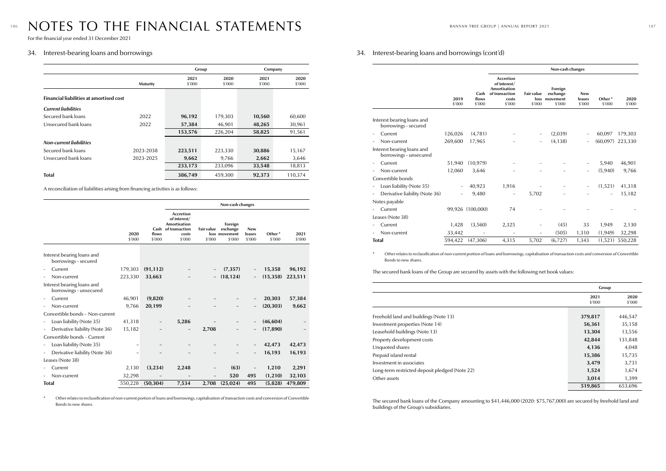For the financial year ended 31 December 2021

# 34. Interest-bearing loans and borrowings

|                                                |                 |                | Group          |                | Company        |  |  |
|------------------------------------------------|-----------------|----------------|----------------|----------------|----------------|--|--|
|                                                | <b>Maturity</b> | 2021<br>\$'000 | 2020<br>\$'000 | 2021<br>\$'000 | 2020<br>\$'000 |  |  |
| <b>Financial liabilities at amortised cost</b> |                 |                |                |                |                |  |  |
| <b>Current liabilities</b>                     |                 |                |                |                |                |  |  |
| Secured bank loans                             | 2022            | 96,192         | 179,303        | 10,560         | 60,600         |  |  |
| Unsecured bank loans                           | 2022            | 57,384         | 46,901         | 48,265         | 30,961         |  |  |
|                                                |                 | 153,576        | 226,204        | 58,825         | 91,561         |  |  |
| <b>Non-current liabilities</b>                 |                 |                |                |                |                |  |  |
| Secured bank loans                             | 2023-2038       | 223,511        | 223,330        | 30,886         | 15,167         |  |  |
| Unsecured bank loans                           | 2023-2025       | 9,662          | 9,766          | 2,662          | 3,646          |  |  |
|                                                |                 | 233,173        | 233,096        | 33,548         | 18,813         |  |  |
| Total                                          |                 | 386,749        | 459,300        | 92,373         | 110,374        |  |  |

A reconciliation of liabilities arising from financing activities is as follows:

|                                                      |                |                 | Non-cash changes                                                                           |                             |                                                |                                |                  |                |
|------------------------------------------------------|----------------|-----------------|--------------------------------------------------------------------------------------------|-----------------------------|------------------------------------------------|--------------------------------|------------------|----------------|
|                                                      | 2020<br>\$'000 | flows<br>\$'000 | <b>Accretion</b><br>of interest/<br>Amortisation<br>Cash of transaction<br>costs<br>\$'000 | <b>Fair value</b><br>\$'000 | Foreign<br>exchange<br>loss movement<br>\$'000 | <b>New</b><br>leases<br>\$'000 | Other*<br>\$'000 | 2021<br>\$'000 |
| Interest bearing loans and<br>borrowings - secured   |                |                 |                                                                                            |                             |                                                |                                |                  |                |
| Current                                              | 179,303        | (91, 112)       |                                                                                            |                             | (7, 357)                                       |                                | 15,358           | 96,192         |
| Non-current                                          | 223,330        | 33,663          |                                                                                            |                             | (18, 124)                                      |                                | (15, 358)        | 223,511        |
| Interest bearing loans and<br>borrowings - unsecured |                |                 |                                                                                            |                             |                                                |                                |                  |                |
| Current<br>$\overline{a}$                            | 46,901         | (9,820)         |                                                                                            |                             |                                                |                                | 20,303           | 57,384         |
| Non-current<br>$\overline{a}$                        | 9,766          | 20,199          |                                                                                            |                             |                                                |                                | (20, 303)        | 9,662          |
| Convertible bonds - Non-current                      |                |                 |                                                                                            |                             |                                                |                                |                  |                |
| Loan liability (Note 35)                             | 41,318         |                 | 5,286                                                                                      |                             |                                                |                                | (46, 604)        |                |
| Derivative liability (Note 36)                       | 15,182         |                 |                                                                                            | 2,708                       |                                                |                                | (17, 890)        |                |
| Convertible bonds - Current                          |                |                 |                                                                                            |                             |                                                |                                |                  |                |
| Loan liability (Note 35)                             |                |                 |                                                                                            |                             |                                                |                                | 42,473           | 42,473         |
| Derivative liability (Note 36)                       |                |                 |                                                                                            |                             |                                                |                                | 16,193           | 16,193         |
| Leases (Note 38)                                     |                |                 |                                                                                            |                             |                                                |                                |                  |                |
| Current                                              | 2,130          | (3,234)         | 2,248                                                                                      |                             | (63)                                           |                                | 1,210            | 2,291          |
| Non-current                                          | 32,298         |                 |                                                                                            |                             | 520                                            | 495                            | (1,210)          | 32,103         |
| <b>Total</b>                                         | 550,228        | (50, 304)       | 7,534                                                                                      | 2,708                       | (25,024)                                       | 495                            | (5,828)          | 479,809        |

\* Other relates to reclassification of non-current portion of loans and borrowings, capitalisation of transaction costs and conversion of Convertible Bonds to new shares.

# 34. Interest-bearing loans and borrowings (cont'd)

|                                                      |                |                         | Non-cash changes                                                                      |                                     |                                           |                                |                  |                |
|------------------------------------------------------|----------------|-------------------------|---------------------------------------------------------------------------------------|-------------------------------------|-------------------------------------------|--------------------------------|------------------|----------------|
|                                                      | 2019<br>\$'000 | Cash<br>flows<br>\$'000 | <b>Accretion</b><br>of interest/<br>Amortisation<br>of transaction<br>costs<br>\$'000 | <b>Fair value</b><br>loss<br>\$'000 | Foreign<br>exchange<br>movement<br>\$'000 | <b>New</b><br>leases<br>\$'000 | Other*<br>\$'000 | 2020<br>\$'000 |
| Interest bearing loans and<br>borrowings - secured   |                |                         |                                                                                       |                                     |                                           |                                |                  |                |
| Current                                              | 126,026        | (4,781)                 |                                                                                       |                                     | (2,039)                                   |                                | 60,097           | 179,303        |
| Non-current                                          | 269,600        | 17,965                  |                                                                                       |                                     | (4, 138)                                  |                                | (60,097)         | 223,330        |
| Interest bearing loans and<br>borrowings - unsecured |                |                         |                                                                                       |                                     |                                           |                                |                  |                |
| Current                                              | 51,940         | (10, 979)               |                                                                                       |                                     |                                           |                                | 5,940            | 46,901         |
| Non-current                                          | 12,060         | 3,646                   |                                                                                       |                                     |                                           |                                | (5,940)          | 9,766          |
| Convertible bonds                                    |                |                         |                                                                                       |                                     |                                           |                                |                  |                |
| Loan liability (Note 35)                             |                | 40,923                  | 1,916                                                                                 |                                     |                                           |                                | (1,521)          | 41,318         |
| Derivative liability (Note 36)                       |                | 9,480                   |                                                                                       | 5,702                               |                                           |                                |                  | 15,182         |
| Notes payable                                        |                |                         |                                                                                       |                                     |                                           |                                |                  |                |
| Current                                              |                | 99,926 (100,000)        | 74                                                                                    |                                     |                                           |                                |                  |                |
| Leases (Note 38)                                     |                |                         |                                                                                       |                                     |                                           |                                |                  |                |
| Current                                              | 1,428          | (3,560)                 | 2,325                                                                                 |                                     | (45)                                      | 33                             | 1,949            | 2,130          |
| Non-current                                          | 33,442         |                         |                                                                                       |                                     | (505)                                     | 1,310                          | (1, 949)         | 32,298         |
| <b>Total</b>                                         | 594,422        | (47,306)                | 4,315                                                                                 | 5,702                               | (6,727)                                   | 1,343                          | (1,521)          | 550,228        |

\* Other relates to reclassification of non-current portion of loans and borrowings, capitalisation of transaction costs and conversion of Convertible Bonds to new shares.

The secured bank loans of the Group are secured by assets with the following net book values:

| reehold land and buildings (Note 13)      |
|-------------------------------------------|
| nvestment properties (Note 14)            |
| easehold buildings (Note 13)              |
| Property development costs                |
| Jnquoted shares                           |
| repaid island rental                      |
| nvestment in associates                   |
| ong-term restricted deposit pledged (Note |
| Other assets                              |

|                                                | Group                   |                |
|------------------------------------------------|-------------------------|----------------|
|                                                | 2021<br>$$^{\prime}000$ | 2020<br>\$'000 |
| Freehold land and buildings (Note 13)          | 379,817                 | 446,547        |
| Investment properties (Note 14)                | 56,361                  | 35,158         |
| Leasehold buildings (Note 13)                  | 13,304                  | 13,556         |
| Property development costs                     | 42,844                  | 131,848        |
| Unquoted shares                                | 4,136                   | 4,048          |
| Prepaid island rental                          | 15,386                  | 15,735         |
| Investment in associates                       | 3,479                   | 3,731          |
| Long-term restricted deposit pledged (Note 22) | 1,524                   | 1,674          |
| Other assets                                   | 3,014                   | 1,399          |
|                                                | 519,865                 | 653,696        |

The secured bank loans of the Company amounting to \$41,446,000 (2020: \$75,767,000) are secured by freehold land and buildings of the Group's subsidiaries.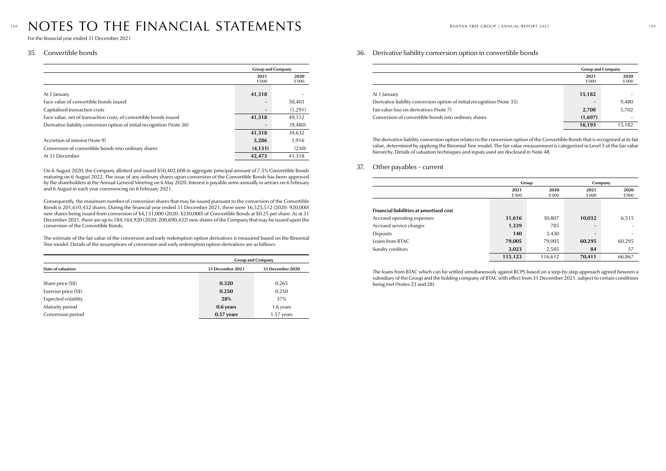For the financial year ended 31 December 2021

# 35. Convertible bonds

|                                                                         |                          | <b>Group and Company</b> |  |  |
|-------------------------------------------------------------------------|--------------------------|--------------------------|--|--|
|                                                                         | 2021<br>$$^{\prime}000$  | 2020<br>\$'000           |  |  |
| At 1 January                                                            | 41,318                   |                          |  |  |
| Face value of convertible bonds issued                                  |                          | 50,403                   |  |  |
| Capitalised transaction costs                                           | $\qquad \qquad$          | (1,291)                  |  |  |
| Face value, net of transaction costs, of convertible bonds issued       | 41,318                   | 49,112                   |  |  |
| Derivative liability conversion option of initial recognition (Note 36) | $\overline{\phantom{0}}$ | (9,480)                  |  |  |
|                                                                         | 41,318                   | 39,632                   |  |  |
| Accretion of interest (Note 9)                                          | 5,286                    | 1,916                    |  |  |
| Conversion of convertible bonds into ordinary shares                    | (4, 131)                 | (230)                    |  |  |
| At 31 December                                                          | 42,473                   | 41,318                   |  |  |

On 6 August 2020, the Company allotted and issued \$50,402,608 in aggregate principal amount of 7.5% Convertible Bonds maturing on 6 August 2022. The issue of any ordinary shares upon conversion of the Convertible Bonds has been approved by the shareholders at the Annual General Meeting on 6 May 2020. Interest is payable semi-annually in arrears on 6 February and 6 August in each year commencing on 6 February 2021.

Consequently, the maximum number of conversion shares that may be issued pursuant to the conversion of the Convertible Bonds is 201,610,432 shares. During the financial year ended 31 December 2021, there were 16,525,512 (2020: 920,000) new shares being issued from conversion of \$4,131,000 (2020: \$230,000) of Convertible Bonds at \$0.25 per share. As at 31 December 2021, there are up to 184,164,920 (2020: 200,690,432) new shares of the Company that may be issued upon the conversion of the Convertible Bonds.

The estimate of the fair value of the conversion and early redemption option derivatives is measured based on the Binomial Tree model. Details of the assumptions of conversion and early redemption option derivatives are as follows:

|                      | <b>Group and Company</b> |                  |  |  |
|----------------------|--------------------------|------------------|--|--|
| Date of valuation    | 31 December 2021         | 31 December 2020 |  |  |
|                      |                          |                  |  |  |
| Share price (S\$)    | 0.320                    | 0.265            |  |  |
| Exercise price (S\$) | 0.250                    | 0.250            |  |  |
| Expected volatility  | 28%                      | 37%              |  |  |
| Maturity period      | 0.6 years                | 1.6 years        |  |  |
| Conversion period    | 0.57 years               | $1.57$ years     |  |  |

# 36. Derivative liability conversion option in convertible bonds

|                                                                         |                | <b>Group and Company</b> |  |  |
|-------------------------------------------------------------------------|----------------|--------------------------|--|--|
|                                                                         | 2021<br>\$'000 | 2020<br>\$'000           |  |  |
|                                                                         |                |                          |  |  |
| At 1 January                                                            | 15,182         |                          |  |  |
| Derivative liability conversion option of initial recognition (Note 35) |                | 9,480                    |  |  |
| Fair value loss on derivatives (Note 7)                                 | 2,708          | 5,702                    |  |  |
| Conversion of convertible bonds into ordinary shares                    | (1,697)        |                          |  |  |
|                                                                         | 16,193         | 15,182                   |  |  |

The derivative liability conversion option relates to the conversion option of the Convertible Bonds that is recognised at its fair value, determined by applying the Binomial Tree model. The fair value measurement is categorised in Level 3 of the fair value hierarchy. Details of valuation techniques and inputs used are disclosed in Note 48.

37. Other payables – current

### **Financial liabilities at amortised cost**

|                                         | Group          |                         | Company        |                         |  |
|-----------------------------------------|----------------|-------------------------|----------------|-------------------------|--|
|                                         | 2021<br>\$'000 | 2020<br>$$^{\prime}000$ | 2021<br>\$'000 | 2020<br>$$^{\prime}000$ |  |
|                                         |                |                         |                |                         |  |
| Financial liabilities at amortised cost |                |                         |                |                         |  |
| Accrued operating expenses              | 31,616         | 30,807                  | 10,032         | 6,515                   |  |
| Accrued service charges                 | 1,339          | 785                     | -              |                         |  |
| Deposits                                | 140            | 3,430                   | -              |                         |  |
| Loans from BTAC                         | 79,005         | 79,005                  | 60,295         | 60,295                  |  |
| Sundry creditors                        | 3,023          | 2,585                   | 84             | 57                      |  |
|                                         | 115,123        | 116,612                 | 70,411         | 66,867                  |  |

The loans from BTAC which can be settled simultaneously against RCPS based on a step-by-step approach agreed beween a subsidiary of the Group and the holding company of BTAC with effect from 31 December 2021, subject to certain conditions being met (Notes 23 and 28).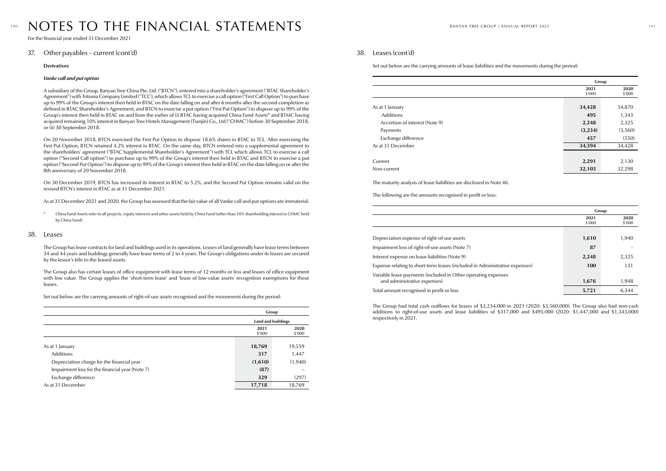For the financial year ended 31 December 2021

# 37. Other payables – current (cont'd)

### **Derivatives**

### *Vanke call and put option*

A subsidiary of the Group, Banyan Tree China Pte. Ltd. ("BTCN"), entered into a shareholder's agreement ("BTAC Shareholder's Agreement") with Tritonia Company Limited ("TCL"), which allows TCL to exercise a call option ("First Call Option") to purchase up to 99% of the Group's interest then held in BTAC on the date falling on and after 6 months after the second completion as defined in BTAC Shareholder's Agreement, and BTCN to exercise a put option ("First Put Option") to dispose up to 99% of the Group's interest then held in BTAC on and from the earlier of (i) BTAC having acquired China Fund Assets\* and BTMC having acquired remaining 10% interest in Banyan Tree Hotels Management (Tianjin) Co., Ltd ("CHMC") before 30 September 2018, or (ii) 30 September 2018.

On 20 November 2018, BTCN exercised the First Put Option to dispose 18.6% shares in BTAC to TCL. After exercising the First Put Option, BTCN retained 4.2% interest in BTAC. On the same day, BTCN entered into a supplemental agreement to the shareholders' agreement ("BTAC Supplemental Shareholder's Agreement") with TCL which allows TCL to exercise a call option ("Second Call option") to purchase up to 99% of the Group's interest then held in BTAC and BTCN to exercise a put option ("Second Put Option") to dispose up to 99% of the Group's interest then held in BTAC on the date falling on or after the 8th anniversary of 20 November 2018.

On 30 December 2019, BTCN has increased its interest in BTAC to 5.2%, and the Second Put Option remains valid on the revised BTCN's interest in BTAC as at 31 December 2021.

As at 31 December 2021 and 2020, the Group has assessed that the fair value of all Vanke call and put options are immaterial.

\* China Fund Assets refer to all projects, equity interests and other assets held by China Fund (other than 10% shareholding interest in CHMC held by China Fund).

### 38. Leases

The Group has lease contracts for land and buildings used in its operations. Leases of land generally have lease terms between 34 and 44 years and buildings generally have lease terms of 2 to 4 years. The Group's obligations under its leases are secured by the lessor's title to the leased assets.

The Group also has certain leases of office equipment with lease terms of 12 months or less and leases of office equipment with low value. The Group applies the 'short-term lease' and 'lease of low-value assets' recognition exemptions for these leases.

Set out below are the carrying amounts of right-of-use assets recognised and the movements during the period:

|                                                 |                         | Group              |  |  |
|-------------------------------------------------|-------------------------|--------------------|--|--|
|                                                 |                         | Land and buildings |  |  |
|                                                 | 2021<br>$$^{\prime}000$ | 2020<br>\$'000     |  |  |
| As at 1 January                                 | 18,769                  | 19,559             |  |  |
| <b>Additions</b>                                | 317                     | 1,447              |  |  |
| Depreciation charge for the financial year      | (1,610)                 | (1,940)            |  |  |
| Impairment loss for the financial year (Note 7) | (87)                    |                    |  |  |
| Exchange difference                             | 329                     | (297)              |  |  |
| As at 31 December                               | 17,718                  | 18,769             |  |  |

# 38. Leases (cont'd)

Set out below are the carrying amounts of lease liabilities and the movements during the period:

|                                |                | Group          |
|--------------------------------|----------------|----------------|
|                                | 2021<br>\$'000 | 2020<br>\$'000 |
| As at 1 January                | 34,428         | 34,870         |
| <b>Additions</b>               | 495            | 1,343          |
| Accretion of interest (Note 9) | 2,248          | 2,325          |
| Payments                       | (3,234)        | (3, 560)       |
| Exchange difference            | 457            | (550)          |
| As at 31 December              | 34,394         | 34,428         |
|                                |                |                |
| Current                        | 2,291          | 2,130          |
| Non-current                    | 32,103         | 32,298         |

The maturity analysis of lease liabilities are disclosed in Note 46.

The following are the amounts recognised in profit or loss:

Depreciation expense of right-of-use assets

|               | Group          |                |  |  |
|---------------|----------------|----------------|--|--|
|               | 2021<br>\$'000 | 2020<br>\$'000 |  |  |
|               | 1,610          | 1,940          |  |  |
|               | 87             |                |  |  |
|               | 2,248          | 2,325          |  |  |
| ive expenses) | 100            | 131            |  |  |
| es            |                |                |  |  |
|               | 1,676          | 1,948          |  |  |
|               | 5,721          | 6,344          |  |  |

Impairment loss of right-of-use assets (Note 7) **87** –

Interest expense on lease liabilities (Note 9) **2,248** 2,325

Expense relating to short-term leases (included in Administration

Variable lease payments (included in Other operating expenses and administrative expenses)

Total amount recognised in profit or loss

The Group had total cash outflows for leases of \$3,234,000 in 2021 (2020: \$3,560,000). The Group also had non-cash additions to right-of-use assets and lease liabilities of \$317,000 and \$495,000 (2020: \$1,447,000 and \$1,343,000) respectively in 2021.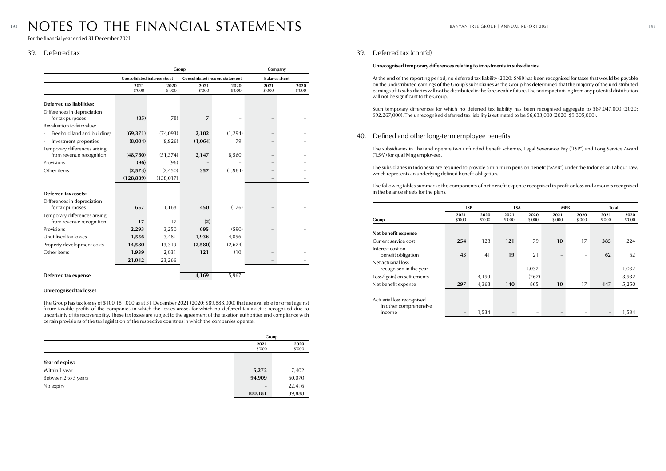For the financial year ended 31 December 2021

# 39. Deferred tax

|                                                           |                                   | Group      |                                      | Company  |                      |                |                |                |
|-----------------------------------------------------------|-----------------------------------|------------|--------------------------------------|----------|----------------------|----------------|----------------|----------------|
|                                                           | <b>Consolidated balance sheet</b> |            | <b>Consolidated income statement</b> |          | <b>Balance sheet</b> |                |                |                |
|                                                           | 2021<br>\$'000                    |            | 2021<br>2020<br>\$'000<br>\$'000     |          |                      | 2020<br>\$'000 | 2021<br>\$'000 | 2020<br>\$'000 |
| <b>Deferred tax liabilities:</b>                          |                                   |            |                                      |          |                      |                |                |                |
| Differences in depreciation                               |                                   |            |                                      |          |                      |                |                |                |
| for tax purposes                                          | (85)                              | (78)       | 7                                    |          |                      |                |                |                |
| Revaluation to fair value:                                |                                   |            |                                      |          |                      |                |                |                |
| Freehold land and buildings                               | (69, 371)                         | (74,093)   | 2,102                                | (1, 294) |                      |                |                |                |
| Investment properties<br>$\overline{\phantom{a}}$         | (8,004)                           | (9,926)    | (1,064)                              | 79       |                      |                |                |                |
| Temporary differences arising<br>from revenue recognition | (48, 760)                         | (51, 374)  | 2,147                                | 8,560    |                      |                |                |                |
| Provisions                                                | (96)                              | (96)       |                                      |          |                      |                |                |                |
| Other items                                               | (2,573)                           | (2,450)    | 357                                  | (1,984)  |                      |                |                |                |
|                                                           | (128, 889)                        | (138, 017) |                                      |          |                      |                |                |                |
|                                                           |                                   |            |                                      |          |                      |                |                |                |
| Deferred tax assets:                                      |                                   |            |                                      |          |                      |                |                |                |
| Differences in depreciation                               |                                   |            |                                      |          |                      |                |                |                |
| for tax purposes                                          | 657                               | 1,168      | 450                                  | (176)    |                      |                |                |                |
| Temporary differences arising<br>from revenue recognition | 17                                | 17         | (2)                                  |          |                      |                |                |                |
| Provisions                                                | 2,293                             | 3,250      | 695                                  | (590)    |                      |                |                |                |
| Unutilised tax losses                                     | 1,556                             | 3,481      | 1,936                                | 4,056    |                      |                |                |                |
|                                                           | 14,580                            | 13,319     | (2,580)                              | (2,674)  |                      |                |                |                |
| Property development costs<br>Other items                 |                                   |            | 121                                  |          |                      |                |                |                |
|                                                           | 1,939                             | 2,031      |                                      | (10)     |                      |                |                |                |
|                                                           | 21,042                            | 23,266     |                                      |          | -                    |                |                |                |
| Deferred tax expense                                      |                                   |            | 4,169                                | 5,967    |                      |                |                |                |

# **Unrecognised tax losses**

Such temporary differences for which no deferred tax liability has been recognised aggregate to \$67,047,000 (2020:  $$92,267,000$ . The unrecognised deferred tax liability is estimated to be  $$6,633,000 (2020: $9,305,000)$ .

The Group has tax losses of \$100,181,000 as at 31 December 2021 (2020: \$89,888,000) that are available for offset against future taxable profits of the companies in which the losses arose, for which no deferred tax asset is recognised due to uncertainty of its recoverability. These tax losses are subject to the agreement of the taxation authorities and compliance with certain provisions of the tax legislation of the respective countries in which the companies operate.

|                      | Group             |                |  |
|----------------------|-------------------|----------------|--|
|                      | 2021<br>\$'000    | 2020<br>\$'000 |  |
| Year of expiry:      |                   |                |  |
| Within 1 year        | 5,272             | 7,402          |  |
| Between 2 to 5 years | 94,909            | 60,070         |  |
| No expiry            | $\qquad \qquad -$ | 22,416         |  |
|                      | 100,181           | 89,888         |  |

# 39. Deferred tax (cont'd)

## **Unrecognised temporary differences relating to investments in subsidiaries**

At the end of the reporting period, no deferred tax liability (2020: \$Nil) has been recognised for taxes that would be payable on the undistributed earnings of the Group's subsidiaries as the Group has determined that the majority of the undistributed earnings of its subsidiaries will not be distributed in the foreseeable future. The tax impact arising from any potential distribution will not be significant to the Group.

# 40. Defined and other long-term employee benefits

The subsidiaries in Thailand operate two unfunded benefit schemes, Legal Severance Pay ("LSP") and Long Service Award ("LSA") for qualifying employees.

The subsidiaries in Indonesia are required to provide a minimum pension benefit ("MPB") under the Indonesian Labour Law, which represents an underlying defined benefit obligation.

The following tables summarise the components of net benefit expense recognised in profit or loss and amounts recognised in the balance sheets for the plans.

|                                                               |                   | <b>LSP</b>     | <b>LSA</b>               |                |                          | <b>MPB</b>     | <b>Total</b>      |                |
|---------------------------------------------------------------|-------------------|----------------|--------------------------|----------------|--------------------------|----------------|-------------------|----------------|
| Group                                                         | 2021<br>\$'000    | 2020<br>\$'000 | 2021<br>\$'000           | 2020<br>\$'000 | 2021<br>\$'000           | 2020<br>\$'000 | 2021<br>\$'000    | 2020<br>\$'000 |
| Net benefit expense                                           |                   |                |                          |                |                          |                |                   |                |
| Current service cost                                          | 254               | 128            | 121                      | 79             | 10                       | 17             | 385               | 224            |
| Interest cost on<br>benefit obligation                        | 43                | 41             | 19                       | 21             |                          | -              | 62                | 62             |
| Net actuarial loss<br>recognised in the year                  | -                 |                | $\qquad \qquad -$        | 1,032          | -                        | -              | $\qquad \qquad -$ | 1,032          |
| Loss/(gain) on settlements                                    | $\qquad \qquad -$ | 4,199          | $\overline{\phantom{0}}$ | (267)          | $\overline{\phantom{m}}$ |                |                   | 3,932          |
| Net benefit expense                                           | 297               | 4,368          | 140                      | 865            | 10                       | 17             | 447               | 5,250          |
| Actuarial loss recognised<br>in other comprehensive<br>income |                   | 1,534          |                          |                |                          |                |                   | 1,534          |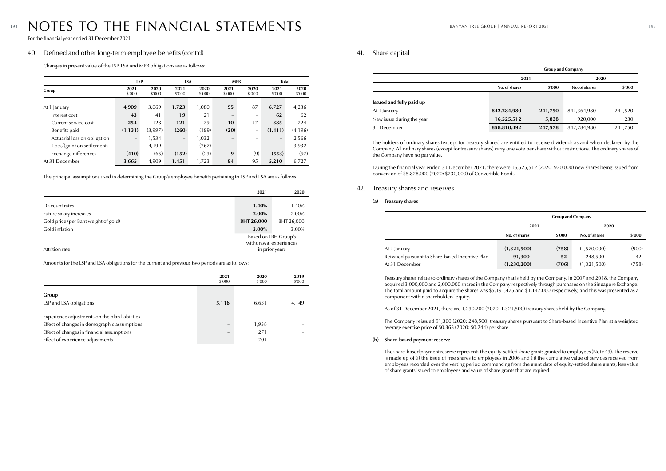For the financial year ended 31 December 2021

# 40. Defined and other long-term employee benefits (cont'd)

Changes in present value of the LSP, LSA and MPB obligations are as follows:

|                              | <b>LSP</b>              |                         | <b>LSA</b>      |                         | <b>MPB</b>     |                          | <b>Total</b>             |                         |
|------------------------------|-------------------------|-------------------------|-----------------|-------------------------|----------------|--------------------------|--------------------------|-------------------------|
| Group                        | 2021<br>$$^{\prime}000$ | 2020<br>$$^{\prime}000$ | 2021<br>\$'000  | 2020<br>$$^{\prime}000$ | 2021<br>\$'000 | 2020<br>$$^{\prime}000$  | 2021<br>\$'000           | 2020<br>$$^{\prime}000$ |
| At 1 January                 | 4,909                   | 3,069                   | 1,723           | 1,080                   | 95             | 87                       | 6,727                    | 4,236                   |
| Interest cost                | 43                      | 41                      | 19              | 21                      |                | -                        | 62                       | 62                      |
| Current service cost         | 254                     | 128                     | 121             | 79                      | 10             | 17                       | 385                      | 224                     |
| Benefits paid                | (1, 131)                | (3,997)                 | (260)           | (199)                   | (20)           | $\overline{\phantom{0}}$ | (1, 411)                 | (4,196)                 |
| Actuarial loss on obligation | -                       | 1,534                   | $\qquad \qquad$ | 1,032                   | -              | -                        | $\overline{\phantom{m}}$ | 2,566                   |
| Loss/(gain) on settlements   | $\qquad \qquad -$       | 4,199                   |                 | (267)                   | -              | -                        | $\overline{\phantom{m}}$ | 3,932                   |
| Exchange differences         | (410)                   | (65)                    | (152)           | (23)                    | 9              | (9)                      | (553)                    | (97)                    |
| At 31 December               | 3,665                   | 4,909                   | 1,451           | 1,723                   | 94             | 95                       | 5,210                    | 6,727                   |

The principal assumptions used in determining the Group's employee benefits pertaining to LSP and LSA are as follows:

|                                      | 2021                                                  | 2020       |  |
|--------------------------------------|-------------------------------------------------------|------------|--|
|                                      |                                                       |            |  |
| Discount rates                       | 1.40%                                                 | 1.40%      |  |
| Future salary increases              | 2.00%                                                 | 2.00%      |  |
| Gold price (per Baht weight of gold) | <b>BHT 26,000</b>                                     | BHT 26,000 |  |
| Gold inflation                       | 3.00%                                                 | 3.00%      |  |
|                                      | <b>Based on LRH Group's</b><br>withdrawal experiences |            |  |
| Attrition rate                       | in prior years                                        |            |  |

Amounts for the LSP and LSA obligations for the current and previous two periods are as follows:

|                                                | 2021<br>\$'000           | 2020<br>\$'000 | 2019<br>$$^{\prime}000$ |
|------------------------------------------------|--------------------------|----------------|-------------------------|
| Group                                          |                          |                |                         |
| LSP and LSA obligations                        | 5,116                    | 6,631          | 4,149                   |
| Experience adjustments on the plan liabilities |                          |                |                         |
| Effect of changes in demographic assumptions   |                          | 1,938          |                         |
| Effect of changes in financial assumptions     | $\overline{\phantom{0}}$ | 271            |                         |
| Effect of experience adjustments               |                          | 701            |                         |

# 41. Share capital

|                           |               | <b>Group and Company</b> |               |         |  |  |
|---------------------------|---------------|--------------------------|---------------|---------|--|--|
|                           | 2021          |                          | 2020          |         |  |  |
|                           | No. of shares | \$'000                   | No. of shares | \$'000  |  |  |
| Issued and fully paid up  |               |                          |               |         |  |  |
| At 1 January              | 842,284,980   | 241,750                  | 841,364,980   | 241,520 |  |  |
| New issue during the year | 16,525,512    | 5,828                    | 920,000       | 230     |  |  |
| 31 December               | 858,810,492   | 247,578                  | 842,284,980   | 241,750 |  |  |

The holders of ordinary shares (except for treasury shares) are entitled to receive dividends as and when declared by the Company. All ordinary shares (except for treasury shares) carry one vote per share without restrictions. The ordinary shares of the Company have no par value.

During the financial year ended 31 December 2021, there were 16,525,512 (2020: 920,000) new shares being issued from conversion of \$5,828,000 (2020: \$230,000) of Convertible Bonds.

# 42. Treasury shares and reserves

**(a) Treasury shares**

|                                                 | <b>Group and Company</b> |        |               |        |  |
|-------------------------------------------------|--------------------------|--------|---------------|--------|--|
|                                                 | 2021<br>2020             |        |               |        |  |
|                                                 | No. of shares            | \$'000 | No. of shares | \$'000 |  |
| At 1 January                                    | (1,321,500)              | (758)  | (1,570,000)   | (900)  |  |
| Reissued pursuant to Share-based Incentive Plan | 91,300                   | 52     | 248,500       | 142    |  |
| At 31 December                                  | (1,230,200)              | (706)  | (1,321,500)   | (758)  |  |

Treasury shares relate to ordinary shares of the Company that is held by the Company. In 2007 and 2018, the Company acquired 3,000,000 and 2,000,000 shares in the Company respectively through purchases on the Singapore Exchange. The total amount paid to acquire the shares was \$5,191,475 and \$1,147,000 respectively, and this was presented as a component within shareholders' equity.

As of 31 December 2021, there are 1,230,200 (2020: 1,321,500) treasury shares held by the Company.

The Company reissued 91,300 (2020: 248,500) treasury shares pursuant to Share-based Incentive Plan at a weighted average exercise price of \$0.363 (2020: \$0.244) per share.

# **(b) Share-based payment reserve**

The share-based payment reserve represents the equity-settled share grants granted to employees (Note 43). The reserve is made up of (i) the issue of free shares to employees in 2006 and (ii) the cumulative value of services received from employees recorded over the vesting period commencing from the grant date of equity-settled share grants, less value of share grants issued to employees and value of share grants that are expired.

| - 7         |              |
|-------------|--------------|
| I<br>×<br>٧ | I<br>×<br>۰. |
|             |              |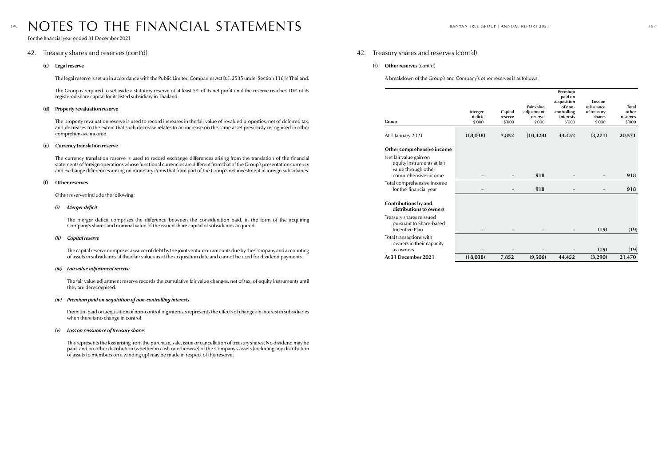For the financial year ended 31 December 2021

# 42. Treasury shares and reserves (cont'd)

## **(c) Legal reserve**

The legal reserve is set up in accordance with the Public Limited Companies Act B.E. 2535 under Section 116 in Thailand.

The Group is required to set aside a statutory reserve of at least 5% of its net profit until the reserve reaches 10% of its registered share capital for its listed subsidiary in Thailand.

## **(d) Property revaluation reserve**

The property revaluation reserve is used to record increases in the fair value of revalued properties, net of deferred tax, and decreases to the extent that such decrease relates to an increase on the same asset previously recognised in other comprehensive income.

### **(e) Currency translation reserve**

The currency translation reserve is used to record exchange differences arising from the translation of the financial statements of foreign operations whose functional currencies are different from that of the Group's presentation currency and exchange differences arising on monetary items that form part of the Group's net investment in foreign subsidiaries.

## **(f) Other reserves**

Other reserves include the following:

### *(i) Merger deficit*

The merger deficit comprises the difference between the consideration paid, in the form of the acquiring Company's shares and nominal value of the issued share capital of subsidiaries acquired.

### *(ii) Capital reserve*

The capital reserve comprises a waiver of debt by the joint venture on amounts due by the Company and accounting of assets in subsidiaries at their fair values as at the acquisition date and cannot be used for dividend payments.

### *(iii) Fair value adjustment reserve*

The fair value adjustment reserve records the cumulative fair value changes, net of tax, of equity instruments until they are derecognised.

### *(iv) Premium paid on acquisition of non-controlling interests*

Premium paid on acquisition of non-controlling interests represents the effects of changes in interest in subsidiaries when there is no change in control.

### *(v) Loss on reissuance of treasury shares*

This represents the loss arising from the purchase, sale, issue or cancellation of treasury shares. No dividend may be paid, and no other distribution (whether in cash or otherwise) of the Company's assets (including any distribution of assets to members on a winding up) may be made in respect of this reserve.

# 42. Treasury shares and reserves (cont'd)

### **(f) Other reserves** (cont'd)

A breakdown of the Group's and Company's other reserves is as follows:

| Group                                                                                               | Merger<br>deficit<br>\$'000 | Capital<br>reserve<br>\$'000 | <b>Fair value</b><br>adjustment<br>reserve<br>\$'000 | Premium<br>paid on<br>acquisition<br>of non-<br>controlling<br>interests<br>\$'000 | Loss on<br>reissuance<br>of treasury<br>shares<br>\$'000 | <b>Total</b><br>other<br>reserves<br>\$'000 |
|-----------------------------------------------------------------------------------------------------|-----------------------------|------------------------------|------------------------------------------------------|------------------------------------------------------------------------------------|----------------------------------------------------------|---------------------------------------------|
| At 1 January 2021                                                                                   | (18,038)                    | 7,852                        | (10, 424)                                            | 44,452                                                                             | (3,271)                                                  | 20,571                                      |
| Other comprehensive income                                                                          |                             |                              |                                                      |                                                                                    |                                                          |                                             |
| Net fair value gain on<br>equity instruments at fair<br>value through other<br>comprehensive income |                             |                              | 918                                                  |                                                                                    |                                                          | 918                                         |
| Total comprehensive income<br>for the financial year                                                |                             |                              | 918                                                  |                                                                                    |                                                          | 918                                         |
| Contributions by and<br>distributions to owners                                                     |                             |                              |                                                      |                                                                                    |                                                          |                                             |
| Treasury shares reissued<br>pursuant to Share-based<br><b>Incentive Plan</b>                        |                             |                              |                                                      |                                                                                    | (19)                                                     | (19)                                        |
| Total transactions with<br>owners in their capacity                                                 |                             |                              |                                                      |                                                                                    |                                                          |                                             |
| as owners<br>At 31 December 2021                                                                    | (18,038)                    | 7,852                        | (9,506)                                              | 44.452                                                                             | (19)<br>(3,290)                                          | (19)<br>21,470                              |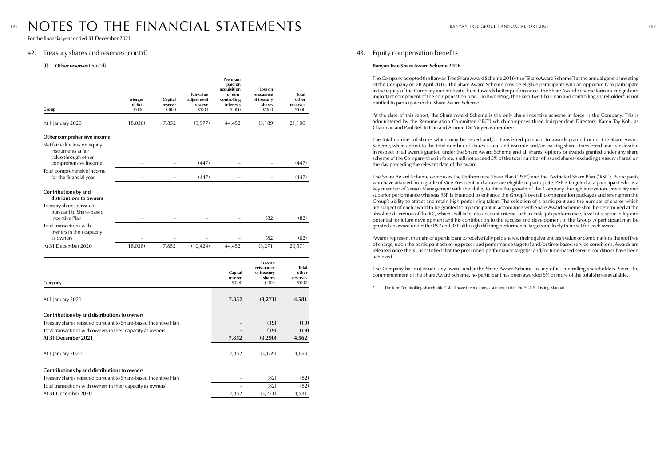For the financial year ended 31 December 2021

# 42. Treasury shares and reserves (cont'd)

## **(f) Other reserves** (cont'd)

| Group                                                                                               | Merger<br>deficit<br>\$'000 | Capital<br>reserve<br>\$'000 | Fair value<br>adjustment<br>reserve<br>\$'000 | Premium<br>paid on<br>acquisition<br>of non-<br>controlling<br>interests<br>\$'000 | Loss on<br>reissuance<br>of treasury<br>shares<br>\$'000 | <b>Total</b><br>other<br>reserves<br>\$'000 |
|-----------------------------------------------------------------------------------------------------|-----------------------------|------------------------------|-----------------------------------------------|------------------------------------------------------------------------------------|----------------------------------------------------------|---------------------------------------------|
| At 1 January 2020                                                                                   | (18,038)                    | 7,852                        | (9, 977)                                      | 44,452                                                                             | (3, 189)                                                 | 21,100                                      |
| Other comprehensive income                                                                          |                             |                              |                                               |                                                                                    |                                                          |                                             |
| Net fair value loss on equity<br>instruments at fair<br>value through other<br>comprehensive income |                             |                              | (447)                                         |                                                                                    |                                                          | (447)                                       |
| Total comprehensive income<br>for the financial year                                                |                             |                              | (447)                                         |                                                                                    |                                                          | (447)                                       |
| Contributions by and<br>distributions to owners                                                     |                             |                              |                                               |                                                                                    |                                                          |                                             |
| Treasury shares reissued<br>pursuant to Share-based<br><b>Incentive Plan</b>                        |                             |                              |                                               |                                                                                    | (82)                                                     | (82)                                        |
| Total transactions with<br>owners in their capacity<br>as owners                                    |                             |                              |                                               |                                                                                    | (82)                                                     | (82)                                        |
| At 31 December 2020                                                                                 | (18, 038)                   | 7,852                        | (10, 424)                                     | 44,452                                                                             | (3,271)                                                  | 20,571                                      |
| Company                                                                                             |                             |                              |                                               | Capital<br>reserve<br>\$'000                                                       | Loss on<br>reissuance<br>of treasury<br>shares<br>\$′000 | <b>Total</b><br>other<br>reserves<br>\$'000 |
| At 1 January 2021                                                                                   |                             |                              |                                               | 7,852                                                                              | (3,271)                                                  | 4,581                                       |
| Contributions by and distributions to owners                                                        |                             |                              |                                               |                                                                                    |                                                          |                                             |
| Treasury shares reissued pursuant to Share-based Incentive Plan                                     |                             |                              |                                               |                                                                                    | (19)                                                     | (19)                                        |
| Total transactions with owners in their capacity as owners                                          |                             |                              |                                               | $\overline{\phantom{0}}$                                                           | (19)                                                     | (19)                                        |

At the date of this report, the Share Award Scheme is the only share incentive scheme in force in the Company. This is administered by the Remuneration Committee ("RC") which comprises three Independent Directors, Karen Tay Koh, as Chairman and Paul Beh Jit Han and Arnoud De Meyer as members.

| Total transactions with owners in their capacity as owners      |       | 1 I J J |       |
|-----------------------------------------------------------------|-------|---------|-------|
| At 31 December 2021                                             | 7,852 | (3.290) | 4,562 |
|                                                                 |       |         |       |
| At 1 January 2020                                               | 7,852 | (3.189) | 4,663 |
|                                                                 |       |         |       |
| Contributions by and distributions to owners                    |       |         |       |
| Treasury shares reissued pursuant to Share-based Incentive Plan |       | (82)    | (82)  |
| Total transactions with owners in their capacity as owners      |       | (82)    | (82)  |
| At 31 December 2020                                             | 7,852 | (3.271) | 4,581 |

# 43. Equity compensation benefits

### **Banyan Tree Share Award Scheme 2016**

The Company adopted the Banyan Tree Share Award Scheme 2016 (the "Share Award Scheme") at the annual general meeting of the Company on 28 April 2016. The Share Award Scheme provide eligible participants with an opportunity to participate in the equity of the Company and motivate them towards better performance. The Share Award Scheme form an integral and important component of the compensation plan. Ho KwonPing, the Executive Chairman and controlling shareholder\*, is not entitled to participate in the Share Award Scheme.

The total number of shares which may be issued and/or transferred pursuant to awards granted under the Share Award Scheme, when added to the total number of shares issued and issuable and/or existing shares transferred and transferable in respect of all awards granted under the Share Award Scheme and all shares, options or awards granted under any share scheme of the Company then in force, shall not exceed 5% of the total number of issued shares (excluding treasury shares) on the day preceding the relevant date of the award.

The Share Award Scheme comprises the Performance Share Plan ("PSP") and the Restricted Share Plan ("RSP"). Participants who have attained from grade of Vice President and above are eligible to participate. PSP is targeted at a participant who is a key member of Senior Management with the ability to drive the growth of the Company through innovation, creativity and superior performance whereas RSP is intended to enhance the Group's overall compensation packages and strengthen the Group's ability to attract and retain high performing talent. The selection of a participant and the number of shares which are subject of each award to be granted to a participant in accordance with Share Award Scheme shall be determined at the absolute discretion of the RC, which shall take into account criteria such as rank, job performance, level of responsibility and potential for future development and his contribution to the success and development of the Group. A participant may be granted an award under the PSP and RSP although differing performance targets are likely to be set for each award.

Awards represent the right of a participant to receive fully paid shares, their equivalent cash value or combinations thereof free of charge, upon the participant achieving prescribed performance target(s) and/or time-based service conditions. Awards are released once the RC is satisfied that the prescribed performance target(s) and/or time-based service conditions have been achieved.

The Company has not issued any award under the Share Award Scheme to any of its controlling shareholders. Since the commencement of the Share Award Scheme, no participant has been awarded 5% or more of the total shares available.

The term "controlling shareholder" shall have the meaning ascribed to it in the SGX-ST Listing Manual.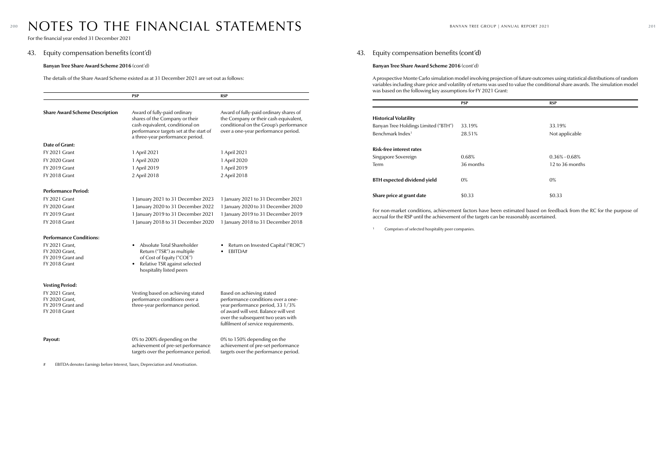For the financial year ended 31 December 2021

# 43. Equity compensation benefits (cont'd)

# **Banyan Tree Share Award Scheme 2016** (cont'd)

The details of the Share Award Scheme existed as at 31 December 2021 are set out as follows:

A prospective Monte Carlo simulation model involving projection of future outcomes using statistical distributions of random variables including share price and volatility of returns was used to value the conditional share awards. The simulation model was based on the following key assumptions for FY 2021 Grant:

|                                                                               | <b>PSP</b>                                                                                                                                                                       | <b>RSP</b>                                                                                                                                                                                                                |
|-------------------------------------------------------------------------------|----------------------------------------------------------------------------------------------------------------------------------------------------------------------------------|---------------------------------------------------------------------------------------------------------------------------------------------------------------------------------------------------------------------------|
|                                                                               |                                                                                                                                                                                  |                                                                                                                                                                                                                           |
| <b>Share Award Scheme Description</b>                                         | Award of fully-paid ordinary<br>shares of the Company or their<br>cash equivalent, conditional on<br>performance targets set at the start of<br>a three-year performance period. | Award of fully-paid ordinary shares of<br>the Company or their cash equivalent,<br>conditional on the Group's performance<br>over a one-year performance period.                                                          |
| Date of Grant:                                                                |                                                                                                                                                                                  |                                                                                                                                                                                                                           |
| FY 2021 Grant                                                                 | 1 April 2021                                                                                                                                                                     | 1 April 2021                                                                                                                                                                                                              |
| FY 2020 Grant                                                                 | 1 April 2020                                                                                                                                                                     | 1 April 2020                                                                                                                                                                                                              |
| FY 2019 Grant                                                                 | 1 April 2019                                                                                                                                                                     | 1 April 2019                                                                                                                                                                                                              |
| FY 2018 Grant                                                                 | 2 April 2018                                                                                                                                                                     | 2 April 2018                                                                                                                                                                                                              |
| <b>Performance Period:</b>                                                    |                                                                                                                                                                                  |                                                                                                                                                                                                                           |
| FY 2021 Grant                                                                 | 1 January 2021 to 31 December 2023                                                                                                                                               | 1 January 2021 to 31 December 2021                                                                                                                                                                                        |
| FY 2020 Grant                                                                 | 1 January 2020 to 31 December 2022                                                                                                                                               | 1 January 2020 to 31 December 2020                                                                                                                                                                                        |
| FY 2019 Grant                                                                 | 1 January 2019 to 31 December 2021                                                                                                                                               | 1 January 2019 to 31 December 2019                                                                                                                                                                                        |
| FY 2018 Grant                                                                 | 1 January 2018 to 31 December 2020                                                                                                                                               | 1 January 2018 to 31 December 2018                                                                                                                                                                                        |
| <b>Performance Conditions:</b>                                                |                                                                                                                                                                                  |                                                                                                                                                                                                                           |
| FY 2021 Grant,<br><b>FY 2020 Grant,</b><br>FY 2019 Grant and<br>FY 2018 Grant | Absolute Total Shareholder<br>Return ("TSR") as multiple<br>of Cost of Equity ("COE")<br>Relative TSR against selected<br>$\bullet$<br>hospitality listed peers                  | Return on Invested Capital ("ROIC")<br>EBITDA#<br>٠                                                                                                                                                                       |
| <b>Vesting Period:</b>                                                        |                                                                                                                                                                                  |                                                                                                                                                                                                                           |
| FY 2021 Grant,<br>FY 2020 Grant,<br>FY 2019 Grant and<br>FY 2018 Grant        | Vesting based on achieving stated<br>performance conditions over a<br>three-year performance period.                                                                             | Based on achieving stated<br>performance conditions over a one-<br>year performance period, 33 1/3%<br>of award will vest. Balance will vest<br>over the subsequent two years with<br>fulfilment of service requirements. |
| Payout:                                                                       | 0% to 200% depending on the<br>achievement of pre-set performance<br>targets over the performance period.                                                                        | 0% to 150% depending on the<br>achievement of pre-set performance<br>targets over the performance period.                                                                                                                 |

# EBITDA denotes Earnings before Interest, Taxes, Depreciation and Amortisation.

# 43. Equity compensation benefits (cont'd)

## **Banyan Tree Share Award Scheme 2016** (cont'd)

# **PSP RSP**

|                                      | PSP       | <b>RSP</b>        |
|--------------------------------------|-----------|-------------------|
|                                      |           |                   |
| <b>Historical Volatility</b>         |           |                   |
| Banyan Tree Holdings Limited ("BTH") | 33.19%    | 33.19%            |
| Benchmark Index <sup>1</sup>         | 28.51%    | Not applicable    |
|                                      |           |                   |
| Risk-free interest rates             |           |                   |
| Singapore Sovereign                  | 0.68%     | $0.36\% - 0.68\%$ |
| Term                                 | 36 months | 12 to 36 months   |
|                                      |           |                   |
| <b>BTH expected dividend yield</b>   | $0\%$     | $0\%$             |
|                                      |           |                   |
| Share price at grant date            | \$0.33    | \$0.33            |
|                                      |           |                   |

For non-market conditions, achievement factors have been estimated based on feedback from the RC for the purpose of accrual for the RSP until the achievement of the targets can be reasonably ascertained.

<sup>1</sup> Comprises of selected hospitality peer companies.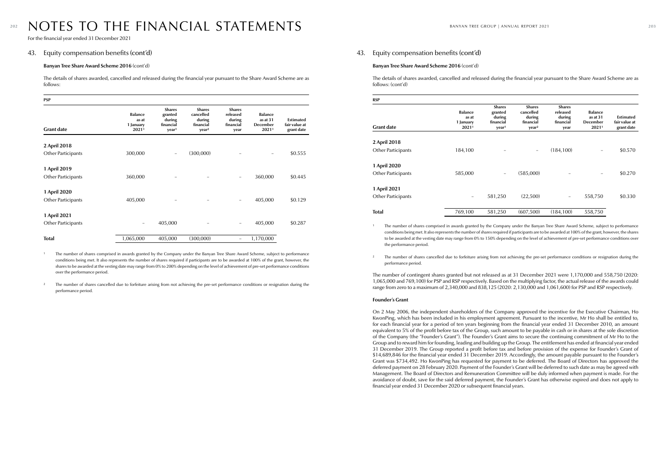For the financial year ended 31 December 2021

# 43. Equity compensation benefits (cont'd)

## **Banyan Tree Share Award Scheme 2016** (cont'd)

The details of shares awarded, cancelled and released during the financial year pursuant to the Share Award Scheme are as follows:

| <b>PSP</b>         |                                               |                                                                      |                                                                        |                                                          |                                                        |                                                 |
|--------------------|-----------------------------------------------|----------------------------------------------------------------------|------------------------------------------------------------------------|----------------------------------------------------------|--------------------------------------------------------|-------------------------------------------------|
| <b>Grant date</b>  | <b>Balance</b><br>as at<br>1 January<br>20211 | <b>Shares</b><br>granted<br>during<br>financial<br>year <sup>1</sup> | <b>Shares</b><br>cancelled<br>during<br>financial<br>year <sup>2</sup> | <b>Shares</b><br>released<br>during<br>financial<br>year | <b>Balance</b><br>as at 31<br><b>December</b><br>20211 | <b>Estimated</b><br>fair value at<br>grant date |
| 2 April 2018       |                                               |                                                                      |                                                                        |                                                          |                                                        |                                                 |
| Other Participants | 300,000                                       | $\overline{\phantom{m}}$                                             | (300,000)                                                              |                                                          |                                                        | \$0.555                                         |
| 1 April 2019       |                                               |                                                                      |                                                                        |                                                          |                                                        |                                                 |
| Other Participants | 360,000                                       |                                                                      |                                                                        |                                                          | 360,000                                                | \$0.445                                         |
| 1 April 2020       |                                               |                                                                      |                                                                        |                                                          |                                                        |                                                 |
| Other Participants | 405,000                                       |                                                                      |                                                                        |                                                          | 405,000                                                | \$0.129                                         |
| 1 April 2021       |                                               |                                                                      |                                                                        |                                                          |                                                        |                                                 |
| Other Participants | $\qquad \qquad -$                             | 405,000                                                              |                                                                        | $\qquad \qquad -$                                        | 405,000                                                | \$0.287                                         |
| <b>Total</b>       | 1,065,000                                     | 405,000                                                              | (300,000)                                                              | $\qquad \qquad -$                                        | 1,170,000                                              |                                                 |

The number of shares comprised in awards granted by the Company under the Banyan Tree Share Award Scheme, subject to performance conditions being met. It also represents the number of shares required if participants are to be awarded at 100% of the grant, however, the shares to be awarded at the vesting date may range from 0% to 200% depending on the level of achievement of pre-set performance conditions over the performance period.

<sup>2</sup> The number of shares cancelled due to forfeiture arising from not achieving the pre-set performance conditions or resignation during the performance period.

The number of shares comprised in awards granted by the Company under the Banyan Tree Share Award Scheme, subject to performance conditions being met. It also represents the number of shares required if participants are to be awarded at 100% of the grant, however, the shares to be awarded at the vesting date may range from 0% to 150% depending on the level of achievement of pre-set performance conditions over the performance period.

<sup>2</sup> The number of shares cancelled due to forfeiture arising from not achieving the pre-set performance conditions or resignation during the performance period.

# 43. Equity compensation benefits (cont'd)

## **Banyan Tree Share Award Scheme 2016** (cont'd)

The details of shares awarded, cancelled and released during the financial year pursuant to the Share Award Scheme are as follows: (cont'd)

| <b>RSP</b>         |                                               |                                                                      |                                                                        |                                                          |                                                          |                                                 |
|--------------------|-----------------------------------------------|----------------------------------------------------------------------|------------------------------------------------------------------------|----------------------------------------------------------|----------------------------------------------------------|-------------------------------------------------|
| <b>Grant date</b>  | <b>Balance</b><br>as at<br>1 January<br>20211 | <b>Shares</b><br>granted<br>during<br>financial<br>year <sup>1</sup> | <b>Shares</b><br>cancelled<br>during<br>financial<br>year <sup>2</sup> | <b>Shares</b><br>released<br>during<br>financial<br>year | <b>Balance</b><br>as at $31$<br><b>December</b><br>20211 | <b>Estimated</b><br>fair value at<br>grant date |
| 2 April 2018       |                                               |                                                                      |                                                                        |                                                          |                                                          |                                                 |
| Other Participants | 184,100                                       | -                                                                    | -                                                                      | (184, 100)                                               | -                                                        | \$0.570                                         |
| 1 April 2020       |                                               |                                                                      |                                                                        |                                                          |                                                          |                                                 |
| Other Participants | 585,000                                       | $\qquad \qquad -$                                                    | (585,000)                                                              | -                                                        | -                                                        | \$0.270                                         |
| 1 April 2021       |                                               |                                                                      |                                                                        |                                                          |                                                          |                                                 |
| Other Participants | $\qquad \qquad -$                             | 581,250                                                              | (22,500)                                                               | $\overline{\phantom{m}}$                                 | 558,750                                                  | \$0.330                                         |
| <b>Total</b>       | 769,100                                       | 581,250                                                              | (607,500)                                                              | (184, 100)                                               | 558,750                                                  |                                                 |

The number of contingent shares granted but not released as at 31 December 2021 were 1,170,000 and 558,750 (2020: 1,065,000 and 769,100) for PSP and RSP respectively. Based on the multiplying factor, the actual release of the awards could range from zero to a maximum of 2,340,000 and 838,125 (2020: 2,130,000 and 1,061,600) for PSP and RSP respectively.

### **Founder's Grant**

On 2 May 2006, the independent shareholders of the Company approved the incentive for the Executive Chairman, Ho KwonPing, which has been included in his employment agreement. Pursuant to the incentive, Mr Ho shall be entitled to, for each financial year for a period of ten years beginning from the financial year ended 31 December 2010, an amount equivalent to 5% of the profit before tax of the Group, such amount to be payable in cash or in shares at the sole discretion of the Company (the "Founder's Grant"). The Founder's Grant aims to secure the continuing commitment of Mr Ho to the Group and to reward him for founding, leading and building up the Group. The entitlement has ended at financial year ended 31 December 2019. The Group reported a profit before tax and before provision of the expense for Founder's Grant of \$14,689,846 for the financial year ended 31 December 2019. Accordingly, the amount payable pursuant to the Founder's Grant was \$734,492. Ho KwonPing has requested for payment to be deferred. The Board of Directors has approved the deferred payment on 28 February 2020. Payment of the Founder's Grant will be deferred to such date as may be agreed with Management. The Board of Directors and Remuneration Committee will be duly informed when payment is made. For the avoidance of doubt, save for the said deferred payment, the Founder's Grant has otherwise expired and does not apply to financial year ended 31 December 2020 or subsequent financial years.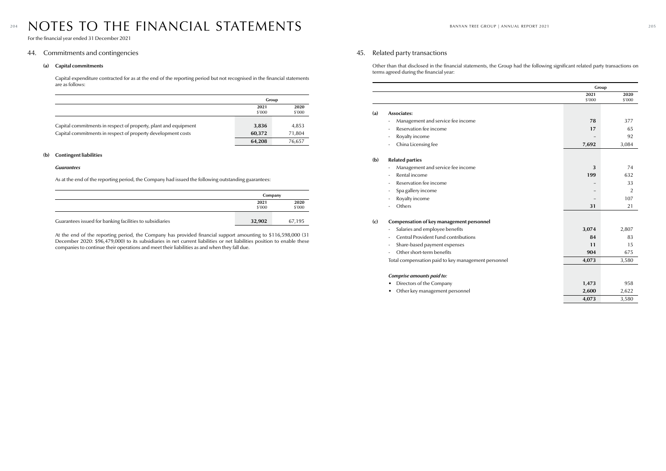For the financial year ended 31 December 2021

# 44. Commitments and contingencies

### **(a) Capital commitments**

Capital expenditure contracted for as at the end of the reporting period but not recognised in the financial statements are as follows:

|                                                                                                                                 |                 | Group           |
|---------------------------------------------------------------------------------------------------------------------------------|-----------------|-----------------|
|                                                                                                                                 | 2021<br>\$'000  | 2020<br>\$'000  |
| Capital commitments in respect of property, plant and equipment<br>Capital commitments in respect of property development costs | 3,836<br>60,372 | 4,853<br>71,804 |
|                                                                                                                                 | 64,208          | 76,657          |

# **(b) Contingent liabilities**

### *Guarantees*

As at the end of the reporting period, the Company had issued the following outstanding guarantees:

|                                                          | Company        |                |
|----------------------------------------------------------|----------------|----------------|
|                                                          | 2021<br>\$'000 | 2020<br>\$'000 |
| Guarantees issued for banking facilities to subsidiaries | 32,902         | 67,195         |

At the end of the reporting period, the Company has provided financial support amounting to \$116,598,000 (31 December 2020: \$96,479,000) to its subsidiaries in net current liabilities or net liabilities position to enable these companies to continue their operations and meet their liabilities as and when they fall due.

# 45. Related party transactions

Other than that disclosed in the financial statements, the Group had the following significant related party transactions on terms agreed during the financial year:

## **(a) Associates:**

- Management and service fee income
- Reservation fee income
- Royalty income
- China Licensing fee

### **(b) Related parties**

- Management and service fee income
- Rental income
- Reservation fee income
- Spa gallery income
- Royalty income
- 

|     |                                                     | Group  |        |
|-----|-----------------------------------------------------|--------|--------|
|     |                                                     | 2021   | 2020   |
|     |                                                     | \$'000 | \$'000 |
| (a) | <b>Associates:</b>                                  |        |        |
|     | Management and service fee income                   | 78     | 377    |
|     | Reservation fee income                              | 17     | 65     |
|     | Royalty income                                      |        | 92     |
|     | China Licensing fee                                 | 7,692  | 3,084  |
|     |                                                     |        |        |
| (b) | <b>Related parties</b>                              |        |        |
|     | Management and service fee income<br>$\overline{a}$ | 3      | 74     |
|     | Rental income                                       | 199    | 632    |
|     | Reservation fee income                              |        | 33     |
|     | Spa gallery income<br>۰                             |        | 2      |
|     | Royalty income                                      |        | 107    |
|     | Others                                              | 31     | 21     |
| (c) | Compensation of key management personnel            |        |        |
|     | Salaries and employee benefits<br>$\overline{a}$    | 3,074  | 2,807  |
|     | <b>Central Provident Fund contributions</b><br>÷    | 84     | 83     |
|     | Share-based payment expenses<br>÷                   | 11     | 15     |
|     | Other short-term benefits                           | 904    | 675    |
|     | Total compensation paid to key management personnel | 4,073  | 3,580  |
|     |                                                     |        |        |
|     | Comprise amounts paid to:                           |        |        |
|     | Directors of the Company                            | 1,473  | 958    |
|     | Other key management personnel                      | 2,600  | 2,622  |
|     |                                                     | 4,073  | 3,580  |

## **(c) Compensation of key management personnel**

- $-$  Salaries and employee benefits
- Central Provident Fund contributions
- Share-based payment expenses
- Other short-term benefits

# *Comprise amounts paid to:*

- Directors of the Company
- **•** Other key management personnel

| ٠ |             |              |
|---|-------------|--------------|
| I | I<br>$\sim$ | I<br>-<br>۰. |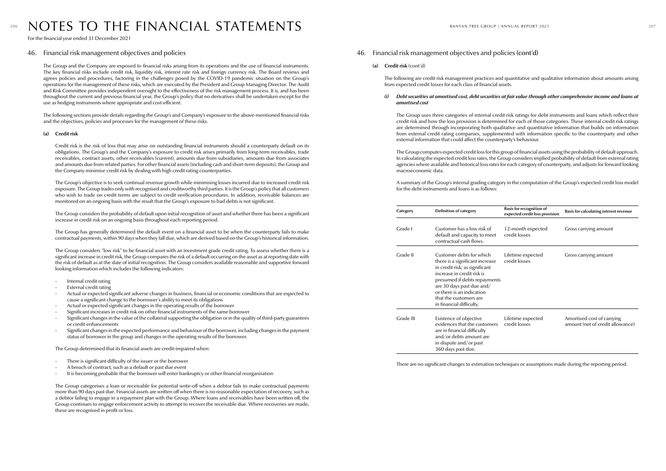For the financial year ended 31 December 2021

# 46. Financial risk management objectives and policies

The Group and the Company are exposed to financial risks arising from its operations and the use of financial instruments. The key financial risks include credit risk, liquidity risk, interest rate risk and foreign currency risk. The Board reviews and agrees policies and procedures, factoring in the challenges posed by the COVID-19 pandemic situation on the Group's operations for the management of these risks, which are executed by the President and Group Managing Director. The Audit and Risk Committee provides independent oversight to the effectiveness of the risk management process. It is, and has been throughout the current and previous financial year, the Group's policy that no derivatives shall be undertaken except for the use as hedging instruments where appropriate and cost-efficient.

The following sections provide details regarding the Group's and Company's exposure to the above-mentioned financial risks and the objectives, policies and processes for the management of these risks.

## **(a) Credit risk**

Credit risk is the risk of loss that may arise on outstanding financial instruments should a counterparty default on its obligations. The Group's and the Company's exposure to credit risk arises primarily from long-term receivables, trade receivables, contract assets, other receivables (current), amounts due from subsidiaries, amounts due from associates and amounts due from related parties. For other financial assets (including cash and short-term deposits), the Group and the Company minimise credit risk by dealing with high credit rating counterparties.

The Group's objective is to seek continual revenue growth while minimising losses incurred due to increased credit risk exposure. The Group trades only with recognised and creditworthy third parties. It is the Group's policy that all customers who wish to trade on credit terms are subject to credit verification procedures. In addition, receivable balances are monitored on an ongoing basis with the result that the Group's exposure to bad debts is not significant.

- There is significant difficulty of the issuer or the borrower
- A breach of contract, such as a default or past due event
- It is becoming probable that the borrower will enter bankruptcy or other financial reorganisation

The Group considers the probability of default upon initial recognition of asset and whether there has been a significant increase in credit risk on an ongoing basis throughout each reporting period.

The Group has generally determined the default event on a financial asset to be when the counterparty fails to make contractual payments, within 90 days when they fall due, which are derived based on the Group's historical information.

The Group considers "low risk" to be financial asset with an investment grade credit rating. To assess whether there is a significant increase in credit risk, the Group compares the risk of a default occurring on the asset as at reporting date with the risk of default as at the date of initial recognition. The Group considers available reasonable and supportive forward looking information which includes the following indicators:

- Internal credit rating
- External credit rating
- Actual or expected significant adverse changes in business, financial or economic conditions that are expected to cause a significant change to the borrower's ability to meet its obligations
- Actual or expected significant changes in the operating results of the borrower
- Significant increases in credit risk on other financial instruments of the same borrower
- Significant changes in the value of the collateral supporting the obligation or in the quality of third-party guarantees or credit enhancements
- Significant changes in the expected performance and behaviour of the borrower, including changes in the payment status of borrower in the group and changes in the operating results of the borrower.

The Group determined that its financial assets are credit-impaired when:

The Group categorises a loan or receivable for potential write-off when a debtor fails to make contractual payments more than 90 days past due. Financial assets are written off when there is no reasonable expectation of recovery, such as a debtor failing to engage in a repayment plan with the Group. Where loans and receivables have been written off, the Group continues to engage enforcement activity to attempt to recover the receivable due. Where recoveries are made, these are recognised in profit or loss.

- 46. Financial risk management objectives and policies (cont'd)
	- **(a) Credit risk** (cont'd)

The following are credit risk management practices and quantitative and qualitative information about amounts arising from expected credit losses for each class of financial assets.

### *(i) Debt securities at amortised cost, debt securities at fair value through other comprehensive income and loans at amortised cost*

The Group uses three categories of internal credit risk ratings for debt instruments and loans which reflect their credit risk and how the loss provision is determined for each of those categories. These internal credit risk ratings are determined through incorporating both qualitative and quantitative information that builds on information from external credit rating companies, supplemented with information specific to the counterparty and other external information that could affect the counterparty's behaviour.

The Group computes expected credit loss for this group of financial assets using the probability of default approach. In calculating the expected credit loss rates, the Group considers implied probability of default from external rating agencies where available and historical loss rates for each category of counterparty, and adjusts for forward looking macroeconomic data.

A summary of the Group's internal grading category in the computation of the Group's expected credit loss model for the debt instruments and loans is as follows:

| Category  | Definition of category                                                                                                                                                                                                                                                      | <b>Basis for recognition of</b><br>expected credit loss provision | Basis for calculating interest revenue                         |
|-----------|-----------------------------------------------------------------------------------------------------------------------------------------------------------------------------------------------------------------------------------------------------------------------------|-------------------------------------------------------------------|----------------------------------------------------------------|
| Grade I   | Customer has a low risk of<br>default and capacity to meet<br>contractual cash flows.                                                                                                                                                                                       | 12-month expected<br>credit losses                                | Gross carrying amount                                          |
| Grade II  | Customer debts for which<br>there is a significant increase<br>in credit risk; as significant<br>increase in credit risk is<br>presumed if debts repayments<br>are 30 days past due and/<br>or there is an indication<br>that the customers are<br>in financial difficulty. | Lifetime expected<br>credit losses                                | Gross carrying amount                                          |
| Grade III | Existence of objective<br>evidences that the customers<br>are in financial difficulty<br>and/or debts amount are<br>in dispute and/or past<br>360 days past due.                                                                                                            | Lifetime expected<br>credit losses                                | Amortised cost of carrying<br>amount (net of credit allowance) |

There are no significant changes to estimation techniques or assumptions made during the reporting period.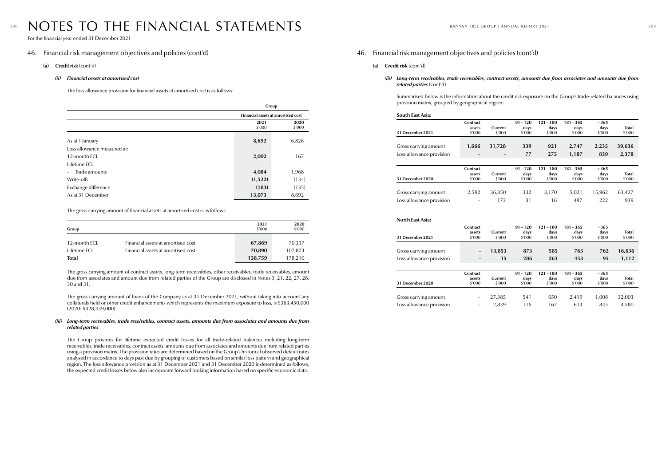For the financial year ended 31 December 2021

# 46. Financial risk management objectives and policies (cont'd)

**(a) Credit risk** (cont'd)

### *(ii) Financial assets at amortised cost*

The loss allowance provision for financial assets at amortised cost is as follows:

|                             | Group                                     |                |  |
|-----------------------------|-------------------------------------------|----------------|--|
|                             | <b>Financial assets at amortised cost</b> |                |  |
|                             | 2021<br>\$'000                            | 2020<br>\$'000 |  |
| As at 1 January             | 8,692                                     | 6,826          |  |
| Loss allowance measured at: |                                           |                |  |
| 12-month ECL                | 2,002                                     | 167            |  |
| Lifetime ECL                |                                           |                |  |
| Trade amounts<br>$\sim$     | 4,084                                     | 1,968          |  |
| Write-offs                  | (1,522)                                   | (134)          |  |
| Exchange difference         | (183)                                     | (135)          |  |
| As at 31 December           | 13,073                                    | 8,692          |  |

The gross carrying amount of financial assets at amortised cost is as follows:

| Group        |                                    | 2021<br>\$'000 | <b>2020</b><br>\$'000 |
|--------------|------------------------------------|----------------|-----------------------|
| 12-month ECL | Financial assets at amortised cost | 67,869         | 70,337                |
| Lifetime ECL | Financial assets at amortised cost | 70,890         |                       |
|              |                                    |                | 107,873               |
| <b>Total</b> |                                    | 138,759        | 178,210               |

The gross carrying amount of contract assets, long-term receivables, other receivables, trade receivables, amount due from associates and amount due from related parties of the Group are disclosed in Notes 3, 21, 22, 27, 28, 30 and 31.

The gross carrying amount of loans of the Company as at 31 December 2021, without taking into account any collaterals held or other credit enhancements which represents the maximum exposure to loss, is \$363,450,000 (2020: \$428,439,000).

### *(iii) Long-term receivables, trade receivables, contract assets, amounts due from associates and amounts due from related parties*

The Group provides for lifetime expected credit losses for all trade-related balances including long-term receivables, trade receivables, contract assets, amounts due from associates and amounts due from related parties using a provision matrix. The provision rates are determined based on the Group's historical observed default rates analysed in accordance to days past due by grouping of customers based on similar loss pattern and geographical region. The loss allowance provision as at 31 December 2021 and 31 December 2020 is determined as follows, the expected credit losses below also incorporate forward looking information based on specific economic data.

# 46. Financial risk management objectives and policies (cont'd)

- **(a) Credit risk** (cont'd)
	- *(iii) Long-term receivables, trade receivables, contract assets, amounts due from associates and amounts due from related parties* (cont'd)

Summarised below is the information about the credit risk exposure on the Group's trade-related balances using provision matrix, grouped by geographical region:

| <b>South East Asia:</b>  |                              |                   |                              |                               |                               |                        |                        |
|--------------------------|------------------------------|-------------------|------------------------------|-------------------------------|-------------------------------|------------------------|------------------------|
| 31 December 2021         | Contract<br>assets<br>\$'000 | Current<br>\$'000 | $91 - 120$<br>days<br>\$'000 | $121 - 180$<br>days<br>\$'000 | $181 - 365$<br>days<br>\$'000 | >365<br>days<br>\$'000 | <b>Total</b><br>\$'000 |
|                          |                              |                   |                              |                               |                               |                        |                        |
| Gross carrying amount    | 1,666                        | 31,728            | 339                          | 921                           | 2,747                         | 2,235                  | 39,636                 |
| Loss allowance provision |                              |                   | 77                           | 275                           | 1,187                         | 839                    | 2,378                  |
|                          | Contract                     |                   | $91 - 120$                   | $121 - 180$                   | $181 - 365$                   | >365                   |                        |
| 31 December 2020         | assets<br>\$'000             | Current<br>\$'000 | days<br>\$'000               | days<br>\$'000                | days<br>\$'000                | days<br>\$'000         | <b>Total</b><br>\$'000 |
| Gross carrying amount    | 2,592                        | 36,350            | 332                          | 3,170                         | 5,021                         | 15,962                 | 63,427                 |
| Loss allowance provision |                              | 173               | 31                           | 16                            | 497                           | 222                    | 939                    |
| <b>North East Asia:</b>  |                              |                   |                              |                               |                               |                        |                        |
|                          | Contract                     |                   | $91 - 120$                   | $121 - 180$                   | $181 - 365$                   | >365                   |                        |
| 31 December 2021         | assets<br>\$'000             | Current<br>\$'000 | days<br>\$'000               | days<br>\$'000                | days<br>\$'000                | days<br>\$'000         | <b>Total</b><br>\$'000 |
| Gross carrying amount    | $\qquad \qquad -$            | 13,853            | 873                          | 585                           | 763                           | 762                    | 16,836                 |
| Loss allowance provision |                              | 15                | 286                          | 263                           | 453                           | 95                     | 1,112                  |
|                          | Contract                     |                   | $91 - 120$                   | $121 - 180$                   | $181 - 365$                   | >365                   |                        |
| 31 December 2020         | assets<br>\$'000             | Current<br>\$'000 | days<br>\$'000               | days<br>\$'000                | days<br>\$'000                | days<br>\$'000         | <b>Total</b><br>\$'000 |
| Gross carrying amount    |                              | 27,385            | 541                          | 650                           | 2,419                         | 1,008                  | 32,003                 |
| Loss allowance provision |                              | 2,839             | 116                          | 167                           | 613                           | 845                    | 4,580                  |

| 31 December 2021                                  | Contract<br>assets<br>\$'000 | Current<br>\$'000 | $91 - 120$<br>days<br>\$'000 | $121 - 180$<br>days<br>\$'000 | $181 - 365$<br>days<br>\$'000 | >365<br>days<br>\$'000 | <b>Total</b><br>\$'000 |
|---------------------------------------------------|------------------------------|-------------------|------------------------------|-------------------------------|-------------------------------|------------------------|------------------------|
| Gross carrying amount                             | 1,666                        | 31,728            | 339                          | 921                           | 2,747                         | 2,235                  | 39,636                 |
| Loss allowance provision                          |                              |                   | 77                           | 275                           | 1,187                         | 839                    | 2,378                  |
| 31 December 2020                                  | Contract<br>assets<br>\$'000 | Current<br>\$'000 | $91 - 120$<br>days<br>\$'000 | $121 - 180$<br>days<br>\$'000 | $181 - 365$<br>days<br>\$'000 | >365<br>days<br>\$'000 | <b>Total</b><br>\$'000 |
|                                                   |                              |                   | 332                          |                               | 5,021                         |                        |                        |
| Gross carrying amount<br>Loss allowance provision | 2,592                        | 36,350<br>173     | 31                           | 3,170<br>16                   | 497                           | 15,962<br>222          | 63,427<br>939          |
| North East Asia:                                  |                              |                   |                              |                               |                               |                        |                        |
| 31 December 2021                                  | Contract<br>assets<br>\$'000 | Current<br>\$'000 | $91 - 120$<br>days<br>\$'000 | $121 - 180$<br>days<br>\$'000 | $181 - 365$<br>days<br>\$'000 | >365<br>days<br>\$'000 | <b>Total</b><br>\$'000 |
| Gross carrying amount                             |                              | 13,853            | 873                          | 585                           | 763                           | 762                    | 16,836                 |
| Loss allowance provision                          |                              | 15                | 286                          | 263                           | 453                           | 95                     | 1,112                  |
| 31 December 2020                                  | Contract<br>assets<br>\$'000 | Current<br>\$'000 | $91 - 120$<br>days<br>\$'000 | $121 - 180$<br>days<br>\$'000 | $181 - 365$<br>days<br>\$'000 | >365<br>days<br>\$'000 | <b>Total</b><br>\$'000 |
| Gross carrying amount                             |                              | 27,385            | 541                          | 650                           | 2,419                         | 1,008                  | 32,003                 |
| Loss allowance provision                          |                              | 2,839             | 116                          | 167                           | 613                           | 845                    | 4,580                  |

| 31 December 2021                                  | Contract<br>assets<br>\$'000 | Current<br>\$'000 | $91 - 120$<br>days<br>\$'000 | $121 - 180$<br>days<br>\$'000 | $181 - 365$<br>days<br>\$'000 | >365<br>days<br>\$'000 | <b>Total</b><br>\$'000 |
|---------------------------------------------------|------------------------------|-------------------|------------------------------|-------------------------------|-------------------------------|------------------------|------------------------|
| Gross carrying amount                             | 1,666                        | 31,728            | 339                          | 921                           | 2,747                         | 2,235                  | 39,636                 |
| Loss allowance provision                          |                              |                   | 77                           | 275                           | 1,187                         | 839                    | 2,378                  |
| 31 December 2020                                  | Contract<br>assets<br>\$'000 | Current<br>\$'000 | $91 - 120$<br>days<br>\$'000 | $121 - 180$<br>days<br>\$'000 | $181 - 365$<br>days<br>\$'000 | >365<br>days<br>\$'000 | <b>Total</b><br>\$'000 |
|                                                   |                              |                   | 332                          |                               | 5,021                         |                        |                        |
| Gross carrying amount<br>Loss allowance provision | 2,592                        | 36,350<br>173     | 31                           | 3,170<br>16                   | 497                           | 15,962<br>222          | 63,427<br>939          |
| North East Asia:                                  |                              |                   |                              |                               |                               |                        |                        |
| 31 December 2021                                  | Contract<br>assets<br>\$'000 | Current<br>\$'000 | $91 - 120$<br>days<br>\$'000 | $121 - 180$<br>days<br>\$'000 | $181 - 365$<br>days<br>\$'000 | >365<br>days<br>\$'000 | <b>Total</b><br>\$'000 |
| Gross carrying amount                             |                              | 13,853            | 873                          | 585                           | 763                           | 762                    | 16,836                 |
| Loss allowance provision                          |                              | 15                | 286                          | 263                           | 453                           | 95                     | 1,112                  |
| 31 December 2020                                  | Contract<br>assets<br>\$'000 | Current<br>\$'000 | $91 - 120$<br>days<br>\$'000 | $121 - 180$<br>days<br>\$'000 | $181 - 365$<br>days<br>\$'000 | >365<br>days<br>\$'000 | <b>Total</b><br>\$'000 |
| Gross carrying amount                             |                              | 27,385            | 541                          | 650                           | 2,419                         | 1,008                  | 32,003                 |
| Loss allowance provision                          |                              | 2,839             | 116                          | 167                           | 613                           | 845                    | 4,580                  |

| 31 December 2021         | Contract<br>assets<br>\$'000 | Current<br>\$'000 | $91 - 120$<br>days<br>\$'000 | $121 - 180$<br>days<br>\$'000 | $181 - 365$<br>days<br>\$'000 | >365<br>days<br>\$'000  | <b>Total</b><br>\$'000 |
|--------------------------|------------------------------|-------------------|------------------------------|-------------------------------|-------------------------------|-------------------------|------------------------|
| Gross carrying amount    | 1,666                        | 31,728            | 339                          | 921                           | 2,747                         | 2,235                   | 39,636                 |
| Loss allowance provision |                              |                   | 77                           | 275                           | 1,187                         | 839                     | 2,378                  |
| 31 December 2020         | Contract<br>assets<br>\$'000 | Current<br>\$'000 | $91 - 120$<br>days<br>\$'000 | $121 - 180$<br>days<br>\$'000 | $181 - 365$<br>days<br>\$'000 | >365<br>days<br>\$'000  | <b>Total</b><br>\$'000 |
| Gross carrying amount    | 2,592                        | 36,350            | 332                          | 3,170                         | 5,021                         | 15,962                  | 63,427                 |
| Loss allowance provision |                              | 173               | 31                           | 16                            | 497                           | 222                     | 939                    |
| <b>North East Asia:</b>  |                              |                   |                              |                               |                               |                         |                        |
| 31 December 2021         | Contract<br>assets<br>\$'000 | Current<br>\$'000 | $91 - 120$<br>days<br>\$'000 | $121 - 180$<br>days<br>\$'000 | $181 - 365$<br>days<br>\$'000 | >365<br>days<br>\$'000  | <b>Total</b><br>\$'000 |
| Gross carrying amount    | $\overline{\phantom{a}}$     | 13,853            | 873                          | 585                           | 763                           | 762                     | 16,836                 |
| Loss allowance provision |                              | 15                | 286                          | 263                           | 453                           | 95                      | 1,112                  |
| 31 December 2020         | Contract<br>assets<br>\$'000 | Current<br>\$'000 | $91 - 120$<br>days<br>\$'000 | $121 - 180$<br>days<br>\$'000 | $181 - 365$<br>days<br>\$'000 | > 365<br>days<br>\$'000 | <b>Total</b><br>\$'000 |
| Gross carrying amount    | $\overline{\phantom{a}}$     | 27,385            | 541                          | 650                           | 2,419                         | 1,008                   | 32,003                 |
| Loss allowance provision | $\overline{\phantom{a}}$     | 2,839             | 116                          | 167                           | 613                           | 845                     | 4,580                  |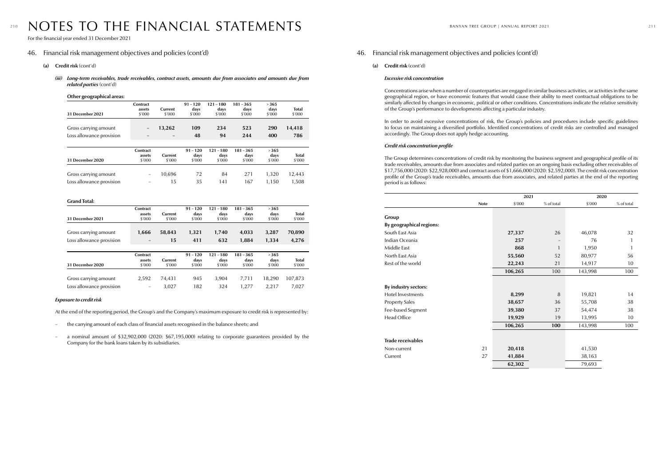For the financial year ended 31 December 2021

# 46. Financial risk management objectives and policies (cont'd)

- **(a) Credit risk** (cont'd)
	- *(iii) Long-term receivables, trade receivables, contract assets, amounts due from associates and amounts due from related parties* (cont'd)

| Other geographical areas: |                                       |                   |                              |                               |                             |                                 |                 |
|---------------------------|---------------------------------------|-------------------|------------------------------|-------------------------------|-----------------------------|---------------------------------|-----------------|
| 31 December 2021          | Contract<br>assets<br>$$^{\prime}000$ | Current<br>\$'000 | $91 - 120$<br>days<br>\$'000 | $121 - 180$<br>days<br>\$'000 | 181 - 365<br>days<br>\$'000 | >365<br>days<br>$$^{\prime}000$ | Total<br>\$'000 |
| Gross carrying amount     |                                       | 13,262            | 109                          | 234                           | 523                         | 290                             | 14,418          |
| Loss allowance provision  |                                       |                   | 48                           | 94                            | 244                         | 400                             | 786             |
|                           | Contract                              |                   | $91 - 120$                   | $121 - 180$                   | 181 - 365                   | >365                            | <b>Total</b>    |
| 31 December 2020          | assets<br>\$'000                      | Current<br>\$'000 | days<br>$$^{\prime}000$      | days<br>\$'000                | days<br>\$′000              | days<br>$$^{\prime}000$         | \$'000          |
| Gross carrying amount     | -                                     | 10,696            | 72                           | 84                            | 271                         | 1,320                           | 12,443          |
| Loss allowance provision  |                                       | 15                | 35                           | 141                           | 167                         | 1.150                           | 1,508           |

| <b>Grand Total:</b>      |                                       |                   |                              |                               |                               |                        |                        |
|--------------------------|---------------------------------------|-------------------|------------------------------|-------------------------------|-------------------------------|------------------------|------------------------|
| 31 December 2021         | Contract<br>assets<br>$$^{\prime}000$ | Current<br>\$'000 | $91 - 120$<br>days<br>\$'000 | $121 - 180$<br>days<br>\$'000 | $181 - 365$<br>days<br>\$'000 | >365<br>days<br>\$'000 | Total<br>\$'000        |
| Gross carrying amount    | 1,666                                 | 58,843            | 1,321                        | 1,740                         | 4,033                         | 3,287                  | 70,890                 |
| Loss allowance provision |                                       | 15                | 411                          | 632                           | 1.884                         | 1,334                  | 4,276                  |
| 31 December 2020         | Contract<br>assets<br>$$^{\prime}000$ | Current<br>\$'000 | $91 - 120$<br>days<br>\$'000 | $121 - 180$<br>days<br>\$'000 | $181 - 365$<br>days<br>\$′000 | >365<br>days<br>\$'000 | <b>Total</b><br>\$'000 |
| Gross carrying amount    | 2,592                                 | 74,431            | 945                          | 3,904                         | 7,711                         | 18,290                 | 107,873                |
| Loss allowance provision |                                       | 3,027             | 182                          | 324                           | 1.277                         | 2.217                  | 7,027                  |

### *Exposure to credit risk*

At the end of the reporting period, the Group's and the Company's maximum exposure to credit risk is represented by:

- the carrying amount of each class of financial assets recognised in the balance sheets; and
- a nominal amount of \$32,902,000 (2020: \$67,195,000) relating to corporate guarantees provided by the Company for the bank loans taken by its subsidiaries.
- 46. Financial risk management objectives and policies (cont'd)
	- **(a) Credit risk** (cont'd)

### *Excessive risk concentration*

Concentrations arise when a number of counterparties are engaged in similar business activities, or activities in the same geographical region, or have economic features that would cause their ability to meet contractual obligations to be similarly affected by changes in economic, political or other conditions. Concentrations indicate the relative sensitivity of the Group's performance to developments affecting a particular industry.

In order to avoid excessive concentrations of risk, the Group's policies and procedures include specific guidelines to focus on maintaining a diversified portfolio. Identified concentrations of credit risks are controlled and managed accordingly. The Group does not apply hedge accounting.

### *Credit risk concentration profile*

The Group determines concentrations of credit risk by monitoring the business segment and geographical profile of its trade receivables, amounts due from associates and related parties on an ongoing basis excluding other receivables of \$17,756,000 (2020: \$22,928,000) and contract assets of \$1,666,000 (2020: \$2,592,000). The credit risk concentration profile of the Group's trade receivables, amounts due from associates, and related parties at the end of the reporting period is as follows:

|                          |             | 2021    |            | 2020    |            |
|--------------------------|-------------|---------|------------|---------|------------|
|                          | <b>Note</b> | \$'000  | % of total | \$'000  | % of total |
| Group                    |             |         |            |         |            |
| By geographical regions: |             |         |            |         |            |
| South East Asia          |             | 27,337  | 26         | 46,078  | 32         |
| Indian Oceania           |             | 257     |            | 76      | 1          |
| Middle East              |             | 868     | 1          | 1,950   | 1          |
| North East Asia          |             | 55,560  | 52         | 80,977  | 56         |
| Rest of the world        |             | 22,243  | 21         | 14,917  | 10         |
|                          |             | 106,265 | 100        | 143,998 | 100        |
| By industry sectors:     |             |         |            |         |            |
| Hotel Investments        |             | 8,299   | 8          | 19,821  | 14         |
| <b>Property Sales</b>    |             | 38,657  | 36         | 55,708  | 38         |
| Fee-based Segment        |             | 39,380  | 37         | 54,474  | 38         |
| Head Office              |             | 19,929  | 19         | 13,995  | 10         |
|                          |             | 106,265 | 100        | 143,998 | 100        |
| <b>Trade receivables</b> |             |         |            |         |            |
| Non-current              | 21          | 20,418  |            | 41,530  |            |
| Current                  | 27          | 41,884  |            | 38,163  |            |
|                          |             | 62,302  |            | 79,693  |            |
|                          |             |         |            |         |            |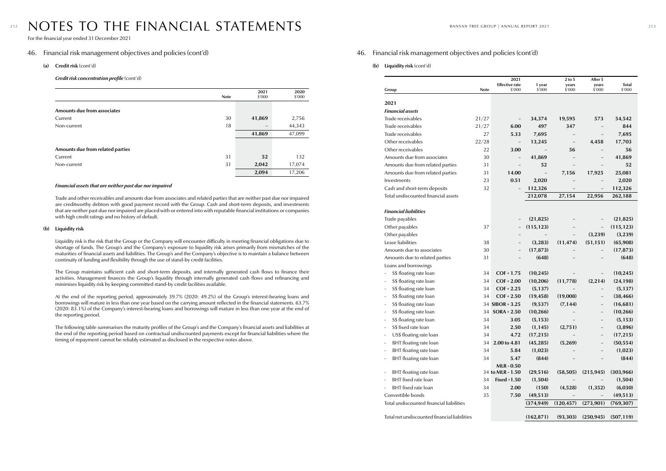For the financial year ended 31 December 2021

# 46. Financial risk management objectives and policies (cont'd)

## **(a) Credit risk** (cont'd)

### *Credit risk concentration profile* (cont'd)

|                                  |             | 2021   | 2020   |
|----------------------------------|-------------|--------|--------|
|                                  | <b>Note</b> | \$'000 | \$'000 |
|                                  |             |        |        |
| Amounts due from associates      |             |        |        |
| Current                          | 30          | 41,869 | 2,756  |
| Non-current                      | 18          |        | 44,343 |
|                                  |             | 41,869 | 47,099 |
|                                  |             |        |        |
| Amounts due from related parties |             |        |        |
| Current                          | 31          | 52     | 132    |
| Non-current                      | 31          | 2,042  | 17,074 |
|                                  |             | 2,094  | 17,206 |

## *Financial assets that are neither past due nor impaired*

Trade and other receivables and amounts due from associates and related parties that are neither past due nor impaired are creditworthy debtors with good payment record with the Group. Cash and short-term deposits, and investments that are neither past due nor impaired are placed with or entered into with reputable financial institutions or companies with high credit ratings and no history of default.

## **(b) Liquidity risk**

Liquidity risk is the risk that the Group or the Company will encounter difficulty in meeting financial obligations due to shortage of funds. The Group's and the Company's exposure to liquidity risk arises primarily from mismatches of the maturities of financial assets and liabilities. The Group's and the Company's objective is to maintain a balance between continuity of funding and flexibility through the use of stand-by credit facilities.

The Group maintains sufficient cash and short-term deposits, and internally generated cash flows to finance their activities. Management finances the Group's liquidity through internally generated cash flows and refinancing and minimises liquidity risk by keeping committed stand-by credit facilities available.

At the end of the reporting period, approximately 39.7% (2020: 49.2%) of the Group's interest-bearing loans and borrowings will mature in less than one year based on the carrying amount reflected in the financial statements. 63.7% (2020: 83.1%) of the Company's interest-bearing loans and borrowings will mature in less than one year at the end of the reporting period.

The following table summarises the maturity profiles of the Group's and the Company's financial assets and liabilities at the end of the reporting period based on contractual undiscounted payments except for financial liabilities where the timing of repayment cannot be reliably estimated as disclosed in the respective notes above.

# 46. Financial risk management objectives and policies (cont'd)

**(b) Liquidity risk** (cont'd)

|                                                    |             | 2021                            |            | $2$ to 5   | After 5         |                        |
|----------------------------------------------------|-------------|---------------------------------|------------|------------|-----------------|------------------------|
|                                                    |             | <b>Effective rate</b><br>\$'000 | 1 year     | years      | years<br>\$'000 | <b>Total</b><br>\$'000 |
| Group                                              | <b>Note</b> |                                 | \$'000     | \$'000     |                 |                        |
| 2021                                               |             |                                 |            |            |                 |                        |
| <b>Financial assets</b>                            |             |                                 |            |            |                 |                        |
| Trade receivables                                  | 21/27       |                                 | 34,374     | 19,595     | 573             | 54,542                 |
| Trade receivables                                  | 21/27       | 6.00                            | 497        | 347        |                 | 844                    |
| Trade receivables                                  | 27          | 5.33                            | 7,695      |            |                 | 7,695                  |
| Other receivables                                  | 22/28       |                                 | 13,245     |            | 4,458           | 17,703                 |
| Other receivables                                  | 22          | 3.00                            |            | 56         |                 | 56                     |
| Amounts due from associates                        | 30          |                                 | 41,869     |            |                 | 41,869                 |
| Amounts due from related parties                   | 31          |                                 | 52         |            |                 | 52                     |
| Amounts due from related parties                   | 31          | 14.00                           |            | 7,156      | 17,925          | 25,081                 |
| Investments                                        | 23          | 0.51                            | 2,020      |            |                 | 2,020                  |
| Cash and short-term deposits                       | 32          |                                 | 112,326    |            |                 | 112,326                |
| Total undiscounted financial assets                |             |                                 | 212,078    | 27,154     | 22,956          | 262,188                |
|                                                    |             |                                 |            |            |                 |                        |
| <b>Financial liabilities</b>                       |             |                                 |            |            |                 |                        |
| Trade payables                                     |             |                                 | (21, 825)  |            |                 | (21, 825)              |
| Other payables                                     | 37          |                                 | (115, 123) |            |                 | (115, 123)             |
| Other payables                                     |             |                                 |            |            | (3,239)         | (3,239)                |
| Lease liabilities                                  | 38          | $\overline{\phantom{0}}$        | (3,283)    | (11, 474)  | (51, 151)       | (65,908)               |
| Amounts due to associates                          | 30          |                                 | (17, 873)  |            |                 | (17, 873)              |
| Amounts due to related parties                     | 31          |                                 | (648)      |            |                 | (648)                  |
| Loans and borrowings                               |             |                                 |            |            |                 |                        |
| S\$ floating rate loan                             | 34          | $COF + 1.75$                    | (10, 245)  |            |                 | (10, 245)              |
| S\$ floating rate loan<br>$\overline{\phantom{0}}$ | 34          | $COF + 2.00$                    | (10, 206)  | (11,778)   | (2, 214)        | (24, 198)              |
| S\$ floating rate loan<br>$\overline{\phantom{0}}$ | 34          | $COF + 2.25$                    | (5, 137)   |            |                 | (5, 137)               |
| S\$ floating rate loan                             | 34          | $COF + 2.50$                    | (19, 458)  | (19,008)   |                 | (38, 466)              |
| S\$ floating rate loan<br>-                        |             | 34 SIBOR + 3.25                 | (9,537)    | (7, 144)   |                 | (16, 681)              |
| S\$ floating rate loan<br>$\overline{\phantom{0}}$ | 34          | $SORA + 2.50$                   | (10, 266)  |            |                 | (10, 266)              |
| S\$ floating rate loan                             | 34          | 3.05                            | (5, 153)   |            |                 | (5, 153)               |
| S\$ fixed rate loan                                | 34          | 2.50                            | (1, 145)   | (2,751)    |                 | (3,896)                |
| US\$ floating rate loan<br>-                       | 34          | 4.72                            | (17, 215)  |            |                 | (17, 215)              |
| BHT floating rate loan<br>÷                        | 34          | 2.00 to 4.81                    | (45, 285)  | (5,269)    |                 | (50, 554)              |
| <b>BHT</b> floating rate loan<br>-                 | 34          | 5.84                            | (1,023)    |            |                 | (1,023)                |
| <b>BHT</b> floating rate loan<br>-                 | 34          | 5.47                            | (844)      |            |                 | (844)                  |
|                                                    |             | <b>MLR-0.50</b>                 |            |            |                 |                        |
| <b>BHT</b> floating rate loan<br>÷                 |             | 34 to MLR - 1.50                | (29, 516)  | (58, 505)  | (215, 945)      | (303, 966)             |
| <b>BHT</b> fixed rate loan                         | 34          | Fixed $+1.50$                   | (1,504)    |            |                 | (1,504)                |
| <b>BHT</b> fixed rate loan                         | 34          | 2.00                            | (150)      | (4,528)    | (1, 352)        | (6,030)                |
| Convertible bonds                                  | 35          | 7.50                            | (49, 513)  |            |                 | (49, 513)              |
| Total undiscounted financial liabilities           |             |                                 | (374, 949) | (120, 457) | (273,901)       | (769, 307)             |
| Total net undiscounted financial liabilities       |             |                                 | (162, 871) | (93, 303)  | (250, 945)      | (507, 119)             |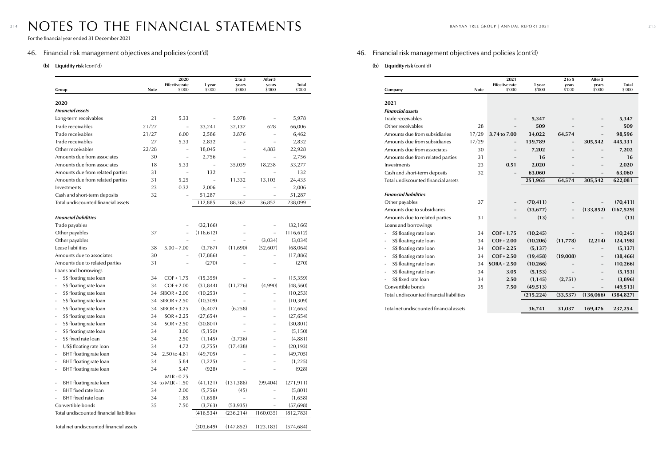For the financial year ended 31 December 2021

# 46. Financial risk management objectives and policies (cont'd)

**(b) Liquidity risk** (cont'd)

| Group                                                     | <b>Note</b> | 2020<br><b>Effective rate</b><br>\$'000 | 1 year<br>\$'000 | $2$ to 5<br>years<br>\$′000 | After 5<br>years<br>\$'000 | <b>Total</b><br>\$'000 |
|-----------------------------------------------------------|-------------|-----------------------------------------|------------------|-----------------------------|----------------------------|------------------------|
| 2020                                                      |             |                                         |                  |                             |                            |                        |
| <b>Financial assets</b>                                   |             |                                         |                  |                             |                            |                        |
| Long-term receivables                                     | 21          | 5.33                                    |                  | 5,978                       |                            | 5,978                  |
| Trade receivables                                         | 21/27       | $\qquad \qquad -$                       | 33,241           | 32,137                      | 628                        | 66,006                 |
| Trade receivables                                         | 21/27       | 6.00                                    | 2,586            | 3,876                       |                            | 6,462                  |
| Trade receivables                                         | 27          | 5.33                                    | 2,832            |                             |                            | 2,832                  |
| Other receivables                                         | 22/28       | $\qquad \qquad -$                       | 18,045           |                             | 4,883                      | 22,928                 |
| Amounts due from associates                               | 30          | $\overline{\phantom{m}}$                | 2,756            |                             |                            | 2,756                  |
| Amounts due from associates                               | 18          | 5.33                                    |                  | 35,039                      | 18,238                     | 53,277                 |
| Amounts due from related parties                          | 31          | $\overline{\phantom{a}}$                | 132              |                             |                            | 132                    |
| Amounts due from related parties                          | 31          | 5.25                                    |                  | 11,332                      | 13,103                     | 24,435                 |
| Investments                                               | 23          | 0.32                                    | 2,006            |                             |                            | 2,006                  |
| Cash and short-term deposits                              | 32          |                                         | 51,287           |                             |                            | 51,287                 |
| Total undiscounted financial assets                       |             |                                         | 112,885          | 88,362                      | 36,852                     | 238,099                |
| <b>Financial liabilities</b>                              |             |                                         |                  |                             |                            |                        |
| Trade payables                                            |             |                                         | (32, 166)        |                             |                            | (32, 166)              |
| Other payables                                            | 37          |                                         | (116, 612)       |                             | $\overline{\phantom{a}}$   | (116, 612)             |
| Other payables                                            |             |                                         |                  |                             | (3,034)                    | (3,034)                |
| Lease liabilities                                         | 38          | $5.00 - 7.00$                           | (3,767)          | (11,690)                    | (52, 607)                  | (68,064)               |
| Amounts due to associates                                 | 30          |                                         | (17,886)         |                             |                            | (17, 886)              |
| Amounts due to related parties                            | 31          |                                         | (270)            |                             |                            | (270)                  |
| Loans and borrowings                                      |             |                                         |                  |                             |                            |                        |
| S\$ floating rate loan                                    | 34          | $COF + 1.75$                            | (15, 359)        |                             |                            | (15, 359)              |
| S\$ floating rate loan                                    | 34          | $COF + 2.00$                            | (31, 844)        | (11, 726)                   | (4,990)                    | (48, 560)              |
| S\$ floating rate loan                                    | 34          | $SIBOR + 2.00$                          | (10, 253)        |                             |                            | (10, 253)              |
| S\$ floating rate loan                                    | 34          | $SIBOR + 2.50$                          | (10, 309)        |                             | $\qquad \qquad -$          | (10, 309)              |
| S\$ floating rate loan                                    |             | 34 SIBOR + 3.25                         | (6, 407)         | (6, 258)                    | $\qquad \qquad -$          | (12, 665)              |
| S\$ floating rate loan                                    | 34          | $SOR + 2.25$                            | (27, 654)        |                             |                            | (27, 654)              |
| S\$ floating rate loan                                    | 34          | $SOR + 2.50$                            | (30, 801)        |                             |                            | (30, 801)              |
| S\$ floating rate loan                                    | 34          | 3.00                                    | (5, 150)         |                             |                            | (5, 150)               |
| S\$ fixed rate loan                                       | 34          | 2.50                                    | (1, 145)         | (3,736)                     |                            | (4,881)                |
| US\$ floating rate loan                                   | 34          | 4.72                                    | (2,755)          | (17, 438)                   |                            | (20, 193)              |
| BHT floating rate loan<br>$\overline{\phantom{a}}$        | 34          | 2.50 to 4.81                            | (49,705)         |                             |                            | (49,705)               |
| <b>BHT</b> floating rate loan<br>$\overline{\phantom{0}}$ | 34          | 5.84                                    | (1, 225)         |                             |                            | (1,225)                |
| BHT floating rate loan<br>$\qquad \qquad \blacksquare$    | 34          | 5.47                                    | (928)            |                             |                            | (928)                  |
|                                                           |             | MLR - 0.75                              |                  |                             |                            |                        |
| BHT floating rate loan<br>$\overline{\phantom{0}}$        |             | 34 to MLR - 1.50                        | (41, 121)        | (131, 386)                  | (99, 404)                  | (271, 911)             |
| <b>BHT</b> fixed rate loan                                | 34          | 2.00                                    | (5,756)          | (45)                        |                            | (5,801)                |
| <b>BHT</b> fixed rate loan                                | 34          | 1.85                                    | (1,658)          |                             |                            | (1,658)                |
| Convertible bonds                                         | 35          | 7.50                                    | (3,763)          | (53, 935)                   | $\overline{\phantom{0}}$   | (57, 698)              |
| Total undiscounted financial liabilities                  |             |                                         | (416, 534)       | (236, 214)                  | (160, 035)                 | (812,783)              |
| Total net undiscounted financial assets                   |             |                                         | (303, 649)       | (147, 852)                  | (123, 183)                 | (574, 684)             |

# 46. Financial risk management objectives and policies (cont'd)

**(b) Liquidity risk** (cont'd)

| Company                                            | <b>Note</b> | 2021<br><b>Effective rate</b><br>\$'000 | 1 year<br>\$'000 | $2$ to 5<br>years<br>\$'000 | After 5<br>years<br>\$'000 | <b>Total</b><br>\$'000 |
|----------------------------------------------------|-------------|-----------------------------------------|------------------|-----------------------------|----------------------------|------------------------|
|                                                    |             |                                         |                  |                             |                            |                        |
| 2021                                               |             |                                         |                  |                             |                            |                        |
| <b>Financial assets</b>                            |             |                                         |                  |                             |                            |                        |
| Trade receivables                                  |             |                                         | 5,347            |                             |                            | 5,347                  |
| Other receivables                                  | 28          |                                         | 509              |                             |                            | 509                    |
| Amounts due from subsidiaries                      | 17/29       | 3.74 to 7.00                            | 34,022           | 64,574                      |                            | 98,596                 |
| Amounts due from subsidiaries                      | 17/29       |                                         | 139,789          |                             | 305,542                    | 445,331                |
| Amounts due from associates                        | 30          |                                         | 7,202            |                             |                            | 7,202                  |
| Amounts due from related parties                   | 31          |                                         | 16               |                             |                            | 16                     |
| Investments                                        | 23          | 0.51                                    | 2,020            |                             |                            | 2,020                  |
| Cash and short-term deposits                       | 32          |                                         | 63,060           |                             |                            | 63,060                 |
| Total undiscounted financial assets                |             |                                         | 251,965          | 64,574                      | 305,542                    | 622,081                |
|                                                    |             |                                         |                  |                             |                            |                        |
| <b>Financial liabilities</b>                       |             |                                         |                  |                             |                            |                        |
| Other payables                                     | 37          |                                         | (70, 411)        |                             |                            | (70, 411)              |
| Amounts due to subsidiaries                        |             |                                         | (33, 677)        |                             | (133, 852)                 | (167, 529)             |
| Amounts due to related parties                     | 31          |                                         | (13)             |                             |                            | (13)                   |
| Loans and borrowings                               |             |                                         |                  |                             |                            |                        |
| S\$ floating rate loan<br>Ξ                        | 34          | $COF + 1.75$                            | (10, 245)        |                             |                            | (10, 245)              |
| S\$ floating rate loan<br>$\blacksquare$           | 34          | $COF + 2.00$                            | (10, 206)        | (11,778)                    | (2, 214)                   | (24, 198)              |
| S\$ floating rate loan<br>$\overline{\phantom{0}}$ | 34          | $COF + 2.25$                            | (5, 137)         |                             |                            | (5, 137)               |
| S\$ floating rate loan<br>$\overline{a}$           | 34          | $COF + 2.50$                            | (19, 458)        | (19,008)                    |                            | (38, 466)              |
| S\$ floating rate loan<br>$\overline{a}$           | 34          | $SORA + 2.50$                           | (10, 266)        |                             |                            | (10, 266)              |
| S\$ floating rate loan<br>$\overline{a}$           | 34          | 3.05                                    | (5, 153)         |                             |                            | (5, 153)               |
| S\$ fixed rate loan<br>÷,                          | 34          | 2.50                                    | (1, 145)         | (2,751)                     |                            | (3,896)                |
| Convertible bonds                                  | 35          | 7.50                                    | (49, 513)        |                             |                            | (49, 513)              |
| Total undiscounted financial liabilities           |             |                                         | (215, 224)       | (33, 537)                   | (136,066)                  | (384, 827)             |
| Total net undiscounted financial assets            |             |                                         | 36,741           | 31,037                      | 169,476                    | 237,254                |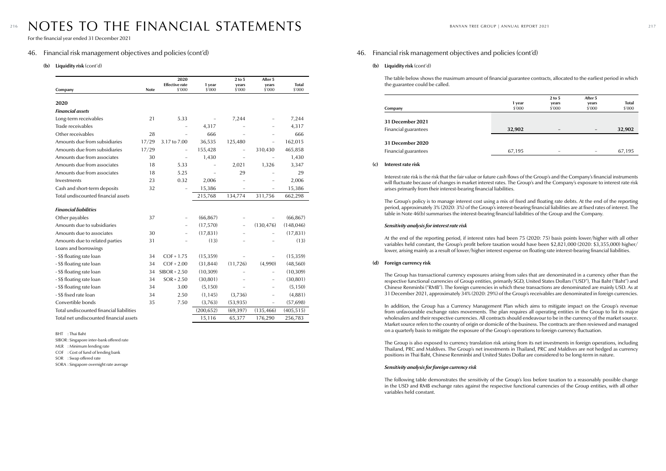For the financial year ended 31 December 2021

# 46. Financial risk management objectives and policies (cont'd)

**(b) Liquidity risk** (cont'd)

| Company                                  | <b>Note</b> | 2020<br><b>Effective rate</b><br>\$'000 | 1 year<br>\$'000  | $2$ to 5<br>years<br>\$'000 | After 5<br>years<br>\$'000 | <b>Total</b><br>\$'000 |
|------------------------------------------|-------------|-----------------------------------------|-------------------|-----------------------------|----------------------------|------------------------|
| 2020                                     |             |                                         |                   |                             |                            |                        |
| <b>Financial assets</b>                  |             |                                         |                   |                             |                            |                        |
| Long-term receivables                    | 21          | 5.33                                    | $\qquad \qquad -$ | 7,244                       |                            | 7,244                  |
| Trade receivables                        |             |                                         | 4,317             |                             |                            | 4,317                  |
| Other receivables                        | 28          |                                         | 666               |                             |                            | 666                    |
| Amounts due from subsidiaries            | 17/29       | 3.17 to 7.00                            | 36,535            | 125,480                     | $\qquad \qquad -$          | 162,015                |
| Amounts due from subsidiaries            | 17/29       |                                         | 155,428           |                             | 310,430                    | 465,858                |
| Amounts due from associates              | 30          |                                         | 1,430             | $\overline{\phantom{a}}$    |                            | 1,430                  |
| Amounts due from associates              | 18          | 5.33                                    |                   | 2,021                       | 1,326                      | 3,347                  |
| Amounts due from associates              | 18          | 5.25                                    |                   | 29                          |                            | 29                     |
| Investments                              | 23          | 0.32                                    | 2,006             |                             |                            | 2,006                  |
| Cash and short-term deposits             | 32          |                                         | 15,386            |                             |                            | 15,386                 |
| Total undiscounted financial assets      |             |                                         | 215,768           | 134,774                     | 311,756                    | 662,298                |
| <b>Financial liabilities</b>             |             |                                         |                   |                             |                            |                        |
| Other payables                           | 37          |                                         | (66, 867)         |                             |                            | (66, 867)              |
| Amounts due to subsidiaries              |             |                                         | (17, 570)         |                             | (130, 476)                 | (148, 046)             |
| Amounts due to associates                | 30          |                                         | (17, 831)         |                             |                            | (17, 831)              |
| Amounts due to related parties           | 31          |                                         | (13)              |                             |                            | (13)                   |
| Loans and borrowings                     |             |                                         |                   |                             |                            |                        |
| - S\$ floating rate loan                 | 34          | $COF + 1.75$                            | (15, 359)         |                             |                            | (15, 359)              |
| - S\$ floating rate loan                 | 34          | $COF + 2.00$                            | (31, 844)         | (11, 726)                   | (4,990)                    | (48, 560)              |
| - S\$ floating rate loan                 | 34          | $SIBOR + 2.50$                          | (10, 309)         |                             |                            | (10, 309)              |
| - S\$ floating rate loan                 | 34          | $SOR + 2.50$                            | (30, 801)         |                             | $\qquad \qquad -$          | (30, 801)              |
| - S\$ floating rate loan                 | 34          | 3.00                                    | (5, 150)          |                             |                            | (5, 150)               |
| - S\$ fixed rate loan                    | 34          | 2.50                                    | (1, 145)          | (3,736)                     | -                          | (4,881)                |
| Convertible bonds                        | 35          | 7.50                                    | (3,763)           | (53, 935)                   |                            | (57, 698)              |
| Total undiscounted financial liabilities |             |                                         | (200, 652)        | (69, 397)                   | (135, 466)                 | (405, 515)             |
| Total net undiscounted financial assets  |             |                                         | 15,116            | 65,377                      | 176,290                    | 256,783                |

 BHT : Thai Baht SIBOR: Singapore inter-bank offered rate

MLR : Minimum lending rate

COF : Cost of fund of lending bank

SOR : Swap offered rate

SORA : Singapore overnight rate average

# 46. Financial risk management objectives and policies (cont'd)

**(b) Liquidity risk** (cont'd)

The table below shows the maximum amount of financial guarantee contracts, allocated to the earliest period in which the guarantee could be called.

| Company              | 1 year<br>\$'000 | $2$ to 5<br>years<br>\$'000 | After 5<br>years<br>\$'000 | <b>Total</b><br>$$^{\prime}000$ |
|----------------------|------------------|-----------------------------|----------------------------|---------------------------------|
| 31 December 2021     |                  |                             |                            |                                 |
| Financial guarantees | 32,902           | $\qquad \qquad -$           | -                          | 32,902                          |
| 31 December 2020     |                  |                             |                            |                                 |
| Financial guarantees | 67,195           | $\overline{\phantom{0}}$    | -                          | 67,195                          |
| Interest rate risk   |                  |                             |                            |                                 |

**(c) Interest rate risk**

Interest rate risk is the risk that the fair value or future cash flows of the Group's and the Company's financial instruments will fluctuate because of changes in market interest rates. The Group's and the Company's exposure to interest rate risk arises primarily from their interest-bearing financial liabilities.

The Group's policy is to manage interest cost using a mix of fixed and floating rate debts. At the end of the reporting period, approximately 3% (2020: 3%) of the Group's interest-bearing financial liabilities are at fixed rates of interest. The table in Note 46(b) summarises the interest-bearing financial liabilities of the Group and the Company.

### *Sensitivity analysis for interest rate risk*

At the end of the reporting period, if interest rates had been 75 (2020: 75) basis points lower/higher with all other variables held constant, the Group's profit before taxation would have been \$2,821,000 (2020: \$3,355,000) higher/ lower, arising mainly as a result of lower/higher interest expense on floating rate interest-bearing financial liabilities.

## **(d) Foreign currency risk**

The Group has transactional currency exposures arising from sales that are denominated in a currency other than the respective functional currencies of Group entities, primarily SGD, United States Dollars ("USD"), Thai Baht ("Baht") and Chinese Renminbi ("RMB"). The foreign currencies in which these transactions are denominated are mainly USD. As at 31 December 2021, approximately 34% (2020: 29%) of the Group's receivables are denominated in foreign currencies.

In addition, the Group has a Currency Management Plan which aims to mitigate impact on the Group's revenue from unfavourable exchange rates movements. The plan requires all operating entities in the Group to list its major wholesalers and their respective currencies. All contracts should endeavour to be in the currency of the market source. Market source refers to the country of origin or domicile of the business. The contracts are then reviewed and managed on a quarterly basis to mitigate the exposure of the Group's operations to foreign currency fluctuation.

The Group is also exposed to currency translation risk arising from its net investments in foreign operations, including Thailand, PRC and Maldives. The Group's net investments in Thailand, PRC and Maldives are not hedged as currency positions in Thai Baht, Chinese Renminbi and United States Dollar are considered to be long-term in nature.

# *Sensitivity analysis for foreign currency risk*

The following table demonstrates the sensitivity of the Group's loss before taxation to a reasonably possible change in the USD and RMB exchange rates against the respective functional currencies of the Group entities, with all other variables held constant.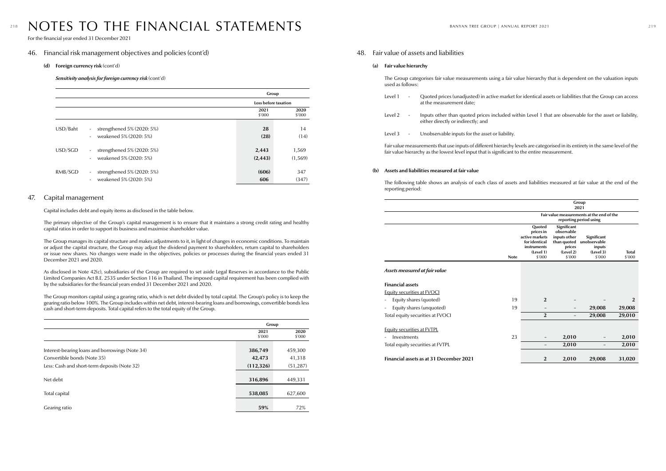For the financial year ended 31 December 2021

# 46. Financial risk management objectives and policies (cont'd)

## **(d) Foreign currency risk** (cont'd)

*Sensitivity analysis for foreign currency risk* (cont'd)

|          |                                                    |                | Group<br>Loss before taxation |  |  |
|----------|----------------------------------------------------|----------------|-------------------------------|--|--|
|          |                                                    |                |                               |  |  |
|          |                                                    | 2021<br>\$'000 | 2020<br>$$^{\prime}000$       |  |  |
| USD/Baht | strengthened 5% (2020: 5%)<br>$\blacksquare$       | 28             | 14                            |  |  |
|          | weakened 5% (2020: 5%)<br>$\blacksquare$           | (28)           | (14)                          |  |  |
| USD/SGD  | strengthened 5% (2020: 5%)<br>$\blacksquare$       | 2,443          | 1,569                         |  |  |
|          | weakened 5% (2020: 5%)<br>$\blacksquare$           | (2, 443)       | (1, 569)                      |  |  |
| RMB/SGD  | strengthened 5% (2020: 5%)<br>$\blacksquare$       | (606)          | 347                           |  |  |
|          | weakened 5% (2020: 5%)<br>$\overline{\phantom{a}}$ | 606            | (347)                         |  |  |

# 47. Capital management

Capital includes debt and equity items as disclosed in the table below.

The primary objective of the Group's capital management is to ensure that it maintains a strong credit rating and healthy capital ratios in order to support its business and maximise shareholder value.

The Group manages its capital structure and makes adjustments to it, in light of changes in economic conditions. To maintain or adjust the capital structure, the Group may adjust the dividend payment to shareholders, return capital to shareholders or issue new shares. No changes were made in the objectives, policies or processes during the financial years ended 31 December 2021 and 2020.

- at the measurement date;
- either directly or indirectly; and
- Level 3 Unobservable inputs for the asset or liability.

As disclosed in Note 42(c), subsidiaries of the Group are required to set aside Legal Reserves in accordance to the Public Limited Companies Act B.E. 2535 under Section 116 in Thailand. The imposed capital requirement has been complied with by the subsidiaries for the financial years ended 31 December 2021 and 2020.

The Group monitors capital using a gearing ratio, which is net debt divided by total capital. The Group's policy is to keep the gearing ratio below 100%. The Group includes within net debt, interest-bearing loans and borrowings, convertible bonds less cash and short-term deposits. Total capital refers to the total equity of the Group.

|                                                 | Group          |                         |  |
|-------------------------------------------------|----------------|-------------------------|--|
|                                                 | 2021<br>\$'000 | 2020<br>$$^{\prime}000$ |  |
| Interest-bearing loans and borrowings (Note 34) | 386,749        | 459,300                 |  |
| Convertible bonds (Note 35)                     | 42,473         | 41,318                  |  |
| Less: Cash and short-term deposits (Note 32)    | (112, 326)     | (51, 287)               |  |
| Net debt                                        | 316,896        | 449,331                 |  |
| Total capital                                   | 538,085        | 627,600                 |  |
| Gearing ratio                                   | 59%            | 72%                     |  |

# 48. Fair value of assets and liabilities

### **(a) Fair value hierarchy**

The Group categorises fair value measurements using a fair value hierarchy that is dependent on the valuation inputs used as follows:

Fair value measurements that use inputs of different hierarchy levels are categorised in its entirety in the same level of the fair value hierarchy as the lowest level input that is significant to the entire measurement.

### **(b) Assets and liabilities measured at fair value**

The following table shows an analysis of each class of assets and liabilities measured at fair value at the end of the reporting period:

| Group<br>2021          |                                                                     |                                                                                           |                                                                                              |             |  |  |  |  |  |  |
|------------------------|---------------------------------------------------------------------|-------------------------------------------------------------------------------------------|----------------------------------------------------------------------------------------------|-------------|--|--|--|--|--|--|
|                        | Fair value measurements at the end of the<br>reporting period using |                                                                                           |                                                                                              |             |  |  |  |  |  |  |
| <b>Total</b><br>\$'000 | Significant<br>unobservable<br>inputs<br>(Level 3)<br>\$'000        | Significant<br>observable<br>inputs other<br>than quoted<br>prices<br>(Level 2)<br>\$'000 | Quoted<br>prices in<br>active markets<br>for identical<br>instruments<br>(Level 1)<br>\$'000 | <b>Note</b> |  |  |  |  |  |  |
|                        |                                                                     |                                                                                           |                                                                                              |             |  |  |  |  |  |  |
| $\mathbf 2$            |                                                                     |                                                                                           | $\overline{2}$                                                                               | 19          |  |  |  |  |  |  |
| 29,008                 | 29,008                                                              |                                                                                           |                                                                                              | 19          |  |  |  |  |  |  |
| 29,010                 | 29,008                                                              |                                                                                           | $\overline{2}$                                                                               |             |  |  |  |  |  |  |
|                        |                                                                     |                                                                                           |                                                                                              |             |  |  |  |  |  |  |
| 2,010                  |                                                                     | 2,010                                                                                     |                                                                                              | 23          |  |  |  |  |  |  |
| 2,010                  |                                                                     | 2,010                                                                                     |                                                                                              |             |  |  |  |  |  |  |
| 31,020                 | 29,008                                                              | 2,010                                                                                     | $\overline{2}$                                                                               |             |  |  |  |  |  |  |

# *Assets measured at fair value*

### **Financial assets**

Equity securities at FVOCI

- Equity shares (quoted) 19 **2 – – 2**
- Equity shares (unquoted) 19 **– – 29,008 29,008**
- Total equity securities at FVOCI **2 – 29,008 29,010**

## Equity securities at FVTPL

- Investments 23 **– 2,010 – 2,010**

Total equity securities at FVTPL **– 2,010 – 2,010**

# **Financial assets as at 31 December 2021 2 2,010 29,008 31,020**

Level 1 - Quoted prices (unadjusted) in active market for identical assets or liabilities that the Group can access

Level 2 - Inputs other than quoted prices included within Level 1 that are observable for the asset or liability,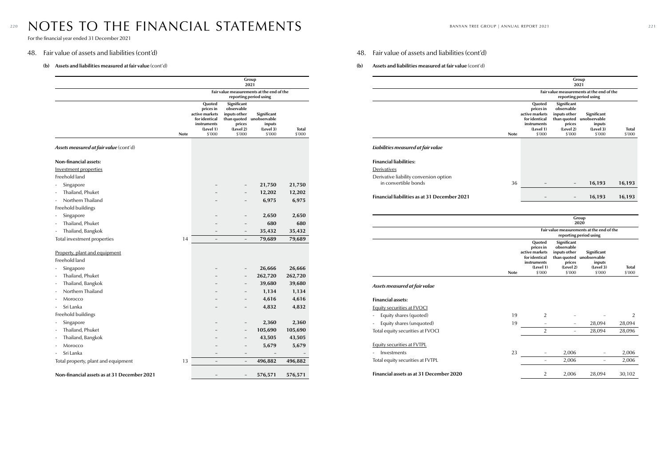For the financial year ended 31 December 2021

# 48. Fair value of assets and liabilities (cont'd)

# **(b) Assets and liabilities measured at fair value** (cont'd)

|                                                |             | Group<br>2021                                                                                |                                                                                           |                                                              |                 |  |
|------------------------------------------------|-------------|----------------------------------------------------------------------------------------------|-------------------------------------------------------------------------------------------|--------------------------------------------------------------|-----------------|--|
|                                                |             | Fair value measurements at the end of the<br>reporting period using                          |                                                                                           |                                                              |                 |  |
|                                                | <b>Note</b> | Quoted<br>prices in<br>active markets<br>for identical<br>instruments<br>(Level 1)<br>\$'000 | Significant<br>observable<br>inputs other<br>than quoted<br>prices<br>(Level 2)<br>\$'000 | Significant<br>unobservable<br>inputs<br>(Level 3)<br>\$'000 | Total<br>\$'000 |  |
| Assets measured at fair value (cont'd)         |             |                                                                                              |                                                                                           |                                                              |                 |  |
| Non-financial assets:                          |             |                                                                                              |                                                                                           |                                                              |                 |  |
| Investment properties                          |             |                                                                                              |                                                                                           |                                                              |                 |  |
| Freehold land                                  |             |                                                                                              |                                                                                           |                                                              |                 |  |
| Singapore                                      |             |                                                                                              |                                                                                           | 21,750                                                       | 21,750          |  |
| Thailand, Phuket                               |             |                                                                                              |                                                                                           | 12,202                                                       | 12,202          |  |
| Northern Thailand                              |             |                                                                                              |                                                                                           | 6,975                                                        | 6,975           |  |
| Freehold buildings                             |             |                                                                                              |                                                                                           |                                                              |                 |  |
| Singapore                                      |             |                                                                                              |                                                                                           | 2,650                                                        | 2,650           |  |
| Thailand, Phuket                               |             |                                                                                              |                                                                                           | 680                                                          | 680             |  |
| Thailand, Bangkok                              |             |                                                                                              |                                                                                           | 35,432                                                       | 35,432          |  |
| Total investment properties                    | 14          |                                                                                              | $\overline{\phantom{a}}$                                                                  | 79,689                                                       | 79,689          |  |
| Property, plant and equipment<br>Freehold land |             |                                                                                              |                                                                                           |                                                              |                 |  |
| Singapore                                      |             |                                                                                              |                                                                                           | 26,666                                                       | 26,666          |  |
| Thailand, Phuket                               |             |                                                                                              |                                                                                           | 262,720                                                      | 262,720         |  |
| Thailand, Bangkok<br>$\overline{\phantom{a}}$  |             |                                                                                              |                                                                                           | 39,680                                                       | 39,680          |  |
| Northern Thailand<br>$\overline{\phantom{a}}$  |             |                                                                                              |                                                                                           | 1,134                                                        | 1,134           |  |
| Morocco                                        |             |                                                                                              |                                                                                           | 4,616                                                        | 4,616           |  |
| Sri Lanka                                      |             |                                                                                              |                                                                                           | 4,832                                                        | 4,832           |  |
| Freehold buildings                             |             |                                                                                              |                                                                                           |                                                              |                 |  |
| Singapore                                      |             |                                                                                              |                                                                                           | 2,360                                                        | 2,360           |  |
| Thailand, Phuket                               |             |                                                                                              |                                                                                           | 105,690                                                      | 105,690         |  |
| Thailand, Bangkok                              |             |                                                                                              |                                                                                           | 43,505                                                       | 43,505          |  |
| Morocco                                        |             |                                                                                              |                                                                                           | 5,679                                                        | 5,679           |  |
| Sri Lanka                                      |             |                                                                                              |                                                                                           |                                                              |                 |  |
| Total property, plant and equipment            | 13          |                                                                                              | $\overline{\phantom{0}}$                                                                  | 496,882                                                      | 496,882         |  |
| Non-financial assets as at 31 December 2021    |             |                                                                                              | $\overline{\phantom{a}}$                                                                  | 576,571                                                      | 576,571         |  |

Equity securities at FVTPL - Investments Total equity securities at FVTPL

**Financial assets as at 31 December 2020** 

# 48. Fair value of assets and liabilities (cont'd)

**(b) Assets and liabilities measured at fair value** (cont'd)

|             | Group<br>2021<br>Fair value measurements at the end of the<br>reporting period using         |                                                                                           |                                                              |                        |  |  |  |  |
|-------------|----------------------------------------------------------------------------------------------|-------------------------------------------------------------------------------------------|--------------------------------------------------------------|------------------------|--|--|--|--|
| <b>Note</b> | Quoted<br>prices in<br>active markets<br>for identical<br>instruments<br>(Level 1)<br>\$'000 | Significant<br>observable<br>inputs other<br>than quoted<br>prices<br>(Level 2)<br>\$'000 | Significant<br>unobservable<br>inputs<br>(Level 3)<br>\$'000 | <b>Total</b><br>\$'000 |  |  |  |  |
| 36          |                                                                                              |                                                                                           | 16,193                                                       | 16,193                 |  |  |  |  |
|             |                                                                                              |                                                                                           | 16,193                                                       | 16,193                 |  |  |  |  |

## *Liabilities measured at fair value*

## **Financial liabilities:**

**Derivatives** Derivative liability conversion option  $\overrightarrow{a}$  in convertible bonds

# **Financial liabilities as at 31 December 2021 – – 16,193 16,193**

|             | Group<br>2020                                                                                       |                                                              |                                                                     |                |  |  |  |  |  |  |  |  |
|-------------|-----------------------------------------------------------------------------------------------------|--------------------------------------------------------------|---------------------------------------------------------------------|----------------|--|--|--|--|--|--|--|--|
|             |                                                                                                     |                                                              | Fair value measurements at the end of the<br>reporting period using |                |  |  |  |  |  |  |  |  |
| <b>Note</b> | Quoted<br>prices in<br>active markets<br>for identical<br><b>instruments</b><br>(Level 1)<br>\$'000 | Significant<br>unobservable<br>inputs<br>(Level 3)<br>\$'000 | <b>Total</b><br>\$'000                                              |                |  |  |  |  |  |  |  |  |
|             |                                                                                                     |                                                              |                                                                     |                |  |  |  |  |  |  |  |  |
|             |                                                                                                     |                                                              |                                                                     |                |  |  |  |  |  |  |  |  |
|             |                                                                                                     |                                                              |                                                                     |                |  |  |  |  |  |  |  |  |
| 19          | $\overline{2}$                                                                                      |                                                              |                                                                     | $\overline{2}$ |  |  |  |  |  |  |  |  |
| 19          |                                                                                                     |                                                              | 28,094                                                              | 28,094         |  |  |  |  |  |  |  |  |
|             | $\overline{2}$                                                                                      |                                                              | 28,094                                                              | 28,096         |  |  |  |  |  |  |  |  |
|             |                                                                                                     |                                                              |                                                                     |                |  |  |  |  |  |  |  |  |
| 23          |                                                                                                     | 2,006                                                        |                                                                     | 2,006          |  |  |  |  |  |  |  |  |
|             |                                                                                                     | 2,006                                                        |                                                                     | 2,006          |  |  |  |  |  |  |  |  |
|             |                                                                                                     |                                                              |                                                                     |                |  |  |  |  |  |  |  |  |
|             | 2                                                                                                   | 2,006                                                        | 28,094                                                              | 30,102         |  |  |  |  |  |  |  |  |

# *Assets measured at fair value*

**Financial assets:**

Equity securities at FVOCI

- Equity shares (quoted)

- Equity shares (unquoted)

Total equity securities at FVOCI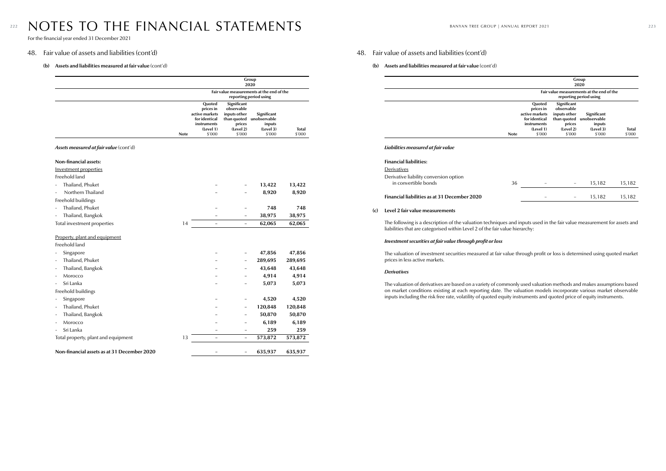For the financial year ended 31 December 2021

# 48. Fair value of assets and liabilities (cont'd)

### **(b) Assets and liabilities measured at fair value** (cont'd)

|                                                |                                                                                                                                                                                                                                                                                                           | Group<br>2020            |                          |         |                        |  |  |  |  |  |  |  |
|------------------------------------------------|-----------------------------------------------------------------------------------------------------------------------------------------------------------------------------------------------------------------------------------------------------------------------------------------------------------|--------------------------|--------------------------|---------|------------------------|--|--|--|--|--|--|--|
|                                                | Fair value measurements at the end of the<br>reporting period using                                                                                                                                                                                                                                       |                          |                          |         |                        |  |  |  |  |  |  |  |
|                                                | Quoted<br>Significant<br>observable<br>prices in<br>active markets<br>inputs other<br>Significant<br>for identical<br>than quoted unobservable<br>instruments<br>prices<br>inputs<br>(Level 2)<br>(Level 3)<br>(Level 1)<br>\$'000<br>\$'000<br><b>Note</b><br>\$'000<br>13,422<br>8,920<br>748<br>38,975 |                          |                          |         |                        |  |  |  |  |  |  |  |
|                                                |                                                                                                                                                                                                                                                                                                           |                          |                          |         | <b>Total</b><br>\$'000 |  |  |  |  |  |  |  |
| Assets measured at fair value (cont'd)         |                                                                                                                                                                                                                                                                                                           |                          |                          |         |                        |  |  |  |  |  |  |  |
| Non-financial assets:                          |                                                                                                                                                                                                                                                                                                           |                          |                          |         |                        |  |  |  |  |  |  |  |
| Investment properties                          |                                                                                                                                                                                                                                                                                                           |                          |                          |         |                        |  |  |  |  |  |  |  |
| Freehold land                                  |                                                                                                                                                                                                                                                                                                           |                          |                          |         |                        |  |  |  |  |  |  |  |
| Thailand, Phuket                               |                                                                                                                                                                                                                                                                                                           |                          |                          |         | 13,422                 |  |  |  |  |  |  |  |
| Northern Thailand                              |                                                                                                                                                                                                                                                                                                           |                          |                          |         | 8,920                  |  |  |  |  |  |  |  |
| Freehold buildings                             |                                                                                                                                                                                                                                                                                                           |                          |                          |         |                        |  |  |  |  |  |  |  |
| Thailand, Phuket                               |                                                                                                                                                                                                                                                                                                           |                          |                          |         | 748                    |  |  |  |  |  |  |  |
| Thailand, Bangkok                              |                                                                                                                                                                                                                                                                                                           |                          |                          |         | 38,975                 |  |  |  |  |  |  |  |
| Total investment properties                    | 14                                                                                                                                                                                                                                                                                                        | $\qquad \qquad -$        | $\overline{\phantom{a}}$ | 62,065  | 62,065                 |  |  |  |  |  |  |  |
| Property, plant and equipment<br>Freehold land |                                                                                                                                                                                                                                                                                                           |                          |                          |         |                        |  |  |  |  |  |  |  |
| Singapore                                      |                                                                                                                                                                                                                                                                                                           |                          |                          | 47,856  | 47,856                 |  |  |  |  |  |  |  |
| Thailand, Phuket                               |                                                                                                                                                                                                                                                                                                           |                          |                          | 289,695 | 289,695                |  |  |  |  |  |  |  |
| Thailand, Bangkok                              |                                                                                                                                                                                                                                                                                                           |                          |                          | 43,648  | 43,648                 |  |  |  |  |  |  |  |
| Morocco                                        |                                                                                                                                                                                                                                                                                                           |                          |                          | 4,914   | 4,914                  |  |  |  |  |  |  |  |
| Sri Lanka                                      |                                                                                                                                                                                                                                                                                                           |                          |                          | 5,073   | 5,073                  |  |  |  |  |  |  |  |
| Freehold buildings                             |                                                                                                                                                                                                                                                                                                           |                          |                          |         |                        |  |  |  |  |  |  |  |
| Singapore                                      |                                                                                                                                                                                                                                                                                                           |                          |                          | 4,520   | 4,520                  |  |  |  |  |  |  |  |
| Thailand, Phuket                               |                                                                                                                                                                                                                                                                                                           |                          |                          | 120,848 | 120,848                |  |  |  |  |  |  |  |
| Thailand, Bangkok                              |                                                                                                                                                                                                                                                                                                           |                          |                          | 50,870  | 50,870                 |  |  |  |  |  |  |  |
| Morocco                                        |                                                                                                                                                                                                                                                                                                           |                          |                          | 6,189   | 6,189                  |  |  |  |  |  |  |  |
| Sri Lanka                                      |                                                                                                                                                                                                                                                                                                           |                          | $\overline{\phantom{0}}$ | 259     | 259                    |  |  |  |  |  |  |  |
| Total property, plant and equipment            | 13                                                                                                                                                                                                                                                                                                        | $\overline{\phantom{0}}$ | $\qquad \qquad -$        | 573,872 | 573,872                |  |  |  |  |  |  |  |
| Non-financial assets as at 31 December 2020    |                                                                                                                                                                                                                                                                                                           |                          |                          | 635,937 | 635,937                |  |  |  |  |  |  |  |

# Derivatives Derivative liability conversion option in convertible bonds

### **Financial liabilities as at 31 December 2020**

# 48. Fair value of assets and liabilities (cont'd)

**(b) Assets and liabilities measured at fair value** (cont'd)

| Group<br>2020                                                       |                                                                                    |                                                                                 |                                                    |        |  |  |  |  |  |  |
|---------------------------------------------------------------------|------------------------------------------------------------------------------------|---------------------------------------------------------------------------------|----------------------------------------------------|--------|--|--|--|--|--|--|
| Fair value measurements at the end of the<br>reporting period using |                                                                                    |                                                                                 |                                                    |        |  |  |  |  |  |  |
|                                                                     | Quoted<br>prices in<br>active markets<br>for identical<br>instruments<br>(Level 1) | Significant<br>observable<br>inputs other<br>than quoted<br>prices<br>(Level 2) | Significant<br>unobservable<br>inputs<br>(Level 3) | Total  |  |  |  |  |  |  |
| <b>Note</b>                                                         | \$'000                                                                             | \$'000                                                                          | \$'000                                             | \$'000 |  |  |  |  |  |  |

| 36 | - | $ -$                     | 15,182 | 15,182 |
|----|---|--------------------------|--------|--------|
|    | - | $\overline{\phantom{0}}$ | 15,182 | 15,182 |

## *Liabilities measured at fair value*

### **Financial liabilities:**

## **(c) Level 2 fair value measurements**

The following is a description of the valuation techniques and inputs used in the fair value measurement for assets and liabilities that are categorised within Level 2 of the fair value hierarchy:

## *Investment securities at fair value through profit or loss*

The valuation of investment securities measured at fair value through profit or loss is determined using quoted market prices in less active markets.

## *Derivatives*

The valuation of derivatives are based on a variety of commonly used valuation methods and makes assumptions based on market conditions existing at each reporting date. The valuation models incorporate various market observable inputs including the risk free rate, volatility of quoted equity instruments and quoted price of equity instruments.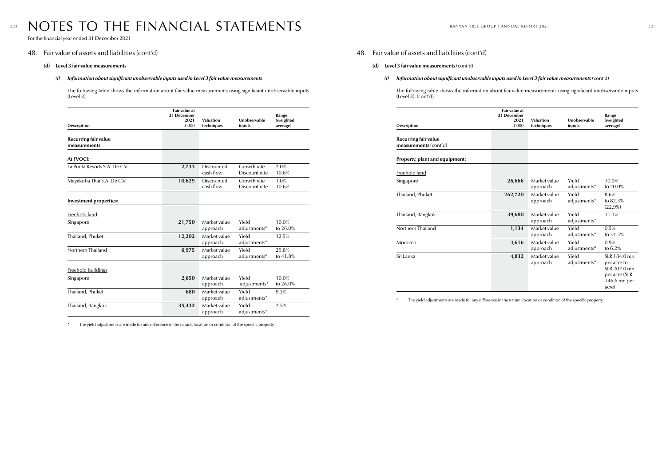For the financial year ended 31 December 2021

# 48. Fair value of assets and liabilities (cont'd)

## **(d) Level 3 fair value measurements**

# *(i) Information about significant unobservable inputs used in Level 3 fair value measurements*

The following table shows the information about fair value measurements using significant unobservable inputs (Level 3):

| <b>Description</b>                   | <b>Fair value at</b><br>31 December<br>2021<br>\$'000 | Valuation<br>techniques        | Unobservable<br>inputs       | Range<br>(weighted<br>average) |
|--------------------------------------|-------------------------------------------------------|--------------------------------|------------------------------|--------------------------------|
| Recurring fair value<br>measurements |                                                       |                                |                              |                                |
| At FVOCI:                            |                                                       |                                |                              |                                |
| La Punta Resorts S.A. De C.V.        | 2,733                                                 | <b>Discounted</b><br>cash flow | Growth rate<br>Discount rate | 2.0%<br>10.6%                  |
| Mayakoba Thai S.A. De C.V.           | 10,629                                                | Discounted<br>cash flow        | Growth rate<br>Discount rate | 1.0%<br>10.6%                  |
| Investment properties:               |                                                       |                                |                              |                                |
| Freehold land                        |                                                       |                                |                              |                                |
| Singapore                            | 21,750                                                | Market value<br>approach       | Yield<br>adjustments*        | 10.0%<br>to 26.0%              |
| Thailand, Phuket                     | 12,202                                                | Market value<br>approach       | Yield<br>adjustments*        | 12.5%                          |
| Northern Thailand                    | 6,975                                                 | Market value<br>approach       | Yield<br>adjustments*        | 29.8%<br>to 41.8%              |
| <b>Freehold buildings</b>            |                                                       |                                |                              |                                |
| Singapore                            | 2,650                                                 | Market value<br>approach       | Yield<br>adjustments*        | 10.0%<br>to 26.0%              |
| Thailand, Phuket                     | 680                                                   | Market value<br>approach       | Yield<br>adjustments*        | 9.3%                           |
| Thailand, Bangkok                    | 35,432                                                | Market value<br>approach       | Yield<br>adiustments*        | 2.5%                           |

\* The yield adjustments are made for any difference in the nature, location or condition of the specific property.

# 48. Fair value of assets and liabilities (cont'd)

- **(d) Level 3 fair value measurements** (cont'd)
	- *(i) Information about significant unobservable inputs used in Level 3 fair value measurements* (cont'd)

The following table shows the information about fair value measurements using significant unobservable inputs (Level 3): (cont'd)

| <b>Description</b>                            | <b>Fair value at</b><br>31 December<br>2021<br>\$'000 | Valuation<br>techniques  | Unobservable<br>inputs | Range<br>(weighted<br>average)                                                        |
|-----------------------------------------------|-------------------------------------------------------|--------------------------|------------------------|---------------------------------------------------------------------------------------|
| Recurring fair value<br>measurements (cont'd) |                                                       |                          |                        |                                                                                       |
| Property, plant and equipment:                |                                                       |                          |                        |                                                                                       |
| Freehold land                                 |                                                       |                          |                        |                                                                                       |
| Singapore                                     | 26,666                                                | Market value<br>approach | Yield<br>adjustments*  | 10.0%<br>to 20.0%                                                                     |
| Thailand, Phuket                              | 262,720                                               | Market value<br>approach | Yield<br>adjustments*  | 8.6%<br>to 82.3%<br>$(22.9\%)$                                                        |
| Thailand, Bangkok                             | 39,680                                                | Market value<br>approach | Yield<br>adjustments*  | 11.1%                                                                                 |
| Northern Thailand                             | 1,134                                                 | Market value<br>approach | Yield<br>adjustments*  | 0.5%<br>to 34.5%                                                                      |
| Morocco                                       | 4,616                                                 | Market value<br>approach | Yield<br>adjustments*  | 0.9%<br>to 6.2%                                                                       |
| Sri Lanka                                     | 4,832                                                 | Market value<br>approach | Yield<br>adjustments*  | SLR 184.0 mn<br>per acre to<br>SLR 207.0 mn<br>per acre (SLR<br>146.6 mn per<br>acre) |

The yield adjustments are made for any difference in the nature, location or condition of the specific property.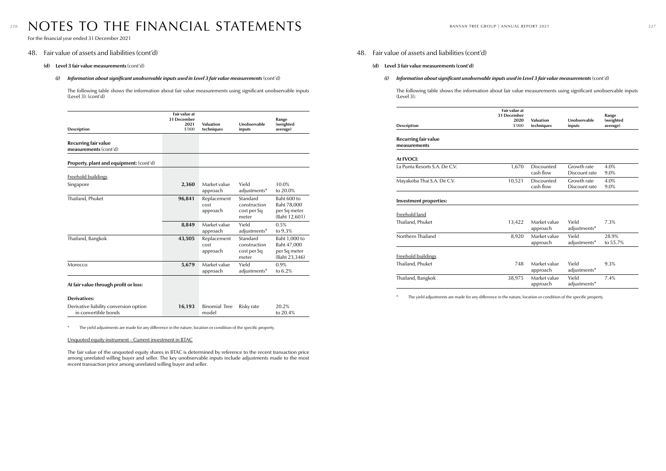For the financial year ended 31 December 2021

# 48. Fair value of assets and liabilities (cont'd)

### **(d) Level 3 fair value measurements** (cont'd)

## *(i) Information about significant unobservable inputs used in Level 3 fair value measurements* (cont'd)

The following table shows the information about fair value measurements using significant unobservable inputs (Level 3): (cont'd)

| <b>Description</b>                                             | <b>Fair value at</b><br>31 December<br>2021<br>\$'000 | Valuation<br>techniques         | Unobservable<br>inputs                           | Range<br>(weighted<br>average)                                |
|----------------------------------------------------------------|-------------------------------------------------------|---------------------------------|--------------------------------------------------|---------------------------------------------------------------|
| Recurring fair value<br>measurements (cont'd)                  |                                                       |                                 |                                                  |                                                               |
| Property, plant and equipment: (cont'd)                        |                                                       |                                 |                                                  |                                                               |
| <b>Freehold buildings</b>                                      |                                                       |                                 |                                                  |                                                               |
| Singapore                                                      | 2,360                                                 | Market value<br>approach        | Yield<br>adjustments*                            | 10.0%<br>to 20.0%                                             |
| Thailand, Phuket                                               | 96,841                                                | Replacement<br>cost<br>approach | Standard<br>construction<br>cost per Sq<br>meter | Baht 600 to<br>Baht 78,000<br>per Sq meter<br>(Baht 12,601)   |
|                                                                | 8,849                                                 | Market value<br>approach        | Yield<br>adjustments*                            | 0.5%<br>to 9.3%                                               |
| Thailand, Bangkok                                              | 43,505                                                | Replacement<br>cost<br>approach | Standard<br>construction<br>cost per Sq<br>meter | Baht 1,000 to<br>Baht 47,000<br>per Sq meter<br>(Baht 23,346) |
| Morocco                                                        | 5,679                                                 | Market value<br>approach        | Yield<br>adjustments*                            | 0.9%<br>to 6.2%                                               |
| At fair value through profit or loss:                          |                                                       |                                 |                                                  |                                                               |
| <b>Derivatives:</b>                                            |                                                       |                                 |                                                  |                                                               |
| Derivative liability conversion option<br>in convertible bonds | 16,193                                                | <b>Binomial Tree</b><br>model   | Risky rate                                       | 20.2%<br>to 20.4%                                             |

Freehold land Thailand, Phuket

Northern Thailand

Freehold buildings Thailand, Phuket

Thailand, Bangkok

The yield adjustments are made for any difference in the nature, location or condition of the specific property.

\* The yield adjustments are made for any difference in the nature, location or condition of the specific property.

# Unquoted equity instrument – Current investment in BTAC

The fair value of the unquoted equity shares in BTAC is determined by reference to the recent transaction price among unrelated willing buyer and seller. The key unobservable inputs include adjustments made to the most recent transaction price among unrelated willing buyer and seller.

# 48. Fair value of assets and liabilities (cont'd)

- **(d) Level 3 fair value measurements (cont'd)**
	- *(i) Information about significant unobservable inputs used in Level 3 fair value measurements* (cont'd)

The following table shows the information about fair value measurements using significant unobservable inputs (Level 3):

**Description**

**31 December**

**Recurring fair value measurements**

## **At FVOCI:**

La Punta Resorts S.A. De C.V.

Mayakoba Thai S.A. De C.V.

| <b>Fair value at</b><br>December<br>2020<br>\$'000 | Valuation<br>techniques  | Unobservable<br>inputs | Range<br>(weighted<br>average) |  |  |  |  |
|----------------------------------------------------|--------------------------|------------------------|--------------------------------|--|--|--|--|
|                                                    |                          |                        |                                |  |  |  |  |
|                                                    |                          |                        |                                |  |  |  |  |
| 1,670                                              | Discounted               | Growth rate            | 4.0%                           |  |  |  |  |
|                                                    | cash flow                | Discount rate          | 9.0%                           |  |  |  |  |
| 10,521                                             | Discounted               | Growth rate            | 4.0%                           |  |  |  |  |
|                                                    | cash flow                | Discount rate          | 9.0%                           |  |  |  |  |
|                                                    |                          |                        |                                |  |  |  |  |
|                                                    |                          |                        |                                |  |  |  |  |
| 13,422                                             | Market value             | Yield                  | 7.3%                           |  |  |  |  |
|                                                    | approach                 | adjustments*           |                                |  |  |  |  |
| 8,920                                              | Market value             | Yield                  | 28.9%                          |  |  |  |  |
|                                                    | approach                 | adjustments*           | to 55.7%                       |  |  |  |  |
|                                                    |                          |                        |                                |  |  |  |  |
| 748                                                | Market value             | Yield                  | 9.3%                           |  |  |  |  |
|                                                    | approach                 | adjustments*           |                                |  |  |  |  |
| 38,975                                             | Market value<br>approach | Yield<br>adjustments*  | 7.4%                           |  |  |  |  |

### **Investment properties:**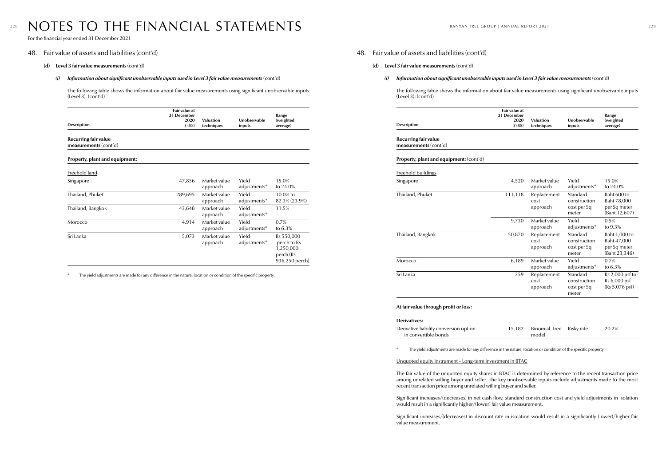For the financial year ended 31 December 2021

# 48. Fair value of assets and liabilities (cont'd)

### **(d) Level 3 fair value measurements** (cont'd)

## *(i) Information about significant unobservable inputs used in Level 3 fair value measurements* (cont'd)

The following table shows the information about fair value measurements using significant unobservable inputs (Level 3): (cont'd)

| <b>Description</b>                            | Fair value at<br>31 December<br>2020<br>\$'000 | Valuation<br>techniques  | Unobservable<br>inputs | Range<br>(weighted<br>average)                                        |
|-----------------------------------------------|------------------------------------------------|--------------------------|------------------------|-----------------------------------------------------------------------|
| Recurring fair value<br>measurements (cont'd) |                                                |                          |                        |                                                                       |
| Property, plant and equipment:                |                                                |                          |                        |                                                                       |
| Freehold land                                 |                                                |                          |                        |                                                                       |
| Singapore                                     | 47,856                                         | Market value<br>approach | Yield<br>adjustments*  | 15.0%<br>to 24.0%                                                     |
| Thailand, Phuket                              | 289,695                                        | Market value<br>approach | Yield<br>adjustments*  | $10.0\%$ to<br>82.3% (23.9%)                                          |
| Thailand, Bangkok                             | 43,648                                         | Market value<br>approach | Yield<br>adjustments*  | 11.5%                                                                 |
| Morocco                                       | 4,914                                          | Market value<br>approach | Yield<br>adjustments*  | 0.7%<br>to 6.3%                                                       |
| Sri Lanka                                     | 5,073                                          | Market value<br>approach | Yield<br>adjustments*  | Rs 550,000<br>perch to Rs<br>1,250,000<br>perch (Rs<br>936,250 perch) |

The yield adjustments are made for any difference in the nature, location or condition of the specific property.

Thailand, Phuket

Morocco

# 48. Fair value of assets and liabilities (cont'd)

- **(d) Level 3 fair value measurements** (cont'd)
	- *(i) Information about significant unobservable inputs used in Level 3 fair value measurements* (cont'd)

The following table shows the information about fair value measurements using significant unobservable inputs (Level 3): (cont'd)

**Description**

| <b>Description</b>                            | <b>Fair value at</b><br>31 December<br>2020<br>\$'000 | Valuation<br>techniques         | Unobservable<br>inputs                           | Range<br>(weighted<br>average)                                |
|-----------------------------------------------|-------------------------------------------------------|---------------------------------|--------------------------------------------------|---------------------------------------------------------------|
| Recurring fair value<br>measurements (cont'd) |                                                       |                                 |                                                  |                                                               |
| Property, plant and equipment: (cont'd)       |                                                       |                                 |                                                  |                                                               |
| <b>Freehold buildings</b>                     |                                                       |                                 |                                                  |                                                               |
| Singapore                                     | 4,520                                                 | Market value<br>approach        | Yield<br>adjustments*                            | 15.0%<br>to 24.0%                                             |
| Thailand, Phuket                              | 111,118                                               | Replacement<br>cost<br>approach | Standard<br>construction<br>cost per Sq<br>meter | Baht 600 to<br>Baht 78,000<br>per Sq meter<br>(Baht 12,607)   |
|                                               | 9,730                                                 | Market value<br>approach        | Yield<br>adjustments*                            | 0.5%<br>to 9.3%                                               |
| Thailand, Bangkok                             | 50,870                                                | Replacement<br>cost<br>approach | Standard<br>construction<br>cost per Sq<br>meter | Baht 1,000 to<br>Baht 47,000<br>per Sq meter<br>(Baht 23,346) |
| Morocco                                       | 6,189                                                 | Market value<br>approach        | Yield<br>adjustments*                            | 0.7%<br>to 6.3%                                               |
| Sri Lanka                                     | 259                                                   | Replacement<br>cost<br>approach | Standard<br>construction<br>cost per Sq<br>meter | Rs 2,000 psf to<br>Rs 6,000 psf<br>$(Rs 5,076 \text{ psf})$   |

## **At fair value through profit or loss:**

### **Derivatives:**

Derivative liability conversion option in convertible bonds

The yield adjustments are made for any difference in the nature, location or condition of the specific property.

| 15,182 Binomial Tree Risky rate | 20.2% |
|---------------------------------|-------|
| model                           |       |

Unquoted equity instrument – Long-term investment in BTAC

The fair value of the unquoted equity shares in BTAC is determined by reference to the recent transaction price among unrelated willing buyer and seller. The key unobservable inputs include adjustments made to the most recent transaction price among unrelated willing buyer and seller.

Significant increases/(decreases) in net cash flow, standard construction cost and yield adjustments in isolation would result in a significantly higher/(lower) fair value measurement.

Significant increases/(decreases) in discount rate in isolation would result in a significantly (lower)/higher fair value measurement.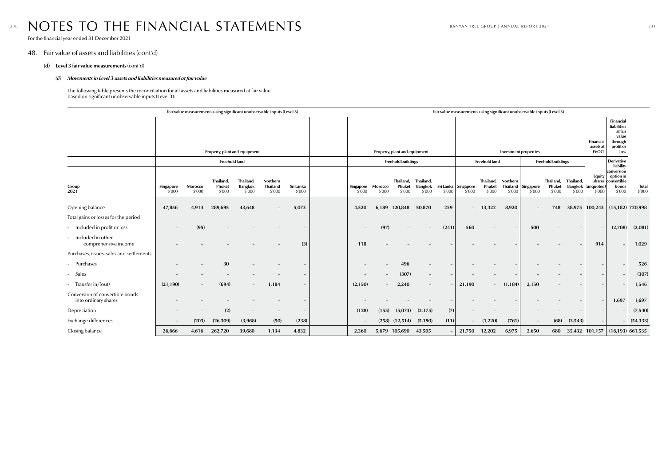For the financial year ended 31 December 2021

# 48. Fair value of assets and liabilities (cont'd)

## **(d) Level 3 fair value measurements** (cont'd)

# *(ii) Movements in Level 3 assets and liabilities measured at fair value*

The following table presents the reconciliation for all assets and liabilities measured at fair value based on significant unobservable inputs (Level 3):

| Fair value measurements using significant unobservable inputs (Level 3) |                            |                   |                               |                                       |                                       |                          |                          |                   |                               |                                       |                     |                           |                  |                                          | Fair value measurements using significant unobservable inputs (Level 3) |                               |                                       |                                               |                                                                                          |                        |
|-------------------------------------------------------------------------|----------------------------|-------------------|-------------------------------|---------------------------------------|---------------------------------------|--------------------------|--------------------------|-------------------|-------------------------------|---------------------------------------|---------------------|---------------------------|------------------|------------------------------------------|-------------------------------------------------------------------------|-------------------------------|---------------------------------------|-----------------------------------------------|------------------------------------------------------------------------------------------|------------------------|
|                                                                         |                            |                   | Property, plant and equipment |                                       |                                       |                          |                          |                   | Property, plant and equipment |                                       |                     |                           |                  |                                          | <b>Investment properties</b>                                            |                               |                                       | <b>Financial</b><br>assets at<br><b>FVOCI</b> | Financial<br>liabilities<br>at fair<br>value<br>through<br>profit or<br>loss             |                        |
| Freehold land                                                           |                            |                   |                               |                                       | <b>Freehold buildings</b>             |                          |                          |                   | <b>Freehold land</b>          |                                       |                     | <b>Freehold buildings</b> |                  |                                          | <b>Derivative</b><br>liability                                          |                               |                                       |                                               |                                                                                          |                        |
| Group<br>2021                                                           | <b>Singapore</b><br>\$'000 | Morocco<br>\$'000 | Thailand,<br>Phuket<br>\$'000 | Thailand,<br><b>Bangkok</b><br>\$7000 | Northern<br><b>Thailand</b><br>\$'000 | Sri Lanka<br>\$'000      | Singapore<br>\$'000      | Morocco<br>\$'000 | Thailand,<br>Phuket<br>\$'000 | Thailand,<br><b>Bangkok</b><br>\$'000 | Sri Lanka<br>\$'000 | Singapore<br>\$'000       | Phuket<br>\$'000 | Thailand, Northern<br>Thailand<br>\$'000 | Singapore<br>\$'000                                                     | Thailand,<br>Phuket<br>\$'000 | Thailand,<br><b>Bangkok</b><br>\$'000 | \$′000                                        | conversion<br>Equity<br>option in<br>shares convertible<br>bonds<br>(unquoted)<br>\$'000 | <b>Total</b><br>\$'000 |
| Opening balance                                                         | 47,856                     | 4,914             | 289,695                       | 43,648                                |                                       | 5,073                    | 4,520                    | 6,189             | 120,848                       | 50,870                                | 259                 | $\overline{\phantom{a}}$  | 13,422           | 8,920                                    | $\overline{\phantom{a}}$                                                | 748                           | 38,975                                | 100,243                                       |                                                                                          | $(15, 182)$ 720,998    |
| Total gains or losses for the period                                    |                            |                   |                               |                                       |                                       |                          |                          |                   |                               |                                       |                     |                           |                  |                                          |                                                                         |                               |                                       |                                               |                                                                                          |                        |
| - Included in profit or loss                                            | $\overline{\phantom{0}}$   | (95)              |                               |                                       |                                       |                          | $\qquad \qquad -$        | (97)              | -                             | $\qquad \qquad -$                     | (241)               | 560                       |                  |                                          | 500                                                                     |                               |                                       |                                               | (2,708)                                                                                  | (2,081)                |
| - Included in other<br>comprehensive income                             |                            |                   |                               |                                       |                                       | (3)                      | 118                      |                   |                               |                                       |                     |                           |                  |                                          |                                                                         |                               |                                       | 914                                           |                                                                                          | 1,029                  |
| Purchases, issues, sales and settlements                                |                            |                   |                               |                                       |                                       |                          |                          |                   |                               |                                       |                     |                           |                  |                                          |                                                                         |                               |                                       |                                               |                                                                                          |                        |
| - Purchases                                                             |                            |                   | 30                            |                                       |                                       |                          | $\qquad \qquad -$        |                   | 496                           |                                       |                     |                           |                  |                                          |                                                                         |                               |                                       |                                               |                                                                                          | 526                    |
| - Sales                                                                 |                            |                   |                               |                                       |                                       |                          | $\qquad \qquad -$        |                   | (307)                         | $\hspace{0.1mm}-\hspace{0.1mm}$       |                     |                           |                  |                                          |                                                                         |                               |                                       |                                               | $\overline{\phantom{0}}$                                                                 | (307)                  |
| - Transfer in/(out)                                                     | (21, 190)                  |                   | (694)                         |                                       | 1,184                                 | $\overline{\phantom{a}}$ | (2, 150)                 | $-$               | 2,240                         | $\overline{\phantom{a}}$              |                     | 21,190                    | $\sim$           | (1, 184)                                 | 2,150                                                                   |                               |                                       |                                               |                                                                                          | 1,546                  |
| Conversion of convertible bonds<br>into ordinary shares                 |                            |                   |                               |                                       |                                       |                          |                          |                   |                               |                                       |                     |                           |                  |                                          |                                                                         |                               |                                       |                                               | 1,697                                                                                    | 1,697                  |
| Depreciation                                                            |                            |                   | (2)                           |                                       |                                       | $\overline{\phantom{a}}$ | (128)                    | (155)             | (5,073)                       | (2, 175)                              | (7)                 |                           |                  |                                          |                                                                         |                               |                                       |                                               |                                                                                          | (7,540)                |
| Exchange differences                                                    | $\overline{\phantom{a}}$   | (203)             | (26, 309)                     | (3,968)                               | (50)                                  | (238)                    | $\overline{\phantom{a}}$ |                   | $(258)$ $(12,514)$            | (5, 190)                              | (11)                | $\overline{\phantom{m}}$  | (1,220)          | (761)                                    | $\overline{\phantom{a}}$                                                | (68)                          | (3,543)                               |                                               |                                                                                          | (54, 333)              |
| Closing balance                                                         | 26,666                     | 4,616             | 262,720                       | 39,680                                | 1,134                                 | 4,832                    | 2,360                    |                   | 5,679 105,690                 | 43,505                                |                     | 21,750                    | 12,202           | 6,975                                    | 2,650                                                                   | 680                           | 35,432                                | 101, 157                                      |                                                                                          | (16, 193)   661, 535   |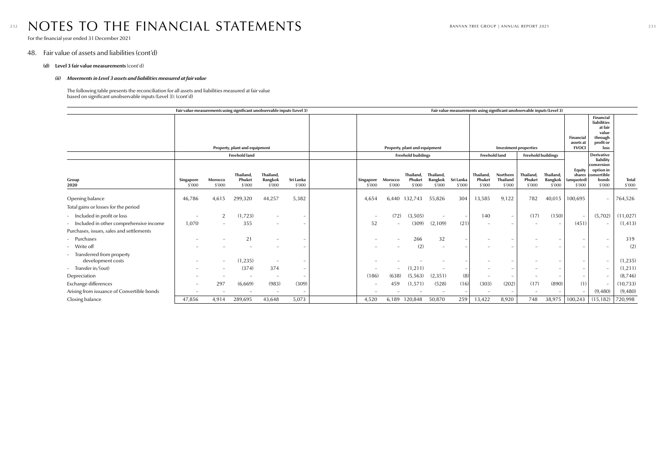For the financial year ended 31 December 2021

# 48. Fair value of assets and liabilities (cont'd)

## **(d) Level 3 fair value measurements** (cont'd)

# *(ii) Movements in Level 3 assets and liabilities measured at fair value*

The following table presents the reconciliation for all assets and liabilities measured at fair value based on significant unobservable inputs (Level 3): (cont'd)

|                                                |                          |                          | Fair value measurements using significant unobservable inputs (Level 3) |                                       |                     |                          |                          |                               |                                       |                     |                               |                                       | Fair value measurements using significant unobservable inputs (Level 3) |                                |                                        |                                                                                     |                        |
|------------------------------------------------|--------------------------|--------------------------|-------------------------------------------------------------------------|---------------------------------------|---------------------|--------------------------|--------------------------|-------------------------------|---------------------------------------|---------------------|-------------------------------|---------------------------------------|-------------------------------------------------------------------------|--------------------------------|----------------------------------------|-------------------------------------------------------------------------------------|------------------------|
|                                                |                          |                          | Property, plant and equipment                                           |                                       |                     |                          |                          | Property, plant and equipment |                                       |                     |                               |                                       | <b>Investment properties</b>                                            |                                | Financial<br>assets at<br><b>FVOCI</b> | <b>Financial</b><br>liabilities<br>at fair<br>value<br>through<br>profit or<br>loss |                        |
|                                                |                          |                          | <b>Freehold land</b>                                                    |                                       |                     |                          |                          | <b>Freehold buildings</b>     |                                       |                     | <b>Freehold land</b>          |                                       | <b>Freehold buildings</b>                                               |                                |                                        | <b>Derivative</b>                                                                   |                        |
| Group<br>2020                                  | Singapore<br>\$'000      | Morocco<br>\$'000        | Thailand,<br>Phuket<br>\$'000                                           | Thailand,<br><b>Bangkok</b><br>\$'000 | Sri Lanka<br>\$'000 | Singapore<br>\$'000      | Morocco<br>\$'000        | Thailand,<br>Phuket<br>\$'000 | Thailand,<br><b>Bangkok</b><br>\$'000 | Sri Lanka<br>\$'000 | Thailand,<br>Phuket<br>\$'000 | Northern<br><b>Thailand</b><br>\$'000 | Thailand,<br>Phuket<br>\$'000                                           | Thailand,<br>Bangkok<br>\$'000 | Equity<br>(unquoted)<br>\$'000         | liability<br>conversion<br>option in<br>shares convertible<br>bonds<br>\$'000       | <b>Total</b><br>\$'000 |
| Opening balance                                | 46,786                   | 4,615                    | 299,320                                                                 | 44,257                                | 5,382               | 4,654                    | 6,440                    | 132,743                       | 55,826                                | 304                 | 13,585                        | 9,122                                 | 782                                                                     | 40,015                         | 100,695                                | $\overline{\phantom{a}}$                                                            | 764,526                |
| Total gains or losses for the period           |                          |                          |                                                                         |                                       |                     |                          |                          |                               |                                       |                     |                               |                                       |                                                                         |                                |                                        |                                                                                     |                        |
| - Included in profit or loss                   | $\overline{\phantom{0}}$ | 2                        | (1,723)                                                                 |                                       |                     | $\overline{\phantom{m}}$ | (72)                     | (3,505)                       |                                       |                     | 140                           |                                       | (17)                                                                    | (150)                          | $\hspace{0.1mm}-\hspace{0.1mm}$        | (5,702)                                                                             | (11, 027)              |
| - Included in other comprehensive income       | 1,070                    | $\overline{\phantom{0}}$ | 355                                                                     | $\overline{\phantom{m}}$              |                     | 52                       | $\overline{\phantom{0}}$ | (309)                         | (2,109)                               | (21)                |                               |                                       |                                                                         | $\overline{\phantom{a}}$       | (451)                                  | $\overline{\phantom{a}}$                                                            | (1, 413)               |
| Purchases, issues, sales and settlements       |                          |                          |                                                                         |                                       |                     |                          |                          |                               |                                       |                     |                               |                                       |                                                                         |                                |                                        |                                                                                     |                        |
| - Purchases                                    |                          |                          | 21                                                                      |                                       |                     | $\overline{\phantom{a}}$ |                          | 266                           | 32                                    |                     |                               |                                       |                                                                         |                                |                                        | $\overline{\phantom{a}}$                                                            | 319                    |
| Write off                                      |                          |                          |                                                                         |                                       |                     |                          |                          | (2)                           |                                       |                     |                               |                                       |                                                                         |                                |                                        | $\overline{\phantom{m}}$                                                            | (2)                    |
| Transferred from property<br>development costs |                          | $\overline{\phantom{a}}$ | (1, 235)                                                                | $\overline{\phantom{m}}$              |                     |                          |                          |                               |                                       |                     |                               |                                       |                                                                         |                                | $\overline{\phantom{a}}$               | $\hspace{0.1mm}-\hspace{0.1mm}$                                                     | (1, 235)               |
| Transfer in/(out)                              |                          |                          | (374)                                                                   | 374                                   |                     | $\overline{\phantom{a}}$ | $\overline{\phantom{0}}$ | (1,211)                       |                                       |                     |                               |                                       |                                                                         |                                |                                        | $\hspace{0.1mm}-\hspace{0.1mm}$                                                     | (1, 211)               |
| Depreciation                                   |                          |                          |                                                                         |                                       |                     | (186)                    | (638)                    | (5, 563)                      | (2,351)                               | (8)                 |                               | $\overline{\phantom{a}}$              |                                                                         |                                | $\overline{\phantom{0}}$               | $\hspace{0.1mm}-\hspace{0.1mm}$                                                     | (8,746)                |
| Exchange differences                           |                          | 297                      | (6,669)                                                                 | (983)                                 | (309)               | $\overline{\phantom{m}}$ | 459                      | (1, 571)                      | (528)                                 | (16)                | (303)                         | (202)                                 | (17)                                                                    | (890)                          | (1)                                    | $\overline{\phantom{a}}$                                                            | (10,733)               |
| Arising from issuance of Convertible bonds     |                          |                          |                                                                         |                                       |                     | -                        |                          |                               |                                       |                     |                               |                                       | $\sim$                                                                  |                                | $\overline{\phantom{0}}$               | (9,480)                                                                             | (9,480)                |
| Closing balance                                | 47,856                   | 4,914                    | 289,695                                                                 | 43,648                                | 5,073               | 4,520                    |                          | 6,189 120,848                 | 50,870                                | 259                 | 13,422                        | 8,920                                 | 748                                                                     | 38,975                         | 100,243                                | (15, 182)                                                                           | 720,998                |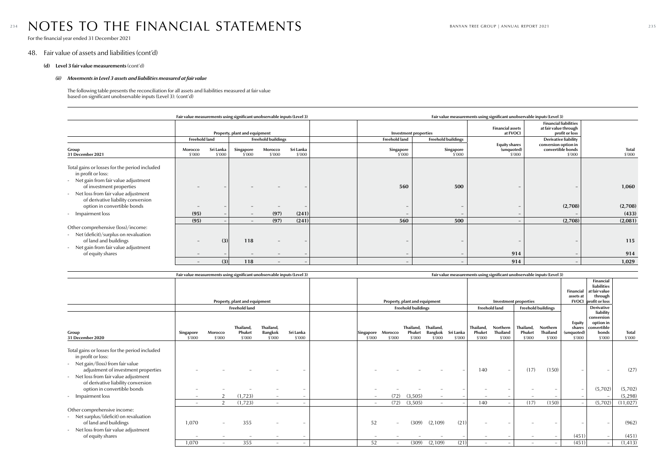For the financial year ended 31 December 2021

# 48. Fair value of assets and liabilities (cont'd)

## **(d) Level 3 fair value measurements** (cont'd)

# *(ii) Movements in Level 3 assets and liabilities measured at fair value*

The following table presents the reconciliation for all assets and liabilities measured at fair value based on significant unobservable inputs (Level 3): (cont'd)

|                                                                                                            | Fair value measurements using significant unobservable inputs (Level 3) |                     |                               |                           |                     |                              |                           | Fair value measurements using significant unobservable inputs (Level 3) |                                                                         |                        |
|------------------------------------------------------------------------------------------------------------|-------------------------------------------------------------------------|---------------------|-------------------------------|---------------------------|---------------------|------------------------------|---------------------------|-------------------------------------------------------------------------|-------------------------------------------------------------------------|------------------------|
|                                                                                                            |                                                                         |                     | Property, plant and equipment |                           |                     | <b>Investment properties</b> |                           | <b>Financial assets</b><br>at FVOCI                                     | <b>Financial liabilities</b><br>at fair value through<br>profit or loss |                        |
|                                                                                                            | <b>Freehold land</b>                                                    |                     |                               | <b>Freehold buildings</b> |                     | <b>Freehold land</b>         | <b>Freehold buildings</b> |                                                                         | Derivative liability                                                    |                        |
| Group<br>31 December 2021                                                                                  | Morocco<br>\$'000                                                       | Sri Lanka<br>\$'000 | Singapore<br>\$'000           | Morocco<br>\$'000         | Sri Lanka<br>\$'000 | Singapore<br>\$'000          | Singapore<br>\$'000       | <b>Equity shares</b><br>(unquoted)<br>\$'000                            | conversion option in<br>convertible bonds<br>$$^{\prime}000$            | <b>Total</b><br>\$'000 |
| Total gains or losses for the period included<br>in profit or loss:                                        |                                                                         |                     |                               |                           |                     |                              |                           |                                                                         |                                                                         |                        |
| - Net gain from fair value adjustment<br>of investment properties<br>- Net loss from fair value adjustment |                                                                         |                     |                               |                           |                     | 560                          | 500                       |                                                                         |                                                                         | 1,060                  |
| of derivative liability conversion<br>option in convertible bonds                                          |                                                                         |                     |                               |                           |                     | $\overline{\phantom{a}}$     | $\overline{\phantom{0}}$  |                                                                         | (2,708)                                                                 | (2,708)                |
| - Impairment loss                                                                                          | (95)                                                                    |                     |                               | (97)                      | (241)               |                              |                           |                                                                         |                                                                         | (433)                  |
|                                                                                                            | (95)                                                                    |                     | $-$                           | (97)                      | (241)               | 560                          | 500                       |                                                                         | (2,708)                                                                 | (2,081)                |
| Other comprehensive (loss)/income:<br>- Net (deficit)/surplus on revaluation<br>of land and buildings      | $-$                                                                     | (3)                 | 118                           | $\qquad \qquad$           |                     | $\overline{\phantom{0}}$     | $\overline{\phantom{0}}$  |                                                                         |                                                                         | 115                    |
| - Net gain from fair value adjustment<br>of equity shares                                                  |                                                                         |                     | $\overline{\phantom{a}}$      |                           |                     | $\overline{\phantom{0}}$     | $\overline{\phantom{0}}$  | 914                                                                     |                                                                         | 914                    |
|                                                                                                            | $\overline{\phantom{a}}$                                                | (3)                 | 118                           | $-$                       |                     | $\overline{\phantom{0}}$     | $\overline{\phantom{0}}$  | 914                                                                     |                                                                         | 1,029                  |

|                                                                                                                                                                 |                          |                          | Fair value measurements using significant unobservable inputs (Level 3) |                                       |                          |                          |                          |                               |                                          |        |                               | Fair value measurements using significant unobservable inputs (Level 3) |                               |                                       |                                          |                                                                                                   |                        |
|-----------------------------------------------------------------------------------------------------------------------------------------------------------------|--------------------------|--------------------------|-------------------------------------------------------------------------|---------------------------------------|--------------------------|--------------------------|--------------------------|-------------------------------|------------------------------------------|--------|-------------------------------|-------------------------------------------------------------------------|-------------------------------|---------------------------------------|------------------------------------------|---------------------------------------------------------------------------------------------------|------------------------|
|                                                                                                                                                                 |                          |                          | Property, plant and equipment                                           |                                       |                          |                          |                          | Property, plant and equipment |                                          |        |                               |                                                                         | <b>Investment properties</b>  |                                       | <b>Financial</b><br>assets at            | <b>Financial</b><br><b>liabilities</b><br>at fair value<br>through<br><b>FVOCI</b> profit or loss |                        |
|                                                                                                                                                                 |                          |                          | <b>Freehold land</b>                                                    |                                       |                          |                          |                          | <b>Freehold buildings</b>     |                                          |        |                               | <b>Freehold land</b>                                                    |                               | <b>Freehold buildings</b>             |                                          | <b>Derivative</b><br>liability                                                                    |                        |
| Group<br>31 December 2020                                                                                                                                       | Singapore<br>\$'000      | Morocco<br>\$'000        | Thailand.<br>Phuket<br>\$'000                                           | Thailand.<br><b>Bangkok</b><br>\$'000 | Sri Lanka<br>\$'000      | Singapore<br>\$'000      | Morocco<br>\$'000        | Thailand.<br>Phuket<br>\$'000 | Thailand.<br>Bangkok Sri Lanka<br>\$'000 | \$'000 | Thailand,<br>Phuket<br>\$'000 | Northern<br><b>Thailand</b><br>\$'000                                   | Thailand,<br>Phuket<br>\$'000 | Northern<br><b>Thailand</b><br>\$'000 | Equity<br>shares<br>(unquoted)<br>\$'000 | conversion<br>option in<br>convertible<br>bonds<br>\$'000                                         | <b>Total</b><br>\$'000 |
| Total gains or losses for the period included<br>in profit or loss:<br>Net gain/(loss) from fair value<br>adjustment of investment properties                   |                          |                          |                                                                         |                                       |                          |                          |                          |                               |                                          |        | 140                           | $-$                                                                     | (17)                          | (150)                                 | $\overline{\phantom{a}}$                 |                                                                                                   | (27)                   |
| Net loss from fair value adjustment<br>$\overline{\phantom{a}}$<br>of derivative liability conversion<br>option in convertible bonds                            |                          |                          |                                                                         |                                       |                          |                          |                          |                               |                                          |        |                               |                                                                         |                               |                                       | $\overline{\phantom{a}}$                 | (5,702)                                                                                           | (5,702)                |
| - Impairment loss                                                                                                                                               |                          |                          | (1,723)                                                                 | $\overline{\phantom{a}}$              |                          | $\overline{\phantom{a}}$ | (72)                     | (3,505)                       | $\sim$                                   |        |                               | $\overline{\phantom{0}}$                                                |                               | $\overline{\phantom{0}}$              | $\overline{\phantom{a}}$                 |                                                                                                   | (5,298)                |
|                                                                                                                                                                 | $-$                      | -2                       | (1,723)                                                                 | $-$                                   |                          | $-$                      | (72)                     | (3,505)                       | $\sim$                                   |        | 140                           | $ \,$                                                                   | (17)                          | (150)                                 | $\overline{\phantom{a}}$                 | (5,702)                                                                                           | (11, 027)              |
| Other comprehensive income:<br>Net surplus/(deficit) on revaluation<br>$\overline{\phantom{a}}$<br>of land and buildings<br>Net loss from fair value adjustment | 1,070                    | $\overline{\phantom{0}}$ | 355                                                                     |                                       |                          | 52                       |                          | (309)                         | (2,109)                                  | (21)   |                               |                                                                         |                               |                                       |                                          |                                                                                                   | (962)                  |
| of equity shares                                                                                                                                                | $\overline{\phantom{0}}$ | $\overline{\phantom{m}}$ | $\overline{\phantom{a}}$                                                |                                       | $\overline{\phantom{0}}$ | $\overline{\phantom{a}}$ |                          |                               |                                          |        |                               | $\qquad \qquad$                                                         | $\overline{\phantom{a}}$      | $\overline{\phantom{a}}$              | (451)                                    | $\overline{\phantom{a}}$                                                                          | (451)                  |
|                                                                                                                                                                 | 1,070                    | $\qquad \qquad -$        | 355                                                                     | $\overline{\phantom{a}}$              |                          | 52                       | $\overline{\phantom{a}}$ | (309)                         | (2,109)                                  | (21)   |                               |                                                                         | $\overline{\phantom{0}}$      | $\overline{\phantom{a}}$              | (451)                                    |                                                                                                   | (1, 413)               |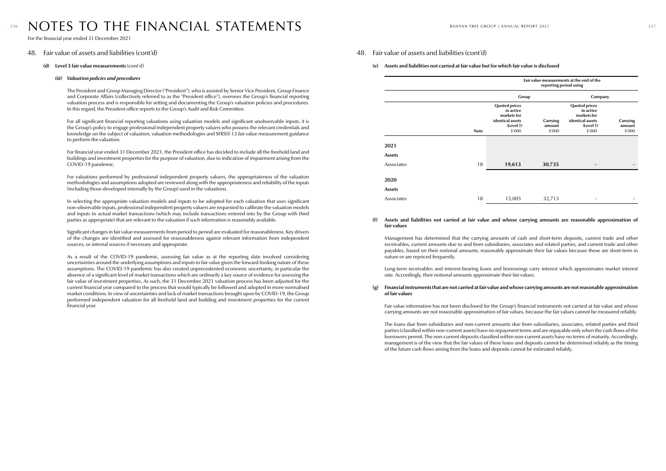For the financial year ended 31 December 2021

# 48. Fair value of assets and liabilities (cont'd)

### **(d) Level 3 fair value measurements** (cont'd)

### *(iii) Valuation policies and procedures*

The President and Group Managing Director ("President"), who is assisted by Senior Vice President, Group Finance and Corporate Affairs (collectively referred to as the "President office"), oversees the Group's financial reporting valuation process and is responsible for setting and documenting the Group's valuation policies and procedures. In this regard, the President office reports to the Group's Audit and Risk Committee.

For all significant financial reporting valuations using valuation models and significant unobservable inputs, it is the Group's policy to engage professional independent property valuers who possess the relevant credentials and knowledge on the subject of valuation, valuation methodologies and SFRS(I) 13 fair value measurement guidance to perform the valuation.

For financial year ended 31 December 2021, the President office has decided to include all the freehold land and buildings and investment properties for the purpose of valuation, due to indication of impairment arising from the COVID-19 pandemic.

For valuations performed by professional independent property valuers, the appropriateness of the valuation methodologies and assumptions adopted are reviewed along with the appropriateness and reliability of the inputs (including those developed internally by the Group) used in the valuations.

|               |             |                                                                                             | reporting period using       | Fair value measurements at the end of the                                                   |                              |
|---------------|-------------|---------------------------------------------------------------------------------------------|------------------------------|---------------------------------------------------------------------------------------------|------------------------------|
|               |             | Group                                                                                       |                              | Company                                                                                     |                              |
|               | <b>Note</b> | <b>Quoted prices</b><br>in active<br>markets for<br>identical assets<br>(Level 1)<br>\$'000 | Carrying<br>amount<br>\$'000 | <b>Quoted prices</b><br>in active<br>markets for<br>identical assets<br>(Level 1)<br>\$'000 | Carrying<br>amount<br>\$'000 |
|               |             |                                                                                             |                              |                                                                                             |                              |
| 2021          |             |                                                                                             |                              |                                                                                             |                              |
| <b>Assets</b> |             |                                                                                             |                              |                                                                                             |                              |
| Associates    | 18          | 19,613                                                                                      | 30,735                       |                                                                                             |                              |
| 2020          |             |                                                                                             |                              |                                                                                             |                              |
| <b>Assets</b> |             |                                                                                             |                              |                                                                                             |                              |
| Associates    | 18          | 15,005                                                                                      | 32,713                       |                                                                                             |                              |

In selecting the appropriate valuation models and inputs to be adopted for each valuation that uses significant non-observable inputs, professional independent property valuers are requested to calibrate the valuation models and inputs to actual market transactions (which may include transactions entered into by the Group with third parties as appropriate) that are relevant to the valuation if such information is reasonably available.

Significant changes in fair value measurements from period to period are evaluated for reasonableness. Key drivers of the changes are identified and assessed for reasonableness against relevant information from independent sources, or internal sources if necessary and appropriate.

As a result of the COVID-19 pandemic, assessing fair value as at the reporting date involved considering uncertainties around the underlying assumptions and inputs to fair value given the forward-looking nature of these assumptions. The COVID-19 pandemic has also created unprecedented economic uncertainty, in particular the absence of a significant level of market transactions which are ordinarily a key source of evidence for assessing the fair value of investment properties. As such, the 31 December 2021 valuation process has been adjusted for the current financial year compared to the process that would typically be followed and adopted in more normalised market conditions. In view of uncertainties and lack of market transactions brought upon by COVID-19, the Group performed independent valuation for all freehold land and building and investment properties for the current financial year.

# 48. Fair value of assets and liabilities (cont'd)

**(e) Assets and liabilities not carried at fair value but for which fair value is disclosed**

|            |             | Fair value measurements at the end of the<br>reporting period using                         |                              |                                                                                             |                              |  |  |  |  |
|------------|-------------|---------------------------------------------------------------------------------------------|------------------------------|---------------------------------------------------------------------------------------------|------------------------------|--|--|--|--|
|            |             | Group                                                                                       |                              | Company                                                                                     |                              |  |  |  |  |
|            | <b>Note</b> | <b>Quoted prices</b><br>in active<br>markets for<br>identical assets<br>(Level 1)<br>\$'000 | Carrying<br>amount<br>\$'000 | <b>Quoted prices</b><br>in active<br>markets for<br>identical assets<br>(Level 1)<br>\$'000 | Carrying<br>amount<br>\$'000 |  |  |  |  |
| 2021       |             |                                                                                             |                              |                                                                                             |                              |  |  |  |  |
| Assets     |             |                                                                                             |                              |                                                                                             |                              |  |  |  |  |
| Associates | 18          | 19,613                                                                                      | 30,735                       |                                                                                             |                              |  |  |  |  |
| 2020       |             |                                                                                             |                              |                                                                                             |                              |  |  |  |  |
| Assets     |             |                                                                                             |                              |                                                                                             |                              |  |  |  |  |

### **(f) Assets and liabilities not carried at fair value and whose carrying amounts are reasonable approximation of fair values**

Management has determined that the carrying amounts of cash and short-term deposits, current trade and other receivables, current amounts due to and from subsidiaries, associates and related parties, and current trade and other payables, based on their notional amounts, reasonably approximate their fair values because these are short-term in nature or are repriced frequently.

Long-term receivables and interest-bearing loans and borrowings carry interest which approximates market interest rate. Accordingly, their notional amounts approximate their fair values.

### **(g) Financial instruments that are not carried at fair value and whose carrying amounts are not reasonable approximation of fair values**

Fair value information has not been disclosed for the Group's financial instruments not carried at fair value and whose carrying amounts are not reasonable approximation of fair values, because the fair values cannot be measured reliably.

The loans due from subsidiaries and non-current amounts due from subsidiaries, associates, related parties and third parties (classified within non-current assets) have no repayment terms and are repayable only when the cash flows of the borrowers permit. The non-current deposits classified within non-current assets have no terms of maturity. Accordingly, management is of the view that the fair values of these loans and deposits cannot be determined reliably as the timing of the future cash flows arising from the loans and deposits cannot be estimated reliably.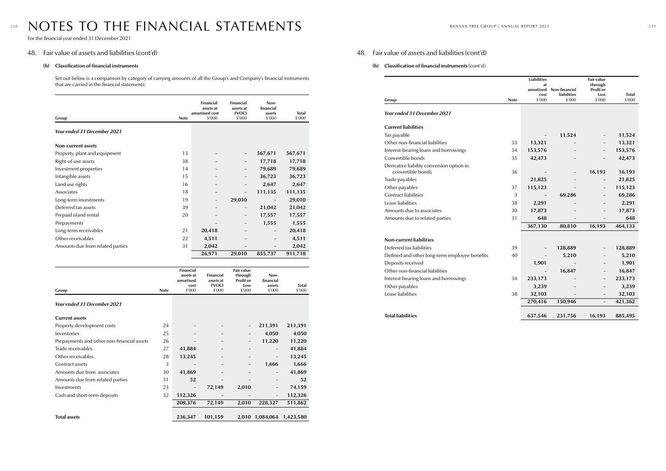For the financial year ended 31 December 2021

# 48. Fair value of assets and liabilities (cont'd)

# **(h) Classification of financial instruments**

Set out below is a comparison by category of carrying amounts of all the Group's and Company's financial instruments that are carried in the financial statements:

| Group                            | <b>Note</b> | <b>Financial</b><br>assets at<br>amortised cost<br>\$'000 | <b>Financial</b><br>assets at<br><b>FVOCI</b><br>\$'000 | Non-<br>financial<br>assets<br>\$'000 | <b>Total</b><br>\$'000 |
|----------------------------------|-------------|-----------------------------------------------------------|---------------------------------------------------------|---------------------------------------|------------------------|
| Year ended 31 December 2021      |             |                                                           |                                                         |                                       |                        |
| Non-current assets               |             |                                                           |                                                         |                                       |                        |
| Property, plant and equipment    | 13          |                                                           | -                                                       | 567,671                               | 567,671                |
| Right-of-use assets              | 38          |                                                           |                                                         | 17,718                                | 17,718                 |
| Investment properties            | 14          |                                                           |                                                         | 79,689                                | 79,689                 |
| Intangible assets                | 15          |                                                           |                                                         | 36,723                                | 36,723                 |
| Land use rights                  | 16          |                                                           |                                                         | 2,647                                 | 2,647                  |
| Associates                       | 18          |                                                           |                                                         | 111,135                               | 111,135                |
| Long-term investments            | 19          | $\qquad \qquad -$                                         | 29,010                                                  |                                       | 29,010                 |
| Deferred tax assets              | 39          |                                                           |                                                         | 21,042                                | 21,042                 |
| Prepaid island rental            | 20          |                                                           | -                                                       | 17,557                                | 17,557                 |
| Prepayments                      |             |                                                           |                                                         | 1,555                                 | 1,555                  |
| Long-term receivables            | 21          | 20,418                                                    |                                                         |                                       | 20,418                 |
| Other receivables                | 22          | 4,511                                                     |                                                         |                                       | 4,511                  |
| Amounts due from related parties | 31          | 2,042                                                     |                                                         |                                       | 2,042                  |
|                                  |             | 26,971                                                    | 29,010                                                  | 855,737                               | 911,718                |

| Group                                      | <b>Note</b> | <b>Financial</b><br>assets at<br>amortised<br>cost<br>\$'000 | <b>Financial</b><br>assets at<br><b>FVOCI</b><br>\$'000 | <b>Fair value</b><br>through<br><b>Profit or</b><br>Loss<br>\$'000 | Non-<br>financial<br>assets<br>\$'000 | <b>Total</b><br>\$'000 |
|--------------------------------------------|-------------|--------------------------------------------------------------|---------------------------------------------------------|--------------------------------------------------------------------|---------------------------------------|------------------------|
| Year ended 31 December 2021                |             |                                                              |                                                         |                                                                    |                                       |                        |
| <b>Current assets</b>                      |             |                                                              |                                                         |                                                                    |                                       |                        |
| Property development costs                 | 24          |                                                              |                                                         |                                                                    | 211,391                               | 211,391                |
| Inventories                                | 25          |                                                              |                                                         | -                                                                  | 4,050                                 | 4,050                  |
| Prepayments and other non-financial assets | 26          |                                                              |                                                         | $\overline{\phantom{m}}$                                           | 11,220                                | 11,220                 |
| Trade receivables                          | 27          | 41,884                                                       |                                                         | -                                                                  |                                       | 41,884                 |
| Other receivables                          | 28          | 13,245                                                       |                                                         |                                                                    | -                                     | 13,245                 |
| Contract assets                            | 3           |                                                              |                                                         | -                                                                  | 1,666                                 | 1,666                  |
| Amounts due from associates                | 30          | 41,869                                                       |                                                         |                                                                    | -                                     | 41,869                 |
| Amounts due from related parties           | 31          | 52                                                           |                                                         |                                                                    |                                       | 52                     |
| Investments                                | 23          | $\qquad \qquad -$                                            | 72,149                                                  | 2,010                                                              | -                                     | 74,159                 |
| Cash and short-term deposits               | 32          | 112,326                                                      |                                                         |                                                                    |                                       | 112,326                |
|                                            |             | 209,376                                                      | 72,149                                                  | 2,010                                                              | 228,327                               | 511,862                |
|                                            |             |                                                              |                                                         |                                                                    |                                       |                        |
| Total assets                               |             | 236,347                                                      | 101,159                                                 | 2,010                                                              | 1,084,064                             | 1,423,580              |

# 48. Fair value of assets and liabilities (cont'd)

**(h) Classification of financial instruments** (cont'd)

| Group<br>Note |
|---------------|
|---------------|

# *Year ended 31 December 2021*

**Current liabilities** Tax payable **– 11,524 – 11,524** Other non-financial liabilities 33 **13,321 – – 13,321 1** Interest-bearing loans and borrowings Convertible bonds 35 **42,473 – – 42,473** Derivative liability conversion option in convertible bonds 36 **– – 16,193 16,193** Trade payables **21,825 – – 21,825** Other payables 37 **115,123 – – 115,123** Contract liabilities 3 **– 69,286 – 69,286** Lease liabilities 38 **2,291 – – 2,291** Amounts due to associates 30 **17,873 – – 17,873** Amounts due to related parties 31 **648 – – 648**

|             | <b>Liabilities</b> |                       | <b>Fair value</b>    |                        |
|-------------|--------------------|-----------------------|----------------------|------------------------|
|             | at<br>amortised    | Non-financial         | through<br>Profit or |                        |
| <b>Note</b> | cost<br>\$'000     | liabilities<br>\$'000 | Loss<br>\$'000       | <b>Total</b><br>\$'000 |
|             |                    |                       |                      |                        |
|             |                    |                       |                      |                        |
|             |                    |                       |                      |                        |
|             |                    |                       |                      |                        |
|             |                    | 11,524                |                      | 11,524                 |
| 33          | 13,321             |                       |                      | 13,321                 |
| 34          | 153,576            |                       |                      | 153,576                |
| 35          | 42,473             |                       |                      | 42,473                 |
|             |                    |                       |                      |                        |
| 36          |                    |                       | 16,193               | 16,193                 |
|             | 21,825             |                       |                      | 21,825                 |
| 37          | 115,123            |                       |                      | 115,123                |
| 3           |                    | 69,286                |                      | 69,286                 |
| 38          | 2,291              |                       |                      | 2,291                  |
| 30          | 17,873             |                       |                      | 17,873                 |
| 31          | 648                |                       |                      | 648                    |
|             | 367,130            | 80,810                | 16,193               | 464,133                |
|             |                    |                       |                      |                        |
|             |                    |                       |                      |                        |
| 39          |                    | 128,889               |                      | 128,889                |
| 40          |                    | 5,210                 |                      | 5,210                  |
|             | 1,901              |                       |                      | 1,901                  |
|             |                    | 16,847                |                      | 16,847                 |
| 34          | 233,173            |                       |                      | 233,173                |
|             | 3,239              |                       |                      | 3,239                  |
| 38          | 32,103             |                       |                      | 32,103                 |
|             | 270,416            | 150,946               |                      | 421,362                |
|             | 637,546            | 231,756               | 16,193               | 885,495                |

# **Non-current liabilities**

Deferred tax liabilities 39 **– 128,889 – 128,889** Defined and other long-term employee benefits 40 **– 5,210 – 5,210**  $Deposits received$ Other non-financial liabilities **– 16,847 – 16,847** Interest-bearing loans and borrowings 34 **233,173 – – 233,173** Other payables **3,239 – – 3,239** Lease liabilities 38 **32,103 – – 32,103**

### **Total liabilities 637,546 231,756 16,193 885,495**

| i |        |   |
|---|--------|---|
| I | I<br>٠ | ۹ |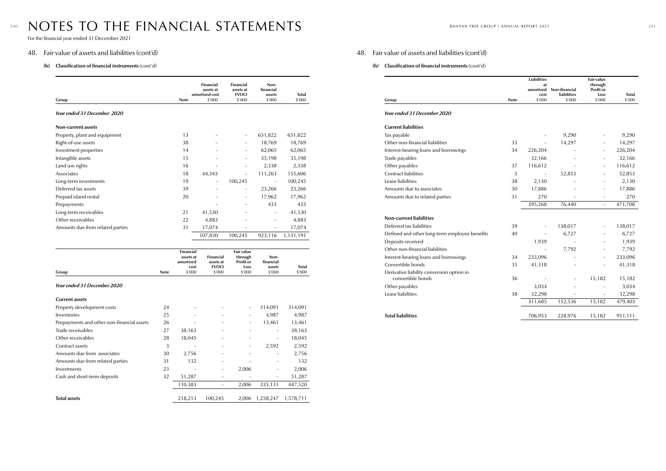For the financial year ended 31 December 2021

### 48. Fair value of assets and liabilities (cont'd)

### **(h) Classification of financial instruments** (cont'd)

| Group                            | <b>Note</b> | Financial<br>assets at<br>amortised cost<br>\$'000 | <b>Financial</b><br>assets at<br><b>FVOCI</b><br>\$'000 | Non-<br>financial<br>assets<br>\$'000 | <b>Total</b><br>\$'000 |
|----------------------------------|-------------|----------------------------------------------------|---------------------------------------------------------|---------------------------------------|------------------------|
| Year ended 31 December 2020      |             |                                                    |                                                         |                                       |                        |
| Non-current assets               |             |                                                    |                                                         |                                       |                        |
| Property, plant and equipment    | 13          |                                                    |                                                         | 651,822                               | 651,822                |
| Right-of-use assets              | 38          |                                                    |                                                         | 18,769                                | 18,769                 |
| Investment properties            | 14          |                                                    |                                                         | 62,065                                | 62,065                 |
| Intangible assets                | 15          |                                                    |                                                         | 35,198                                | 35,198                 |
| Land use rights                  | 16          |                                                    |                                                         | 2,338                                 | 2,338                  |
| Associates                       | 18          | 44,343                                             |                                                         | 111,263                               | 155,606                |
| Long-term investments            | 19          | $\qquad \qquad -$                                  | 100,245                                                 | $\overline{\phantom{m}}$              | 100,245                |
| Deferred tax assets              | 39          |                                                    |                                                         | 23,266                                | 23,266                 |
| Prepaid island rental            | 20          |                                                    |                                                         | 17,962                                | 17,962                 |
| Prepayments                      |             |                                                    |                                                         | 433                                   | 433                    |
| Long-term receivables            | 21          | 41,530                                             |                                                         | $\qquad \qquad -$                     | 41,530                 |
| Other receivables                | 22          | 4,883                                              |                                                         | $\qquad \qquad -$                     | 4,883                  |
| Amounts due from related parties | 31          | 17,074                                             |                                                         | $\qquad \qquad -$                     | 17,074                 |
|                                  |             | 107,830                                            | 100,245                                                 | 923,116                               | 1,131,191              |

| Group | <b>Note</b> | <b>Financial</b><br>assets at<br>amortised<br>cost<br>\$'000 | Financial<br>assets at<br><b>FVOCI</b><br>\$'000 | <b>Fair value</b><br>through<br><b>Profit or</b><br>Loss<br>\$'000 | Non-<br>financial<br>assets<br>\$'000 | Total<br>\$'000 |
|-------|-------------|--------------------------------------------------------------|--------------------------------------------------|--------------------------------------------------------------------|---------------------------------------|-----------------|
|       |             |                                                              |                                                  |                                                                    |                                       |                 |

### *Year ended 31 December 2020*

| <b>Current assets</b>                      |    |         |         |                          |           |           |
|--------------------------------------------|----|---------|---------|--------------------------|-----------|-----------|
| Property development costs                 | 24 |         |         | $\overline{\phantom{m}}$ | 314,091   | 314,091   |
| Inventories                                | 25 |         |         |                          | 4,987     | 4,987     |
| Prepayments and other non-financial assets | 26 |         |         |                          | 13,461    | 13,461    |
| Trade receivables                          | 27 | 38,163  |         |                          |           | 38,163    |
| Other receivables                          | 28 | 18,045  |         |                          |           | 18,045    |
| Contract assets                            | 3  |         |         |                          | 2,592     | 2,592     |
| Amounts due from associates                | 30 | 2,756   |         |                          |           | 2,756     |
| Amounts due from related parties           | 31 | 132     |         |                          |           | 132       |
| Investments                                | 23 |         |         | 2,006                    |           | 2,006     |
| Cash and short-term deposits               | 32 | 51,287  |         |                          |           | 51,287    |
|                                            |    | 110,383 |         | 2,006                    | 335,131   | 447,520   |
|                                            |    |         |         |                          |           |           |
| <b>Total assets</b>                        |    | 218,213 | 100,245 | 2,006                    | 1,258,247 | 1,578,711 |

# 48. Fair value of assets and liabilities (cont'd)

### **(h) Classification of financial instruments** (cont'd)

| Group                                 | Note |
|---------------------------------------|------|
| Year ended 31 December 2020           |      |
| <b>Current liabilities</b>            |      |
| Tax payable                           |      |
| Other non-financial liabilities       | 33   |
| Interest-bearing loans and borrowings | 34   |
| Trade payables                        |      |
| Other payables                        | 37   |
| <b>Contract liabilities</b>           | 3    |
| Lease liabilities                     | 38   |
| Amounts due to associates             | 30   |
| Amounts due to related parties        | 31   |
|                                       |      |

| Group                                                          | <b>Note</b> | Liabilities<br>at<br>amortised<br>cost<br>\$'000 | Non-financial<br>liabilities<br>\$'000 | Fair value<br>through<br>Profit or<br>Loss<br>\$'000 | <b>Total</b><br>\$'000 |
|----------------------------------------------------------------|-------------|--------------------------------------------------|----------------------------------------|------------------------------------------------------|------------------------|
| Year ended 31 December 2020                                    |             |                                                  |                                        |                                                      |                        |
| <b>Current liabilities</b>                                     |             |                                                  |                                        |                                                      |                        |
| Tax payable                                                    |             |                                                  | 9,290                                  |                                                      | 9,290                  |
| Other non-financial liabilities                                | 33          |                                                  | 14,297                                 | $\overline{\phantom{0}}$                             | 14,297                 |
| Interest-bearing loans and borrowings                          | 34          | 226,204                                          |                                        |                                                      | 226,204                |
| Trade payables                                                 |             | 32,166                                           |                                        |                                                      | 32,166                 |
| Other payables                                                 | 37          | 116,612                                          |                                        |                                                      | 116,612                |
| <b>Contract liabilities</b>                                    | 3           | L,                                               | 52,853                                 |                                                      | 52,853                 |
| Lease liabilities                                              | 38          | 2,130                                            |                                        |                                                      | 2,130                  |
| Amounts due to associates                                      | 30          | 17,886                                           |                                        | $\overline{\phantom{0}}$                             | 17,886                 |
| Amounts due to related parties                                 | 31          | 270                                              |                                        | L,                                                   | 270                    |
|                                                                |             | 395,268                                          | 76,440                                 | $\overline{\phantom{a}}$                             | 471,708                |
| <b>Non-current liabilities</b>                                 |             |                                                  |                                        |                                                      |                        |
| Deferred tax liabilities                                       | 39          |                                                  | 138,017                                |                                                      | 138,017                |
| Defined and other long-term employee benefits                  | 40          |                                                  | 6,727                                  |                                                      | 6,727                  |
| Deposits received                                              |             | 1,939                                            |                                        |                                                      | 1,939                  |
| Other non-financial liabilities                                |             |                                                  | 7,792                                  |                                                      | 7,792                  |
| Interest-bearing loans and borrowings                          | 34          | 233,096                                          |                                        |                                                      | 233,096                |
| Convertible bonds                                              | 35          | 41,318                                           |                                        |                                                      | 41,318                 |
| Derivative liability conversion option in<br>convertible bonds | 36          |                                                  |                                        | 15,182                                               | 15,182                 |
| Other payables                                                 |             | 3,034                                            |                                        |                                                      | 3,034                  |
| Lease liabilities                                              | 38          | 32,298                                           |                                        | $\overline{\phantom{0}}$                             | 32,298                 |
|                                                                |             | 311,685                                          | 152,536                                | 15,182                                               | 479,403                |
| <b>Total liabilities</b>                                       |             | 706,953                                          | 228,976                                | 15,182                                               | 951,111                |

### **Non-current liabilities**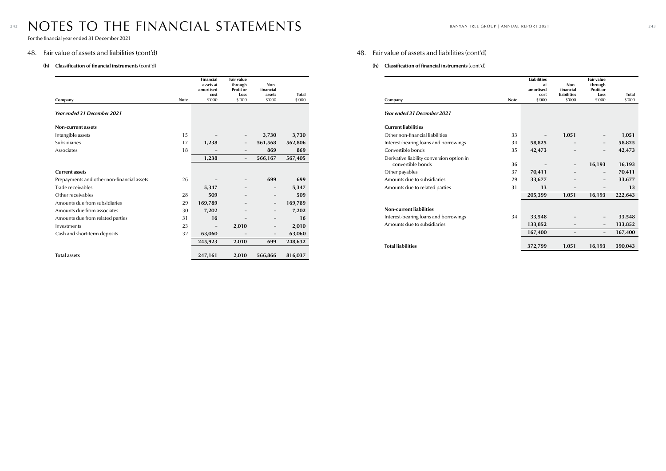For the financial year ended 31 December 2021

# 48. Fair value of assets and liabilities (cont'd)

### **(h) Classification of financial instruments** (cont'd)

| Company                                    | <b>Note</b> | Financial<br>assets at<br>amortised<br>cost<br>\$'000 | <b>Fair value</b><br>through<br>Profit or<br>Loss<br>\$'000 | Non-<br>financial<br>assets<br>\$'000 | <b>Total</b><br>\$'000 |
|--------------------------------------------|-------------|-------------------------------------------------------|-------------------------------------------------------------|---------------------------------------|------------------------|
| Year ended 31 December 2021                |             |                                                       |                                                             |                                       |                        |
| <b>Non-current assets</b>                  |             |                                                       |                                                             |                                       |                        |
| Intangible assets                          | 15          |                                                       |                                                             | 3,730                                 | 3,730                  |
| Subsidiaries                               | 17          | 1,238                                                 |                                                             | 561,568                               | 562,806                |
| Associates                                 | 18          |                                                       | -                                                           | 869                                   | 869                    |
|                                            |             | 1,238                                                 | $\overline{\phantom{a}}$                                    | 566,167                               | 567,405                |
| <b>Current assets</b>                      |             |                                                       |                                                             |                                       |                        |
| Prepayments and other non-financial assets | 26          |                                                       |                                                             | 699                                   | 699                    |
| Trade receivables                          |             | 5,347                                                 |                                                             |                                       | 5,347                  |
| Other receivables                          | 28          | 509                                                   |                                                             |                                       | 509                    |
| Amounts due from subsidiaries              | 29          | 169,789                                               |                                                             |                                       | 169,789                |
| Amounts due from associates                | 30          | 7,202                                                 |                                                             |                                       | 7,202                  |
| Amounts due from related parties           | 31          | 16                                                    |                                                             |                                       | 16                     |
| Investments                                | 23          |                                                       | 2,010                                                       |                                       | 2,010                  |
| Cash and short-term deposits               | 32          | 63,060                                                |                                                             | $\qquad \qquad -$                     | 63,060                 |
|                                            |             | 245,923                                               | 2,010                                                       | 699                                   | 248,632                |
| <b>Total assets</b>                        |             | 247,161                                               | 2,010                                                       | 566,866                               | 816,037                |

# 48. Fair value of assets and liabilities (cont'd)

**(h) Classification of financial instruments** (cont'd)

| Company                                                        | <b>Note</b> |
|----------------------------------------------------------------|-------------|
| Year ended 31 December 2021                                    |             |
| <b>Current liabilities</b>                                     |             |
| Other non-financial liabilities                                | 33          |
| Interest-bearing loans and borrowings                          | 34          |
| Convertible bonds                                              | 35          |
| Derivative liability conversion option in<br>convertible bonds | 36          |
| Other payables                                                 | 37          |
| Amounts due to subsidiaries                                    | 29          |
| Amounts due to related parties                                 | 31          |

|                                                                |             | <b>Liabilities</b><br>at | Non-                  | <b>Fair value</b><br>through |                        |
|----------------------------------------------------------------|-------------|--------------------------|-----------------------|------------------------------|------------------------|
|                                                                |             | amortised                | financial             | <b>Profit or</b>             |                        |
| Company                                                        | <b>Note</b> | cost<br>\$'000           | liabilities<br>\$'000 | Loss<br>\$'000               | <b>Total</b><br>\$'000 |
| Year ended 31 December 2021                                    |             |                          |                       |                              |                        |
| <b>Current liabilities</b>                                     |             |                          |                       |                              |                        |
| Other non-financial liabilities                                | 33          |                          | 1,051                 |                              | 1,051                  |
| Interest-bearing loans and borrowings                          | 34          | 58,825                   |                       |                              | 58,825                 |
| Convertible bonds                                              | 35          | 42,473                   |                       |                              | 42,473                 |
| Derivative liability conversion option in<br>convertible bonds | 36          |                          |                       | 16,193                       | 16,193                 |
| Other payables                                                 | 37          | 70,411                   |                       |                              | 70,411                 |
| Amounts due to subsidiaries                                    | 29          | 33,677                   |                       |                              | 33,677                 |
| Amounts due to related parties                                 | 31          | 13                       |                       |                              | 13                     |
|                                                                |             | 205,399                  | 1,051                 | 16,193                       | 222,643                |
| <b>Non-current liabilities</b>                                 |             |                          |                       |                              |                        |
| Interest-bearing loans and borrowings                          | 34          | 33,548                   |                       |                              | 33,548                 |
| Amounts due to subsidiaries                                    |             | 133,852                  |                       |                              | 133,852                |
|                                                                |             | 167,400                  |                       | $\qquad \qquad -$            | 167,400                |
|                                                                |             |                          |                       |                              |                        |
| <b>Total liabilities</b>                                       |             | 372,799                  | 1,051                 | 16,193                       | 390,043                |

| ×<br>I |   | ٧      |
|--------|---|--------|
|        | × | ×<br>٠ |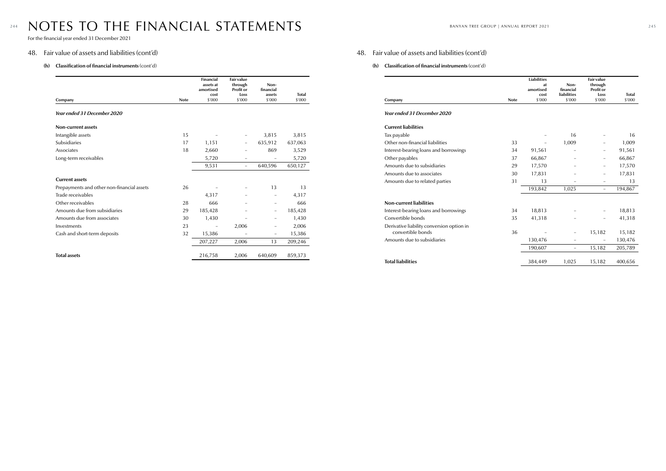For the financial year ended 31 December 2021

### 48. Fair value of assets and liabilities (cont'd)

### **(h) Classification of financial instruments** (cont'd)

| Company                                    | <b>Note</b> | Financial<br>assets at<br>amortised<br>cost<br>\$'000 | <b>Fair value</b><br>through<br>Profit or<br>Loss<br>\$'000 | Non-<br>financial<br>assets<br>\$'000 | <b>Total</b><br>\$'000 |
|--------------------------------------------|-------------|-------------------------------------------------------|-------------------------------------------------------------|---------------------------------------|------------------------|
| Year ended 31 December 2020                |             |                                                       |                                                             |                                       |                        |
| <b>Non-current assets</b>                  |             |                                                       |                                                             |                                       |                        |
| Intangible assets                          | 15          |                                                       |                                                             | 3,815                                 | 3,815                  |
| <b>Subsidiaries</b>                        | 17          | 1,151                                                 |                                                             | 635,912                               | 637,063                |
| Associates                                 | 18          | 2,660                                                 |                                                             | 869                                   | 3,529                  |
| Long-term receivables                      |             | 5,720                                                 | -                                                           |                                       | 5,720                  |
|                                            |             | 9,531                                                 | $\equiv$                                                    | 640,596                               | 650,127                |
| <b>Current assets</b>                      |             |                                                       |                                                             |                                       |                        |
| Prepayments and other non-financial assets | 26          |                                                       |                                                             | 13                                    | 13                     |
| Trade receivables                          |             | 4,317                                                 |                                                             | $\overline{\phantom{0}}$              | 4,317                  |
| Other receivables                          | 28          | 666                                                   |                                                             | $\overline{\phantom{0}}$              | 666                    |
| Amounts due from subsidiaries              | 29          | 185,428                                               |                                                             | -                                     | 185,428                |
| Amounts due from associates                | 30          | 1,430                                                 |                                                             | $\overline{\phantom{0}}$              | 1,430                  |
| Investments                                | 23          |                                                       | 2,006                                                       | $\overline{\phantom{0}}$              | 2,006                  |
| Cash and short-term deposits               | 32          | 15,386                                                |                                                             | $\overline{\phantom{0}}$              | 15,386                 |
|                                            |             | 207,227                                               | 2,006                                                       | 13                                    | 209,246                |
| <b>Total assets</b>                        |             | 216,758                                               | 2,006                                                       | 640,609                               | 859,373                |

# 48. Fair value of assets and liabilities (cont'd)

**(h) Classification of financial instruments** (cont'd)

| Company                               | Note |
|---------------------------------------|------|
| Year ended 31 December 2020           |      |
| <b>Current liabilities</b>            |      |
| Tax payable                           |      |
| Other non-financial liabilities       | 33   |
| Interest-bearing loans and borrowings | 34   |
| Other payables                        | 37   |
| Amounts due to subsidiaries           | 29   |
| Amounts due to associates             | 30   |
| Amounts due to related parties        | 31   |

|                                                                |             | <b>Liabilities</b><br>at<br>amortised | Non-<br>financial            | <b>Fair value</b><br>through<br><b>Profit or</b> |                        |
|----------------------------------------------------------------|-------------|---------------------------------------|------------------------------|--------------------------------------------------|------------------------|
| Company                                                        | <b>Note</b> | cost<br>\$'000                        | <b>liabilities</b><br>\$'000 | Loss<br>\$'000                                   | <b>Total</b><br>\$'000 |
| Year ended 31 December 2020                                    |             |                                       |                              |                                                  |                        |
| <b>Current liabilities</b>                                     |             |                                       |                              |                                                  |                        |
| Tax payable                                                    |             |                                       | 16                           |                                                  | 16                     |
| Other non-financial liabilities                                | 33          |                                       | 1,009                        |                                                  | 1,009                  |
| Interest-bearing loans and borrowings                          | 34          | 91,561                                |                              |                                                  | 91,561                 |
| Other payables                                                 | 37          | 66,867                                |                              |                                                  | 66,867                 |
| Amounts due to subsidiaries                                    | 29          | 17,570                                |                              |                                                  | 17,570                 |
| Amounts due to associates                                      | 30          | 17,831                                |                              |                                                  | 17,831                 |
| Amounts due to related parties                                 | 31          | 13                                    |                              |                                                  | 13                     |
|                                                                |             | 193,842                               | 1,025                        | $\qquad \qquad -$                                | 194,867                |
| <b>Non-current liabilities</b>                                 |             |                                       |                              |                                                  |                        |
| Interest-bearing loans and borrowings                          | 34          | 18,813                                |                              |                                                  | 18,813                 |
| Convertible bonds                                              | 35          | 41,318                                |                              |                                                  | 41,318                 |
| Derivative liability conversion option in<br>convertible bonds | 36          |                                       |                              | 15,182                                           | 15,182                 |
| Amounts due to subsidiaries                                    |             | 130,476                               | $\qquad \qquad -$            | $\qquad \qquad -$                                | 130,476                |
|                                                                |             | 190,607                               | $\overline{\phantom{m}}$     | 15,182                                           | 205,789                |
| <b>Total liabilities</b>                                       |             | 384,449                               | 1,025                        | 15,182                                           | 400,656                |

### **Non-current liabilities**

### **Total liabilities**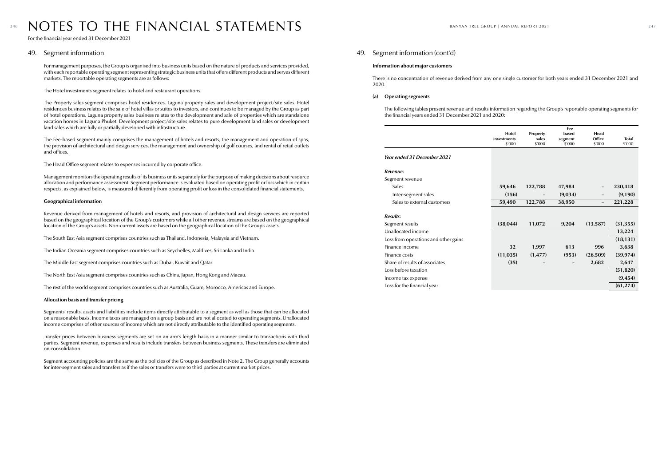For the financial year ended 31 December 2021

### 49. Segment information

For management purposes, the Group is organised into business units based on the nature of products and services provided, with each reportable operating segment representing strategic business units that offers different products and serves different markets. The reportable operating segments are as follows:

The Hotel investments segment relates to hotel and restaurant operations.

The Property sales segment comprises hotel residences, Laguna property sales and development project/site sales. Hotel residences business relates to the sale of hotel villas or suites to investors, and continues to be managed by the Group as part of hotel operations. Laguna property sales business relates to the development and sale of properties which are standalone vacation homes in Laguna Phuket. Development project/site sales relates to pure development land sales or development land sales which are fully or partially developed with infrastructure.

The Fee-based segment mainly comprises the management of hotels and resorts, the management and operation of spas, the provision of architectural and design services, the management and ownership of golf courses, and rental of retail outlets and offices.

The Head Office segment relates to expenses incurred by corporate office.

Management monitors the operating results of its business units separately for the purpose of making decisions about resource allocation and performance assessment. Segment performance is evaluated based on operating profit or loss which in certain respects, as explained below, is measured differently from operating profit or loss in the consolidated financial statements.

#### **Geographical information**

Revenue derived from management of hotels and resorts, and provision of architectural and design services are reported based on the geographical location of the Group's customers while all other revenue streams are based on the geographical location of the Group's assets. Non-current assets are based on the geographical location of the Group's assets.

The South East Asia segment comprises countries such as Thailand, Indonesia, Malaysia and Vietnam.

The Indian Oceania segment comprises countries such as Seychelles, Maldives, Sri Lanka and India.

The Middle East segment comprises countries such as Dubai, Kuwait and Qatar.

The North East Asia segment comprises countries such as China, Japan, Hong Kong and Macau.

The rest of the world segment comprises countries such as Australia, Guam, Morocco, Americas and Europe.

#### **Allocation basis and transfer pricing**

Segments' results, assets and liabilities include items directly attributable to a segment as well as those that can be allocated on a reasonable basis. Income taxes are managed on a group basis and are not allocated to operating segments. Unallocated income comprises of other sources of income which are not directly attributable to the identified operating segments.

Transfer prices between business segments are set on an arm's length basis in a manner similar to transactions with third parties. Segment revenue, expenses and results include transfers between business segments. These transfers are eliminated on consolidation.

Segment accounting policies are the same as the policies of the Group as described in Note 2. The Group generally accounts for inter-segment sales and transfers as if the sales or transfers were to third parties at current market prices.

### 49. Segment information (cont'd)

#### **Information about major customers**

There is no concentration of revenue derived from any one single customer for both years ended 31 December 2021 and 2020.

### **(a) Operating segments**

The following tables present revenue and results information regarding the Group's reportable operating segments for the financial years ended 31 December 2021 and 2020:

|                                      | Fee-                           |                             |                            |                          |                        |
|--------------------------------------|--------------------------------|-----------------------------|----------------------------|--------------------------|------------------------|
|                                      | Hotel<br>investments<br>\$'000 | Property<br>sales<br>\$'000 | based<br>segment<br>\$'000 | Head<br>Office<br>\$'000 | <b>Total</b><br>\$'000 |
| Year ended 31 December 2021          |                                |                             |                            |                          |                        |
| Revenue:                             |                                |                             |                            |                          |                        |
| Segment revenue                      |                                |                             |                            |                          |                        |
| Sales                                | 59,646                         | 122,788                     | 47,984                     | -                        | 230,418                |
| Inter-segment sales                  | (156)                          |                             | (9,034)                    |                          | (9,190)                |
| Sales to external customers          | 59,490                         | 122,788                     | 38,950                     | $\qquad \qquad -$        | 221,228                |
|                                      |                                |                             |                            |                          |                        |
| <b>Results:</b>                      |                                |                             |                            |                          |                        |
| Segment results                      | (38, 044)                      | 11,072                      | 9,204                      | (13, 587)                | (31, 355)              |
| Unallocated income                   |                                |                             |                            |                          | 13,224                 |
| Loss from operations and other gains |                                |                             |                            |                          | (18, 131)              |
| Finance income                       | 32                             | 1,997                       | 613                        | 996                      | 3,638                  |
| Finance costs                        | (11, 035)                      | (1, 477)                    | (953)                      | (26, 509)                | (39, 974)              |
| Share of results of associates       | (35)                           |                             |                            | 2,682                    | 2,647                  |
| Loss before taxation                 |                                |                             |                            |                          | (51, 820)              |
| Income tax expense                   |                                |                             |                            |                          | (9, 454)               |
| Loss for the financial year          |                                |                             |                            |                          | (61, 274)              |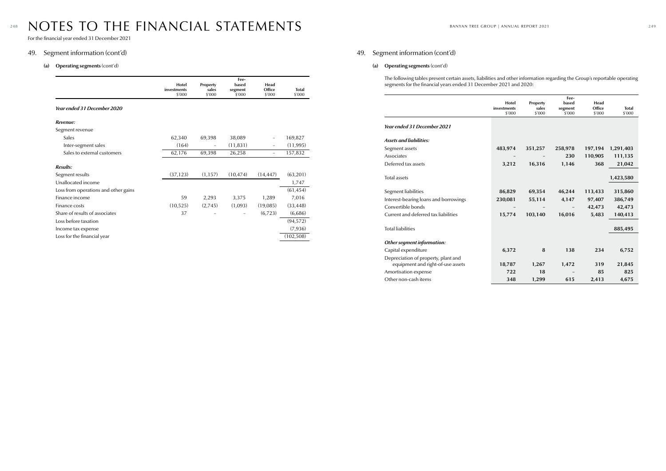For the financial year ended 31 December 2021

# 49. Segment information (cont'd)

### **(a) Operating segments** (cont'd)

|                                      | Hotel<br>investments<br>\$'000 | Property<br>sales<br>\$'000 | Fee-<br>based<br>segment<br>\$'000 | Head<br>Office<br>\$'000 | <b>Total</b><br>\$'000 |
|--------------------------------------|--------------------------------|-----------------------------|------------------------------------|--------------------------|------------------------|
| Year ended 31 December 2020          |                                |                             |                                    |                          |                        |
| Revenue:                             |                                |                             |                                    |                          |                        |
| Segment revenue                      |                                |                             |                                    |                          |                        |
| Sales                                | 62,340                         | 69,398                      | 38,089                             |                          | 169,827                |
| Inter-segment sales                  | (164)                          |                             | (11, 831)                          |                          | (11, 995)              |
| Sales to external customers          | 62,176                         | 69,398                      | 26,258                             | $\overline{\phantom{0}}$ | 157,832                |
| <b>Results:</b>                      |                                |                             |                                    |                          |                        |
| Segment results                      | (37, 123)                      | (1, 157)                    | (10, 474)                          | (14, 447)                | (63, 201)              |
| Unallocated income                   |                                |                             |                                    |                          | 1,747                  |
| Loss from operations and other gains |                                |                             |                                    |                          | (61, 454)              |
| Finance income                       | 59                             | 2,293                       | 3,375                              | 1,289                    | 7,016                  |
| Finance costs                        | (10, 525)                      | (2,745)                     | (1,093)                            | (19,085)                 | (33, 448)              |
| Share of results of associates       | 37                             |                             |                                    | (6,723)                  | (6,686)                |
| Loss before taxation                 |                                |                             |                                    |                          | (94, 572)              |
| Income tax expense                   |                                |                             |                                    |                          | (7,936)                |
| Loss for the financial year          |                                |                             |                                    |                          | (102, 508)             |

# 49. Segment information (cont'd)

# **(a) Operating segments** (cont'd)

The following tables present certain assets, liabilities and other information regarding the Group's reportable operating segments for the financial years ended 31 December 2021 and 2020:

|                                       | Fee-<br>Hotel<br>Property<br>based<br>Head |                 |                   |                  |                        |
|---------------------------------------|--------------------------------------------|-----------------|-------------------|------------------|------------------------|
|                                       | investments<br>\$'000                      | sales<br>\$'000 | segment<br>\$'000 | Office<br>\$'000 | <b>Total</b><br>\$'000 |
| Year ended 31 December 2021           |                                            |                 |                   |                  |                        |
| <b>Assets and liabilities:</b>        |                                            |                 |                   |                  |                        |
| Segment assets                        | 483,974                                    | 351,257         | 258,978           | 197,194          | 1,291,403              |
| Associates                            |                                            |                 | 230               | 110,905          | 111,135                |
| Deferred tax assets                   | 3,212                                      | 16,316          | 1,146             | 368              | 21,042                 |
| <b>Total assets</b>                   |                                            |                 |                   |                  | 1,423,580              |
| Segment liabilities                   | 86,829                                     | 69,354          | 46,244            | 113,433          | 315,860                |
| Interest-bearing loans and borrowings | 230,081                                    | 55,114          | 4,147             | 97,407           | 386,749                |
| Convertible bonds                     |                                            |                 |                   | 42,473           | 42,473                 |
| Current and deferred tax liabilities  | 15,774                                     | 103,140         | 16,016            | 5,483            | 140,413                |
| <b>Total liabilities</b>              |                                            |                 |                   |                  | 885,495                |
| Other segment information:            |                                            |                 |                   |                  |                        |
| Capital expenditure                   | 6,372                                      | 8               | 138               | 234              | 6,752                  |
| Depreciation of property, plant and   |                                            |                 |                   |                  |                        |
| equipment and right-of-use assets     | 18,787                                     | 1,267           | 1,472             | 319              | 21,845                 |
| Amortisation expense                  | 722                                        | 18              |                   | 85               | 825                    |
| Other non-cash items                  | 348                                        | 1,299           | 615               | 2,413            | 4,675                  |